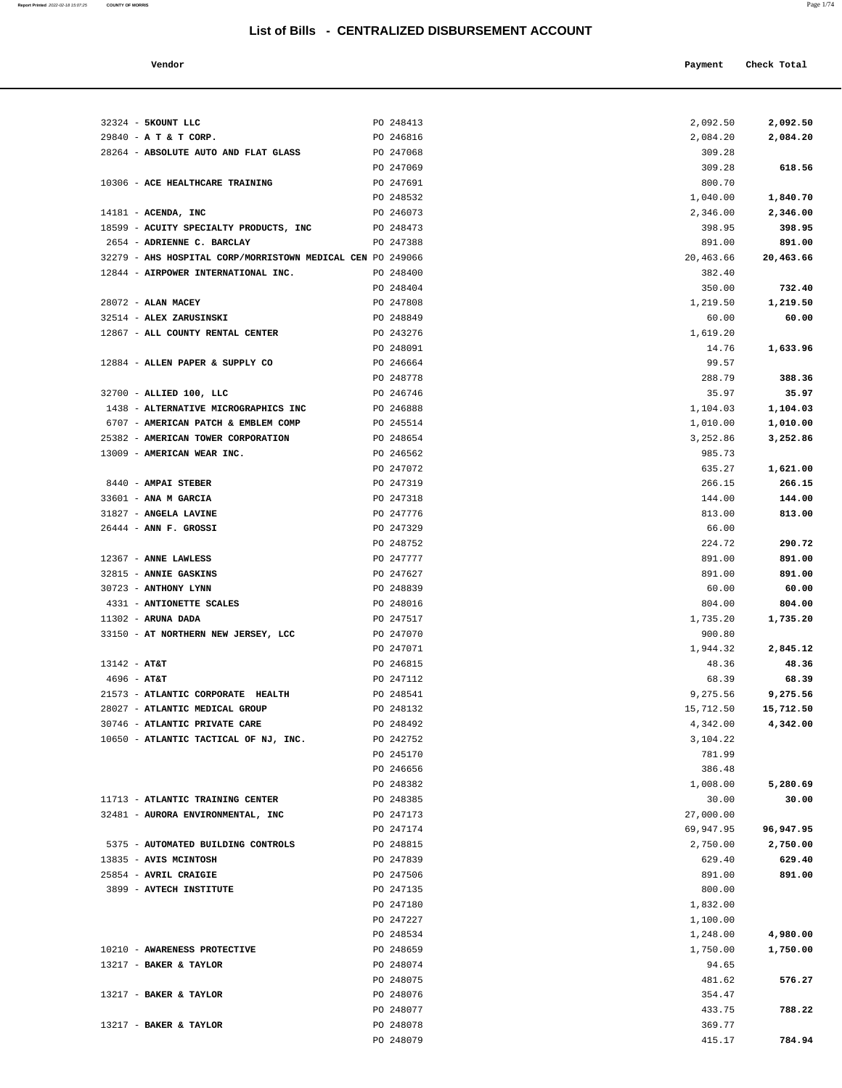| Vendor | Payment Check Total |
|--------|---------------------|
|        |                     |

|                | 32324 - 5KOUNT LLC                                              | PO 248413              | 2,092.50           | 2,092.50           |
|----------------|-----------------------------------------------------------------|------------------------|--------------------|--------------------|
|                | 29840 - A T & T CORP.                                           | PO 246816              | 2,084.20           | 2,084.20           |
|                | 28264 - ABSOLUTE AUTO AND FLAT GLASS                            | PO 247068              | 309.28             |                    |
|                |                                                                 | PO 247069              | 309.28             | 618.56             |
|                | 10306 - ACE HEALTHCARE TRAINING                                 | PO 247691              | 800.70             |                    |
|                |                                                                 | PO 248532              | 1,040.00           | 1,840.70           |
|                | $14181$ - ACENDA, INC<br>18599 - ACUITY SPECIALTY PRODUCTS, INC | PO 246073<br>PO 248473 | 2,346.00<br>398.95 | 2,346.00<br>398.95 |
|                | 2654 - ADRIENNE C. BARCLAY                                      | PO 247388              | 891.00             | 891.00             |
|                | 32279 - AHS HOSPITAL CORP/MORRISTOWN MEDICAL CEN PO 249066      |                        | 20,463.66          | 20,463.66          |
|                | 12844 - AIRPOWER INTERNATIONAL INC.                             | PO 248400              | 382.40             |                    |
|                |                                                                 | PO 248404              | 350.00             | 732.40             |
|                | 28072 - ALAN MACEY                                              | PO 247808              | 1,219.50           | 1,219.50           |
|                | 32514 - ALEX ZARUSINSKI                                         | PO 248849              | 60.00              | 60.00              |
|                | 12867 - ALL COUNTY RENTAL CENTER                                | PO 243276              | 1,619.20           |                    |
|                |                                                                 | PO 248091              | 14.76              | 1,633.96           |
|                | 12884 - ALLEN PAPER & SUPPLY CO                                 | PO 246664              | 99.57              |                    |
|                |                                                                 | PO 248778              | 288.79             | 388.36             |
|                | 32700 - ALLIED 100, LLC                                         | PO 246746              | 35.97              | 35.97              |
|                | 1438 - ALTERNATIVE MICROGRAPHICS INC                            | PO 246888              | 1,104.03           | 1,104.03           |
|                | 6707 - AMERICAN PATCH & EMBLEM COMP                             | PO 245514              | 1,010.00           | 1,010.00           |
|                | 25382 - AMERICAN TOWER CORPORATION                              | PO 248654              | 3,252.86           | 3,252.86           |
|                | 13009 - AMERICAN WEAR INC.                                      | PO 246562              | 985.73             |                    |
|                |                                                                 | PO 247072              | 635.27             | 1,621.00           |
|                | 8440 - AMPAI STEBER                                             | PO 247319              | 266.15             | 266.15             |
|                | 33601 - ANA M GARCIA                                            | PO 247318              | 144.00             | 144.00             |
|                | 31827 - ANGELA LAVINE                                           | PO 247776              | 813.00             | 813.00             |
|                | $26444$ - ANN F. GROSSI                                         | PO 247329              | 66.00              |                    |
|                |                                                                 | PO 248752              | 224.72             | 290.72             |
|                | 12367 - ANNE LAWLESS                                            | PO 247777              | 891.00             | 891.00             |
|                | 32815 - ANNIE GASKINS<br>30723 - ANTHONY LYNN                   | PO 247627              | 891.00<br>60.00    | 891.00             |
|                | 4331 - ANTIONETTE SCALES                                        | PO 248839<br>PO 248016 | 804.00             | 60.00<br>804.00    |
|                | $11302$ - ARUNA DADA                                            | PO 247517              | 1,735.20           | 1,735.20           |
|                | 33150 - AT NORTHERN NEW JERSEY, LCC                             | PO 247070              | 900.80             |                    |
|                |                                                                 | PO 247071              | 1,944.32           | 2,845.12           |
| $13142 - AT&T$ |                                                                 | PO 246815              | 48.36              | 48.36              |
| $4696 - AT&T$  |                                                                 | PO 247112              | 68.39              | 68.39              |
|                | 21573 - ATLANTIC CORPORATE HEALTH                               | PO 248541              | 9,275.56           | 9,275.56           |
|                | 28027 - ATLANTIC MEDICAL GROUP                                  | PO 248132              | 15,712.50          | 15,712.50          |
|                | 30746 - ATLANTIC PRIVATE CARE                                   | PO 248492              | 4,342.00           | 4,342.00           |
|                | 10650 - ATLANTIC TACTICAL OF NJ, INC.                           | PO 242752              | 3,104.22           |                    |
|                |                                                                 | PO 245170              | 781.99             |                    |
|                |                                                                 | PO 246656              | 386.48             |                    |
|                |                                                                 | PO 248382              | 1,008.00           | 5,280.69           |
|                | 11713 - ATLANTIC TRAINING CENTER                                | PO 248385              | 30.00              | 30.00              |
|                | 32481 - AURORA ENVIRONMENTAL, INC                               | PO 247173              | 27,000.00          |                    |
|                |                                                                 | PO 247174              | 69,947.95          | 96,947.95          |
|                | 5375 - AUTOMATED BUILDING CONTROLS                              | PO 248815              | 2,750.00           | 2,750.00           |
|                | 13835 - AVIS MCINTOSH                                           | PO 247839              | 629.40             | 629.40             |
|                | 25854 - AVRIL CRAIGIE                                           | PO 247506              | 891.00             | 891.00             |
|                | 3899 - AVTECH INSTITUTE                                         | PO 247135<br>PO 247180 | 800.00<br>1,832.00 |                    |
|                |                                                                 | PO 247227              | 1,100.00           |                    |
|                |                                                                 | PO 248534              | 1,248.00           | 4,980.00           |
|                | 10210 - AWARENESS PROTECTIVE                                    | PO 248659              | 1,750.00           | 1,750.00           |
|                | 13217 - BAKER & TAYLOR                                          | PO 248074              | 94.65              |                    |
|                |                                                                 | PO 248075              | 481.62             | 576.27             |
|                | 13217 - BAKER & TAYLOR                                          | PO 248076              | 354.47             |                    |
|                |                                                                 | PO 248077              | 433.75             | 788.22             |
|                | 13217 - BAKER & TAYLOR                                          | PO 248078              | 369.77             |                    |
|                |                                                                 | PO 248079              | 415.17             | 784.94             |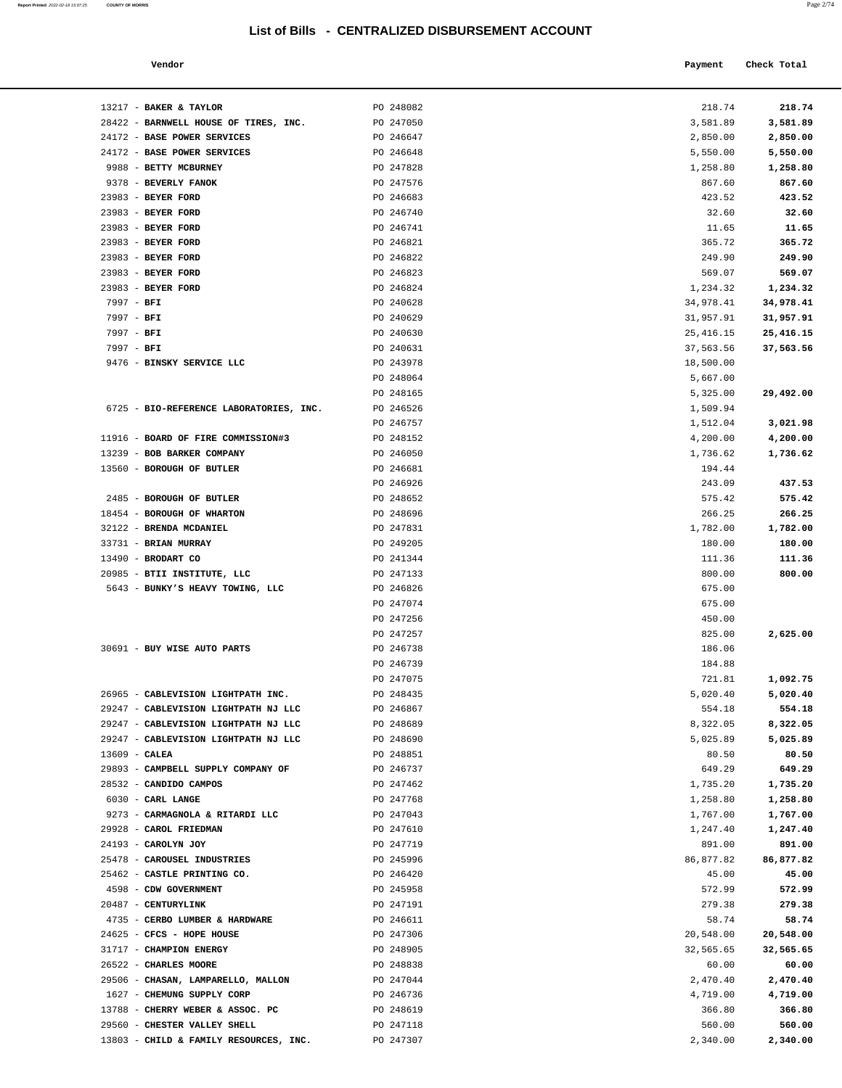| Report Printed 2022-02-18 15:07:25 | <b>COUNTY OF MORRIS</b> | Page 2/74 |
|------------------------------------|-------------------------|-----------|
|                                    |                         |           |

| Vendor                                |           | Payment  | Check Total |
|---------------------------------------|-----------|----------|-------------|
| 13217 - BAKER & TAYLOR                | PO 248082 | 218.74   | 218.74      |
| 28422 - BARNWELL HOUSE OF TIRES, INC. | PO 247050 | 3,581.89 | 3,581.89    |
| 24172 - BASE POWER SERVICES           | PO 246647 | 2,850.00 | 2,850.00    |
| 24172 - BASE POWER SERVICES           | PO 246648 | 5,550.00 | 5,550.00    |
| 9988 - BETTY MCBURNEY                 | PO 247828 | 1,258.80 | 1,258.80    |
| 9378 - BEVERLY FANOK                  | PO 247576 | 867.60   | 867.60      |
| $23983$ - BEYER FORD                  | PO 246683 | 423.52   | 423.52      |
| $23983$ - BEYER FORD                  | PO 246740 | 32.60    | 32.60       |
| 23983 - BEYER FORD                    | PO 246741 | 11.65    | 11.65       |

| 24172 - BASE POWER SERVICES             | PO 246647 | 2,850.00  | 2,850.00   |
|-----------------------------------------|-----------|-----------|------------|
| 24172 - BASE POWER SERVICES             | PO 246648 | 5,550.00  | 5,550.00   |
| 9988 - BETTY MCBURNEY                   | PO 247828 | 1,258.80  | 1,258.80   |
| 9378 - BEVERLY FANOK                    | PO 247576 | 867.60    | 867.60     |
| 23983 - BEYER FORD                      | PO 246683 | 423.52    | 423.52     |
| 23983 - BEYER FORD                      | PO 246740 | 32.60     | 32.60      |
| 23983 - BEYER FORD                      | PO 246741 | 11.65     | 11.65      |
| 23983 - BEYER FORD                      | PO 246821 | 365.72    | 365.72     |
| 23983 - BEYER FORD                      | PO 246822 | 249.90    | 249.90     |
| 23983 - BEYER FORD                      | PO 246823 | 569.07    | 569.07     |
| 23983 - BEYER FORD                      | PO 246824 | 1,234.32  | 1,234.32   |
| 7997 - BFI                              | PO 240628 | 34,978.41 | 34,978.41  |
| $7997 - BFI$                            | PO 240629 | 31,957.91 | 31,957.91  |
| 7997 - BFI                              | PO 240630 | 25,416.15 | 25, 416.15 |
| $7997 - BFI$                            | PO 240631 | 37,563.56 | 37,563.56  |
| 9476 - BINSKY SERVICE LLC               | PO 243978 | 18,500.00 |            |
|                                         | PO 248064 | 5,667.00  |            |
|                                         | PO 248165 | 5,325.00  | 29,492.00  |
| 6725 - BIO-REFERENCE LABORATORIES, INC. | PO 246526 | 1,509.94  |            |
|                                         | PO 246757 | 1,512.04  | 3,021.98   |
| 11916 - BOARD OF FIRE COMMISSION#3      | PO 248152 | 4,200.00  | 4,200.00   |
| 13239 - BOB BARKER COMPANY              | PO 246050 | 1,736.62  | 1,736.62   |
| 13560 - BOROUGH OF BUTLER               | PO 246681 | 194.44    |            |
|                                         | PO 246926 | 243.09    | 437.53     |
| 2485 - BOROUGH OF BUTLER                | PO 248652 | 575.42    | 575.42     |
| 18454 - BOROUGH OF WHARTON              | PO 248696 | 266.25    | 266.25     |
| 32122 - BRENDA MCDANIEL                 | PO 247831 | 1,782.00  | 1,782.00   |
| 33731 - BRIAN MURRAY                    | PO 249205 | 180.00    | 180.00     |
| 13490 - BRODART CO                      | PO 241344 | 111.36    | 111.36     |
| 20985 - BTII INSTITUTE, LLC             | PO 247133 | 800.00    | 800.00     |
| 5643 - BUNKY'S HEAVY TOWING, LLC        | PO 246826 | 675.00    |            |
|                                         | PO 247074 | 675.00    |            |
|                                         | PO 247256 | 450.00    |            |
|                                         | PO 247257 | 825.00    | 2,625.00   |
| 30691 - BUY WISE AUTO PARTS             | PO 246738 | 186.06    |            |
|                                         | PO 246739 | 184.88    |            |
|                                         | PO 247075 | 721.81    | 1,092.75   |
| 26965 - CABLEVISION LIGHTPATH INC.      | PO 248435 | 5,020.40  | 5,020.40   |
| 29247 - CABLEVISION LIGHTPATH NJ LLC    | PO 246867 | 554.18    | 554.18     |
| 29247 - CABLEVISION LIGHTPATH NJ LLC    | PO 248689 | 8,322.05  | 8,322.05   |
| 29247 - CABLEVISION LIGHTPATH NJ LLC    | PO 248690 | 5,025.89  | 5,025.89   |
| 13609 - CALEA                           | PO 248851 | 80.50     | 80.50      |
| 29893 - CAMPBELL SUPPLY COMPANY OF      | PO 246737 | 649.29    | 649.29     |
| 28532 - CANDIDO CAMPOS                  | PO 247462 | 1,735.20  | 1,735.20   |
| 6030 - CARL LANGE                       | PO 247768 | 1,258.80  | 1,258.80   |
| 9273 - CARMAGNOLA & RITARDI LLC         | PO 247043 | 1,767.00  | 1,767.00   |
| 29928 - CAROL FRIEDMAN                  | PO 247610 | 1,247.40  | 1,247.40   |
| 24193 - CAROLYN JOY                     | PO 247719 | 891.00    | 891.00     |
| 25478 - CAROUSEL INDUSTRIES             | PO 245996 | 86,877.82 | 86,877.82  |
| 25462 - CASTLE PRINTING CO.             | PO 246420 | 45.00     | 45.00      |
| 4598 - CDW GOVERNMENT                   | PO 245958 | 572.99    | 572.99     |
| 20487 - CENTURYLINK                     | PO 247191 | 279.38    | 279.38     |
| 4735 - CERBO LUMBER & HARDWARE          | PO 246611 | 58.74     | 58.74      |
| 24625 - CFCS - HOPE HOUSE               | PO 247306 | 20,548.00 | 20,548.00  |
| 31717 - CHAMPION ENERGY                 | PO 248905 | 32,565.65 | 32,565.65  |
| 26522 - CHARLES MOORE                   | PO 248838 | 60.00     | 60.00      |
| 29506 - CHASAN, LAMPARELLO, MALLON      | PO 247044 | 2,470.40  | 2,470.40   |

| 24172 - BASE POWER SERVICES             | PO 246648 | 5,550.00   | 5,550.00  |
|-----------------------------------------|-----------|------------|-----------|
| 9988 - BETTY MCBURNEY                   | PO 247828 | 1,258.80   | 1,258.80  |
| 9378 - BEVERLY FANOK                    | PO 247576 | 867.60     | 867.60    |
| 23983 - BEYER FORD                      | PO 246683 | 423.52     | 423.52    |
| 23983 - BEYER FORD                      | PO 246740 | 32.60      | 32.60     |
| 23983 - BEYER FORD                      | PO 246741 | 11.65      | 11.65     |
| 23983 - BEYER FORD                      | PO 246821 | 365.72     | 365.72    |
| 23983 - BEYER FORD                      | PO 246822 | 249.90     | 249.90    |
| 23983 - BEYER FORD                      | PO 246823 | 569.07     | 569.07    |
| 23983 - BEYER FORD                      | PO 246824 | 1,234.32   | 1,234.32  |
| 7997 - BFI                              | PO 240628 | 34,978.41  | 34,978.41 |
| 7997 - BFI                              | PO 240629 | 31,957.91  | 31,957.91 |
| $7997 - BFI$                            | PO 240630 | 25, 416.15 | 25,416.15 |
| $7997 - BFI$                            | PO 240631 | 37,563.56  | 37,563.56 |
| 9476 - BINSKY SERVICE LLC               | PO 243978 | 18,500.00  |           |
|                                         | PO 248064 | 5,667.00   |           |
|                                         | PO 248165 | 5,325.00   | 29,492.00 |
| 6725 - BIO-REFERENCE LABORATORIES, INC. | PO 246526 | 1,509.94   |           |
|                                         | PO 246757 | 1,512.04   | 3,021.98  |
| 11916 - BOARD OF FIRE COMMISSION#3      | PO 248152 | 4,200.00   | 4,200.00  |
| 13239 - BOB BARKER COMPANY              | PO 246050 | 1,736.62   | 1,736.62  |
| 13560 - BOROUGH OF BUTLER               | PO 246681 | 194.44     |           |
|                                         | PO 246926 | 243.09     | 437.53    |
| 2485 - BOROUGH OF BUTLER                | PO 248652 | 575.42     | 575.42    |
| 18454 - BOROUGH OF WHARTON              | PO 248696 | 266.25     | 266.25    |
| 32122 - BRENDA MCDANIEL                 | PO 247831 | 1,782.00   | 1,782.00  |
| 33731 - BRIAN MURRAY                    | PO 249205 | 180.00     | 180.00    |
| 13490 - BRODART CO                      | PO 241344 | 111.36     | 111.36    |
| 20985 - BTII INSTITUTE, LLC             | PO 247133 | 800.00     | 800.00    |
| 5643 - BUNKY'S HEAVY TOWING, LLC        | PO 246826 | 675.00     |           |
|                                         | PO 247074 | 675.00     |           |
|                                         | PO 247256 | 450.00     |           |
|                                         | PO 247257 | 825.00     | 2,625.00  |
| 30691 - BUY WISE AUTO PARTS             | PO 246738 | 186.06     |           |
|                                         | PO 246739 | 184.88     |           |
|                                         | PO 247075 | 721.81     | 1,092.75  |
| 26965 - CABLEVISION LIGHTPATH INC.      | PO 248435 | 5,020.40   | 5,020.40  |
| 29247 - CABLEVISION LIGHTPATH NJ LLC    | PO 246867 | 554.18     | 554.18    |
| 29247 - CABLEVISION LIGHTPATH NJ LLC    | PO 248689 | 8,322.05   | 8,322.05  |
| 29247 - CABLEVISION LIGHTPATH NJ LLC    | PO 248690 | 5,025.89   | 5,025.89  |
| $13609 - CALEA$                         | PO 248851 | 80.50      | 80.50     |
| 29893 - CAMPBELL SUPPLY COMPANY OF      | PO 246737 | 649.29     | 649.29    |
| 28532 - CANDIDO CAMPOS                  | PO 247462 | 1,735.20   | 1,735.20  |
| $6030$ - CARL LANGE                     | PO 247768 | 1,258.80   | 1,258.80  |
| 9273 - CARMAGNOLA & RITARDI LLC         | PO 247043 | 1,767.00   | 1,767.00  |
| 29928 - CAROL FRIEDMAN                  | PO 247610 | 1,247.40   | 1,247.40  |
| 24193 - CAROLYN JOY                     | PO 247719 | 891.00     | 891.00    |
| 25478 - CAROUSEL INDUSTRIES             | PO 245996 | 86,877.82  | 86,877.82 |
| 25462 - CASTLE PRINTING CO.             | PO 246420 | 45.00      | 45.00     |
| 4598 - CDW GOVERNMENT                   | PO 245958 | 572.99     | 572.99    |
| 20487 - CENTURYLINK                     | PO 247191 | 279.38     | 279.38    |
| 4735 - CERBO LUMBER & HARDWARE          | PO 246611 | 58.74      | 58.74     |
| 24625 - CFCS - HOPE HOUSE               | PO 247306 | 20,548.00  | 20,548.00 |
| 31717 - CHAMPION ENERGY                 | PO 248905 | 32,565.65  | 32,565.65 |
| 26522 - CHARLES MOORE                   | PO 248838 | 60.00      | 60.00     |
| 29506 - CHASAN, LAMPARELLO, MALLON      | PO 247044 | 2,470.40   | 2,470.40  |
| 1627 - CHEMUNG SUPPLY CORP              | PO 246736 | 4,719.00   | 4,719.00  |
| 13788 - CHERRY WEBER & ASSOC. PC        | PO 248619 | 366.80     | 366.80    |
| 29560 - CHESTER VALLEY SHELL            | PO 247118 | 560.00     | 560.00    |
| 13803 - CHILD & FAMILY RESOURCES, INC.  | PO 247307 | 2,340.00   | 2,340.00  |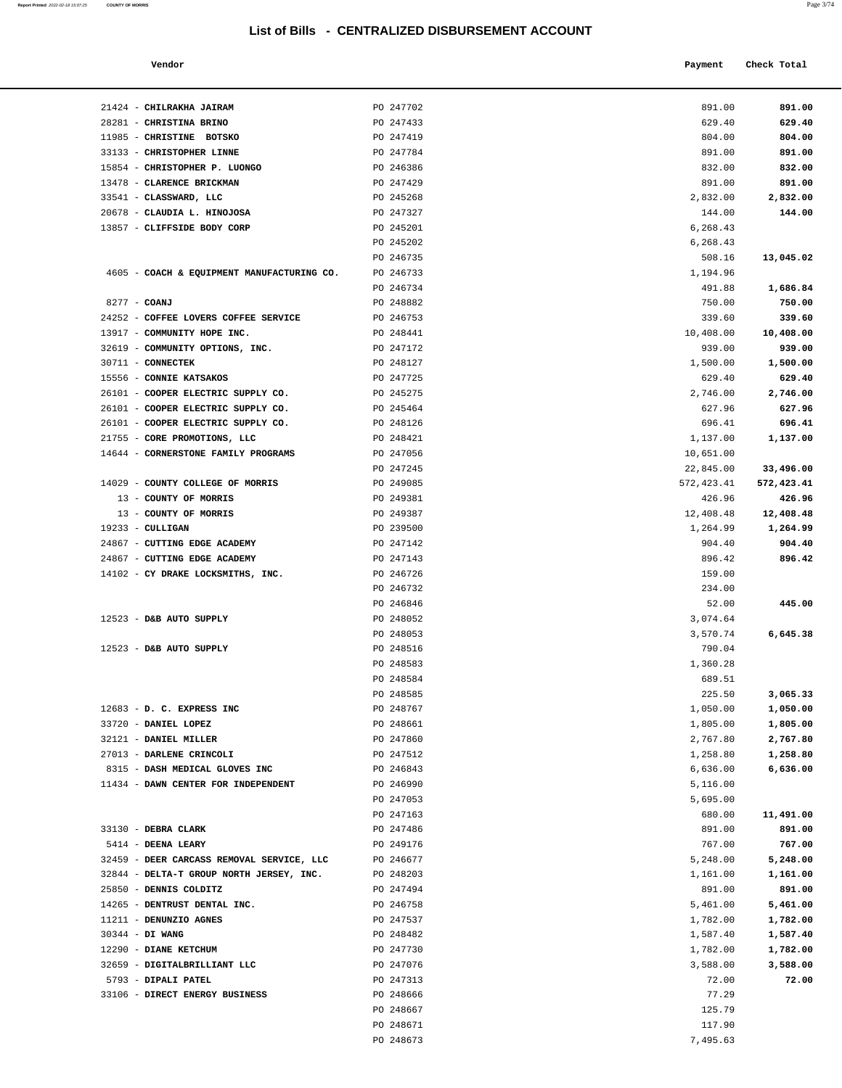|                 | 21424 - CHILRAKHA JAIRAM                                      | PO 247702              | 891.00               | 891.00               |
|-----------------|---------------------------------------------------------------|------------------------|----------------------|----------------------|
|                 | 28281 - CHRISTINA BRINO                                       | PO 247433              | 629.40               | 629.40               |
|                 | 11985 - CHRISTINE BOTSKO                                      | PO 247419              | 804.00               | 804.00               |
|                 | 33133 - CHRISTOPHER LINNE                                     | PO 247784              | 891.00               | 891.00               |
|                 | 15854 - CHRISTOPHER P. LUONGO                                 | PO 246386              | 832.00               | 832.00               |
|                 | 13478 - CLARENCE BRICKMAN                                     | PO 247429              | 891.00               | 891.00               |
|                 | 33541 - CLASSWARD, LLC                                        | PO 245268              | 2,832.00             | 2,832.00             |
|                 | 20678 - CLAUDIA L. HINOJOSA                                   | PO 247327              | 144.00               | 144.00               |
|                 | 13857 - CLIFFSIDE BODY CORP                                   | PO 245201              | 6,268.43             |                      |
|                 |                                                               | PO 245202              | 6,268.43             |                      |
|                 |                                                               | PO 246735              | 508.16               | 13,045.02            |
|                 | 4605 - COACH & EQUIPMENT MANUFACTURING CO.                    | PO 246733              | 1,194.96             |                      |
|                 |                                                               | PO 246734              | 491.88               | 1,686.84             |
| 8277 - COANJ    |                                                               | PO 248882              | 750.00               | 750.00               |
|                 | 24252 - COFFEE LOVERS COFFEE SERVICE                          | PO 246753              | 339.60               | 339.60               |
|                 | 13917 - COMMUNITY HOPE INC.                                   | PO 248441              | 10,408.00            | 10,408.00            |
|                 | 32619 - COMMUNITY OPTIONS, INC.                               | PO 247172              | 939.00               | 939.00               |
|                 | 30711 - CONNECTEK                                             | PO 248127              | 1,500.00             | 1,500.00             |
|                 | 15556 - CONNIE KATSAKOS<br>26101 - COOPER ELECTRIC SUPPLY CO. | PO 247725              | 629.40               | 629.40               |
|                 | 26101 - COOPER ELECTRIC SUPPLY CO.                            | PO 245275<br>PO 245464 | 2,746.00<br>627.96   | 2,746.00<br>627.96   |
|                 | 26101 - COOPER ELECTRIC SUPPLY CO.                            | PO 248126              | 696.41               | 696.41               |
|                 | 21755 - CORE PROMOTIONS, LLC                                  | PO 248421              | 1,137.00             | 1,137.00             |
|                 | 14644 - CORNERSTONE FAMILY PROGRAMS                           | PO 247056              | 10,651.00            |                      |
|                 |                                                               | PO 247245              | 22,845.00            | 33,496.00            |
|                 | 14029 - COUNTY COLLEGE OF MORRIS                              | PO 249085              | 572,423.41           | 572,423.41           |
|                 | 13 - COUNTY OF MORRIS                                         | PO 249381              | 426.96               | 426.96               |
|                 | 13 - COUNTY OF MORRIS                                         | PO 249387              | 12,408.48            | 12,408.48            |
|                 | $19233 - \text{CULLIGAN}$                                     | PO 239500              | 1,264.99             | 1,264.99             |
|                 | 24867 - CUTTING EDGE ACADEMY                                  | PO 247142              | 904.40               | 904.40               |
|                 | 24867 - CUTTING EDGE ACADEMY                                  | PO 247143              | 896.42               | 896.42               |
|                 | 14102 - CY DRAKE LOCKSMITHS, INC.                             | PO 246726              | 159.00               |                      |
|                 |                                                               | PO 246732              | 234.00               |                      |
|                 |                                                               | PO 246846              | 52.00                | 445.00               |
|                 | 12523 - D&B AUTO SUPPLY                                       | PO 248052              | 3,074.64             |                      |
|                 |                                                               | PO 248053              | 3,570.74             | 6,645.38             |
|                 | 12523 - D&B AUTO SUPPLY                                       | PO 248516              | 790.04               |                      |
|                 |                                                               | PO 248583              | 1,360.28             |                      |
|                 |                                                               | PO 248584              | 689.51               |                      |
|                 |                                                               | PO 248585<br>PO 248767 | 225.50<br>1,050.00   | 3,065.33             |
|                 | 12683 - D. C. EXPRESS INC<br>33720 - DANIEL LOPEZ             | PO 248661              |                      | 1,050.00             |
|                 | 32121 - DANIEL MILLER                                         | PO 247860              | 1,805.00<br>2,767.80 | 1,805.00<br>2,767.80 |
|                 | 27013 - DARLENE CRINCOLI                                      | PO 247512              | 1,258.80             | 1,258.80             |
|                 | 8315 - DASH MEDICAL GLOVES INC                                | PO 246843              | 6,636.00             | 6,636.00             |
|                 | 11434 - DAWN CENTER FOR INDEPENDENT                           | PO 246990              | 5,116.00             |                      |
|                 |                                                               | PO 247053              | 5,695.00             |                      |
|                 |                                                               | PO 247163              | 680.00               | 11,491.00            |
|                 | 33130 - DEBRA CLARK                                           | PO 247486              | 891.00               | 891.00               |
|                 | 5414 - DEENA LEARY                                            | PO 249176              | 767.00               | 767.00               |
|                 | 32459 - DEER CARCASS REMOVAL SERVICE, LLC                     | PO 246677              | 5,248.00             | 5,248.00             |
|                 | 32844 - DELTA-T GROUP NORTH JERSEY, INC.                      | PO 248203              | 1,161.00             | 1,161.00             |
|                 | 25850 - DENNIS COLDITZ                                        | PO 247494              | 891.00               | 891.00               |
|                 | 14265 - DENTRUST DENTAL INC.                                  | PO 246758              | 5,461.00             | 5,461.00             |
|                 | 11211 - DENUNZIO AGNES                                        | PO 247537              | 1,782.00             | 1,782.00             |
| 30344 - DI WANG |                                                               | PO 248482              | 1,587.40             | 1,587.40             |
|                 | 12290 - DIANE KETCHUM                                         | PO 247730              | 1,782.00             | 1,782.00             |
|                 | 32659 - DIGITALBRILLIANT LLC                                  | PO 247076              | 3,588.00             | 3,588.00             |
|                 | 5793 - DIPALI PATEL                                           | PO 247313              | 72.00                | 72.00                |
|                 | 33106 - DIRECT ENERGY BUSINESS                                | PO 248666<br>PO 248667 | 77.29<br>125.79      |                      |
|                 |                                                               | PO 248671              | 117.90               |                      |
|                 |                                                               | PO 248673              | 7,495.63             |                      |
|                 |                                                               |                        |                      |                      |

**Report Printed** 2022-02-18 15:07:25 **COUNTY OF MORRIS** Page 3/74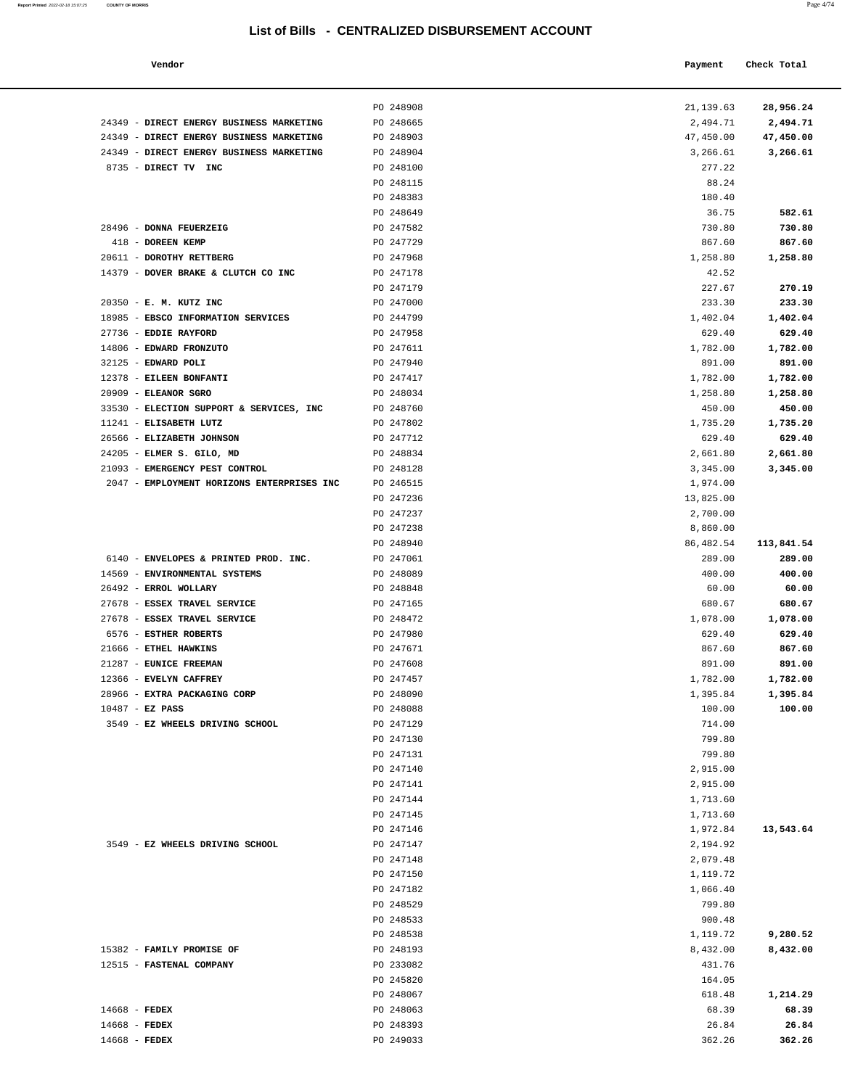| Vendor                                       |                        | Payment              | Check Total        |
|----------------------------------------------|------------------------|----------------------|--------------------|
|                                              | PO 248908              | 21,139.63            | 28,956.24          |
| <b>DIRECT ENERGY BUSINESS MARKETING</b>      | PO 248665              | 2,494.71             | 2,494.71           |
| DIRECT ENERGY BUSINESS MARKETING             | PO 248903              | 47,450.00            | 47,450.00          |
| DIRECT ENERGY BUSINESS MARKETING             | PO 248904              | 3,266.61             | 3,266.61           |
| DIRECT TV INC                                | PO 248100              | 277.22               |                    |
|                                              | PO 248115              | 88.24                |                    |
|                                              | PO 248383              | 180.40               |                    |
|                                              | PO 248649              | 36.75                | 582.61             |
| <b>DONNA FEUERZEIG</b>                       | PO 247582              | 730.80               | 730.80             |
| <b>DOREEN KEMP</b>                           | PO 247729              | 867.60               | 867.60             |
| DOROTHY RETTBERG                             | PO 247968              | 1,258.80             | 1,258.80           |
| DOVER BRAKE & CLUTCH CO INC                  | PO 247178              | 42.52                |                    |
|                                              | PO 247179              | 227.67               | 270.19             |
| E. M. KUTZ INC<br>EBSCO INFORMATION SERVICES | PO 247000<br>PO 244799 | 233.30<br>1,402.04   | 233.30<br>1,402.04 |
| <b>EDDIE RAYFORD</b>                         | PO 247958              | 629.40               | 629.40             |
| EDWARD FRONZUTO                              | PO 247611              | 1,782.00             | 1,782.00           |
| EDWARD POLI                                  | PO 247940              | 891.00               | 891.00             |
| <b>EILEEN BONFANTI</b>                       | PO 247417              | 1,782.00             | 1,782.00           |
| <b>ELEANOR SGRO</b>                          | PO 248034              | 1,258.80             | 1,258.80           |
| ELECTION SUPPORT & SERVICES, INC             | PO 248760              | 450.00               | 450.00             |
| ELISABETH LUTZ                               | PO 247802              | 1,735.20             | 1,735.20           |
| ELIZABETH JOHNSON                            | PO 247712              | 629.40               | 629.40             |
| ELMER S. GILO, MD                            | PO 248834              | 2,661.80             | 2,661.80           |
| EMERGENCY PEST CONTROL                       | PO 248128              | 3,345.00             | 3,345.00           |
| EMPLOYMENT HORIZONS ENTERPRISES INC          | PO 246515              | 1,974.00             |                    |
|                                              | PO 247236              | 13,825.00            |                    |
|                                              | PO 247237              | 2,700.00             |                    |
|                                              | PO 247238              | 8,860.00             |                    |
|                                              | PO 248940              | 86,482.54            | 113,841.54         |
| ENVELOPES & PRINTED PROD. INC.               | PO 247061              | 289.00               | 289.00             |
| ENVIRONMENTAL SYSTEMS                        | PO 248089              | 400.00               | 400.00             |
| ERROL WOLLARY                                | PO 248848              | 60.00                | 60.00              |
| ESSEX TRAVEL SERVICE                         | PO 247165              | 680.67               | 680.67             |
| ESSEX TRAVEL SERVICE                         | PO 248472              | 1,078.00             | 1,078.00           |
| <b>ESTHER ROBERTS</b>                        | PO 247980              | 629.40               | 629.40             |
| ETHEL HAWKINS                                | PO 247671              | 867.60               | 867.60             |
| <b>EUNICE FREEMAN</b>                        | PO 247608              | 891.00               | 891.00             |
| <b>EVELYN CAFFREY</b>                        | PO 247457              | 1,782.00             | 1,782.00           |
| <b>EXTRA PACKAGING CORP</b>                  | PO 248090              | 1,395.84             | 1,395.84           |
| EZ PASS                                      | PO 248088              | 100.00               | 100.00             |
| <b>EZ WHEELS DRIVING SCHOOL</b>              | PO 247129              | 714.00               |                    |
|                                              | PO 247130<br>PO 247131 | 799.80               |                    |
|                                              | PO 247140              | 799.80<br>2,915.00   |                    |
|                                              | PO 247141              |                      |                    |
|                                              | PO 247144              | 2,915.00<br>1,713.60 |                    |
|                                              | PO 247145              | 1,713.60             |                    |
|                                              | PO 247146              | 1,972.84             | 13,543.64          |
| EZ WHEELS DRIVING SCHOOL                     | PO 247147              | 2,194.92             |                    |
|                                              | PO 247148              | 2,079.48             |                    |
|                                              | PO 247150              | 1,119.72             |                    |
|                                              | PO 247182              | 1,066.40             |                    |
|                                              | PO 248529              | 799.80               |                    |
|                                              | PO 248533              | 900.48               |                    |
|                                              | PO 248538              | 1,119.72             | 9,280.52           |
| <b>FAMILY PROMISE OF</b>                     | PO 248193              | 8,432.00             | 8,432.00           |
| <b>FASTENAL COMPANY</b>                      | PO 233082              | 431.76               |                    |
|                                              | PO 245820              | 164.05               |                    |
|                                              | PO 248067              | 618.48               | 1,214.29           |

|                                                       | PO 248908              | 21,139.63          | 28,956.24          |
|-------------------------------------------------------|------------------------|--------------------|--------------------|
| 24349 - DIRECT ENERGY BUSINESS MARKETING              | PO 248665              | 2,494.71           | 2,494.71           |
| 24349 - DIRECT ENERGY BUSINESS MARKETING              | PO 248903              | 47,450.00          | 47,450.00          |
| 24349 - DIRECT ENERGY BUSINESS MARKETING              | PO 248904              | 3,266.61           | 3,266.61           |
| 8735 - DIRECT TV INC                                  | PO 248100              | 277.22             |                    |
|                                                       | PO 248115<br>PO 248383 | 88.24<br>180.40    |                    |
|                                                       | PO 248649              | 36.75              | 582.61             |
| 28496 - DONNA FEUERZEIG                               | PO 247582              | 730.80             | 730.80             |
| 418 - DOREEN KEMP                                     | PO 247729              | 867.60             | 867.60             |
| 20611 - DOROTHY RETTBERG                              | PO 247968              | 1,258.80           | 1,258.80           |
| 14379 - DOVER BRAKE & CLUTCH CO INC                   | PO 247178              | 42.52              |                    |
|                                                       | PO 247179              | 227.67             | 270.19             |
| 20350 - E. M. KUTZ INC                                | PO 247000              | 233.30             | 233.30             |
| 18985 - EBSCO INFORMATION SERVICES                    | PO 244799              | 1,402.04           | 1,402.04           |
| 27736 - EDDIE RAYFORD                                 | PO 247958              | 629.40             | 629.40             |
| 14806 - EDWARD FRONZUTO                               | PO 247611              | 1,782.00           | 1,782.00           |
| 32125 - EDWARD POLI                                   | PO 247940              | 891.00             | 891.00             |
| 12378 - EILEEN BONFANTI                               | PO 247417              | 1,782.00           | 1,782.00           |
| 20909 - ELEANOR SGRO                                  | PO 248034              | 1,258.80           | 1,258.80           |
| 33530 - ELECTION SUPPORT & SERVICES, INC              | PO 248760              | 450.00             | 450.00             |
| 11241 - ELISABETH LUTZ                                | PO 247802              | 1,735.20           | 1,735.20           |
| 26566 - ELIZABETH JOHNSON                             | PO 247712              | 629.40             | 629.40             |
| 24205 - ELMER S. GILO, MD                             | PO 248834              | 2,661.80           | 2,661.80           |
| 21093 - EMERGENCY PEST CONTROL                        | PO 248128              | 3,345.00           | 3,345.00           |
| 2047 - EMPLOYMENT HORIZONS ENTERPRISES INC            | PO 246515              | 1,974.00           |                    |
|                                                       | PO 247236              | 13,825.00          |                    |
|                                                       | PO 247237              | 2,700.00           |                    |
|                                                       | PO 247238              | 8,860.00           |                    |
|                                                       | PO 248940              | 86,482.54          | 113,841.54         |
| 6140 - ENVELOPES & PRINTED PROD. INC.                 | PO 247061              | 289.00             | 289.00             |
| 14569 - ENVIRONMENTAL SYSTEMS                         | PO 248089              | 400.00             | 400.00             |
| 26492 - ERROL WOLLARY                                 | PO 248848              | 60.00              | 60.00              |
| 27678 - ESSEX TRAVEL SERVICE                          | PO 247165              | 680.67             | 680.67             |
| 27678 - ESSEX TRAVEL SERVICE<br>6576 - ESTHER ROBERTS | PO 248472<br>PO 247980 | 1,078.00<br>629.40 | 1,078.00<br>629.40 |
| 21666 - ETHEL HAWKINS                                 | PO 247671              | 867.60             | 867.60             |
| 21287 - EUNICE FREEMAN                                | PO 247608              | 891.00             | 891.00             |
| 12366 - EVELYN CAFFREY                                | PO 247457              | 1,782.00           | 1,782.00           |
| 28966 - EXTRA PACKAGING CORP                          | PO 248090              | 1,395.84           | 1,395.84           |
| $10487 - EZ$ PASS                                     | PO 248088              | 100.00             | 100.00             |
| 3549 - EZ WHEELS DRIVING SCHOOL                       | PO 247129              | 714.00             |                    |
|                                                       | PO 247130              | 799.80             |                    |
|                                                       | PO 247131              | 799.80             |                    |
|                                                       | PO 247140              | 2,915.00           |                    |
|                                                       | PO 247141              | 2,915.00           |                    |
|                                                       | PO 247144              | 1,713.60           |                    |
|                                                       | PO 247145              | 1,713.60           |                    |
|                                                       | PO 247146              | 1,972.84           | 13,543.64          |
| 3549 - EZ WHEELS DRIVING SCHOOL                       | PO 247147              | 2,194.92           |                    |
|                                                       | PO 247148              | 2,079.48           |                    |
|                                                       | PO 247150              | 1,119.72           |                    |
|                                                       | PO 247182              | 1,066.40           |                    |
|                                                       | PO 248529              | 799.80             |                    |
|                                                       | PO 248533              | 900.48             |                    |
|                                                       | PO 248538              | 1,119.72           | 9,280.52           |
| 15382 - FAMILY PROMISE OF                             | PO 248193              | 8,432.00           | 8,432.00           |
| 12515 - FASTENAL COMPANY                              | PO 233082              | 431.76             |                    |
|                                                       | PO 245820              | 164.05             |                    |
|                                                       | PO 248067              | 618.48             | 1,214.29           |
| $14668$ - FEDEX                                       | PO 248063              | 68.39              | 68.39              |
| $14668$ - FEDEX                                       | PO 248393              | 26.84              | 26.84              |

14668 - **FEDEX** PO 249033 362.26 **362.26**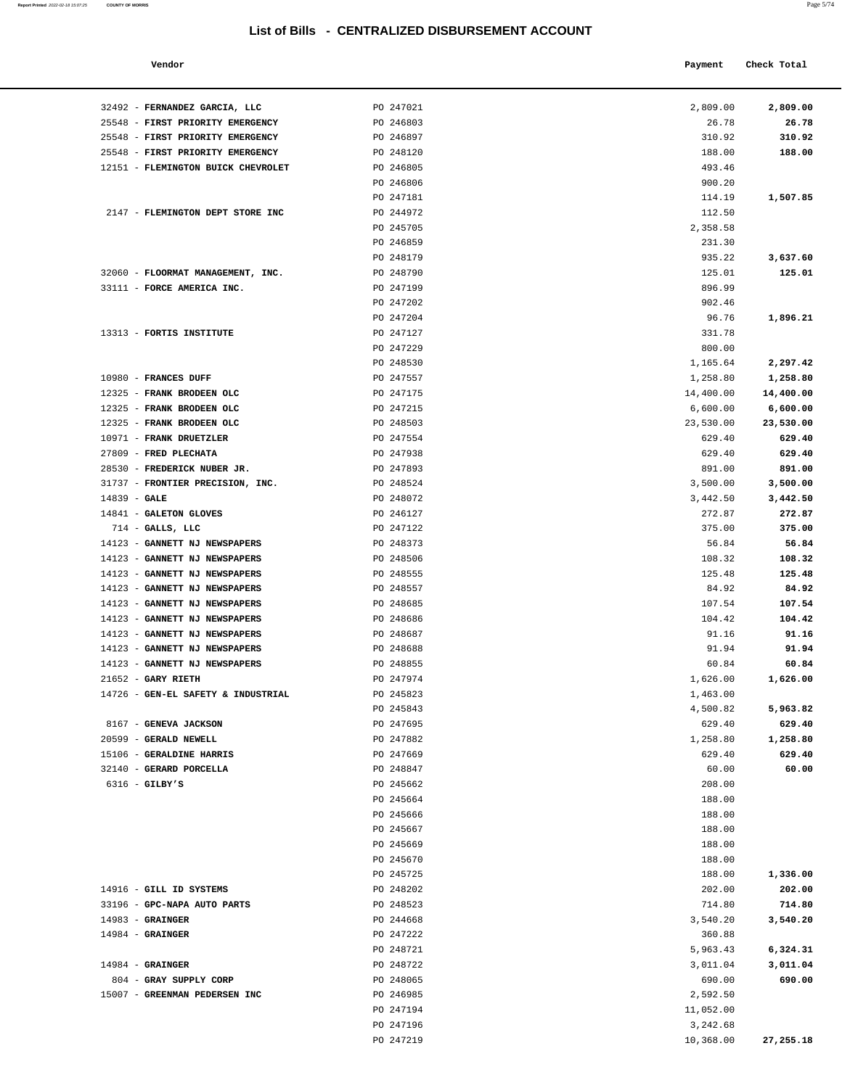| Vendor                                              |                        | Payment   | Check Total     |
|-----------------------------------------------------|------------------------|-----------|-----------------|
| 32492 - FERNANDEZ GARCIA, LLC                       | PO 247021              | 2,809.00  | 2,809.00        |
| 25548 - FIRST PRIORITY EMERGENCY                    | PO 246803              | 26.78     | 26.78           |
| 25548 - FIRST PRIORITY EMERGENCY                    | PO 246897              | 310.92    | 310.92          |
| 25548 - FIRST PRIORITY EMERGENCY                    | PO 248120              | 188.00    | 188.00          |
| 12151 - FLEMINGTON BUICK CHEVROLET                  | PO 246805              | 493.46    |                 |
|                                                     | PO 246806              | 900.20    |                 |
|                                                     | PO 247181              | 114.19    | 1,507.85        |
| 2147 - FLEMINGTON DEPT STORE INC                    | PO 244972              | 112.50    |                 |
|                                                     | PO 245705              | 2,358.58  |                 |
|                                                     | PO 246859              | 231.30    |                 |
|                                                     | PO 248179              | 935.22    | 3,637.60        |
| 32060 - FLOORMAT MANAGEMENT, INC.                   | PO 248790              | 125.01    | 125.01          |
| 33111 - FORCE AMERICA INC.                          | PO 247199              | 896.99    |                 |
|                                                     | PO 247202              | 902.46    |                 |
|                                                     | PO 247204              | 96.76     | 1,896.21        |
| 13313 - FORTIS INSTITUTE                            | PO 247127              | 331.78    |                 |
|                                                     | PO 247229              | 800.00    |                 |
|                                                     | PO 248530              | 1,165.64  | 2,297.42        |
| 10980 - FRANCES DUFF                                | PO 247557              | 1,258.80  | 1,258.80        |
| 12325 - FRANK BRODEEN OLC                           | PO 247175              | 14,400.00 | 14,400.00       |
| 12325 - FRANK BRODEEN OLC                           | PO 247215              | 6,600.00  | 6,600.00        |
| 12325 - FRANK BRODEEN OLC                           | PO 248503              | 23,530.00 | 23,530.00       |
| 10971 - FRANK DRUETZLER                             | PO 247554              | 629.40    | 629.40          |
| 27809 - FRED PLECHATA                               | PO 247938              | 629.40    | 629.40          |
| 28530 - FREDERICK NUBER JR.                         | PO 247893              | 891.00    | 891.00          |
| 31737 - FRONTIER PRECISION, INC.                    | PO 248524              | 3,500.00  | 3,500.00        |
| $14839 - GALE$                                      | PO 248072              | 3,442.50  | 3,442.50        |
| 14841 - GALETON GLOVES                              | PO 246127              | 272.87    | 272.87          |
| $714$ - GALLS, LLC                                  | PO 247122              | 375.00    | 375.00          |
| 14123 - GANNETT NJ NEWSPAPERS                       | PO 248373              | 56.84     | 56.84           |
| 14123 - GANNETT NJ NEWSPAPERS                       | PO 248506              | 108.32    | 108.32          |
| 14123 - GANNETT NJ NEWSPAPERS                       | PO 248555              | 125.48    | 125.48          |
| 14123 - GANNETT NJ NEWSPAPERS                       | PO 248557              | 84.92     | 84.92           |
| 14123 - GANNETT NJ NEWSPAPERS                       | PO 248685              | 107.54    | 107.54          |
| 14123 - GANNETT NJ NEWSPAPERS                       | PO 248686              | 104.42    | 104.42          |
| 14123 - GANNETT NJ NEWSPAPERS                       | PO 248687              | 91.16     | 91.16           |
| 14123 - GANNETT NJ NEWSPAPERS                       | PO 248688              | 91.94     | 91.94           |
| 14123 - GANNETT NJ NEWSPAPERS                       | PO 248855              | 60.84     | 60.84           |
| $21652$ - GARY RIETH                                | PO 247974              | 1,626.00  | 1,626.00        |
| 14726 - GEN-EL SAFETY & INDUSTRIAL                  | PO 245823              | 1,463.00  |                 |
|                                                     | PO 245843              | 4,500.82  | 5,963.82        |
| 8167 - GENEVA JACKSON                               | PO 247695              | 629.40    | 629.40          |
| 20599 - GERALD NEWELL                               | PO 247882              | 1,258.80  | 1,258.80        |
| 15106 - GERALDINE HARRIS<br>32140 - GERARD PORCELLA | PO 247669<br>PO 248847 | 629.40    | 629.40<br>60.00 |
|                                                     |                        | 60.00     |                 |
| $6316$ - GILBY'S                                    | PO 245662<br>PO 245664 | 208.00    |                 |
|                                                     |                        | 188.00    |                 |
|                                                     | PO 245666              | 188.00    |                 |
|                                                     | PO 245667              | 188.00    |                 |
|                                                     | PO 245669              | 188.00    |                 |
|                                                     | PO 245670              | 188.00    |                 |
|                                                     | PO 245725              | 188.00    | 1,336.00        |
| 14916 - GILL ID SYSTEMS                             | PO 248202              | 202.00    | 202.00          |

|                                    | PO 246859 | 231.30    |           |
|------------------------------------|-----------|-----------|-----------|
|                                    | PO 248179 | 935.22    | 3,637.60  |
| 32060 - FLOORMAT MANAGEMENT, INC.  | PO 248790 | 125.01    | 125.01    |
| 33111 - FORCE AMERICA INC.         | PO 247199 | 896.99    |           |
|                                    | PO 247202 | 902.46    |           |
|                                    | PO 247204 | 96.76     | 1,896.21  |
| 13313 - FORTIS INSTITUTE           | PO 247127 | 331.78    |           |
|                                    | PO 247229 | 800.00    |           |
|                                    | PO 248530 | 1,165.64  | 2,297.42  |
| 10980 - FRANCES DUFF               | PO 247557 | 1,258.80  | 1,258.80  |
| 12325 - FRANK BRODEEN OLC          | PO 247175 | 14,400.00 | 14,400.00 |
| 12325 - FRANK BRODEEN OLC          | PO 247215 | 6,600.00  | 6,600.00  |
| 12325 - FRANK BRODEEN OLC          | PO 248503 | 23,530.00 | 23,530.00 |
| 10971 - FRANK DRUETZLER            | PO 247554 | 629.40    | 629.40    |
| 27809 - FRED PLECHATA              | PO 247938 | 629.40    | 629.40    |
| 28530 - FREDERICK NUBER JR.        | PO 247893 | 891.00    | 891.00    |
| 31737 - FRONTIER PRECISION, INC.   | PO 248524 | 3,500.00  | 3,500.00  |
| $14839 - GALE$                     | PO 248072 | 3,442.50  | 3,442.50  |
| 14841 - GALETON GLOVES             | PO 246127 | 272.87    | 272.87    |
| $714$ - GALLS, LLC                 | PO 247122 | 375.00    | 375.00    |
| 14123 - GANNETT NJ NEWSPAPERS      | PO 248373 | 56.84     | 56.84     |
| 14123 - GANNETT NJ NEWSPAPERS      | PO 248506 | 108.32    | 108.32    |
| 14123 - GANNETT NJ NEWSPAPERS      | PO 248555 | 125.48    | 125.48    |
| 14123 - GANNETT NJ NEWSPAPERS      | PO 248557 | 84.92     | 84.92     |
| 14123 - GANNETT NJ NEWSPAPERS      | PO 248685 | 107.54    | 107.54    |
| 14123 - GANNETT NJ NEWSPAPERS      | PO 248686 | 104.42    | 104.42    |
| 14123 - GANNETT NJ NEWSPAPERS      | PO 248687 | 91.16     | 91.16     |
| 14123 - GANNETT NJ NEWSPAPERS      | PO 248688 | 91.94     | 91.94     |
| 14123 - GANNETT NJ NEWSPAPERS      | PO 248855 | 60.84     | 60.84     |
| $21652$ - GARY RIETH               | PO 247974 | 1,626.00  | 1,626.00  |
| 14726 - GEN-EL SAFETY & INDUSTRIAL | PO 245823 | 1,463.00  |           |
|                                    | PO 245843 | 4,500.82  | 5,963.82  |
| 8167 - GENEVA JACKSON              | PO 247695 | 629.40    | 629.40    |
| 20599 - GERALD NEWELL              | PO 247882 | 1,258.80  | 1,258.80  |
| 15106 - GERALDINE HARRIS           | PO 247669 | 629.40    | 629.40    |
| 32140 - GERARD PORCELLA            | PO 248847 | 60.00     | 60.00     |
| $6316$ - GILBY'S                   | PO 245662 | 208.00    |           |
|                                    | PO 245664 | 188.00    |           |
|                                    | PO 245666 | 188.00    |           |
|                                    | PO 245667 | 188.00    |           |
|                                    | PO 245669 | 188.00    |           |
|                                    | PO 245670 | 188.00    |           |
|                                    | PO 245725 | 188.00    | 1,336.00  |
| 14916 - GILL ID SYSTEMS            | PO 248202 | 202.00    | 202.00    |
| 33196 - GPC-NAPA AUTO PARTS        | PO 248523 | 714.80    | 714.80    |
| $14983$ - GRAINGER                 | PO 244668 | 3,540.20  | 3,540.20  |
| $14984$ - GRAINGER                 | PO 247222 | 360.88    |           |
|                                    | PO 248721 | 5,963.43  | 6,324.31  |
| $14984$ - GRAINGER                 | PO 248722 | 3,011.04  | 3,011.04  |
| 804 - GRAY SUPPLY CORP             | PO 248065 | 690.00    | 690.00    |
| 15007 - GREENMAN PEDERSEN INC      | PO 246985 | 2,592.50  |           |
|                                    | PO 247194 | 11,052.00 |           |
|                                    | PO 247196 | 3,242.68  |           |
|                                    | PO 247219 | 10,368.00 | 27,255.18 |
|                                    |           |           |           |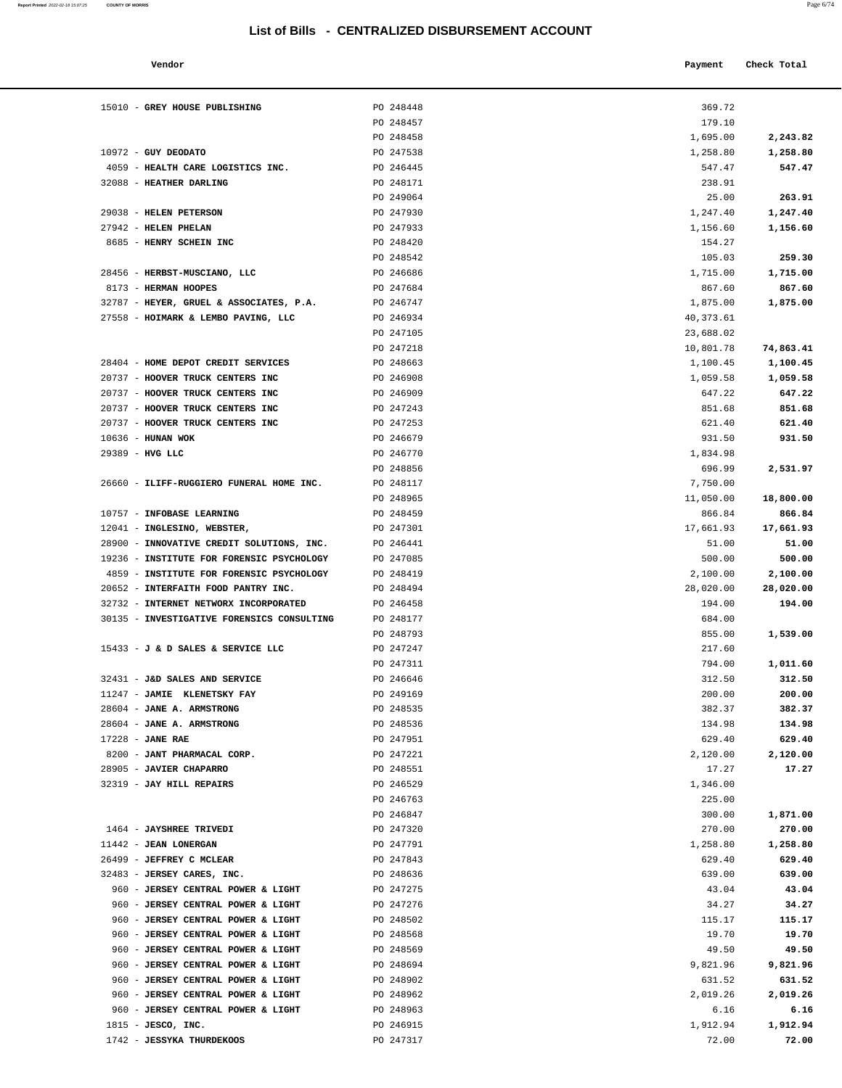| Report Printed 2022-02-18 15:07:25 COUNTY OF MORRIS | Page 6/74 |  |
|-----------------------------------------------------|-----------|--|
|                                                     |           |  |

| Vendor                          |           | Payment  | Check Total |
|---------------------------------|-----------|----------|-------------|
| GREY HOUSE PUBLISHING           | PO 248448 | 369.72   |             |
|                                 | PO 248457 | 179.10   |             |
|                                 | PO 248458 | 1,695.00 | 2,243.82    |
| <b>GUY DEODATO</b>              | PO 247538 | 1,258.80 | 1,258.80    |
| HEALTH CARE LOGISTICS INC.      | PO 246445 | 547.47   | 547.47      |
| <b>HEATHER DARLING</b>          | PO 248171 | 238.91   |             |
|                                 | PO 249064 | 25.00    | 263.91      |
| <b>HELEN PETERSON</b>           | PO 247930 | 1,247.40 | 1,247.40    |
| <b>HELEN PHELAN</b>             | PO 247933 | 1,156.60 | 1,156.60    |
| HENRY SCHEIN INC                | PO 248420 | 154.27   |             |
|                                 | PO 248542 | 105.03   | 259.30      |
| HERBST-MUSCIANO, LLC            | PO 246686 | 1,715.00 | 1,715.00    |
| <b>HERMAN HOOPES</b>            | PO 247684 | 867.60   | 867.60      |
| HEYER, GRUEL & ASSOCIATES, P.A. | PO 246747 | 1,875.00 | 1,875.00    |

| 15010 - GREY HOUSE PUBLISHING              | PO 248448 | 369.72    |           |
|--------------------------------------------|-----------|-----------|-----------|
|                                            | PO 248457 | 179.10    |           |
|                                            | PO 248458 | 1,695.00  | 2,243.82  |
| $10972 - GUY DEODATO$                      | PO 247538 | 1,258.80  | 1,258.80  |
| 4059 - HEALTH CARE LOGISTICS INC.          | PO 246445 | 547.47    | 547.47    |
| 32088 - HEATHER DARLING                    | PO 248171 | 238.91    |           |
|                                            | PO 249064 | 25.00     | 263.91    |
| 29038 - HELEN PETERSON                     | PO 247930 | 1,247.40  | 1,247.40  |
| 27942 - HELEN PHELAN                       | PO 247933 | 1,156.60  | 1,156.60  |
| 8685 - HENRY SCHEIN INC                    | PO 248420 | 154.27    |           |
|                                            | PO 248542 | 105.03    | 259.30    |
| 28456 - HERBST-MUSCIANO, LLC               | PO 246686 | 1,715.00  | 1,715.00  |
| 8173 - HERMAN HOOPES                       | PO 247684 | 867.60    | 867.60    |
| 32787 - HEYER, GRUEL & ASSOCIATES, P.A.    | PO 246747 | 1,875.00  | 1,875.00  |
| 27558 - HOIMARK & LEMBO PAVING, LLC        | PO 246934 | 40,373.61 |           |
|                                            | PO 247105 | 23,688.02 |           |
|                                            | PO 247218 | 10,801.78 | 74,863.41 |
| 28404 - HOME DEPOT CREDIT SERVICES         | PO 248663 | 1,100.45  | 1,100.45  |
| 20737 - HOOVER TRUCK CENTERS INC           | PO 246908 | 1,059.58  | 1,059.58  |
| 20737 - HOOVER TRUCK CENTERS INC           | PO 246909 | 647.22    | 647.22    |
| 20737 - HOOVER TRUCK CENTERS INC           | PO 247243 | 851.68    | 851.68    |
| 20737 - HOOVER TRUCK CENTERS INC           | PO 247253 | 621.40    | 621.40    |
| 10636 - HUNAN WOK                          | PO 246679 | 931.50    | 931.50    |
| 29389 - HVG LLC                            | PO 246770 | 1,834.98  |           |
|                                            | PO 248856 | 696.99    | 2,531.97  |
| 26660 - ILIFF-RUGGIERO FUNERAL HOME INC.   | PO 248117 | 7,750.00  |           |
|                                            | PO 248965 | 11,050.00 | 18,800.00 |
| 10757 - INFOBASE LEARNING                  | PO 248459 | 866.84    | 866.84    |
| 12041 - INGLESINO, WEBSTER,                | PO 247301 | 17,661.93 | 17,661.93 |
| 28900 - INNOVATIVE CREDIT SOLUTIONS, INC.  | PO 246441 | 51.00     | 51.00     |
| 19236 - INSTITUTE FOR FORENSIC PSYCHOLOGY  | PO 247085 | 500.00    | 500.00    |
| 4859 - INSTITUTE FOR FORENSIC PSYCHOLOGY   | PO 248419 | 2,100.00  | 2,100.00  |
| 20652 - INTERFAITH FOOD PANTRY INC.        | PO 248494 | 28,020.00 | 28,020.00 |
| 32732 - INTERNET NETWORX INCORPORATED      | PO 246458 | 194.00    | 194.00    |
| 30135 - INVESTIGATIVE FORENSICS CONSULTING | PO 248177 | 684.00    |           |
|                                            | PO 248793 | 855.00    | 1,539.00  |
| 15433 - J & D SALES & SERVICE LLC          | PO 247247 | 217.60    |           |
|                                            | PO 247311 | 794.00    | 1,011.60  |
| 32431 - J&D SALES AND SERVICE              | PO 246646 | 312.50    | 312.50    |
| 11247 - JAMIE KLENETSKY FAY                | PO 249169 | 200.00    | 200.00    |
| 28604 - JANE A. ARMSTRONG                  | PO 248535 | 382.37    | 382.37    |
| 28604 - JANE A. ARMSTRONG                  | PO 248536 | 134.98    | 134.98    |
| $17228$ - JANE RAE                         | PO 247951 | 629.40    | 629.40    |
| 8200 - JANT PHARMACAL CORP.                | PO 247221 | 2,120.00  | 2,120.00  |
| 28905 - JAVIER CHAPARRO                    | PO 248551 | 17.27     | 17.27     |
| 32319 - JAY HILL REPAIRS                   | PO 246529 | 1,346.00  |           |
|                                            | PO 246763 | 225.00    |           |
|                                            | PO 246847 | 300.00    | 1,871.00  |
| 1464 - JAYSHREE TRIVEDI                    | PO 247320 | 270.00    | 270.00    |
| 11442 - JEAN LONERGAN                      | PO 247791 | 1,258.80  | 1,258.80  |
| 26499 - JEFFREY C MCLEAR                   | PO 247843 | 629.40    | 629.40    |
| 32483 - JERSEY CARES, INC.                 | PO 248636 | 639.00    | 639.00    |
| 960 - JERSEY CENTRAL POWER & LIGHT         | PO 247275 | 43.04     | 43.04     |
| 960 - JERSEY CENTRAL POWER & LIGHT         | PO 247276 | 34.27     | 34.27     |
| 960 - JERSEY CENTRAL POWER & LIGHT         | PO 248502 | 115.17    | 115.17    |
| 960 - JERSEY CENTRAL POWER & LIGHT         | PO 248568 | 19.70     | 19.70     |
| 960 - JERSEY CENTRAL POWER & LIGHT         | PO 248569 | 49.50     | 49.50     |
| 960 - JERSEY CENTRAL POWER & LIGHT         | PO 248694 | 9,821.96  | 9,821.96  |
| 960 - JERSEY CENTRAL POWER & LIGHT         | PO 248902 | 631.52    | 631.52    |
| 960 - JERSEY CENTRAL POWER & LIGHT         | PO 248962 | 2,019.26  | 2,019.26  |
| 960 - JERSEY CENTRAL POWER & LIGHT         | PO 248963 | 6.16      | 6.16      |
| 1815 - JESCO, INC.                         | PO 246915 | 1,912.94  | 1,912.94  |

1742 - **JESSYKA THURDEKOOS** PO 247317 72.00 **72.00**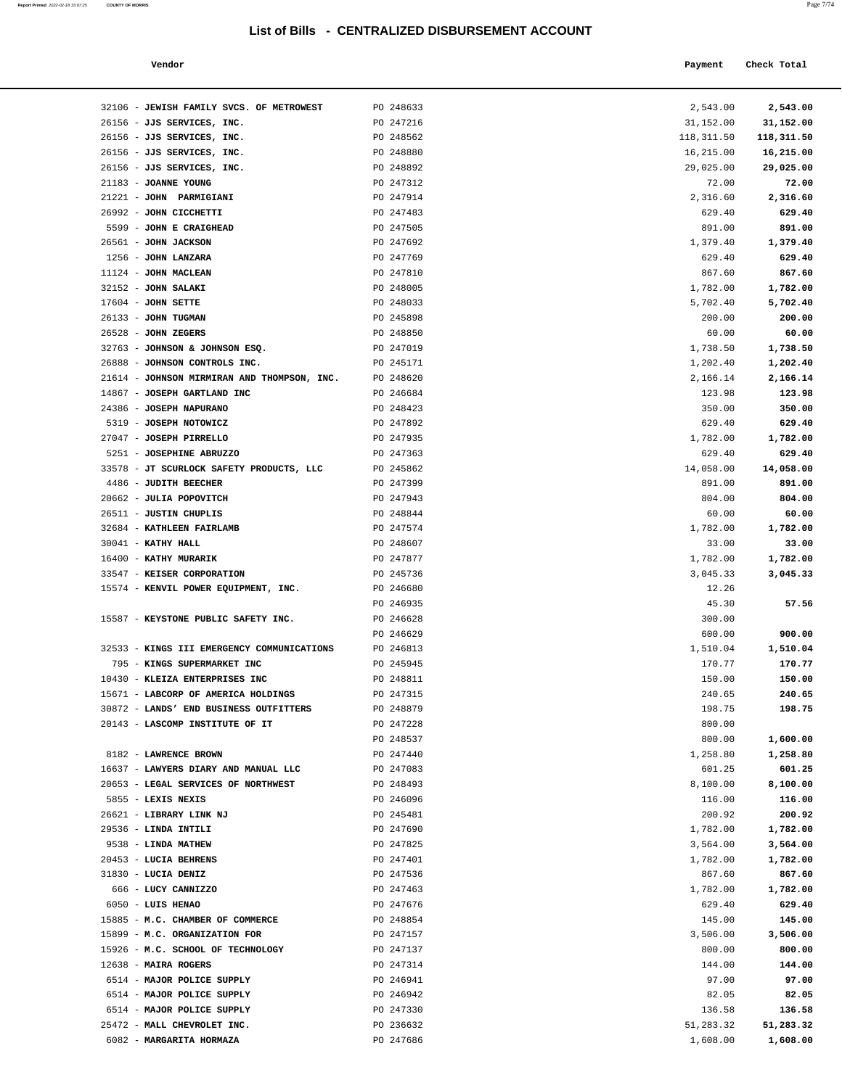| a. | ۰ |   |  |
|----|---|---|--|
|    |   | × |  |
|    |   |   |  |

|                                               | List of Bills - CENTRALIZED DISBURSEMENT ACCOUNT |                    |             |
|-----------------------------------------------|--------------------------------------------------|--------------------|-------------|
| Vendor                                        |                                                  | Payment            | Check Total |
| 32106 - JEWISH FAMILY SVCS. OF METROWEST      | PO 248633                                        | 2,543.00           | 2,543.00    |
| 26156 - JJS SERVICES, INC.                    | PO 247216                                        | 31,152.00          | 31,152.00   |
| 26156 - JJS SERVICES, INC.                    | PO 248562                                        | 118,311.50         | 118,311.50  |
| 26156 - JJS SERVICES, INC.                    | PO 248880                                        | 16,215.00          | 16,215.00   |
| 26156 - JJS SERVICES, INC.                    | PO 248892                                        | 29,025.00          | 29,025.00   |
| 21183 - JOANNE YOUNG                          | PO 247312                                        | 72.00              | 72.00       |
| 21221 - JOHN PARMIGIANI                       | PO 247914                                        | 2,316.60           | 2,316.60    |
| 26992 - JOHN CICCHETTI                        | PO 247483                                        | 629.40             | 629.40      |
| 5599 - JOHN E CRAIGHEAD                       | PO 247505                                        | 891.00             | 891.00      |
| 26561 - JOHN JACKSON                          | PO 247692                                        | 1,379.40           | 1,379.40    |
| 1256 - JOHN LANZARA                           | PO 247769                                        | 629.40             | 629.40      |
| $11124$ - JOHN MACLEAN                        | PO 247810                                        | 867.60             | 867.60      |
| 32152 - JOHN SALAKI                           | PO 248005                                        | 1,782.00           | 1,782.00    |
| $17604$ - JOHN SETTE                          | PO 248033                                        | 5,702.40           | 5,702.40    |
| 26133 - JOHN TUGMAN                           | PO 245898                                        | 200.00             | 200.00      |
| 26528 - JOHN ZEGERS                           | PO 248850                                        | 60.00              | 60.00       |
| 32763 - JOHNSON & JOHNSON ESQ.                | PO 247019                                        | 1,738.50           | 1,738.50    |
| 26888 - JOHNSON CONTROLS INC.                 | PO 245171                                        | 1,202.40           | 1,202.40    |
| 21614 - JOHNSON MIRMIRAN AND THOMPSON, INC.   | PO 248620                                        | 2,166.14           | 2,166.14    |
| 14867 - JOSEPH GARTLAND INC                   | PO 246684                                        | 123.98             | 123.98      |
| 24386 - JOSEPH NAPURANO                       | PO 248423                                        | 350.00             | 350.00      |
| 5319 - JOSEPH NOTOWICZ                        | PO 247892                                        | 629.40             | 629.40      |
| 27047 - JOSEPH PIRRELLO                       | PO 247935                                        | 1,782.00           | 1,782.00    |
| 5251 - JOSEPHINE ABRUZZO                      | PO 247363                                        | 629.40             | 629.40      |
| 33578 - JT SCURLOCK SAFETY PRODUCTS, LLC      | PO 245862                                        | 14,058.00          | 14,058.00   |
| 4486 - JUDITH BEECHER                         | PO 247399                                        | 891.00             | 891.00      |
| 20662 - JULIA POPOVITCH                       | PO 247943                                        | 804.00             | 804.00      |
| 26511 - JUSTIN CHUPLIS                        | PO 248844                                        | 60.00              | 60.00       |
| 32684 - KATHLEEN FAIRLAMB                     | PO 247574                                        | 1,782.00           | 1,782.00    |
| $30041$ - KATHY HALL<br>16400 - KATHY MURARIK | PO 248607                                        | 33.00              | 33.00       |
|                                               | PO 247877                                        | 1,782.00           | 1,782.00    |
| 33547 - KEISER CORPORATION                    | PO 245736<br>PO 246680                           | 3,045.33           | 3,045.33    |
| 15574 - KENVIL POWER EQUIPMENT, INC.          | PO 246935                                        | 12.26<br>45.30     | 57.56       |
| 15587 - KEYSTONE PUBLIC SAFETY INC.           | PO 246628                                        | 300.00             |             |
|                                               |                                                  |                    | 900.00      |
| 32533 - KINGS III EMERGENCY COMMUNICATIONS    | PO 246629<br>PO 246813                           | 600.00<br>1,510.04 | 1,510.04    |
| 795 - KINGS SUPERMARKET INC                   | PO 245945                                        | 170.77             | 170.77      |
| 10430 - KLEIZA ENTERPRISES INC                | PO 248811                                        | 150.00             | 150.00      |
| 15671 - LABCORP OF AMERICA HOLDINGS           | PO 247315                                        | 240.65             | 240.65      |
| 30872 - LANDS' END BUSINESS OUTFITTERS        | PO 248879                                        | 198.75             | 198.75      |
| 20143 - LASCOMP INSTITUTE OF IT               | PO 247228                                        | 800.00             |             |
|                                               | PO 248537                                        | 800.00             | 1,600.00    |
| 8182 - LAWRENCE BROWN                         | PO 247440                                        | 1,258.80           | 1,258.80    |
| 16637 - LAWYERS DIARY AND MANUAL LLC          | PO 247083                                        | 601.25             | 601.25      |
| 20653 - LEGAL SERVICES OF NORTHWEST           | PO 248493                                        | 8,100.00           | 8,100.00    |
| 5855 - LEXIS NEXIS                            | PO 246096                                        | 116.00             | 116.00      |
| 26621 - LIBRARY LINK NJ                       | PO 245481                                        | 200.92             | 200.92      |
| 29536 - LINDA INTILI                          | PO 247690                                        | 1,782.00           | 1,782.00    |
| 9538 - LINDA MATHEW                           | PO 247825                                        | 3,564.00           | 3,564.00    |
| 20453 - LUCIA BEHRENS                         | PO 247401                                        | 1,782.00           | 1,782.00    |
| 31830 - LUCIA DENIZ                           | PO 247536                                        | 867.60             | 867.60      |
| 666 - LUCY CANNIZZO                           | PO 247463                                        | 1,782.00           | 1,782.00    |
| 6050 - LUIS HENAO                             | PO 247676                                        | 629.40             | 629.40      |
|                                               |                                                  |                    |             |

| 26156 - JJS SERVICES, INC.                                        | PO 247216              | 31,152.00       | 31,152.00       |
|-------------------------------------------------------------------|------------------------|-----------------|-----------------|
| 26156 - JJS SERVICES, INC.                                        | PO 248562              | 118,311.50      | 118,311.50      |
| 26156 - JJS SERVICES, INC.                                        | PO 248880              | 16,215.00       | 16,215.00       |
| 26156 - JJS SERVICES, INC.                                        | PO 248892              | 29,025.00       | 29,025.00       |
| 21183 - JOANNE YOUNG                                              | PO 247312              | 72.00           | 72.00           |
| 21221 - JOHN PARMIGIANI                                           | PO 247914              | 2,316.60        | 2,316.60        |
| 26992 - JOHN CICCHETTI                                            | PO 247483              | 629.40          | 629.40          |
| 5599 - JOHN E CRAIGHEAD                                           | PO 247505              | 891.00          | 891.00          |
| 26561 - JOHN JACKSON                                              | PO 247692              | 1,379.40        | 1,379.40        |
| 1256 - JOHN LANZARA                                               | PO 247769              | 629.40          | 629.40          |
| 11124 - JOHN MACLEAN                                              | PO 247810              | 867.60          | 867.60          |
| 32152 - JOHN SALAKI                                               | PO 248005              | 1,782.00        | 1,782.00        |
| $17604$ - JOHN SETTE                                              | PO 248033              | 5,702.40        | 5,702.40        |
| 26133 - JOHN TUGMAN                                               | PO 245898              | 200.00          | 200.00          |
| 26528 - JOHN ZEGERS                                               | PO 248850              | 60.00           | 60.00           |
| 32763 - JOHNSON & JOHNSON ESQ.                                    | PO 247019              | 1,738.50        | 1,738.50        |
| 26888 - JOHNSON CONTROLS INC.                                     | PO 245171              | 1,202.40        | 1,202.40        |
| 21614 - JOHNSON MIRMIRAN AND THOMPSON, INC.                       | PO 248620              | 2,166.14        | 2,166.14        |
| 14867 - JOSEPH GARTLAND INC                                       | PO 246684              | 123.98          | 123.98          |
| 24386 - JOSEPH NAPURANO                                           | PO 248423              | 350.00          | 350.00          |
| 5319 - JOSEPH NOTOWICZ                                            | PO 247892              | 629.40          | 629.40          |
| 27047 - JOSEPH PIRRELLO                                           | PO 247935              | 1,782.00        | 1,782.00        |
| 5251 - JOSEPHINE ABRUZZO                                          | PO 247363              | 629.40          | 629.40          |
| 33578 - JT SCURLOCK SAFETY PRODUCTS, LLC<br>4486 - JUDITH BEECHER | PO 245862              | 14,058.00       | 14,058.00       |
|                                                                   | PO 247399              | 891.00          | 891.00          |
| 20662 - JULIA POPOVITCH<br>26511 - JUSTIN CHUPLIS                 | PO 247943<br>PO 248844 | 804.00<br>60.00 | 804.00<br>60.00 |
| 32684 - KATHLEEN FAIRLAMB                                         | PO 247574              | 1,782.00        | 1,782.00        |
| $30041$ - KATHY HALL                                              | PO 248607              | 33.00           | 33.00           |
| 16400 - KATHY MURARIK                                             | PO 247877              | 1,782.00        | 1,782.00        |
| 33547 - KEISER CORPORATION                                        | PO 245736              | 3,045.33        | 3,045.33        |
| 15574 - KENVIL POWER EQUIPMENT, INC.                              | PO 246680              | 12.26           |                 |
|                                                                   | PO 246935              | 45.30           | 57.56           |
| 15587 - KEYSTONE PUBLIC SAFETY INC.                               | PO 246628              | 300.00          |                 |
|                                                                   | PO 246629              | 600.00          | 900.00          |
| 32533 - KINGS III EMERGENCY COMMUNICATIONS                        | PO 246813              | 1,510.04        | 1,510.04        |
| 795 - KINGS SUPERMARKET INC                                       | PO 245945              | 170.77          | 170.77          |
| 10430 - KLEIZA ENTERPRISES INC                                    | PO 248811              | 150.00          | 150.00          |
| 15671 - LABCORP OF AMERICA HOLDINGS                               | PO 247315              | 240.65          | 240.65          |
| 30872 - LANDS' END BUSINESS OUTFITTERS                            | PO 248879              | 198.75          | 198.75          |
| 20143 - LASCOMP INSTITUTE OF IT                                   | PO 247228              | 800.00          |                 |
|                                                                   | PO 248537              | 800.00          | 1,600.00        |
| 8182 - LAWRENCE BROWN                                             | PO 247440              | 1,258.80        | 1,258.80        |
| 16637 - LAWYERS DIARY AND MANUAL LLC                              | PO 247083              | 601.25          | 601.25          |
| 20653 - LEGAL SERVICES OF NORTHWEST                               | PO 248493              | 8,100.00        | 8,100.00        |
| 5855 - LEXIS NEXIS                                                | PO 246096              | 116.00          | 116.00          |
| 26621 - LIBRARY LINK NJ                                           | PO 245481              | 200.92          | 200.92          |
| 29536 - LINDA INTILI                                              | PO 247690              | 1,782.00        | 1,782.00        |
| 9538 - LINDA MATHEW                                               | PO 247825              | 3,564.00        | 3,564.00        |
| 20453 - LUCIA BEHRENS                                             | PO 247401              | 1,782.00        | 1,782.00        |
| 31830 - LUCIA DENIZ                                               | PO 247536              | 867.60          | 867.60          |
| 666 - LUCY CANNIZZO                                               | PO 247463              | 1,782.00        | 1,782.00        |
| $6050$ - LUIS HENAO                                               | PO 247676              | 629.40          | 629.40          |
| 15885 - M.C. CHAMBER OF COMMERCE                                  | PO 248854              | 145.00          | 145.00          |
| 15899 - M.C. ORGANIZATION FOR                                     | PO 247157              | 3,506.00        | 3,506.00        |
| 15926 - M.C. SCHOOL OF TECHNOLOGY                                 | PO 247137              | 800.00          | 800.00          |
| 12638 - MAIRA ROGERS                                              | PO 247314              | 144.00          | 144.00          |
| 6514 - MAJOR POLICE SUPPLY                                        | PO 246941              | 97.00           | 97.00           |
| 6514 - MAJOR POLICE SUPPLY                                        | PO 246942              | 82.05           | 82.05           |
| 6514 - MAJOR POLICE SUPPLY                                        | PO 247330              | 136.58          | 136.58          |
| 25472 - MALL CHEVROLET INC.                                       | PO 236632              | 51,283.32       | 51,283.32       |
| 6082 - MARGARITA HORMAZA                                          | PO 247686              | 1,608.00        | 1,608.00        |
|                                                                   |                        |                 |                 |
|                                                                   |                        |                 |                 |
|                                                                   |                        |                 |                 |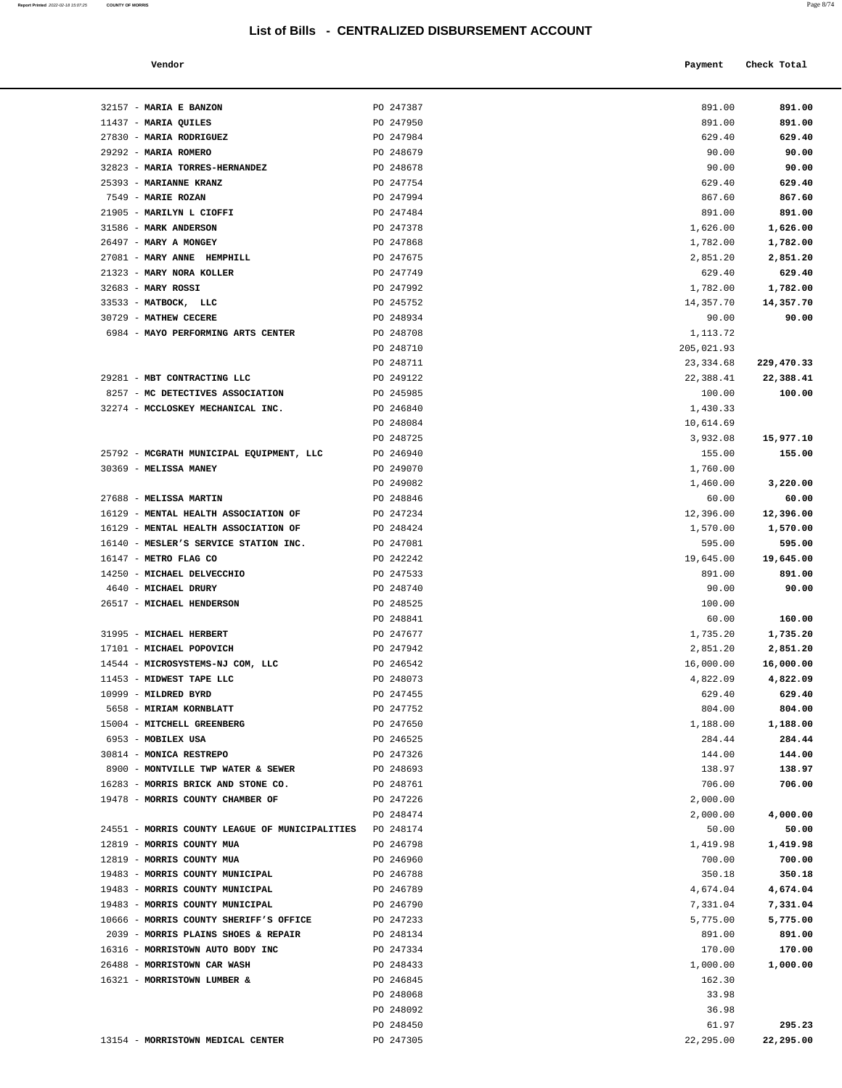**Report Printed** 2022-02-18 15:07:25 **COUNTY OF MORRIS** Page 8/74

| Vendor                                                                        |                        | Payment             | Check Total        |
|-------------------------------------------------------------------------------|------------------------|---------------------|--------------------|
|                                                                               |                        |                     |                    |
| 32157 - MARIA E BANZON                                                        | PO 247387              | 891.00              | 891.00             |
| 11437 - MARIA QUILES                                                          | PO 247950              | 891.00              | 891.00             |
| 27830 - MARIA RODRIGUEZ                                                       | PO 247984              | 629.40              | 629.40             |
| 29292 - MARIA ROMERO                                                          | PO 248679              | 90.00               | 90.00              |
| 32823 - MARIA TORRES-HERNANDEZ                                                | PO 248678              | 90.00               | 90.00              |
| 25393 - MARIANNE KRANZ                                                        | PO 247754              | 629.40              | 629.40             |
| 7549 - MARIE ROZAN                                                            | PO 247994              | 867.60              | 867.60             |
| 21905 - MARILYN L CIOFFI                                                      | PO 247484              | 891.00              | 891.00             |
| 31586 - MARK ANDERSON                                                         | PO 247378              | 1,626.00            | 1,626.00           |
| 26497 - MARY A MONGEY                                                         | PO 247868              | 1,782.00            | 1,782.00           |
| 27081 - MARY ANNE HEMPHILL                                                    | PO 247675              | 2,851.20            | 2,851.20           |
| 21323 - MARY NORA KOLLER                                                      | PO 247749              | 629.40              | 629.40             |
| 32683 - MARY ROSSI                                                            | PO 247992              | 1,782.00            | 1,782.00           |
| 33533 - MATBOCK, LLC                                                          | PO 245752              | 14,357.70           | 14,357.70          |
| 30729 - MATHEW CECERE<br>6984 - MAYO PERFORMING ARTS CENTER                   | PO 248934<br>PO 248708 | 90.00<br>1,113.72   | 90.00              |
|                                                                               | PO 248710              | 205,021.93          |                    |
|                                                                               | PO 248711              | 23, 334.68          | 229,470.33         |
| 29281 - MBT CONTRACTING LLC                                                   | PO 249122              | 22,388.41           | 22,388.41          |
| 8257 - MC DETECTIVES ASSOCIATION                                              | PO 245985              | 100.00              | 100.00             |
| 32274 - MCCLOSKEY MECHANICAL INC.                                             | PO 246840              | 1,430.33            |                    |
|                                                                               | PO 248084              | 10,614.69           |                    |
|                                                                               | PO 248725              | 3,932.08            | 15,977.10          |
| 25792 - MCGRATH MUNICIPAL EQUIPMENT, LLC                                      | PO 246940              | 155.00              | 155.00             |
| 30369 - MELISSA MANEY                                                         | PO 249070              | 1,760.00            |                    |
|                                                                               | PO 249082              | 1,460.00            | 3,220.00           |
| 27688 - MELISSA MARTIN                                                        | PO 248846              | 60.00               | 60.00              |
| 16129 - MENTAL HEALTH ASSOCIATION OF                                          | PO 247234              | 12,396.00           | 12,396.00          |
| 16129 - MENTAL HEALTH ASSOCIATION OF<br>16140 - MESLER'S SERVICE STATION INC. | PO 248424<br>PO 247081 | 1,570.00            | 1,570.00<br>595.00 |
| 16147 - METRO FLAG CO                                                         | PO 242242              | 595.00<br>19,645.00 | 19,645.00          |
| 14250 - MICHAEL DELVECCHIO                                                    | PO 247533              | 891.00              | 891.00             |
| 4640 - MICHAEL DRURY                                                          | PO 248740              | 90.00               | 90.00              |
| 26517 - MICHAEL HENDERSON                                                     | PO 248525              | 100.00              |                    |
|                                                                               | PO 248841              | 60.00               | 160.00             |
| 31995 - MICHAEL HERBERT                                                       | PO 247677              | 1,735.20            | 1,735.20           |
| 17101 - MICHAEL POPOVICH                                                      | PO 247942              | 2,851.20            | 2,851.20           |
| 14544 - MICROSYSTEMS-NJ COM, LLC                                              | PO 246542              | 16,000.00           | 16,000.00          |
| 11453 - MIDWEST TAPE LLC                                                      | PO 248073              | 4,822.09            | 4,822.09           |
| 10999 - MILDRED BYRD                                                          | PO 247455              | 629.40              | 629.40             |
| 5658 - MIRIAM KORNBLATT                                                       | PO 247752              | 804.00              | 804.00             |
| 15004 - MITCHELL GREENBERG<br>6953 - MOBILEX USA                              | PO 247650<br>PO 246525 | 1,188.00            | 1,188.00<br>284.44 |
| 30814 - MONICA RESTREPO                                                       | PO 247326              | 284.44<br>144.00    | 144.00             |
| 8900 - MONTVILLE TWP WATER & SEWER                                            | PO 248693              | 138.97              | 138.97             |
| 16283 - MORRIS BRICK AND STONE CO.                                            | PO 248761              | 706.00              | 706.00             |
| 19478 - MORRIS COUNTY CHAMBER OF                                              | PO 247226              | 2,000.00            |                    |
|                                                                               | PO 248474              | 2,000.00            | 4,000.00           |
| 24551 - MORRIS COUNTY LEAGUE OF MUNICIPALITIES                                | PO 248174              | 50.00               | 50.00              |
| 12819 - MORRIS COUNTY MUA                                                     | PO 246798              | 1,419.98            | 1,419.98           |
| 12819 - MORRIS COUNTY MUA                                                     | PO 246960              | 700.00              | 700.00             |
| 19483 - MORRIS COUNTY MUNICIPAL                                               | PO 246788              | 350.18              | 350.18             |
| 19483 - MORRIS COUNTY MUNICIPAL                                               | PO 246789              | 4,674.04            | 4,674.04           |
| 19483 - MORRIS COUNTY MUNICIPAL                                               | PO 246790              | 7,331.04            | 7,331.04           |
| 10666 - MORRIS COUNTY SHERIFF'S OFFICE<br>2039 - MORRIS PLAINS SHOES & REPAIR | PO 247233<br>PO 248134 | 5,775.00<br>891.00  | 5,775.00<br>891.00 |
| 16316 - MORRISTOWN AUTO BODY INC                                              | PO 247334              | 170.00              | 170.00             |
| 26488 - MORRISTOWN CAR WASH                                                   | PO 248433              | 1,000.00            | 1,000.00           |
| 16321 - MORRISTOWN LUMBER &                                                   | PO 246845              | 162.30              |                    |
|                                                                               | PO 248068              | 33.98               |                    |
|                                                                               | PO 248092              | 36.98               |                    |
|                                                                               | PO 248450              | 61.97               | 295.23             |
| 13154 - MORRISTOWN MEDICAL CENTER                                             | PO 247305              | 22,295.00           | 22,295.00          |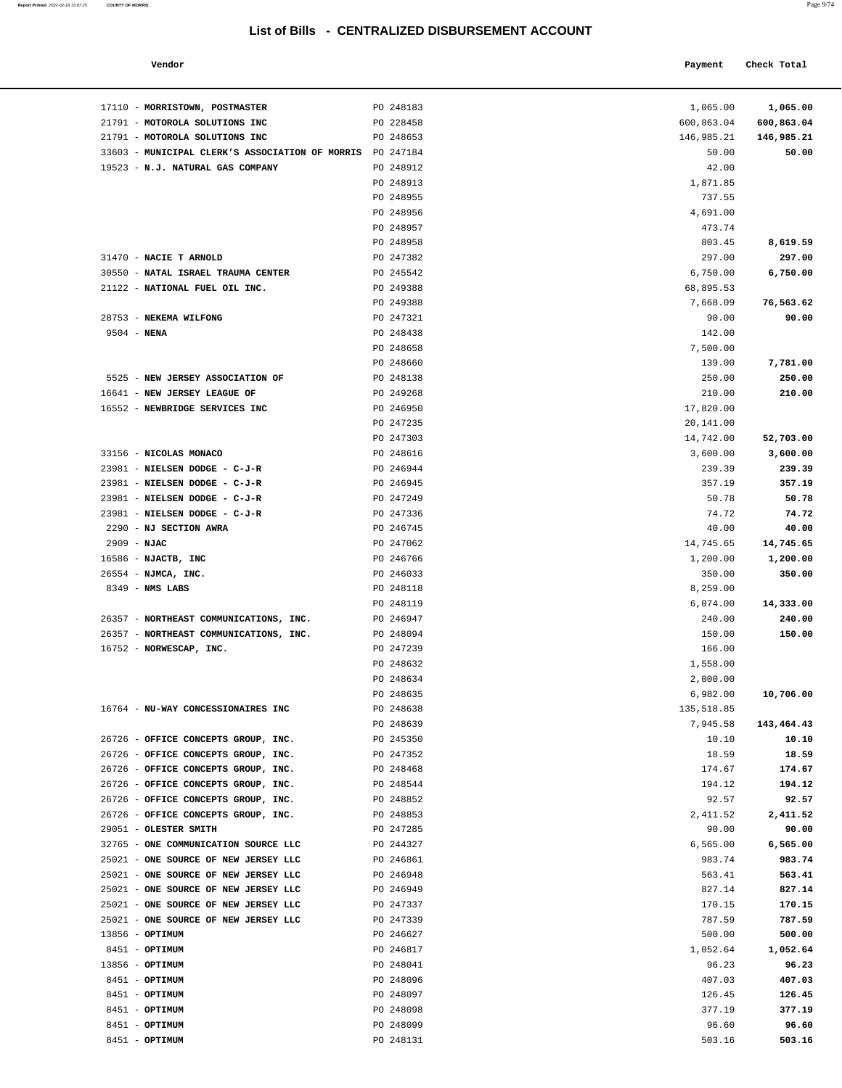#### **Vendor Check Total Payment Check Total**

**Report Printed** 2022-02-18 15:07:25 **COUNTY OF MORRIS** Page 9/74

| 17110 - MORRISTOWN, POSTMASTER                            | PO 248183              | 1,065.00              | 1,065.00           |
|-----------------------------------------------------------|------------------------|-----------------------|--------------------|
| 21791 - MOTOROLA SOLUTIONS INC                            | PO 228458              | 600,863.04            | 600,863.04         |
| 21791 - MOTOROLA SOLUTIONS INC                            | PO 248653              | 146,985.21            | 146,985.21         |
| 33603 - MUNICIPAL CLERK'S ASSOCIATION OF MORRIS PO 247184 |                        | 50.00                 | 50.00              |
| 19523 - N.J. NATURAL GAS COMPANY                          | PO 248912              | 42.00                 |                    |
|                                                           | PO 248913              | 1,871.85              |                    |
|                                                           | PO 248955              | 737.55                |                    |
|                                                           | PO 248956              | 4,691.00              |                    |
|                                                           | PO 248957              | 473.74                |                    |
|                                                           | PO 248958              | 803.45                | 8,619.59           |
| 31470 - NACIE T ARNOLD                                    | PO 247382              | 297.00                | 297.00             |
| 30550 - NATAL ISRAEL TRAUMA CENTER                        | PO 245542              | 6,750.00              | 6,750.00           |
| 21122 - NATIONAL FUEL OIL INC.                            | PO 249388<br>PO 249388 | 68,895.53<br>7,668.09 |                    |
| 28753 - NEKEMA WILFONG                                    | PO 247321              | 90.00                 | 76,563.62<br>90.00 |
| $9504 - NENA$                                             | PO 248438              | 142.00                |                    |
|                                                           | PO 248658              | 7,500.00              |                    |
|                                                           | PO 248660              | 139.00                | 7,781.00           |
| 5525 - NEW JERSEY ASSOCIATION OF                          | PO 248138              | 250.00                | 250.00             |
| 16641 - NEW JERSEY LEAGUE OF                              | PO 249268              | 210.00                | 210.00             |
| 16552 - NEWBRIDGE SERVICES INC                            | PO 246950              | 17,820.00             |                    |
|                                                           | PO 247235              | 20,141.00             |                    |
|                                                           | PO 247303              | 14,742.00             | 52,703.00          |
| 33156 - NICOLAS MONACO                                    | PO 248616              | 3,600.00              | 3,600.00           |
| 23981 - NIELSEN DODGE - C-J-R                             | PO 246944              | 239.39                | 239.39             |
| 23981 - NIELSEN DODGE - C-J-R                             | PO 246945              | 357.19                | 357.19             |
| 23981 - NIELSEN DODGE - C-J-R                             | PO 247249              | 50.78                 | 50.78              |
| 23981 - NIELSEN DODGE - C-J-R                             | PO 247336              | 74.72                 | 74.72              |
| 2290 - NJ SECTION AWRA                                    | PO 246745              | 40.00                 | 40.00              |
| 2909 - NJAC                                               | PO 247062              | 14,745.65             | 14,745.65          |
| 16586 - NJACTB, INC                                       | PO 246766              | 1,200.00              | 1,200.00           |
| 26554 - NJMCA, INC.                                       | PO 246033              | 350.00                | 350.00             |
| 8349 - NMS LABS                                           | PO 248118              | 8,259.00              |                    |
|                                                           | PO 248119              | 6,074.00              | 14,333.00          |
| 26357 - NORTHEAST COMMUNICATIONS, INC.                    | PO 246947              | 240.00                | 240.00             |
| 26357 - NORTHEAST COMMUNICATIONS, INC.                    | PO 248094              | 150.00                | 150.00             |
| 16752 - NORWESCAP, INC.                                   | PO 247239              | 166.00                |                    |
|                                                           | PO 248632              | 1,558.00              |                    |
|                                                           | PO 248634              | 2,000.00              |                    |
|                                                           | PO 248635              | 6,982.00              | 10,706.00          |
| 16764 - NU-WAY CONCESSIONAIRES INC                        | PO 248638              | 135,518.85            |                    |
|                                                           | PO 248639              | 7,945.58              | 143,464.43         |
| 26726 - OFFICE CONCEPTS GROUP, INC.                       | PO 245350              | 10.10                 | 10.10              |
| 26726 - OFFICE CONCEPTS GROUP, INC.                       | PO 247352              | 18.59                 | 18.59              |
| 26726 - OFFICE CONCEPTS GROUP, INC.                       | PO 248468              | 174.67                | 174.67             |
| 26726 - OFFICE CONCEPTS GROUP, INC.                       | PO 248544              | 194.12                | 194.12             |
| 26726 - OFFICE CONCEPTS GROUP, INC.                       | PO 248852              | 92.57                 | 92.57              |
| 26726 - OFFICE CONCEPTS GROUP, INC.                       | PO 248853              | 2,411.52              | 2,411.52           |
| 29051 - OLESTER SMITH                                     | PO 247285              | 90.00                 | 90.00              |
| 32765 - ONE COMMUNICATION SOURCE LLC                      | PO 244327              | 6,565.00              | 6,565.00           |
| 25021 - ONE SOURCE OF NEW JERSEY LLC                      | PO 246861              | 983.74                | 983.74             |
| 25021 - ONE SOURCE OF NEW JERSEY LLC                      | PO 246948              | 563.41                | 563.41             |
| 25021 - ONE SOURCE OF NEW JERSEY LLC                      | PO 246949              | 827.14                | 827.14             |
| 25021 - ONE SOURCE OF NEW JERSEY LLC                      | PO 247337              | 170.15                | 170.15             |
| 25021 - ONE SOURCE OF NEW JERSEY LLC                      | PO 247339              | 787.59                | 787.59             |
| 13856 - OPTIMUM                                           | PO 246627              | 500.00                | 500.00             |
| 8451 - <b>OPTIMUM</b>                                     | PO 246817              | 1,052.64              | 1,052.64           |
| 13856 - <b>OPTIMUM</b>                                    | PO 248041              | 96.23                 | 96.23              |
| 8451 - OPTIMUM                                            | PO 248096              | 407.03                | 407.03             |
| 8451 - OPTIMUM                                            | PO 248097              | 126.45                | 126.45             |
| 8451 - OPTIMUM                                            | PO 248098              | 377.19                | 377.19             |
| 8451 - OPTIMUM                                            | PO 248099              | 96.60                 | 96.60              |
| 8451 - OPTIMUM                                            | PO 248131              | 503.16                | 503.16             |

| 17110 - MORRISTOWN, POSTMASTER                            | PO 248183              | 1,065.00               | 1,065.00           |
|-----------------------------------------------------------|------------------------|------------------------|--------------------|
| 21791 - MOTOROLA SOLUTIONS INC                            | PO 228458              | 600,863.04             | 600,863.04         |
| 21791 - MOTOROLA SOLUTIONS INC                            | PO 248653              | 146,985.21             | 146,985.21         |
| 33603 - MUNICIPAL CLERK'S ASSOCIATION OF MORRIS PO 247184 |                        | 50.00                  | 50.00              |
| 19523 - N.J. NATURAL GAS COMPANY                          | PO 248912              | 42.00                  |                    |
|                                                           | PO 248913              | 1,871.85               |                    |
|                                                           | PO 248955              | 737.55                 |                    |
|                                                           | PO 248956              | 4,691.00               |                    |
|                                                           | PO 248957              | 473.74                 |                    |
| 31470 - NACIE T ARNOLD                                    | PO 248958              | 803.45                 | 8,619.59           |
| 30550 - NATAL ISRAEL TRAUMA CENTER                        | PO 247382<br>PO 245542 | 297.00<br>6,750.00     | 297.00<br>6,750.00 |
| 21122 - NATIONAL FUEL OIL INC.                            | PO 249388              | 68,895.53              |                    |
|                                                           | PO 249388              | 7,668.09               | 76,563.62          |
| 28753 - NEKEMA WILFONG                                    | PO 247321              | 90.00                  | 90.00              |
| $9504 - NENA$                                             | PO 248438              | 142.00                 |                    |
|                                                           | PO 248658              | 7,500.00               |                    |
|                                                           | PO 248660              | 139.00                 | 7,781.00           |
| 5525 - NEW JERSEY ASSOCIATION OF                          | PO 248138              | 250.00                 | 250.00             |
| 16641 - NEW JERSEY LEAGUE OF                              | PO 249268              | 210.00                 | 210.00             |
| 16552 - NEWBRIDGE SERVICES INC                            | PO 246950              | 17,820.00              |                    |
|                                                           | PO 247235              | 20,141.00              |                    |
|                                                           | PO 247303              | 14,742.00              | 52,703.00          |
| 33156 - NICOLAS MONACO                                    | PO 248616              | 3,600.00               | 3,600.00           |
| 23981 - NIELSEN DODGE - C-J-R                             | PO 246944              | 239.39                 | 239.39             |
| 23981 - NIELSEN DODGE - C-J-R                             | PO 246945              | 357.19                 | 357.19             |
| 23981 - NIELSEN DODGE - C-J-R                             | PO 247249              | 50.78                  | 50.78              |
| 23981 - NIELSEN DODGE - C-J-R                             | PO 247336              | 74.72                  | 74.72              |
| 2290 - NJ SECTION AWRA                                    | PO 246745              | 40.00                  | 40.00              |
| $2909 - NJAC$                                             | PO 247062              | 14,745.65              | 14,745.65          |
| $16586$ - NJACTB, INC                                     | PO 246766              | 1,200.00               | 1,200.00           |
| 26554 - NJMCA, INC.                                       | PO 246033              | 350.00                 | 350.00             |
| $8349$ - NMS LABS                                         | PO 248118              | 8,259.00               |                    |
|                                                           | PO 248119              | 6,074.00               | 14,333.00          |
| 26357 - NORTHEAST COMMUNICATIONS, INC.                    | PO 246947              | 240.00                 | 240.00             |
| 26357 - NORTHEAST COMMUNICATIONS, INC.                    | PO 248094              | 150.00                 | 150.00             |
| 16752 - NORWESCAP, INC.                                   | PO 247239              | 166.00                 |                    |
|                                                           | PO 248632              | 1,558.00               |                    |
|                                                           | PO 248634<br>PO 248635 | 2,000.00               |                    |
|                                                           | PO 248638              | 6,982.00<br>135,518.85 | 10,706.00          |
| 16764 - NU-WAY CONCESSIONAIRES INC                        | PO 248639              | 7,945.58               | 143,464.43         |
| 26726 - OFFICE CONCEPTS GROUP, INC.                       | PO 245350              | 10.10                  | 10.10              |
| 26726 - OFFICE CONCEPTS GROUP, INC.                       | PO 247352              | 18.59                  | 18.59              |
| 26726 - OFFICE CONCEPTS GROUP, INC.                       | PO 248468              | 174.67                 | 174.67             |
| 26726 - OFFICE CONCEPTS GROUP, INC.                       | PO 248544              | 194.12                 | 194.12             |
| 26726 - OFFICE CONCEPTS GROUP, INC.                       | PO 248852              | 92.57                  | 92.57              |
| 26726 - OFFICE CONCEPTS GROUP, INC.                       | PO 248853              | 2,411.52               | 2,411.52           |
| 29051 - OLESTER SMITH                                     | PO 247285              | 90.00                  | 90.00              |
| 32765 - ONE COMMUNICATION SOURCE LLC                      | PO 244327              | 6, 565.00              | 6,565.00           |
| 25021 - ONE SOURCE OF NEW JERSEY LLC                      | PO 246861              | 983.74                 | 983.74             |
| 25021 - ONE SOURCE OF NEW JERSEY LLC                      | PO 246948              | 563.41                 | 563.41             |
| 25021 - ONE SOURCE OF NEW JERSEY LLC                      | PO 246949              | 827.14                 | 827.14             |
| 25021 - ONE SOURCE OF NEW JERSEY LLC                      | PO 247337              | 170.15                 | 170.15             |
| 25021 - ONE SOURCE OF NEW JERSEY LLC                      | PO 247339              | 787.59                 | 787.59             |
| $13856 - OPTIMUM$                                         | PO 246627              | 500.00                 | 500.00             |
| 8451 - OPTIMUM                                            | PO 246817              | 1,052.64               | 1,052.64           |
| $13856 - OPTIMUM$                                         | PO 248041              | 96.23                  | 96.23              |
| 8451 - OPTIMUM                                            | PO 248096              | 407.03                 | 407.03             |
| 8451 - OPTIMUM                                            | PO 248097              | 126.45                 | 126.45             |
| 8451 - OPTIMUM                                            | PO 248098              | 377.19                 | 377.19             |
| 8451 - OPTIMUM                                            | PO 248099              | 96.60                  | 96.60              |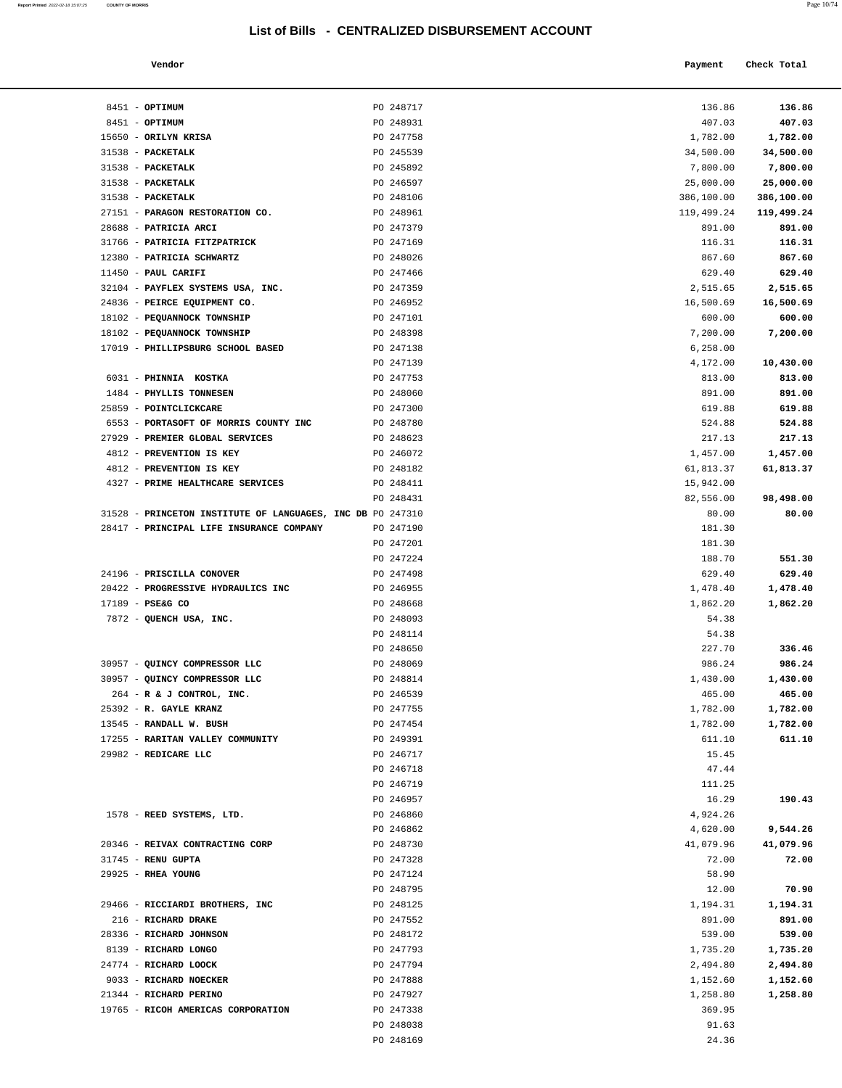| Vendor | Payment | Check Total |
|--------|---------|-------------|

| $8451 - OPTIMUM$                                                | PO 248717              | 136.86              | 136.86              |
|-----------------------------------------------------------------|------------------------|---------------------|---------------------|
| 8451 - OPTIMUM                                                  | PO 248931              | 407.03              | 407.03              |
| 15650 - ORILYN KRISA                                            | PO 247758              | 1,782.00            | 1,782.00            |
| 31538 - PACKETALK                                               | PO 245539              | 34,500.00           | 34,500.00           |
| 31538 - PACKETALK                                               | PO 245892              | 7,800.00            | 7,800.00            |
| 31538 - PACKETALK                                               | PO 246597              | 25,000.00           | 25,000.00           |
| 31538 - PACKETALK                                               | PO 248106              | 386,100.00          | 386,100.00          |
| 27151 - PARAGON RESTORATION CO.                                 | PO 248961              | 119,499.24          | 119,499.24          |
| 28688 - PATRICIA ARCI                                           | PO 247379              | 891.00              | 891.00              |
| 31766 - PATRICIA FITZPATRICK                                    | PO 247169              | 116.31              | 116.31              |
| 12380 - PATRICIA SCHWARTZ                                       | PO 248026              | 867.60              | 867.60              |
| $11450$ - PAUL CARIFI                                           | PO 247466              | 629.40              | 629.40              |
| 32104 - PAYFLEX SYSTEMS USA, INC.                               | PO 247359              | 2,515.65            | 2,515.65            |
| 24836 - PEIRCE EQUIPMENT CO.<br>18102 - PEQUANNOCK TOWNSHIP     | PO 246952<br>PO 247101 | 16,500.69<br>600.00 | 16,500.69<br>600.00 |
| 18102 - PEQUANNOCK TOWNSHIP                                     | PO 248398              | 7,200.00            | 7,200.00            |
| 17019 - PHILLIPSBURG SCHOOL BASED                               | PO 247138              | 6,258.00            |                     |
|                                                                 | PO 247139              | 4,172.00            | 10,430.00           |
| 6031 - PHINNIA KOSTKA                                           | PO 247753              | 813.00              | 813.00              |
| 1484 - PHYLLIS TONNESEN                                         | PO 248060              | 891.00              | 891.00              |
| 25859 - POINTCLICKCARE                                          | PO 247300              | 619.88              | 619.88              |
| 6553 - PORTASOFT OF MORRIS COUNTY INC                           | PO 248780              | 524.88              | 524.88              |
| 27929 - PREMIER GLOBAL SERVICES                                 | PO 248623              | 217.13              | 217.13              |
| 4812 - PREVENTION IS KEY                                        | PO 246072              | 1,457.00            | 1,457.00            |
| 4812 - PREVENTION IS KEY                                        | PO 248182              | 61,813.37           | 61,813.37           |
| 4327 - PRIME HEALTHCARE SERVICES                                | PO 248411              | 15,942.00           |                     |
|                                                                 | PO 248431              | 82,556.00           | 98,498.00           |
| 31528 - PRINCETON INSTITUTE OF LANGUAGES, INC DB PO 247310      |                        | 80.00               | 80.00               |
| 28417 - PRINCIPAL LIFE INSURANCE COMPANY                        | PO 247190              | 181.30              |                     |
|                                                                 | PO 247201              | 181.30              |                     |
|                                                                 | PO 247224<br>PO 247498 | 188.70<br>629.40    | 551.30<br>629.40    |
| 24196 - PRISCILLA CONOVER<br>20422 - PROGRESSIVE HYDRAULICS INC | PO 246955              | 1,478.40            | 1,478.40            |
| 17189 - PSE&G CO                                                | PO 248668              | 1,862.20            | 1,862.20            |
| 7872 - QUENCH USA, INC.                                         | PO 248093              | 54.38               |                     |
|                                                                 | PO 248114              | 54.38               |                     |
|                                                                 | PO 248650              | 227.70              | 336.46              |
| 30957 - QUINCY COMPRESSOR LLC                                   | PO 248069              | 986.24              | 986.24              |
| 30957 - QUINCY COMPRESSOR LLC                                   | PO 248814              | 1,430.00            | 1,430.00            |
| 264 - R & J CONTROL, INC.                                       | PO 246539              | 465.00              | 465.00              |
| 25392 - R. GAYLE KRANZ                                          | PO 247755              | 1,782.00            | 1,782.00            |
| 13545 - RANDALL W. BUSH                                         | PO 247454              | 1,782.00            | 1,782.00            |
| 17255 - RARITAN VALLEY COMMUNITY                                | PO 249391              | 611.10              | 611.10              |
| 29982 - REDICARE LLC                                            | PO 246717              | 15.45               |                     |
|                                                                 | PO 246718              | 47.44               |                     |
|                                                                 | PO 246719              | 111.25              |                     |
| 1578 - REED SYSTEMS, LTD.                                       | PO 246957<br>PO 246860 | 16.29<br>4,924.26   | 190.43              |
|                                                                 | PO 246862              | 4,620.00            | 9,544.26            |
| 20346 - REIVAX CONTRACTING CORP                                 | PO 248730              | 41,079.96           | 41,079.96           |
| 31745 - RENU GUPTA                                              | PO 247328              | 72.00               | 72.00               |
| 29925 - RHEA YOUNG                                              | PO 247124              | 58.90               |                     |
|                                                                 | PO 248795              | 12.00               | 70.90               |
| 29466 - RICCIARDI BROTHERS, INC                                 | PO 248125              | 1,194.31            | 1,194.31            |
| 216 - RICHARD DRAKE                                             | PO 247552              | 891.00              | 891.00              |
| 28336 - RICHARD JOHNSON                                         | PO 248172              | 539.00              | 539.00              |
| 8139 - RICHARD LONGO                                            | PO 247793              | 1,735.20            | 1,735.20            |
| 24774 - RICHARD LOOCK                                           | PO 247794              | 2,494.80            | 2,494.80            |
| 9033 - RICHARD NOECKER                                          | PO 247888              | 1,152.60            | 1,152.60            |
| 21344 - RICHARD PERINO                                          | PO 247927              | 1,258.80            | 1,258.80            |
| 19765 - RICOH AMERICAS CORPORATION                              | PO 247338              | 369.95              |                     |
|                                                                 | PO 248038              | 91.63               |                     |
|                                                                 | PO 248169              | 24.36               |                     |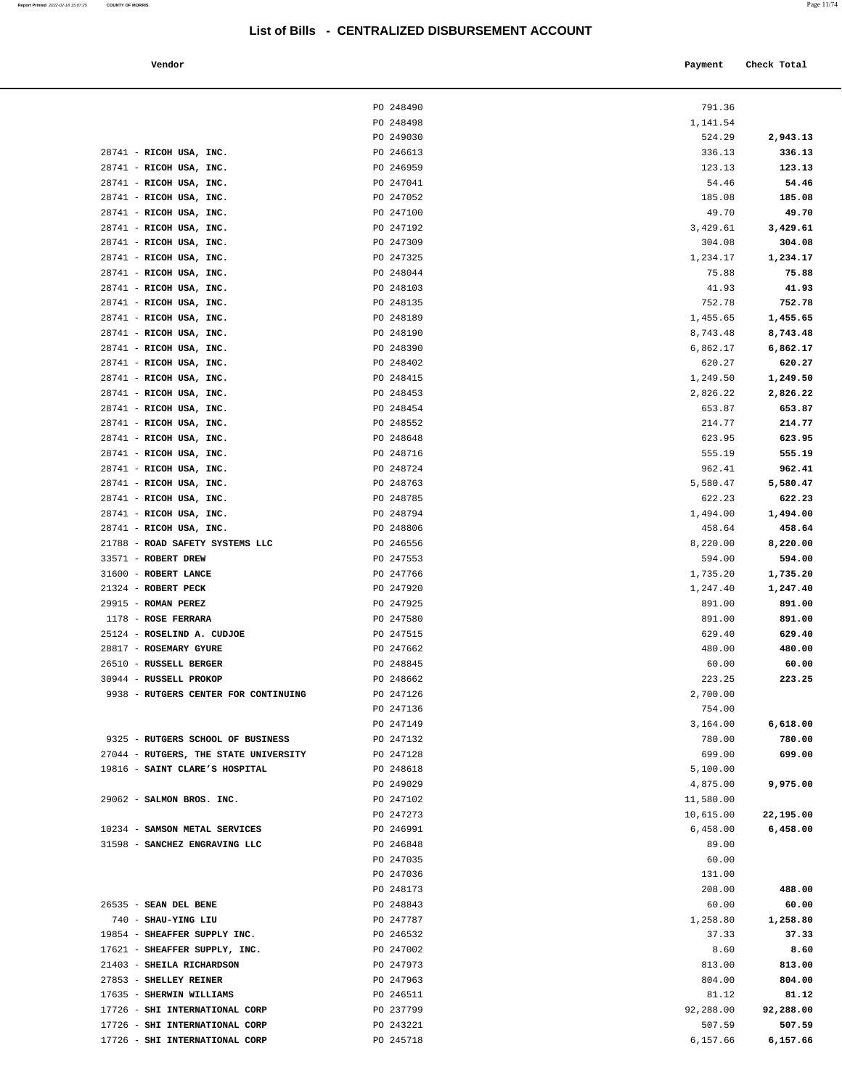| endor<br>. | Payment Check Total |
|------------|---------------------|

|                                                     | PO 248490              | 791.36               |                      |
|-----------------------------------------------------|------------------------|----------------------|----------------------|
|                                                     | PO 248498              | 1,141.54             |                      |
|                                                     | PO 249030              | 524.29               | 2,943.13             |
| 28741 - RICOH USA, INC.                             | PO 246613              | 336.13               | 336.13               |
| 28741 - RICOH USA, INC.                             | PO 246959              | 123.13               | 123.13               |
| 28741 - RICOH USA, INC.                             | PO 247041              | 54.46                | 54.46                |
| 28741 - RICOH USA, INC.                             | PO 247052              | 185.08               | 185.08               |
| 28741 - RICOH USA, INC.                             | PO 247100              | 49.70                | 49.70                |
| 28741 - RICOH USA, INC.                             | PO 247192              | 3,429.61             | 3,429.61             |
| 28741 - RICOH USA, INC.                             | PO 247309              | 304.08               | 304.08               |
| 28741 - RICOH USA, INC.                             | PO 247325              | 1,234.17             | 1,234.17             |
| 28741 - RICOH USA, INC.                             | PO 248044              | 75.88                | 75.88                |
| 28741 - RICOH USA, INC.                             | PO 248103              | 41.93                | 41.93                |
| 28741 - RICOH USA, INC.                             | PO 248135              | 752.78               | 752.78               |
| 28741 - RICOH USA, INC.                             | PO 248189              | 1,455.65             | 1,455.65             |
| 28741 - RICOH USA, INC.                             | PO 248190              | 8,743.48             | 8,743.48             |
| 28741 - RICOH USA, INC.                             | PO 248390              | 6,862.17             | 6,862.17             |
| 28741 - RICOH USA, INC.<br>28741 - RICOH USA, INC.  | PO 248402              | 620.27               | 620.27               |
| 28741 - RICOH USA, INC.                             | PO 248415<br>PO 248453 | 1,249.50<br>2,826.22 | 1,249.50<br>2,826.22 |
| 28741 - RICOH USA, INC.                             | PO 248454              | 653.87               | 653.87               |
| 28741 - RICOH USA, INC.                             | PO 248552              | 214.77               | 214.77               |
| 28741 - RICOH USA, INC.                             | PO 248648              | 623.95               | 623.95               |
| 28741 - RICOH USA, INC.                             | PO 248716              | 555.19               | 555.19               |
| 28741 - RICOH USA, INC.                             | PO 248724              | 962.41               | 962.41               |
| 28741 - RICOH USA, INC.                             | PO 248763              | 5,580.47             | 5,580.47             |
| 28741 - RICOH USA, INC.                             | PO 248785              | 622.23               | 622.23               |
| 28741 - RICOH USA, INC.                             | PO 248794              | 1,494.00             | 1,494.00             |
| 28741 - RICOH USA, INC.                             | PO 248806              | 458.64               | 458.64               |
| 21788 - ROAD SAFETY SYSTEMS LLC                     | PO 246556              | 8,220.00             | 8,220.00             |
| 33571 - ROBERT DREW                                 | PO 247553              | 594.00               | 594.00               |
| 31600 - ROBERT LANCE                                | PO 247766              | 1,735.20             | 1,735.20             |
| 21324 - ROBERT PECK                                 | PO 247920              | 1,247.40             | 1,247.40             |
| 29915 - ROMAN PEREZ                                 | PO 247925              | 891.00               | 891.00               |
| 1178 - ROSE FERRARA                                 | PO 247580              | 891.00               | 891.00               |
| 25124 - ROSELIND A. CUDJOE                          | PO 247515              | 629.40               | 629.40               |
| 28817 - ROSEMARY GYURE                              | PO 247662              | 480.00               | 480.00               |
| 26510 - RUSSELL BERGER                              | PO 248845              | 60.00                | 60.00                |
| 30944 - RUSSELL PROKOP                              | PO 248662              | 223.25               | 223.25               |
| 9938 - RUTGERS CENTER FOR CONTINUING                | PO 247126<br>PO 247136 | 2,700.00<br>754.00   |                      |
|                                                     | PO 247149              | 3,164.00             | 6,618.00             |
| 9325 - RUTGERS SCHOOL OF BUSINESS                   | PO 247132              | 780.00               | 780.00               |
| 27044 - RUTGERS, THE STATE UNIVERSITY               | PO 247128              | 699.00               | 699.00               |
| 19816 - SAINT CLARE'S HOSPITAL                      | PO 248618              | 5,100.00             |                      |
|                                                     | PO 249029              | 4,875.00             | 9,975.00             |
| 29062 - SALMON BROS. INC.                           | PO 247102              | 11,580.00            |                      |
|                                                     | PO 247273              | 10,615.00            | 22,195.00            |
| 10234 - SAMSON METAL SERVICES                       | PO 246991              | 6,458.00             | 6,458.00             |
| 31598 - SANCHEZ ENGRAVING LLC                       | PO 246848              | 89.00                |                      |
|                                                     | PO 247035              | 60.00                |                      |
|                                                     | PO 247036              | 131.00               |                      |
|                                                     | PO 248173              | 208.00               | 488.00               |
| 26535 - SEAN DEL BENE                               | PO 248843              | 60.00                | 60.00                |
| 740 - SHAU-YING LIU                                 | PO 247787              | 1,258.80             | 1,258.80             |
| 19854 - SHEAFFER SUPPLY INC.                        | PO 246532              | 37.33                | 37.33                |
| 17621 - SHEAFFER SUPPLY, INC.                       | PO 247002              | 8.60                 | 8.60                 |
| 21403 - SHEILA RICHARDSON<br>27853 - SHELLEY REINER | PO 247973<br>PO 247963 | 813.00<br>804.00     | 813.00<br>804.00     |
| 17635 - SHERWIN WILLIAMS                            | PO 246511              | 81.12                | 81.12                |
| 17726 - SHI INTERNATIONAL CORP                      | PO 237799              | 92,288.00            | 92,288.00            |
| 17726 - SHI INTERNATIONAL CORP                      | PO 243221              | 507.59               | 507.59               |
|                                                     |                        |                      |                      |

17726 - **SHI INTERNATIONAL CORP PO 245718 PO 245718 6,157.66 6,157.66**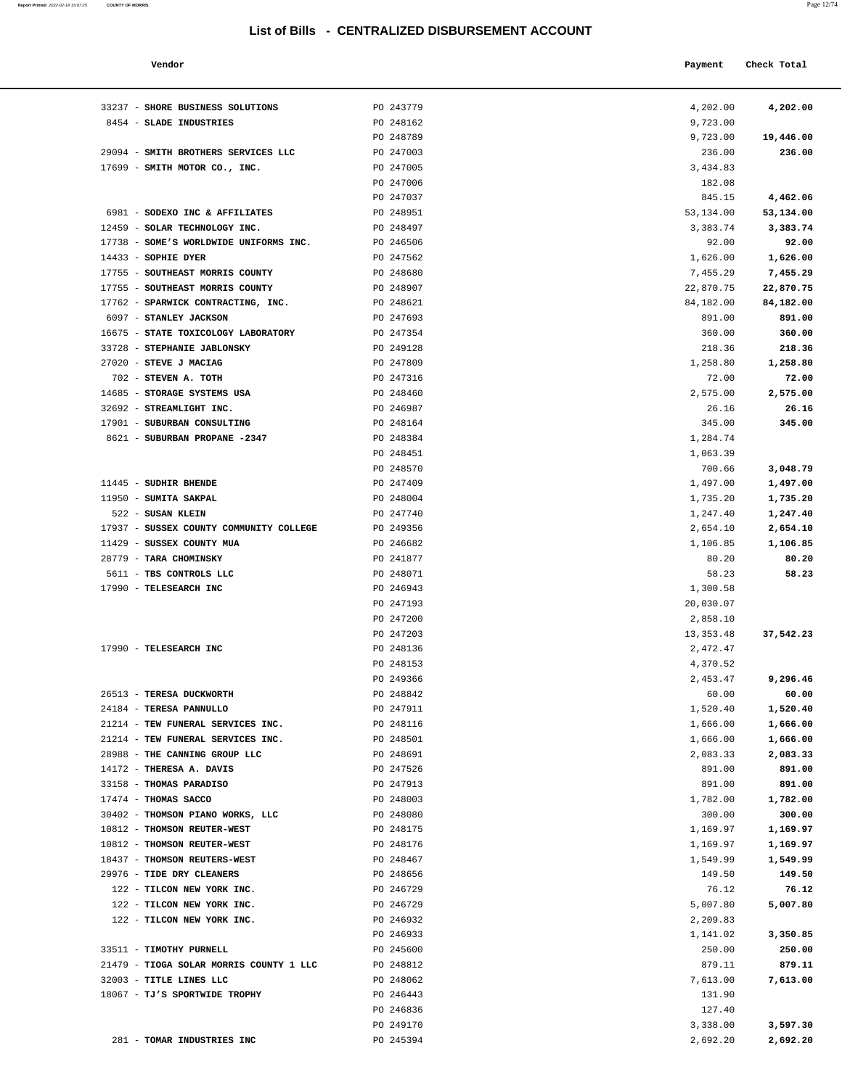#### **Report Printed** 2022-02-18 15:07:25 **COUNTY OF MORRIS** Page 12/74

#### **List of Bills - CENTRALIZED DISBURSEMENT ACCOUNT**

| Vendor                                                          |           | Payment     | Check Total |
|-----------------------------------------------------------------|-----------|-------------|-------------|
|                                                                 |           |             |             |
| 33237 - SHORE BUSINESS SOLUTIONS                                | PO 243779 | 4,202.00    | 4,202.00    |
| 8454 - SLADE INDUSTRIES                                         | PO 248162 | 9,723.00    |             |
|                                                                 | PO 248789 | 9,723.00    | 19,446.00   |
| 29094 - SMITH BROTHERS SERVICES LLC                             | PO 247003 | 236.00      | 236.00      |
| 17699 - SMITH MOTOR CO., INC.                                   | PO 247005 | 3,434.83    |             |
|                                                                 | PO 247006 | 182.08      |             |
|                                                                 | PO 247037 | 845.15      | 4,462.06    |
| 6981 - SODEXO INC & AFFILIATES                                  | PO 248951 | 53,134.00   | 53,134.00   |
| 12459 - SOLAR TECHNOLOGY INC.                                   | PO 248497 | 3,383.74    | 3,383.74    |
| 17738 - SOME'S WORLDWIDE UNIFORMS INC.                          | PO 246506 | 92.00       | 92.00       |
| 14433 - SOPHIE DYER                                             | PO 247562 | 1,626.00    | 1,626.00    |
| 17755 - SOUTHEAST MORRIS COUNTY                                 | PO 248680 | 7,455.29    | 7,455.29    |
| 17755 - SOUTHEAST MORRIS COUNTY                                 | PO 248907 | 22,870.75   | 22,870.75   |
| 17762 - SPARWICK CONTRACTING, INC.                              | PO 248621 | 84,182.00   | 84,182.00   |
| 6097 - STANLEY JACKSON                                          | PO 247693 | 891.00      | 891.00      |
| 16675 - STATE TOXICOLOGY LABORATORY                             | PO 247354 | 360.00      | 360.00      |
| 33728 - STEPHANIE JABLONSKY                                     | PO 249128 | 218.36      | 218.36      |
| 27020 - STEVE J MACIAG                                          | PO 247809 | 1,258.80    | 1,258.80    |
| 702 - STEVEN A. TOTH                                            | PO 247316 | 72.00       | 72.00       |
| 14685 - STORAGE SYSTEMS USA                                     | PO 248460 | 2,575.00    | 2,575.00    |
| 32692 - STREAMLIGHT INC.                                        | PO 246987 | 26.16       | 26.16       |
| 17901 - SUBURBAN CONSULTING                                     | PO 248164 | 345.00      | 345.00      |
| 8621 - SUBURBAN PROPANE -2347                                   | PO 248384 | 1,284.74    |             |
|                                                                 | PO 248451 | 1,063.39    |             |
|                                                                 | PO 248570 | 700.66      | 3,048.79    |
| 11445 - SUDHIR BHENDE                                           | PO 247409 | 1,497.00    | 1,497.00    |
| 11950 - SUMITA SAKPAL                                           | PO 248004 | 1,735.20    | 1,735.20    |
| 522 - SUSAN KLEIN                                               | PO 247740 | 1,247.40    | 1,247.40    |
| 17937 - SUSSEX COUNTY COMMUNITY COLLEGE                         | PO 249356 | 2,654.10    | 2,654.10    |
| 11429 - SUSSEX COUNTY MUA                                       | PO 246682 | 1,106.85    | 1,106.85    |
| 28779 - TARA CHOMINSKY                                          | PO 241877 | 80.20       | 80.20       |
| 5611 - TBS CONTROLS LLC                                         | PO 248071 | 58.23       | 58.23       |
| 17990 - TELESEARCH INC                                          | PO 246943 | 1,300.58    |             |
|                                                                 | PO 247193 | 20,030.07   |             |
|                                                                 | PO 247200 | 2,858.10    |             |
|                                                                 | PO 247203 | 13, 353. 48 | 37,542.23   |
| 17990 - TELESEARCH INC                                          | PO 248136 | 2,472.47    |             |
|                                                                 | PO 248153 | 4,370.52    |             |
|                                                                 | PO 249366 | 2,453.47    | 9,296.46    |
| 26513 - TERESA DUCKWORTH                                        | PO 248842 | 60.00       | 60.00       |
| 24184 - TERESA PANNULLO                                         | PO 247911 | 1,520.40    | 1,520.40    |
| 21214 - TEW FUNERAL SERVICES INC.                               | PO 248116 | 1,666.00    | 1,666.00    |
| 21214 - TEW FUNERAL SERVICES INC.                               | PO 248501 | 1,666.00    | 1,666.00    |
| 28988 - THE CANNING GROUP LLC                                   | PO 248691 | 2,083.33    | 2,083.33    |
| 14172 - THERESA A. DAVIS                                        | PO 247526 | 891.00      | 891.00      |
| 33158 - THOMAS PARADISO                                         | PO 247913 | 891.00      | 891.00      |
|                                                                 |           |             |             |
| $17474$ - THOMAS SACCO                                          | PO 248003 | 1,782.00    | 1,782.00    |
| 30402 - THOMSON PIANO WORKS, LLC<br>10812 - THOMSON REUTER-WEST | PO 248080 | 300.00      | 300.00      |
|                                                                 | PO 248175 | 1,169.97    | 1,169.97    |
| 10812 - THOMSON REUTER-WEST                                     | PO 248176 | 1,169.97    | 1,169.97    |
| 18437 - THOMSON REUTERS-WEST                                    | PO 248467 | 1,549.99    | 1,549.99    |
| 29976 - TIDE DRY CLEANERS                                       | PO 248656 | 149.50      | 149.50      |
| 122 - TILCON NEW YORK INC.                                      | PO 246729 | 76.12       | 76.12       |
| 122 - TILCON NEW YORK INC.                                      | PO 246729 | 5,007.80    | 5,007.80    |
| 122 - TILCON NEW YORK INC.                                      | PO 246932 | 2,209.83    |             |
|                                                                 | PO 246933 | 1,141.02    | 3,350.85    |
| 33511 - TIMOTHY PURNELL                                         | PO 245600 | 250.00      | 250.00      |
| 21479 - TIOGA SOLAR MORRIS COUNTY 1 LLC                         | PO 248812 | 879.11      | 879.11      |
| 32003 - TITLE LINES LLC                                         | PO 248062 | 7,613.00    | 7,613.00    |
| 18067 - TJ'S SPORTWIDE TROPHY                                   | PO 246443 | 131.90      |             |

PO 246836 127.40

281 - **TOMAR INDUSTRIES INC** PO 245394 2,692.20 **2,692.20** 

PO 249170 3,338.00 **3,597.30**

| 33237 - SHORE BUSINESS SOLUTIONS        | PO 243779 | 4,202.00    |
|-----------------------------------------|-----------|-------------|
| 8454 - SLADE INDUSTRIES                 | PO 248162 | 9,723.00    |
|                                         | PO 248789 | 9,723.00    |
| 29094 - SMITH BROTHERS SERVICES LLC     | PO 247003 | 236.00      |
| 17699 - SMITH MOTOR CO., INC.           | PO 247005 | 3,434.83    |
|                                         | PO 247006 | 182.08      |
|                                         | PO 247037 | 845.15      |
| 6981 - SODEXO INC & AFFILIATES          | PO 248951 | 53,134.00   |
| 12459 - SOLAR TECHNOLOGY INC.           | PO 248497 | 3,383.74    |
| 17738 - SOME'S WORLDWIDE UNIFORMS INC.  | PO 246506 | 92.00       |
| 14433 - SOPHIE DYER                     | PO 247562 | 1,626.00    |
| 17755 - SOUTHEAST MORRIS COUNTY         | PO 248680 | 7,455.29    |
| 17755 - SOUTHEAST MORRIS COUNTY         | PO 248907 | 22,870.75   |
| 17762 - SPARWICK CONTRACTING, INC.      | PO 248621 | 84,182.00   |
| 6097 - STANLEY JACKSON                  | PO 247693 | 891.00      |
| 16675 - STATE TOXICOLOGY LABORATORY     | PO 247354 | 360.00      |
| 33728 - STEPHANIE JABLONSKY             | PO 249128 | 218.36      |
| 27020 - STEVE J MACIAG                  | PO 247809 | 1,258.80    |
| 702 - STEVEN A. TOTH                    | PO 247316 | 72.00       |
| 14685 - STORAGE SYSTEMS USA             | PO 248460 | 2,575.00    |
| 32692 - STREAMLIGHT INC.                | PO 246987 | 26.16       |
| 17901 - SUBURBAN CONSULTING             | PO 248164 | 345.00      |
| 8621 - SUBURBAN PROPANE -2347           | PO 248384 | 1,284.74    |
|                                         | PO 248451 | 1,063.39    |
|                                         | PO 248570 | 700.66      |
| 11445 - SUDHIR BHENDE                   | PO 247409 | 1,497.00    |
| 11950 - SUMITA SAKPAL                   | PO 248004 | 1,735.20    |
| 522 - SUSAN KLEIN                       | PO 247740 | 1,247.40    |
| 17937 - SUSSEX COUNTY COMMUNITY COLLEGE | PO 249356 | 2,654.10    |
| 11429 - SUSSEX COUNTY MUA               | PO 246682 | 1,106.85    |
| 28779 - TARA CHOMINSKY                  | PO 241877 | 80.20       |
| 5611 - TBS CONTROLS LLC                 | PO 248071 | 58.23       |
| 17990 - TELESEARCH INC                  | PO 246943 | 1,300.58    |
|                                         | PO 247193 | 20,030.07   |
|                                         | PO 247200 | 2,858.10    |
|                                         | PO 247203 | 13, 353. 48 |
| 17990 - TELESEARCH INC                  | PO 248136 | 2,472.47    |
|                                         | PO 248153 | 4,370.52    |
|                                         | PO 249366 | 2,453.47    |
| 26513 - TERESA DUCKWORTH                | PO 248842 | 60.00       |
| 24184 - TERESA PANNULLO                 | PO 247911 | 1,520.40    |
| 21214 - TEW FUNERAL SERVICES INC.       | PO 248116 | 1,666.00    |
| 21214 - TEW FUNERAL SERVICES INC.       | PO 248501 | 1,666.00    |
| 28988 - THE CANNING GROUP LLC           | PO 248691 | 2,083.33    |
| 14172 - THERESA A. DAVIS                | PO 247526 | 891.00      |
| 33158 - THOMAS PARADISO                 | PO 247913 | 891.00      |
| 17474 - THOMAS SACCO                    | PO 248003 | 1,782.00    |
| 30402 - THOMSON PIANO WORKS, LLC        | PO 248080 | 300.00      |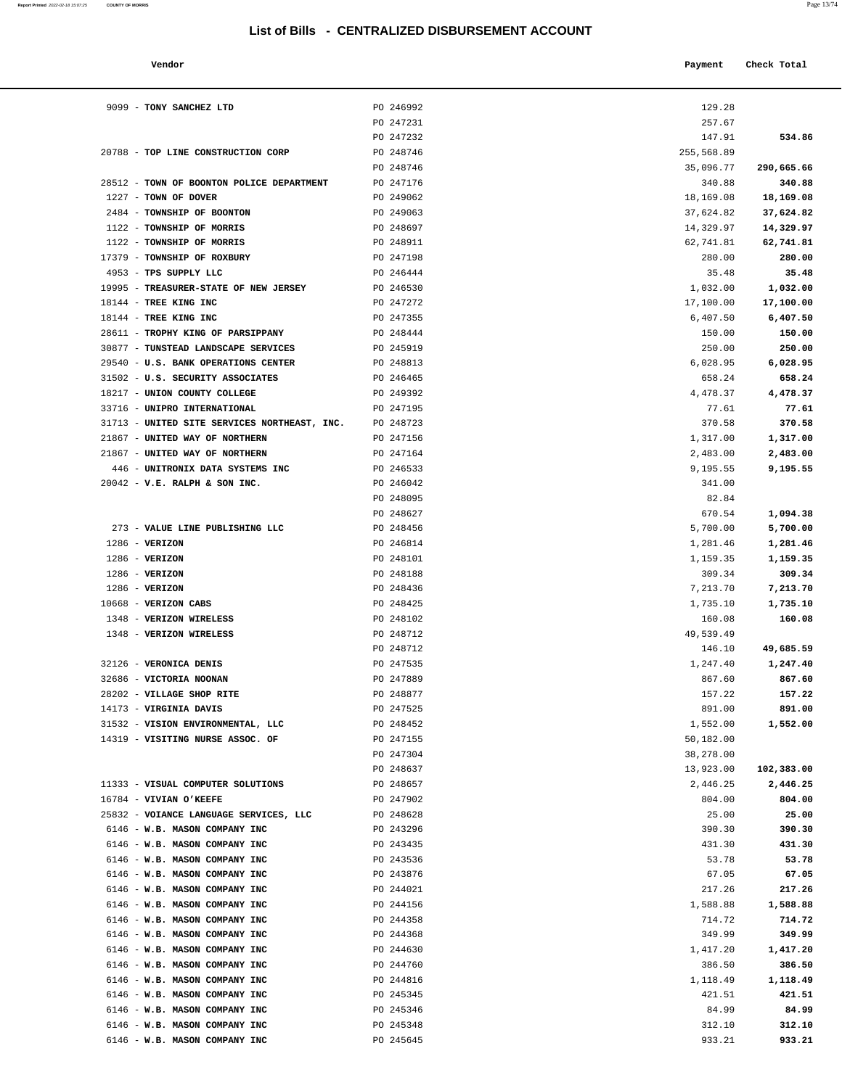| Vendor | Payment Check Total |
|--------|---------------------|
|        |                     |

| 9099 - TONY SANCHEZ LTD                                               | PO 246992              | 129.28                 |                        |
|-----------------------------------------------------------------------|------------------------|------------------------|------------------------|
|                                                                       | PO 247231              | 257.67                 |                        |
|                                                                       | PO 247232              | 147.91                 | 534.86                 |
| 20788 - TOP LINE CONSTRUCTION CORP                                    | PO 248746              | 255,568.89             |                        |
|                                                                       | PO 248746              | 35,096.77              | 290,665.66             |
| 28512 - TOWN OF BOONTON POLICE DEPARTMENT                             | PO 247176              | 340.88                 | 340.88                 |
| 1227 - TOWN OF DOVER<br>2484 - TOWNSHIP OF BOONTON                    | PO 249062<br>PO 249063 | 18,169.08<br>37,624.82 | 18,169.08<br>37,624.82 |
| 1122 - TOWNSHIP OF MORRIS                                             | PO 248697              | 14,329.97              | 14,329.97              |
| 1122 - TOWNSHIP OF MORRIS                                             | PO 248911              | 62,741.81              | 62,741.81              |
| 17379 - TOWNSHIP OF ROXBURY                                           | PO 247198              | 280.00                 | 280.00                 |
| 4953 - TPS SUPPLY LLC                                                 | PO 246444              | 35.48                  | 35.48                  |
| 19995 - TREASURER-STATE OF NEW JERSEY                                 | PO 246530              | 1,032.00               | 1,032.00               |
| 18144 - TREE KING INC                                                 | PO 247272              | 17,100.00              | 17,100.00              |
| 18144 - TREE KING INC                                                 | PO 247355              | 6,407.50               | 6,407.50               |
| 28611 - TROPHY KING OF PARSIPPANY                                     | PO 248444              | 150.00                 | 150.00                 |
| 30877 - TUNSTEAD LANDSCAPE SERVICES                                   | PO 245919              | 250.00                 | 250.00                 |
| 29540 - U.S. BANK OPERATIONS CENTER                                   | PO 248813              | 6,028.95               | 6,028.95               |
| 31502 - U.S. SECURITY ASSOCIATES                                      | PO 246465              | 658.24                 | 658.24                 |
| 18217 - UNION COUNTY COLLEGE                                          | PO 249392              | 4,478.37               | 4,478.37               |
| 33716 - UNIPRO INTERNATIONAL                                          | PO 247195              | 77.61                  | 77.61                  |
| 31713 - UNITED SITE SERVICES NORTHEAST, INC.                          | PO 248723              | 370.58                 | 370.58                 |
| 21867 - UNITED WAY OF NORTHERN                                        | PO 247156              | 1,317.00               | 1,317.00               |
| 21867 - UNITED WAY OF NORTHERN<br>446 - UNITRONIX DATA SYSTEMS INC    | PO 247164<br>PO 246533 | 2,483.00<br>9,195.55   | 2,483.00<br>9,195.55   |
| $20042 - V.E. RALPH & SON INC.$                                       | PO 246042              | 341.00                 |                        |
|                                                                       | PO 248095              | 82.84                  |                        |
|                                                                       | PO 248627              | 670.54                 | 1,094.38               |
| 273 - VALUE LINE PUBLISHING LLC                                       | PO 248456              | 5,700.00               | 5,700.00               |
| $1286$ - VERIZON                                                      | PO 246814              | 1,281.46               | 1,281.46               |
| $1286$ - VERIZON                                                      | PO 248101              | 1,159.35               | 1,159.35               |
| $1286$ - VERIZON                                                      | PO 248188              | 309.34                 | 309.34                 |
| $1286$ - VERIZON                                                      | PO 248436              | 7,213.70               | 7,213.70               |
| 10668 - VERIZON CABS                                                  | PO 248425              | 1,735.10               | 1,735.10               |
| 1348 - VERIZON WIRELESS                                               | PO 248102              | 160.08                 | 160.08                 |
| 1348 - VERIZON WIRELESS                                               | PO 248712              | 49,539.49              |                        |
|                                                                       | PO 248712              | 146.10                 | 49,685.59              |
| 32126 - VERONICA DENIS                                                | PO 247535              | 1,247.40               | 1,247.40               |
| 32686 - VICTORIA NOONAN                                               | PO 247889              | 867.60                 | 867.60                 |
| 28202 - VILLAGE SHOP RITE                                             | PO 248877              | 157.22                 | 157.22                 |
| 14173 - VIRGINIA DAVIS                                                | PO 247525              | 891.00                 | 891.00                 |
| 31532 - VISION ENVIRONMENTAL, LLC<br>14319 - VISITING NURSE ASSOC. OF | PO 248452<br>PO 247155 | 1,552.00<br>50,182.00  | 1,552.00               |
|                                                                       | PO 247304              | 38,278.00              |                        |
|                                                                       | PO 248637              | 13,923.00              | 102,383.00             |
| 11333 - VISUAL COMPUTER SOLUTIONS                                     | PO 248657              | 2,446.25               | 2,446.25               |
| 16784 - VIVIAN O'KEEFE                                                | PO 247902              | 804.00                 | 804.00                 |
| 25832 - VOIANCE LANGUAGE SERVICES, LLC                                | PO 248628              | 25.00                  | 25.00                  |
| 6146 - W.B. MASON COMPANY INC                                         | PO 243296              | 390.30                 | 390.30                 |
| 6146 - W.B. MASON COMPANY INC                                         | PO 243435              | 431.30                 | 431.30                 |
| 6146 - W.B. MASON COMPANY INC                                         | PO 243536              | 53.78                  | 53.78                  |
| 6146 - W.B. MASON COMPANY INC                                         | PO 243876              | 67.05                  | 67.05                  |
| 6146 - W.B. MASON COMPANY INC                                         | PO 244021              | 217.26                 | 217.26                 |
| 6146 - W.B. MASON COMPANY INC                                         | PO 244156              | 1,588.88               | 1,588.88               |
| 6146 - W.B. MASON COMPANY INC                                         | PO 244358              | 714.72                 | 714.72                 |
| 6146 - W.B. MASON COMPANY INC                                         | PO 244368              | 349.99                 | 349.99                 |
| 6146 - W.B. MASON COMPANY INC                                         | PO 244630              | 1,417.20               | 1,417.20               |
| 6146 - W.B. MASON COMPANY INC                                         | PO 244760              | 386.50                 | 386.50                 |
| 6146 - W.B. MASON COMPANY INC                                         | PO 244816              | 1,118.49               | 1,118.49               |
| 6146 - W.B. MASON COMPANY INC                                         | PO 245345              | 421.51                 | 421.51                 |
| 6146 - W.B. MASON COMPANY INC                                         | PO 245346              | 84.99                  | 84.99                  |
| 6146 - W.B. MASON COMPANY INC                                         | PO 245348              | 312.10                 | 312.10                 |

6146 - **W.B. MASON COMPANY INC** PO 245645 933.21 **933.21**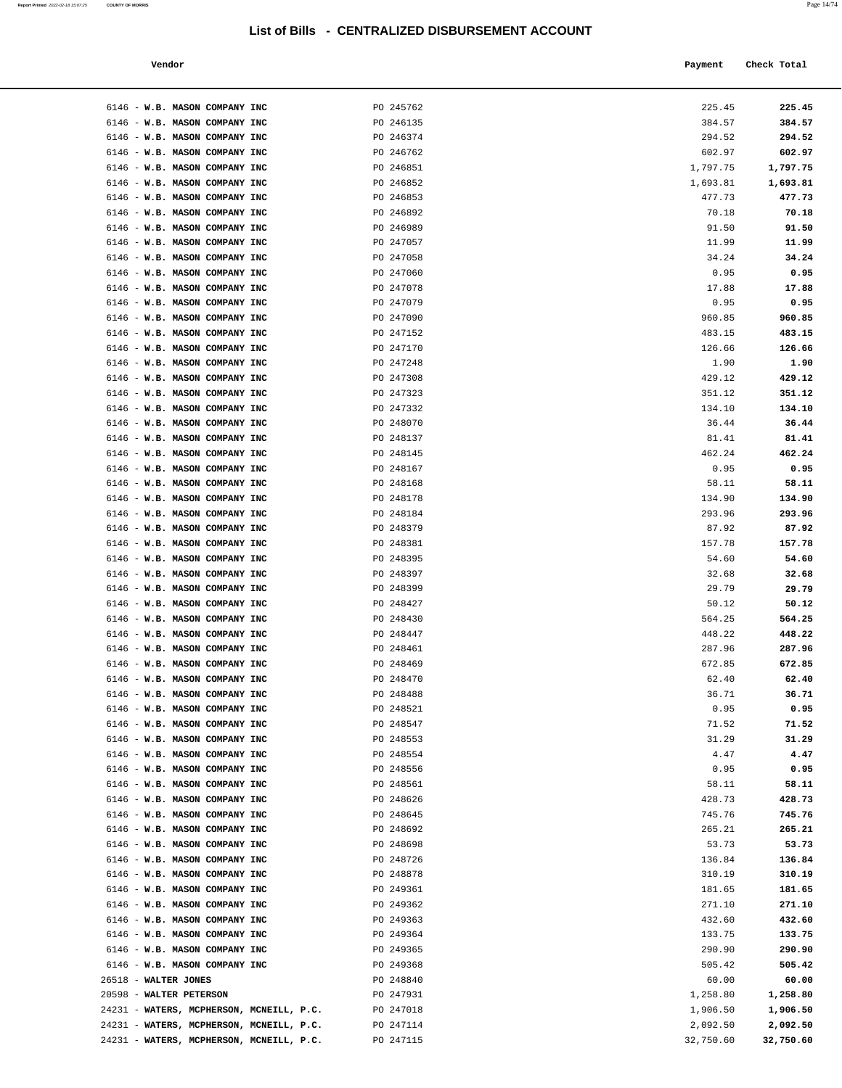| Vendor |  | Payment Check Total<br>------ ---- |
|--------|--|------------------------------------|
|--------|--|------------------------------------|

| 6146 - W.B. MASON COMPANY INC                                       | PO 245762              | 225.45               | 225.45               |
|---------------------------------------------------------------------|------------------------|----------------------|----------------------|
| 6146 - W.B. MASON COMPANY INC                                       | PO 246135              | 384.57               | 384.57               |
| 6146 - W.B. MASON COMPANY INC                                       | PO 246374              | 294.52               | 294.52               |
| 6146 - W.B. MASON COMPANY INC                                       | PO 246762              | 602.97               | 602.97               |
| 6146 - W.B. MASON COMPANY INC                                       | PO 246851              | 1,797.75             | 1,797.75             |
| 6146 - W.B. MASON COMPANY INC                                       | PO 246852              | 1,693.81             | 1,693.81             |
| 6146 - W.B. MASON COMPANY INC                                       | PO 246853              | 477.73               | 477.73               |
| 6146 - W.B. MASON COMPANY INC                                       | PO 246892              | 70.18                | 70.18                |
| 6146 - W.B. MASON COMPANY INC<br>6146 - W.B. MASON COMPANY INC      | PO 246989<br>PO 247057 | 91.50<br>11.99       | 91.50<br>11.99       |
| 6146 - W.B. MASON COMPANY INC                                       | PO 247058              | 34.24                | 34.24                |
| 6146 - W.B. MASON COMPANY INC                                       | PO 247060              | 0.95                 | 0.95                 |
| 6146 - W.B. MASON COMPANY INC                                       | PO 247078              | 17.88                | 17.88                |
| 6146 - W.B. MASON COMPANY INC                                       | PO 247079              | 0.95                 | 0.95                 |
| 6146 - W.B. MASON COMPANY INC                                       | PO 247090              | 960.85               | 960.85               |
| 6146 - W.B. MASON COMPANY INC                                       | PO 247152              | 483.15               | 483.15               |
| 6146 - W.B. MASON COMPANY INC                                       | PO 247170              | 126.66               | 126.66               |
| 6146 - W.B. MASON COMPANY INC                                       | PO 247248              | 1.90                 | 1.90                 |
| 6146 - W.B. MASON COMPANY INC                                       | PO 247308              | 429.12               | 429.12               |
| 6146 - W.B. MASON COMPANY INC                                       | PO 247323              | 351.12               | 351.12               |
| 6146 - W.B. MASON COMPANY INC                                       | PO 247332              | 134.10               | 134.10               |
| 6146 - W.B. MASON COMPANY INC<br>6146 - W.B. MASON COMPANY INC      | PO 248070              | 36.44                | 36.44<br>81.41       |
| 6146 - W.B. MASON COMPANY INC                                       | PO 248137<br>PO 248145 | 81.41<br>462.24      | 462.24               |
| 6146 - W.B. MASON COMPANY INC                                       | PO 248167              | 0.95                 | 0.95                 |
| 6146 - W.B. MASON COMPANY INC                                       | PO 248168              | 58.11                | 58.11                |
| 6146 - W.B. MASON COMPANY INC                                       | PO 248178              | 134.90               | 134.90               |
| 6146 - W.B. MASON COMPANY INC                                       | PO 248184              | 293.96               | 293.96               |
| 6146 - W.B. MASON COMPANY INC                                       | PO 248379              | 87.92                | 87.92                |
| 6146 - W.B. MASON COMPANY INC                                       | PO 248381              | 157.78               | 157.78               |
| 6146 - W.B. MASON COMPANY INC                                       | PO 248395              | 54.60                | 54.60                |
| 6146 - W.B. MASON COMPANY INC                                       | PO 248397              | 32.68                | 32.68                |
| 6146 - W.B. MASON COMPANY INC                                       | PO 248399              | 29.79                | 29.79                |
| 6146 - W.B. MASON COMPANY INC                                       | PO 248427              | 50.12                | 50.12                |
| 6146 - W.B. MASON COMPANY INC<br>6146 - W.B. MASON COMPANY INC      | PO 248430<br>PO 248447 | 564.25<br>448.22     | 564.25<br>448.22     |
| 6146 - W.B. MASON COMPANY INC                                       | PO 248461              | 287.96               | 287.96               |
| 6146 - W.B. MASON COMPANY INC                                       | PO 248469              | 672.85               | 672.85               |
| 6146 - W.B. MASON COMPANY INC                                       | PO 248470              | 62.40                | 62.40                |
| 6146 - W.B. MASON COMPANY INC                                       | PO 248488              | 36.71                | 36.71                |
| 6146 - W.B. MASON COMPANY INC                                       | PO 248521              | 0.95                 | 0.95                 |
| 6146 - W.B. MASON COMPANY INC                                       | PO 248547              | 71.52                | 71.52                |
| 6146 - W.B. MASON COMPANY INC                                       | PO 248553              | 31.29                | 31.29                |
| 6146 - W.B. MASON COMPANY INC                                       | PO 248554              | 4.47                 | 4.47                 |
| 6146 - W.B. MASON COMPANY INC                                       | PO 248556              | 0.95                 | 0.95                 |
| 6146 - W.B. MASON COMPANY INC                                       | PO 248561              | 58.11                | 58.11                |
| 6146 - W.B. MASON COMPANY INC<br>6146 - W.B. MASON COMPANY INC      | PO 248626<br>PO 248645 | 428.73<br>745.76     | 428.73<br>745.76     |
| 6146 - W.B. MASON COMPANY INC                                       | PO 248692              | 265.21               | 265.21               |
| 6146 - W.B. MASON COMPANY INC                                       | PO 248698              | 53.73                | 53.73                |
| 6146 - W.B. MASON COMPANY INC                                       | PO 248726              | 136.84               | 136.84               |
| 6146 - W.B. MASON COMPANY INC                                       | PO 248878              | 310.19               | 310.19               |
| 6146 - W.B. MASON COMPANY INC                                       | PO 249361              | 181.65               | 181.65               |
| 6146 - W.B. MASON COMPANY INC                                       | PO 249362              | 271.10               | 271.10               |
| 6146 - W.B. MASON COMPANY INC                                       | PO 249363              | 432.60               | 432.60               |
| 6146 - W.B. MASON COMPANY INC                                       | PO 249364              | 133.75               | 133.75               |
| 6146 - W.B. MASON COMPANY INC                                       | PO 249365              | 290.90               | 290.90               |
| 6146 - W.B. MASON COMPANY INC                                       | PO 249368              | 505.42               | 505.42               |
| 26518 - WALTER JONES                                                | PO 248840              | 60.00                | 60.00                |
| 20598 - WALTER PETERSON<br>24231 - WATERS, MCPHERSON, MCNEILL, P.C. | PO 247931              | 1,258.80             | 1,258.80             |
| 24231 - WATERS, MCPHERSON, MCNEILL, P.C.                            | PO 247018<br>PO 247114 | 1,906.50<br>2,092.50 | 1,906.50<br>2,092.50 |
| 24231 - WATERS, MCPHERSON, MCNEILL, P.C.                            | PO 247115              | 32,750.60            | 32,750.60            |
|                                                                     |                        |                      |                      |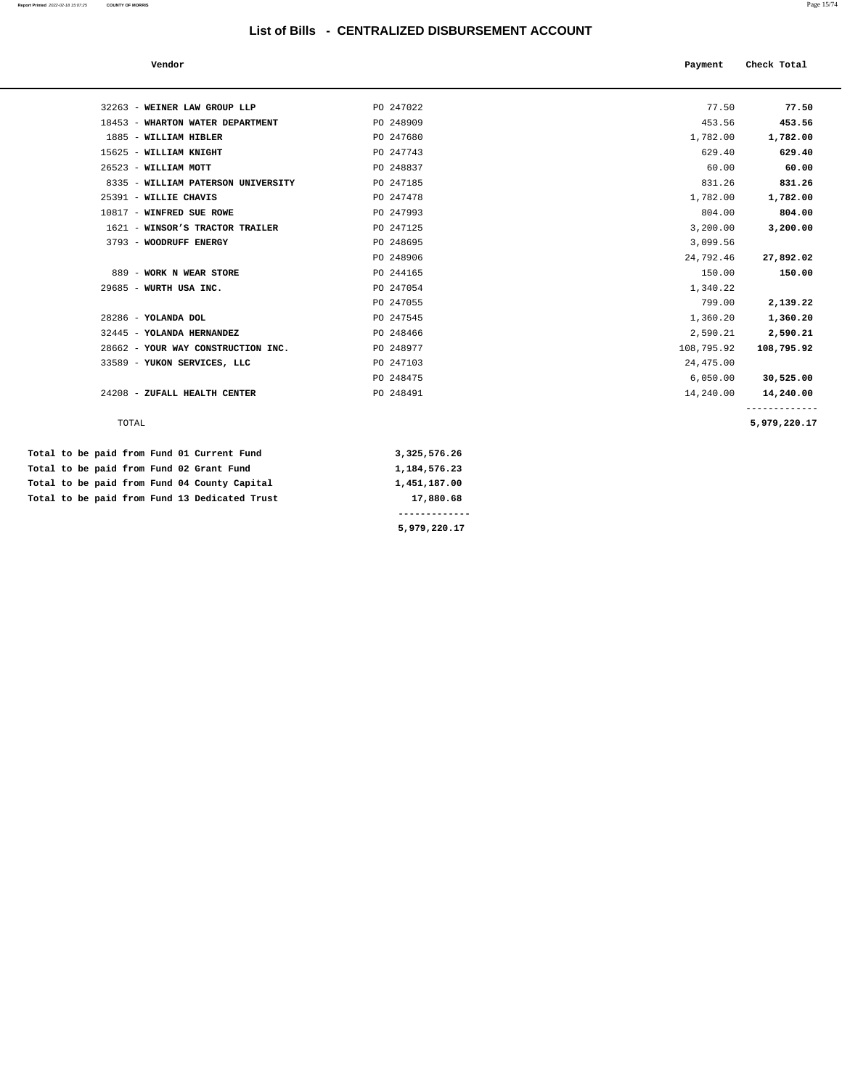| Vendor                             |              | Payment    | Check Total  |
|------------------------------------|--------------|------------|--------------|
|                                    |              |            |              |
| 32263 - WEINER LAW GROUP LLP       | PO 247022    | 77.50      | 77.50        |
| 18453 - WHARTON WATER DEPARTMENT   | PO 248909    | 453.56     | 453.56       |
| 1885 - WILLIAM HIBLER              | PO 247680    | 1,782.00   | 1,782.00     |
| 15625 - WILLIAM KNIGHT             | PO 247743    | 629.40     | 629.40       |
| 26523 - WILLIAM MOTT               | PO 248837    | 60.00      | 60.00        |
| 8335 - WILLIAM PATERSON UNIVERSITY | PO 247185    | 831.26     | 831.26       |
| 25391 - WILLIE CHAVIS              | PO 247478    | 1,782.00   | 1,782.00     |
| 10817 - WINFRED SUE ROWE           | PO 247993    | 804.00     | 804.00       |
| 1621 - WINSOR'S TRACTOR TRAILER    | PO 247125    | 3,200.00   | 3,200.00     |
| 3793 - WOODRUFF ENERGY             | PO 248695    | 3,099.56   |              |
|                                    | PO 248906    | 24,792.46  | 27,892.02    |
| 889 - WORK N WEAR STORE            | PO 244165    | 150.00     | 150.00       |
| 29685 - WURTH USA INC.             | PO 247054    | 1,340.22   |              |
|                                    | PO 247055    | 799.00     | 2,139.22     |
| 28286 - YOLANDA DOL                | PO 247545    | 1,360.20   | 1,360.20     |
| 32445 - YOLANDA HERNANDEZ          | PO 248466    | 2,590.21   | 2,590.21     |
| 28662 - YOUR WAY CONSTRUCTION INC. | PO 248977    | 108,795.92 | 108,795.92   |
| 33589 - YUKON SERVICES, LLC        | PO 247103    | 24,475.00  |              |
|                                    | PO 248475    | 6,050.00   | 30,525.00    |
| 24208 - ZUFALL HEALTH CENTER       | PO 248491    | 14,240.00  | 14,240.00    |
| TOTAL                              |              |            | 5,979,220.17 |
| paid from Fund 01 Current Fund     | 3,325,576.26 |            |              |
| paid from Fund 02 Grant Fund       | 1,184,576.23 |            |              |

| Total to be paid from Fund 01 Current Fund    | 3,325,576.26    |
|-----------------------------------------------|-----------------|
| Total to be paid from Fund 02 Grant Fund      | 1, 184, 576, 23 |
| Total to be paid from Fund 04 County Capital  | 1,451,187.00    |
| Total to be paid from Fund 13 Dedicated Trust | 17,880.68       |
|                                               |                 |
|                                               | 5,979,220.17    |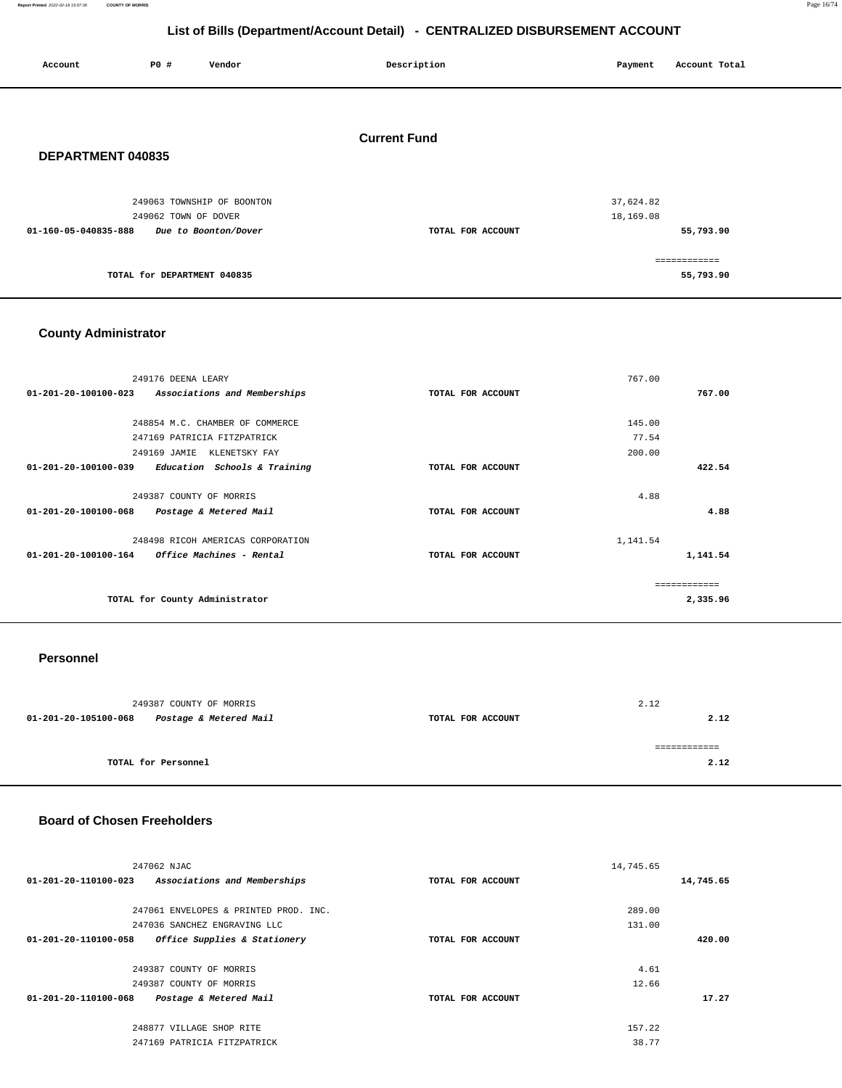**Report Printed** 2022-02-18 15:07:36 **COUNTY OF MORRIS** Page 16/74

# **List of Bills (Department/Account Detail) - CENTRALIZED DISBURSEMENT ACCOUNT**

|                      |                      |                                                    | <b>EDITOL DING (DUPUL INCHINATODOMIK DULUI) OLITIKALILLO DIODOKOLINLITI AUGUURI</b> |                        |                           |  |
|----------------------|----------------------|----------------------------------------------------|-------------------------------------------------------------------------------------|------------------------|---------------------------|--|
| Account              | P0 #                 | Vendor                                             | Description                                                                         | Payment                | Account Total             |  |
| DEPARTMENT 040835    |                      |                                                    | <b>Current Fund</b>                                                                 |                        |                           |  |
| 01-160-05-040835-888 | 249062 TOWN OF DOVER | 249063 TOWNSHIP OF BOONTON<br>Due to Boonton/Dover | TOTAL FOR ACCOUNT                                                                   | 37,624.82<br>18,169.08 | 55,793.90                 |  |
|                      |                      | TOTAL for DEPARTMENT 040835                        |                                                                                     |                        | ============<br>55,793.90 |  |

## **County Administrator**

| 249176 DEENA LEARY                                   |                   | 767.00      |          |
|------------------------------------------------------|-------------------|-------------|----------|
| Associations and Memberships<br>01-201-20-100100-023 | TOTAL FOR ACCOUNT |             | 767.00   |
|                                                      |                   |             |          |
| 248854 M.C. CHAMBER OF COMMERCE                      |                   | 145.00      |          |
| 247169 PATRICIA FITZPATRICK                          |                   | 77.54       |          |
| 249169 JAMIE<br>KLENETSKY FAY                        |                   | 200.00      |          |
| 01-201-20-100100-039<br>Education Schools & Training | TOTAL FOR ACCOUNT |             | 422.54   |
|                                                      |                   |             |          |
| 249387 COUNTY OF MORRIS                              |                   | 4.88        |          |
| 01-201-20-100100-068<br>Postage & Metered Mail       | TOTAL FOR ACCOUNT |             | 4.88     |
|                                                      |                   |             |          |
| 248498 RICOH AMERICAS CORPORATION                    |                   | 1,141.54    |          |
| 01-201-20-100100-164<br>Office Machines - Rental     | TOTAL FOR ACCOUNT |             | 1,141.54 |
|                                                      |                   |             |          |
|                                                      |                   | ----------- |          |
| TOTAL for County Administrator                       |                   |             | 2,335.96 |
|                                                      |                   |             |          |

#### **Personnel**

| 249387 COUNTY OF MORRIS |                        |                   | 2.12 |
|-------------------------|------------------------|-------------------|------|
| 01-201-20-105100-068    | Postage & Metered Mail | TOTAL FOR ACCOUNT | 2.12 |
|                         |                        |                   |      |
|                         |                        |                   |      |
| TOTAL for Personnel     |                        |                   | 2.12 |
|                         |                        |                   |      |

#### **Board of Chosen Freeholders**

| 247062 NJAC                                                    |                   | 14,745.65 |  |
|----------------------------------------------------------------|-------------------|-----------|--|
| $01 - 201 - 20 - 110100 - 023$<br>Associations and Memberships | TOTAL FOR ACCOUNT | 14,745.65 |  |
|                                                                |                   |           |  |
| 247061 ENVELOPES & PRINTED PROD. INC.                          |                   | 289.00    |  |
| 247036 SANCHEZ ENGRAVING LLC                                   |                   | 131.00    |  |
| 01-201-20-110100-058<br>Office Supplies & Stationery           | TOTAL FOR ACCOUNT | 420.00    |  |
|                                                                |                   |           |  |
| 249387 COUNTY OF MORRIS                                        |                   | 4.61      |  |
| 249387 COUNTY OF MORRIS                                        |                   | 12.66     |  |
| 01-201-20-110100-068<br>Postage & Metered Mail                 | TOTAL FOR ACCOUNT | 17.27     |  |
|                                                                |                   |           |  |
| 248877 VILLAGE SHOP RITE                                       |                   | 157.22    |  |
| 247169 PATRICIA FITZPATRICK                                    |                   | 38.77     |  |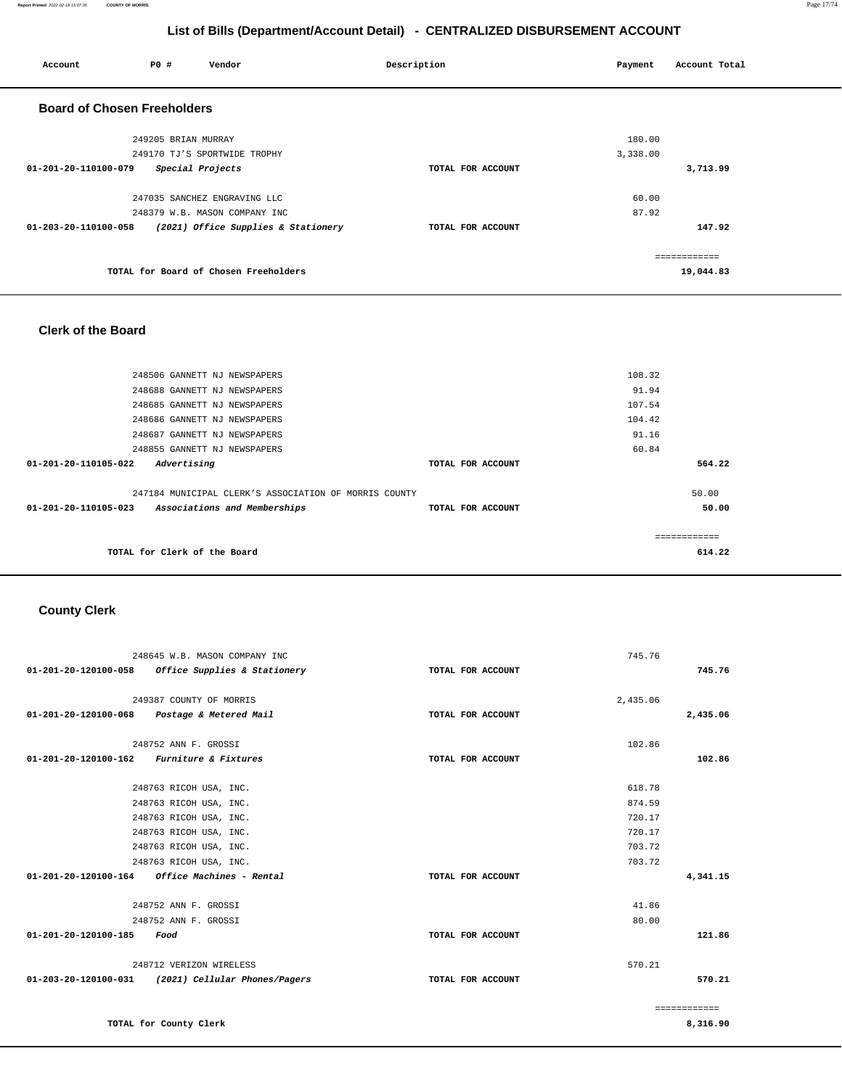**Report Printed** 2022-02-18 15:07:36 **COUNTY OF MORRIS** Page 17/74

## **List of Bills (Department/Account Detail) - CENTRALIZED DISBURSEMENT ACCOUNT**

| Account                            | <b>PO #</b>         | Vendor                                | Description       | Payment  | Account Total |
|------------------------------------|---------------------|---------------------------------------|-------------------|----------|---------------|
| <b>Board of Chosen Freeholders</b> |                     |                                       |                   |          |               |
|                                    | 249205 BRIAN MURRAY |                                       |                   | 180.00   |               |
|                                    |                     | 249170 TJ'S SPORTWIDE TROPHY          |                   | 3,338.00 |               |
| 01-201-20-110100-079               | Special Projects    |                                       | TOTAL FOR ACCOUNT |          | 3,713.99      |
|                                    |                     | 247035 SANCHEZ ENGRAVING LLC          |                   | 60.00    |               |
|                                    |                     | 248379 W.B. MASON COMPANY INC         |                   | 87.92    |               |
| 01-203-20-110100-058               |                     | (2021) Office Supplies & Stationery   | TOTAL FOR ACCOUNT |          | 147.92        |
|                                    |                     |                                       |                   |          | ------------  |
|                                    |                     | TOTAL for Board of Chosen Freeholders |                   |          | 19,044.83     |

#### **Clerk of the Board**

| 248506 GANNETT NJ NEWSPAPERS                          |                   | 108.32 |
|-------------------------------------------------------|-------------------|--------|
| 248688 GANNETT NJ NEWSPAPERS                          |                   | 91.94  |
| 248685 GANNETT NJ NEWSPAPERS                          |                   | 107.54 |
| 248686 GANNETT NJ NEWSPAPERS                          |                   | 104.42 |
| 248687 GANNETT NJ NEWSPAPERS                          |                   | 91.16  |
| 248855 GANNETT NJ NEWSPAPERS                          |                   | 60.84  |
| 01-201-20-110105-022<br>Advertising                   | TOTAL FOR ACCOUNT | 564.22 |
| 247184 MUNICIPAL CLERK'S ASSOCIATION OF MORRIS COUNTY |                   | 50.00  |
| Associations and Memberships<br>01-201-20-110105-023  | TOTAL FOR ACCOUNT | 50.00  |
|                                                       |                   |        |
| TOTAL for Clerk of the Board                          |                   | 614.22 |
|                                                       |                   |        |
|                                                       |                   |        |

# **County Clerk**

|                                           | 248645 W.B. MASON COMPANY INC                           |                   | 745.76   |              |
|-------------------------------------------|---------------------------------------------------------|-------------------|----------|--------------|
| 01-201-20-120100-058                      | Office Supplies & Stationery                            | TOTAL FOR ACCOUNT |          | 745.76       |
|                                           |                                                         |                   |          |              |
|                                           | 249387 COUNTY OF MORRIS                                 |                   | 2,435.06 |              |
|                                           | 01-201-20-120100-068 Postage & Metered Mail             | TOTAL FOR ACCOUNT |          | 2,435.06     |
|                                           | 248752 ANN F. GROSSI                                    |                   | 102.86   |              |
| 01-201-20-120100-162 Furniture & Fixtures |                                                         | TOTAL FOR ACCOUNT |          | 102.86       |
|                                           |                                                         |                   |          |              |
|                                           | 248763 RICOH USA, INC.                                  |                   | 618.78   |              |
|                                           | 248763 RICOH USA, INC.                                  |                   | 874.59   |              |
|                                           | 248763 RICOH USA, INC.                                  |                   | 720.17   |              |
|                                           | 248763 RICOH USA, INC.                                  |                   | 720.17   |              |
|                                           | 248763 RICOH USA, INC.                                  |                   | 703.72   |              |
|                                           | 248763 RICOH USA, INC.                                  |                   | 703.72   |              |
|                                           | $01 - 201 - 20 - 120100 - 164$ Office Machines - Rental | TOTAL FOR ACCOUNT |          | 4,341.15     |
|                                           | 248752 ANN F. GROSSI                                    |                   | 41.86    |              |
|                                           | 248752 ANN F. GROSSI                                    |                   | 80.00    |              |
| 01-201-20-120100-185                      | Food                                                    | TOTAL FOR ACCOUNT |          | 121.86       |
|                                           |                                                         |                   |          |              |
|                                           | 248712 VERIZON WIRELESS                                 |                   | 570.21   |              |
|                                           | 01-203-20-120100-031 (2021) Cellular Phones/Pagers      | TOTAL FOR ACCOUNT |          | 570.21       |
|                                           |                                                         |                   |          |              |
|                                           |                                                         |                   |          | ============ |

**TOTAL for County Clerk** 

**8,316.90**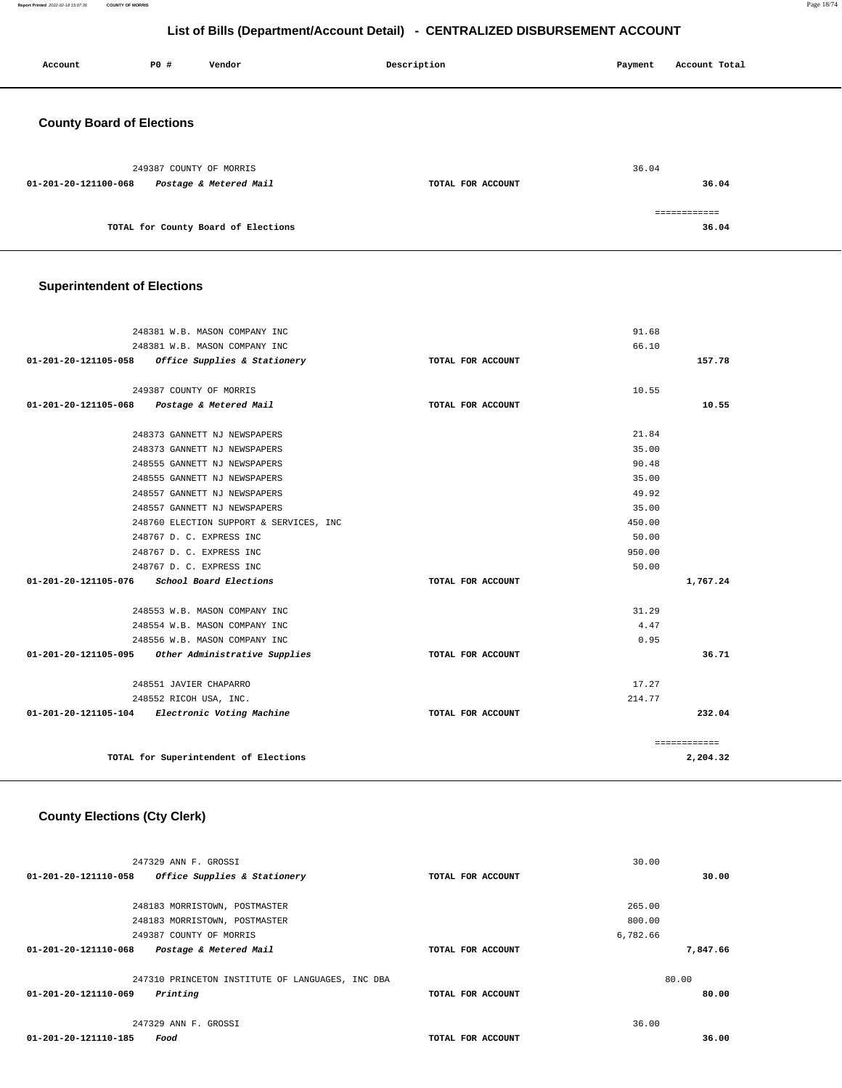**Report Printed** 2022-02-18 15:07:36 **COUNTY OF MORRIS** Page 18/74

## **List of Bills (Department/Account Detail) - CENTRALIZED DISBURSEMENT ACCOUNT**

| Account                          | P0 #                    | Vendor                              | Description       | Payment | Account Total          |
|----------------------------------|-------------------------|-------------------------------------|-------------------|---------|------------------------|
| <b>County Board of Elections</b> |                         |                                     |                   |         |                        |
|                                  | 249387 COUNTY OF MORRIS |                                     |                   | 36.04   |                        |
| 01-201-20-121100-068             |                         | Postage & Metered Mail              | TOTAL FOR ACCOUNT |         | 36.04                  |
|                                  |                         | TOTAL for County Board of Elections |                   |         | -------------<br>36.04 |

## **Superintendent of Elections**

| 248381 W.B. MASON COMPANY INC                         |                   | 91.68        |
|-------------------------------------------------------|-------------------|--------------|
| 248381 W.B. MASON COMPANY INC                         |                   | 66.10        |
| 01-201-20-121105-058 Office Supplies & Stationery     | TOTAL FOR ACCOUNT | 157.78       |
| 249387 COUNTY OF MORRIS                               |                   | 10.55        |
|                                                       |                   |              |
| 01-201-20-121105-068<br>Postage & Metered Mail        | TOTAL FOR ACCOUNT | 10.55        |
| 248373 GANNETT NJ NEWSPAPERS                          |                   | 21.84        |
| 248373 GANNETT NJ NEWSPAPERS                          |                   | 35.00        |
| 248555 GANNETT NJ NEWSPAPERS                          |                   | 90.48        |
| 248555 GANNETT NJ NEWSPAPERS                          |                   | 35.00        |
| 248557 GANNETT NJ NEWSPAPERS                          |                   | 49.92        |
| 248557 GANNETT NJ NEWSPAPERS                          |                   | 35.00        |
| 248760 ELECTION SUPPORT & SERVICES, INC               |                   | 450.00       |
| 248767 D. C. EXPRESS INC                              |                   | 50.00        |
| 248767 D. C. EXPRESS INC                              |                   | 950.00       |
| 248767 D. C. EXPRESS INC                              |                   | 50.00        |
| School Board Elections<br>01-201-20-121105-076        | TOTAL FOR ACCOUNT | 1,767.24     |
| 248553 W.B. MASON COMPANY INC                         |                   | 31.29        |
| 248554 W.B. MASON COMPANY INC                         |                   | 4.47         |
| 248556 W.B. MASON COMPANY INC                         |                   | 0.95         |
| 01-201-20-121105-095<br>Other Administrative Supplies | TOTAL FOR ACCOUNT | 36.71        |
| 248551 JAVIER CHAPARRO                                |                   | 17.27        |
| 248552 RICOH USA, INC.                                |                   | 214.77       |
| 01-201-20-121105-104 Electronic Voting Machine        | TOTAL FOR ACCOUNT | 232.04       |
|                                                       |                   |              |
|                                                       |                   | ============ |
| TOTAL for Superintendent of Elections                 |                   | 2,204.32     |
|                                                       |                   |              |

## **County Elections (Cty Clerk)**

| 247329 ANN F. GROSSI                                     |                   | 30.00    |
|----------------------------------------------------------|-------------------|----------|
| 01-201-20-121110-058<br>Office Supplies & Stationery     | TOTAL FOR ACCOUNT | 30.00    |
|                                                          |                   |          |
| 248183 MORRISTOWN, POSTMASTER                            |                   | 265.00   |
| 248183 MORRISTOWN, POSTMASTER                            |                   | 800.00   |
| 249387 COUNTY OF MORRIS                                  |                   | 6,782.66 |
| $01 - 201 - 20 - 121110 - 068$<br>Postage & Metered Mail | TOTAL FOR ACCOUNT | 7,847.66 |
| 247310 PRINCETON INSTITUTE OF LANGUAGES, INC DBA         |                   | 80.00    |
| 01-201-20-121110-069<br>Printing                         | TOTAL FOR ACCOUNT | 80.00    |
| 247329 ANN F. GROSSI                                     |                   | 36.00    |
| 01-201-20-121110-185<br>Food                             | TOTAL FOR ACCOUNT | 36.00    |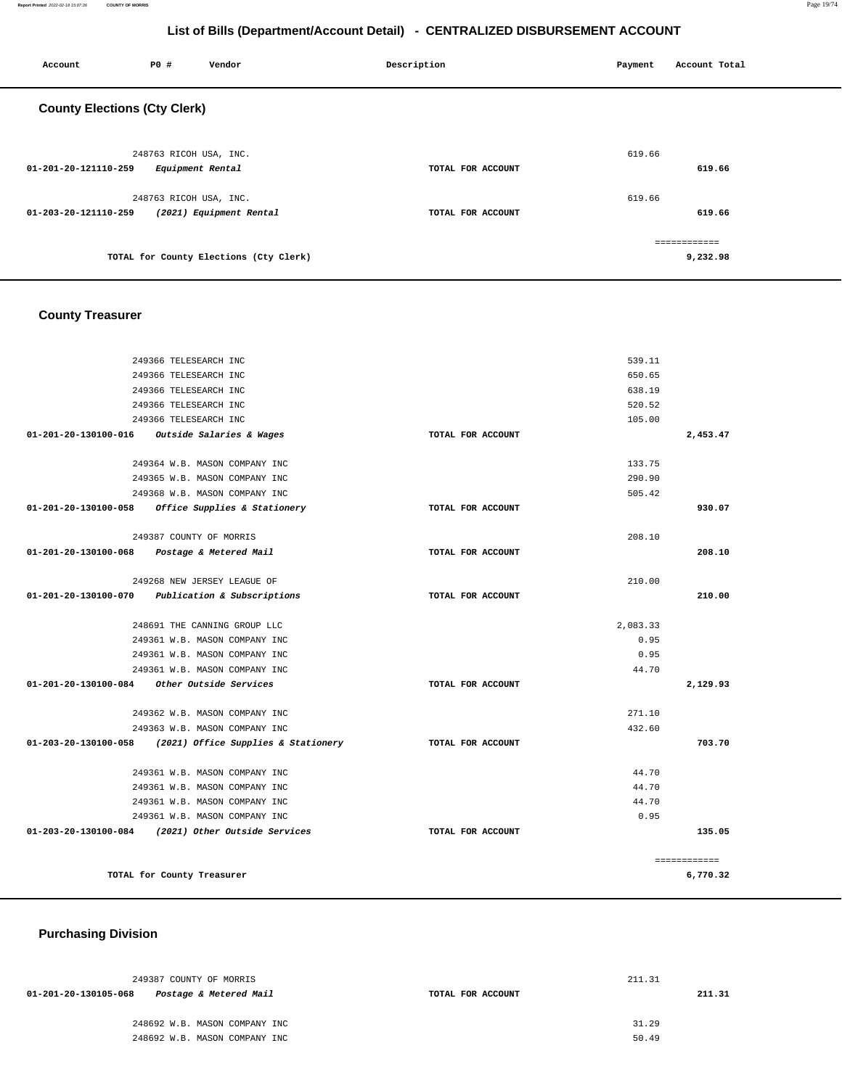**Report Printed** 2022-02-18 15:07:36 **COUNTY OF MORRIS** Page 19/74

## **List of Bills (Department/Account Detail) - CENTRALIZED DISBURSEMENT ACCOUNT**

| Account                             | <b>PO #</b>            | Vendor                                 | Description       | Payment | Account Total |
|-------------------------------------|------------------------|----------------------------------------|-------------------|---------|---------------|
| <b>County Elections (Cty Clerk)</b> |                        |                                        |                   |         |               |
|                                     | 248763 RICOH USA, INC. |                                        |                   | 619.66  |               |
| 01-201-20-121110-259                | Equipment Rental       |                                        | TOTAL FOR ACCOUNT |         | 619.66        |
|                                     | 248763 RICOH USA, INC. |                                        |                   | 619.66  |               |
| 01-203-20-121110-259                |                        | (2021) Equipment Rental                | TOTAL FOR ACCOUNT |         | 619.66        |
|                                     |                        |                                        |                   |         | ============  |
|                                     |                        | TOTAL for County Elections (Cty Clerk) |                   |         | 9,232.98      |

# **County Treasurer**

|                                | 249366 TELESEARCH INC                               |                   | 539.11   |              |
|--------------------------------|-----------------------------------------------------|-------------------|----------|--------------|
|                                | 249366 TELESEARCH INC                               |                   | 650.65   |              |
|                                | 249366 TELESEARCH INC                               |                   | 638.19   |              |
|                                | 249366 TELESEARCH INC                               |                   | 520.52   |              |
|                                | 249366 TELESEARCH INC                               |                   | 105.00   |              |
| 01-201-20-130100-016           | Outside Salaries & Wages                            | TOTAL FOR ACCOUNT |          | 2,453.47     |
|                                | 249364 W.B. MASON COMPANY INC                       |                   | 133.75   |              |
|                                | 249365 W.B. MASON COMPANY INC                       |                   | 290.90   |              |
|                                | 249368 W.B. MASON COMPANY INC                       |                   | 505.42   |              |
|                                | $01-201-20-130100-058$ Office Supplies & Stationery | TOTAL FOR ACCOUNT |          | 930.07       |
|                                |                                                     |                   |          |              |
|                                | 249387 COUNTY OF MORRIS                             |                   | 208.10   |              |
| 01-201-20-130100-068           | Postage & Metered Mail                              | TOTAL FOR ACCOUNT |          | 208.10       |
|                                | 249268 NEW JERSEY LEAGUE OF                         |                   | 210.00   |              |
| $01 - 201 - 20 - 130100 - 070$ | Publication & Subscriptions                         | TOTAL FOR ACCOUNT |          | 210.00       |
|                                |                                                     |                   |          |              |
|                                | 248691 THE CANNING GROUP LLC                        |                   | 2,083.33 |              |
|                                | 249361 W.B. MASON COMPANY INC                       |                   | 0.95     |              |
|                                | 249361 W.B. MASON COMPANY INC                       |                   | 0.95     |              |
|                                | 249361 W.B. MASON COMPANY INC                       |                   | 44.70    |              |
| 01-201-20-130100-084           | Other Outside Services                              | TOTAL FOR ACCOUNT |          | 2,129.93     |
|                                | 249362 W.B. MASON COMPANY INC                       |                   | 271.10   |              |
|                                | 249363 W.B. MASON COMPANY INC                       |                   | 432.60   |              |
| 01-203-20-130100-058           | (2021) Office Supplies & Stationery                 | TOTAL FOR ACCOUNT |          | 703.70       |
|                                | 249361 W.B. MASON COMPANY INC                       |                   | 44.70    |              |
|                                | 249361 W.B. MASON COMPANY INC                       |                   | 44.70    |              |
|                                | 249361 W.B. MASON COMPANY INC                       |                   | 44.70    |              |
|                                | 249361 W.B. MASON COMPANY INC                       |                   | 0.95     |              |
|                                | 01-203-20-130100-084 (2021) Other Outside Services  | TOTAL FOR ACCOUNT |          | 135.05       |
|                                |                                                     |                   |          |              |
|                                |                                                     |                   |          | ============ |
|                                | TOTAL for County Treasurer                          |                   |          | 6,770.32     |

# **Purchasing Division**

|                   | 211.31 |        |
|-------------------|--------|--------|
| TOTAL FOR ACCOUNT |        | 211.31 |
|                   |        |        |
|                   | 31.29  |        |
|                   | 50.49  |        |
|                   |        |        |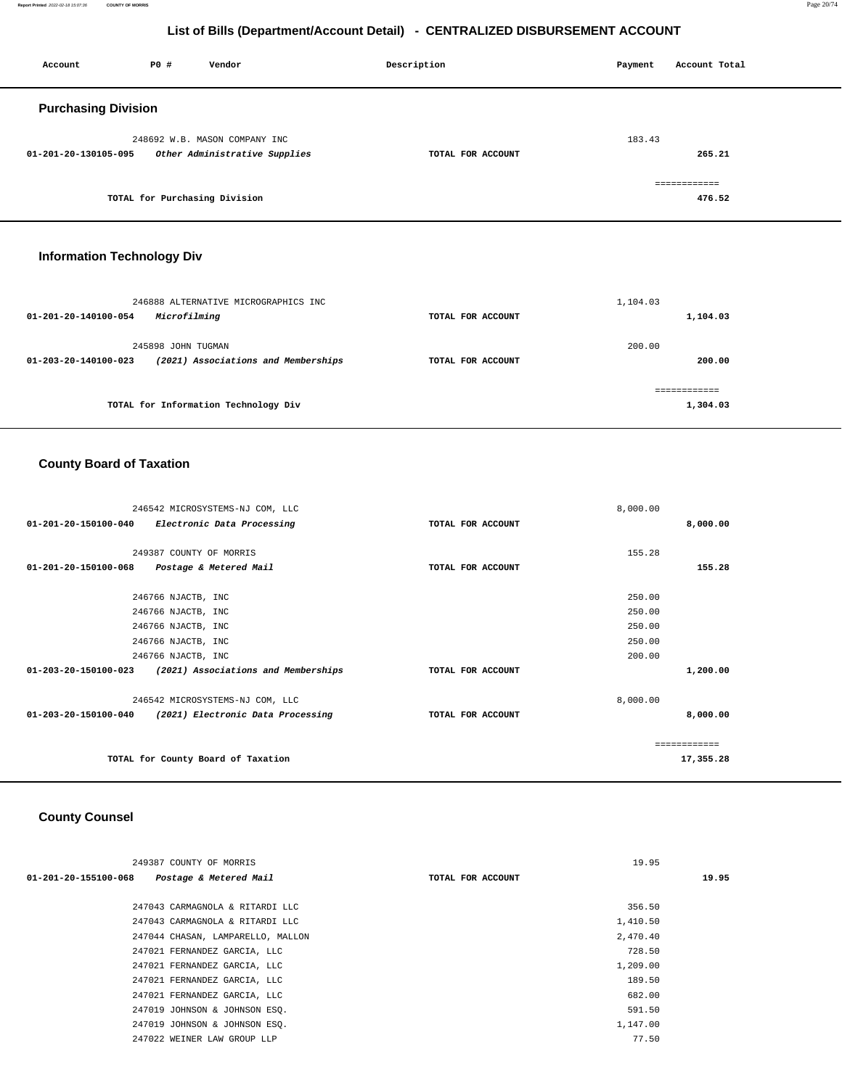**Report Printed** 2022-02-18 15:07:36 **COUNTY OF MORRIS** Page 20/74

## **List of Bills (Department/Account Detail) - CENTRALIZED DISBURSEMENT ACCOUNT**

| Account                    | <b>PO #</b> | Vendor                        | Description       | Payment | Account Total          |
|----------------------------|-------------|-------------------------------|-------------------|---------|------------------------|
| <b>Purchasing Division</b> |             |                               |                   |         |                        |
|                            |             | 248692 W.B. MASON COMPANY INC |                   | 183.43  |                        |
| 01-201-20-130105-095       |             | Other Administrative Supplies | TOTAL FOR ACCOUNT |         | 265.21                 |
|                            |             | TOTAL for Purchasing Division |                   |         | ============<br>476.52 |

## **Information Technology Div**

| 246888 ALTERNATIVE MICROGRAPHICS INC<br>Microfilming<br>01-201-20-140100-054                | TOTAL FOR ACCOUNT | 1,104.03<br>1,104.03   |
|---------------------------------------------------------------------------------------------|-------------------|------------------------|
| 245898 JOHN TUGMAN<br>(2021) Associations and Memberships<br>$01 - 203 - 20 - 140100 - 023$ | TOTAL FOR ACCOUNT | 200.00<br>200.00       |
| TOTAL for Information Technology Div                                                        |                   | :=========<br>1,304.03 |

# **County Board of Taxation**

| 246542 MICROSYSTEMS-NJ COM, LLC                             |                   | 8,000.00      |
|-------------------------------------------------------------|-------------------|---------------|
| 01-201-20-150100-040<br>Electronic Data Processing          | TOTAL FOR ACCOUNT | 8,000.00      |
|                                                             |                   |               |
| 249387 COUNTY OF MORRIS                                     |                   | 155.28        |
| 01-201-20-150100-068<br>Postage & Metered Mail              | TOTAL FOR ACCOUNT | 155.28        |
|                                                             |                   |               |
| 246766 NJACTB, INC                                          |                   | 250.00        |
| 246766 NJACTB, INC                                          |                   | 250.00        |
| 246766 NJACTB, INC                                          |                   | 250.00        |
| 246766 NJACTB, INC                                          |                   | 250.00        |
| 246766 NJACTB, INC                                          |                   | 200.00        |
| 01-203-20-150100-023<br>(2021) Associations and Memberships | TOTAL FOR ACCOUNT | 1,200.00      |
| 246542 MICROSYSTEMS-NJ COM, LLC                             |                   | 8,000.00      |
| 01-203-20-150100-040<br>(2021) Electronic Data Processing   | TOTAL FOR ACCOUNT | 8,000.00      |
|                                                             |                   | ------------- |
| TOTAL for County Board of Taxation                          |                   | 17,355.28     |
|                                                             |                   |               |

# **County Counsel**

| 249387 COUNTY OF MORRIS                        |                   | 19.95    |       |
|------------------------------------------------|-------------------|----------|-------|
| 01-201-20-155100-068<br>Postage & Metered Mail | TOTAL FOR ACCOUNT |          | 19.95 |
|                                                |                   |          |       |
| 247043 CARMAGNOLA & RITARDI LLC                |                   | 356.50   |       |
| 247043 CARMAGNOLA & RITARDI LLC                |                   | 1,410.50 |       |
| 247044 CHASAN, LAMPARELLO, MALLON              |                   | 2,470.40 |       |
| 247021 FERNANDEZ GARCIA, LLC                   |                   | 728.50   |       |
| 247021 FERNANDEZ GARCIA, LLC                   |                   | 1,209.00 |       |
| 247021 FERNANDEZ GARCIA, LLC                   |                   | 189.50   |       |
| 247021 FERNANDEZ GARCIA, LLC                   |                   | 682.00   |       |
| 247019 JOHNSON & JOHNSON ESO.                  |                   | 591.50   |       |
| 247019 JOHNSON & JOHNSON ESQ.                  |                   | 1,147.00 |       |
| 247022 WEINER LAW GROUP LLP                    |                   | 77.50    |       |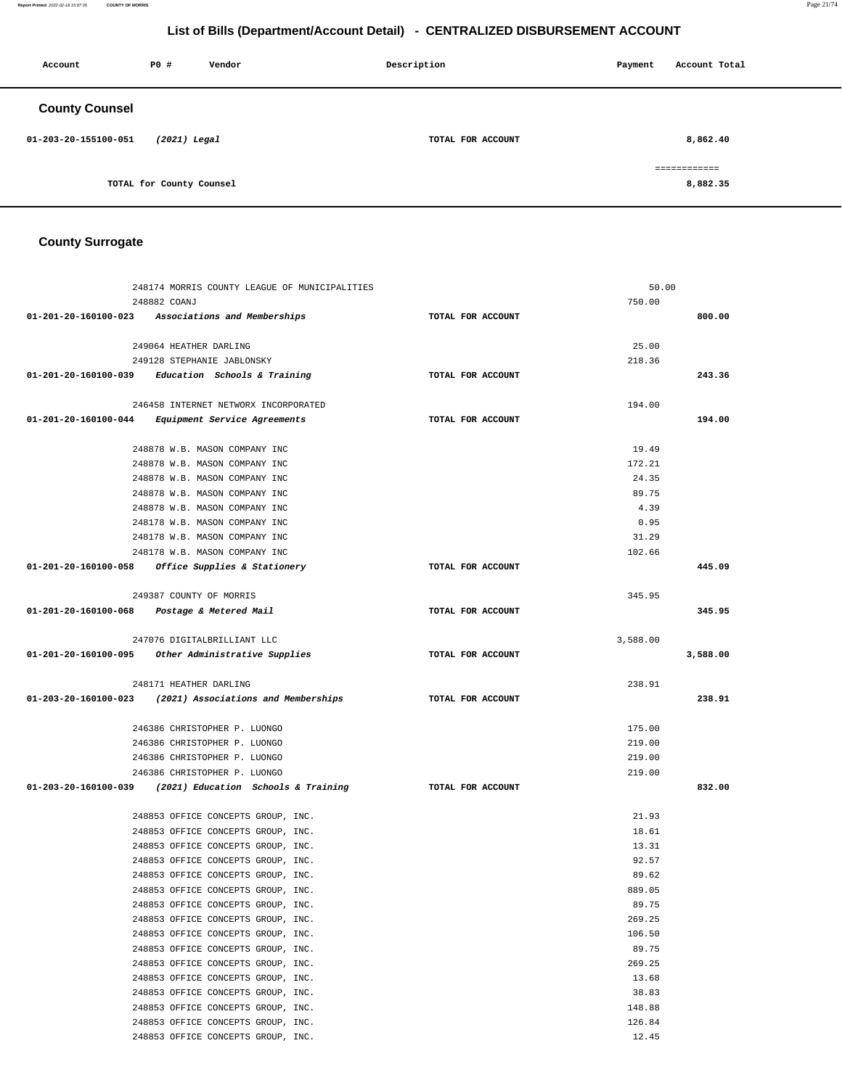| Account               | PO#                      | Vendor | Description       |  | Account Total            |
|-----------------------|--------------------------|--------|-------------------|--|--------------------------|
| <b>County Counsel</b> |                          |        |                   |  |                          |
| 01-203-20-155100-051  | $(2021)$ Legal           |        | TOTAL FOR ACCOUNT |  | 8,862.40                 |
|                       | TOTAL for County Counsel |        |                   |  | ============<br>8,882.35 |

# **County Surrogate**

| 248174 MORRIS COUNTY LEAGUE OF MUNICIPALITIES                            |                   | 50.00          |
|--------------------------------------------------------------------------|-------------------|----------------|
| 248882 COANJ                                                             |                   | 750.00         |
| 01-201-20-160100-023 Associations and Memberships                        | TOTAL FOR ACCOUNT | 800.00         |
|                                                                          |                   |                |
| 249064 HEATHER DARLING                                                   |                   | 25.00          |
| 249128 STEPHANIE JABLONSKY                                               |                   | 218.36         |
| $01-201-20-160100-039$ Education Schools & Training                      | TOTAL FOR ACCOUNT | 243.36         |
| 246458 INTERNET NETWORX INCORPORATED                                     |                   | 194.00         |
| 01-201-20-160100-044 Equipment Service Agreements                        | TOTAL FOR ACCOUNT | 194.00         |
|                                                                          |                   |                |
| 248878 W.B. MASON COMPANY INC                                            |                   | 19.49          |
| 248878 W.B. MASON COMPANY INC                                            |                   | 172.21         |
| 248878 W.B. MASON COMPANY INC                                            |                   | 24.35          |
| 248878 W.B. MASON COMPANY INC                                            |                   | 89.75          |
| 248878 W.B. MASON COMPANY INC                                            |                   | 4.39           |
| 248178 W.B. MASON COMPANY INC                                            |                   | 0.95           |
| 248178 W.B. MASON COMPANY INC                                            |                   | 31.29          |
| 248178 W.B. MASON COMPANY INC                                            |                   | 102.66         |
| 01-201-20-160100-058 Office Supplies & Stationery                        | TOTAL FOR ACCOUNT | 445.09         |
|                                                                          |                   |                |
| 249387 COUNTY OF MORRIS                                                  |                   | 345.95         |
| 01-201-20-160100-068 Postage & Metered Mail                              | TOTAL FOR ACCOUNT | 345.95         |
|                                                                          |                   |                |
| 247076 DIGITALBRILLIANT LLC                                              |                   | 3,588.00       |
| 01-201-20-160100-095 Other Administrative Supplies                       | TOTAL FOR ACCOUNT | 3,588.00       |
| 248171 HEATHER DARLING                                                   |                   | 238.91         |
| $01-203-20-160100-023$ (2021) Associations and Memberships               | TOTAL FOR ACCOUNT | 238.91         |
|                                                                          |                   |                |
| 246386 CHRISTOPHER P. LUONGO                                             |                   | 175.00         |
| 246386 CHRISTOPHER P. LUONGO                                             |                   | 219.00         |
| 246386 CHRISTOPHER P. LUONGO                                             |                   | 219.00         |
| 246386 CHRISTOPHER P. LUONGO                                             |                   | 219.00         |
| $01-203-20-160100-039$ (2021) Education Schools & Training               | TOTAL FOR ACCOUNT | 832.00         |
|                                                                          |                   |                |
| 248853 OFFICE CONCEPTS GROUP, INC.<br>248853 OFFICE CONCEPTS GROUP, INC. |                   | 21.93<br>18.61 |
| 248853 OFFICE CONCEPTS GROUP, INC.                                       |                   | 13.31          |
| 248853 OFFICE CONCEPTS GROUP, INC.                                       |                   | 92.57          |
| 248853 OFFICE CONCEPTS GROUP, INC.                                       |                   | 89.62          |
| 248853 OFFICE CONCEPTS GROUP, INC.                                       |                   | 889.05         |
| 248853 OFFICE CONCEPTS GROUP, INC.                                       |                   | 89.75          |
| 248853 OFFICE CONCEPTS GROUP, INC.                                       |                   | 269.25         |
| 248853 OFFICE CONCEPTS GROUP, INC.                                       |                   | 106.50         |
| 248853 OFFICE CONCEPTS GROUP, INC.                                       |                   | 89.75          |
| 248853 OFFICE CONCEPTS GROUP, INC.                                       |                   | 269.25         |
| 248853 OFFICE CONCEPTS GROUP, INC.                                       |                   | 13.68          |
| 248853 OFFICE CONCEPTS GROUP, INC.                                       |                   | 38.83          |
| 248853 OFFICE CONCEPTS GROUP, INC.                                       |                   | 148.88         |
| 248853 OFFICE CONCEPTS GROUP, INC.                                       |                   | 126.84         |
| 248853 OFFICE CONCEPTS GROUP, INC.                                       |                   | 12.45          |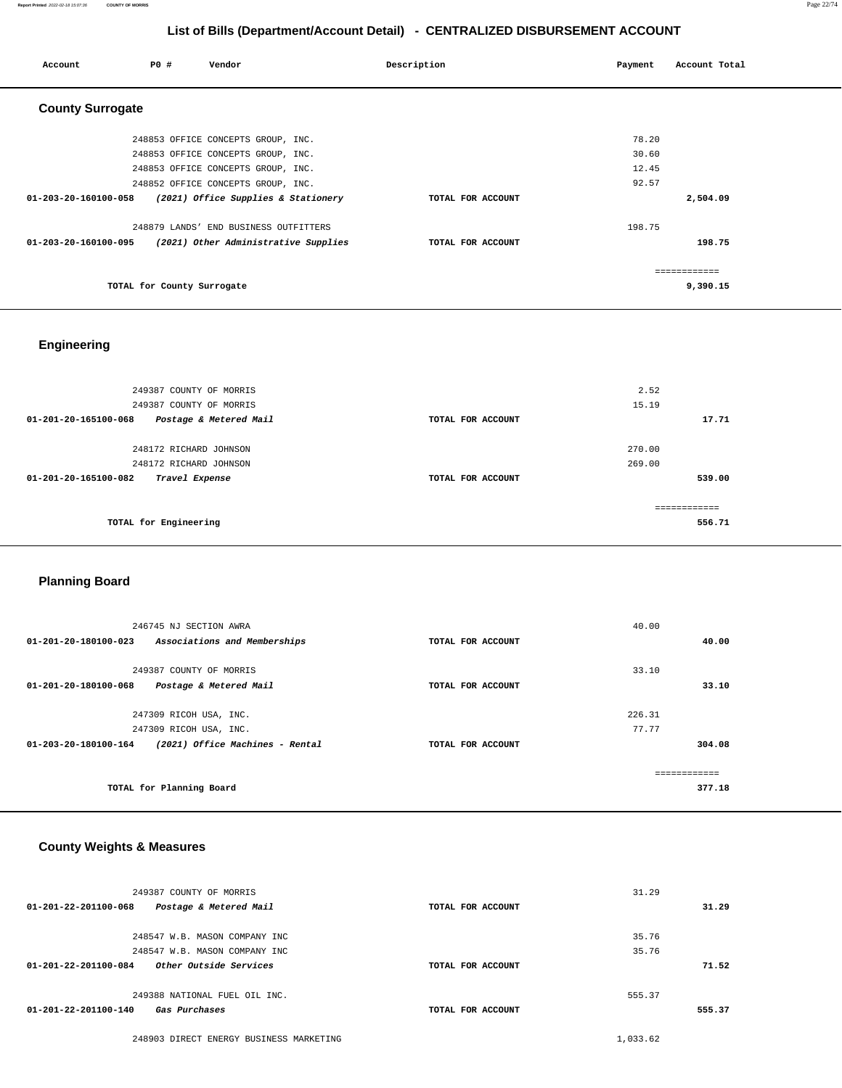| Account                 | P0 #                       | Vendor                                | Description       | Payment | Account Total |
|-------------------------|----------------------------|---------------------------------------|-------------------|---------|---------------|
| <b>County Surrogate</b> |                            |                                       |                   |         |               |
|                         |                            | 248853 OFFICE CONCEPTS GROUP, INC.    |                   | 78.20   |               |
|                         |                            | 248853 OFFICE CONCEPTS GROUP, INC.    |                   | 30.60   |               |
|                         |                            | 248853 OFFICE CONCEPTS GROUP, INC.    |                   | 12.45   |               |
|                         |                            | 248852 OFFICE CONCEPTS GROUP, INC.    |                   | 92.57   |               |
| 01-203-20-160100-058    |                            | (2021) Office Supplies & Stationery   | TOTAL FOR ACCOUNT |         | 2,504.09      |
|                         |                            | 248879 LANDS' END BUSINESS OUTFITTERS |                   | 198.75  |               |
| 01-203-20-160100-095    |                            | (2021) Other Administrative Supplies  | TOTAL FOR ACCOUNT |         | 198.75        |
|                         |                            |                                       |                   |         | ---------     |
|                         | TOTAL for County Surrogate |                                       |                   |         | 9,390.15      |

# **Engineering**

| 249387 COUNTY OF MORRIS<br>249387 COUNTY OF MORRIS |                   | 2.52<br>15.19 |
|----------------------------------------------------|-------------------|---------------|
| 01-201-20-165100-068<br>Postage & Metered Mail     | TOTAL FOR ACCOUNT | 17.71         |
|                                                    |                   |               |
| 248172 RICHARD JOHNSON                             |                   | 270.00        |
| 248172 RICHARD JOHNSON                             |                   | 269.00        |
| 01-201-20-165100-082<br>Travel Expense             | TOTAL FOR ACCOUNT | 539.00        |
|                                                    |                   | ------------- |
| TOTAL for Engineering                              |                   | 556.71        |

#### **Planning Board**

| 246745 NJ SECTION AWRA<br>Associations and Memberships<br>01-201-20-180100-023                                        | TOTAL FOR ACCOUNT | 40.00<br>40.00            |  |
|-----------------------------------------------------------------------------------------------------------------------|-------------------|---------------------------|--|
| 249387 COUNTY OF MORRIS<br>01-201-20-180100-068<br>Postage & Metered Mail                                             | TOTAL FOR ACCOUNT | 33.10<br>33.10            |  |
| 247309 RICOH USA, INC.<br>247309 RICOH USA, INC.<br>(2021) Office Machines - Rental<br>$01 - 203 - 20 - 180100 - 164$ | TOTAL FOR ACCOUNT | 226.31<br>77.77<br>304.08 |  |
| TOTAL for Planning Board                                                                                              |                   | 377.18                    |  |

#### **County Weights & Measures**

| 249387 COUNTY OF MORRIS                                  |                   | 31.29    |
|----------------------------------------------------------|-------------------|----------|
| $01 - 201 - 22 - 201100 - 068$<br>Postage & Metered Mail | TOTAL FOR ACCOUNT | 31.29    |
| 248547 W.B. MASON COMPANY INC                            |                   | 35.76    |
| 248547 W.B. MASON COMPANY INC                            |                   | 35.76    |
| $01 - 201 - 22 - 201100 - 084$<br>Other Outside Services | TOTAL FOR ACCOUNT | 71.52    |
| 249388 NATIONAL FUEL OIL INC.                            |                   | 555.37   |
| $01 - 201 - 22 - 201100 - 140$<br>Gas Purchases          | TOTAL FOR ACCOUNT | 555.37   |
| 248903 DIRECT ENERGY BUSINESS MARKETING                  |                   | 1,033.62 |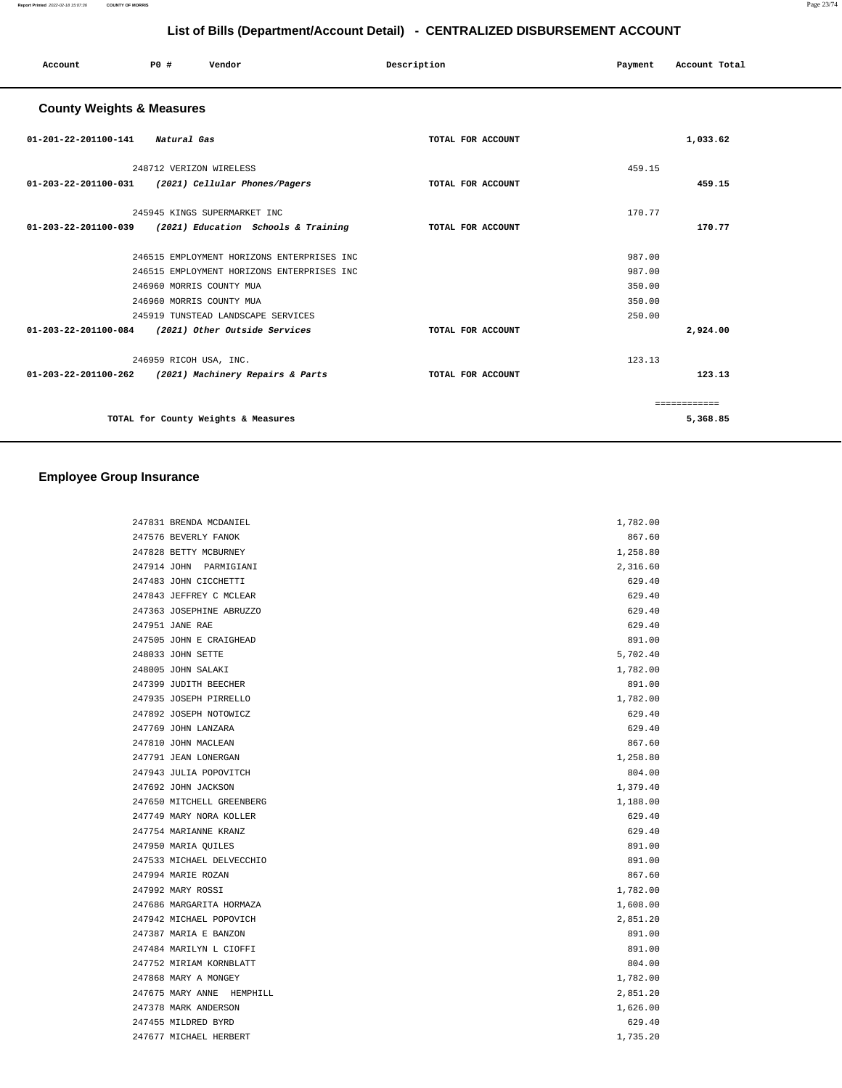|                                                    |                         | List of Dins (Department/Negouin Detail) CENTRALIZED DIODOROEMENT AGOGONT |             |                   |         |               |  |
|----------------------------------------------------|-------------------------|---------------------------------------------------------------------------|-------------|-------------------|---------|---------------|--|
| Account                                            | P0 #                    | Vendor                                                                    | Description |                   | Payment | Account Total |  |
| <b>County Weights &amp; Measures</b>               |                         |                                                                           |             |                   |         |               |  |
| 01-201-22-201100-141                               | Natural Gas             |                                                                           |             | TOTAL FOR ACCOUNT |         | 1,033.62      |  |
|                                                    | 248712 VERIZON WIRELESS |                                                                           |             |                   | 459.15  |               |  |
| 01-203-22-201100-031                               |                         | (2021) Cellular Phones/Pagers                                             |             | TOTAL FOR ACCOUNT |         | 459.15        |  |
|                                                    |                         | 245945 KINGS SUPERMARKET INC                                              |             |                   | 170.77  |               |  |
| 01-203-22-201100-039                               |                         | (2021) Education Schools & Training                                       |             | TOTAL FOR ACCOUNT |         | 170.77        |  |
|                                                    |                         | 246515 EMPLOYMENT HORIZONS ENTERPRISES INC                                |             |                   | 987.00  |               |  |
|                                                    |                         | 246515 EMPLOYMENT HORIZONS ENTERPRISES INC                                |             |                   | 987.00  |               |  |
|                                                    |                         | 246960 MORRIS COUNTY MUA                                                  |             |                   | 350.00  |               |  |
|                                                    |                         | 246960 MORRIS COUNTY MUA                                                  |             |                   | 350.00  |               |  |
|                                                    |                         | 245919 TUNSTEAD LANDSCAPE SERVICES                                        |             |                   | 250.00  |               |  |
| 01-203-22-201100-084 (2021) Other Outside Services |                         |                                                                           |             | TOTAL FOR ACCOUNT |         | 2,924.00      |  |
|                                                    | 246959 RICOH USA, INC.  |                                                                           |             |                   | 123.13  |               |  |
| 01-203-22-201100-262                               |                         | (2021) Machinery Repairs & Parts                                          |             | TOTAL FOR ACCOUNT |         | 123.13        |  |
|                                                    |                         |                                                                           |             |                   |         | ============  |  |
|                                                    |                         | TOTAL for County Weights & Measures                                       |             |                   |         | 5,368.85      |  |
|                                                    |                         |                                                                           |             |                   |         |               |  |

## **Employee Group Insurance**

| 247831 BRENDA MCDANIEL    | 1,782.00 |
|---------------------------|----------|
| 247576 BEVERLY FANOK      | 867.60   |
| 247828 BETTY MCBURNEY     | 1,258.80 |
| 247914 JOHN PARMIGIANI    | 2,316.60 |
| 247483 JOHN CICCHETTI     | 629.40   |
| 247843 JEFFREY C MCLEAR   | 629.40   |
| 247363 JOSEPHINE ABRUZZO  | 629.40   |
| 247951 JANE RAE           | 629.40   |
| 247505 JOHN E CRAIGHEAD   | 891.00   |
| 248033 JOHN SETTE         | 5,702.40 |
| 248005 JOHN SALAKI        | 1,782.00 |
| 247399 JUDITH BEECHER     | 891.00   |
| 247935 JOSEPH PIRRELLO    | 1,782.00 |
| 247892 JOSEPH NOTOWICZ    | 629.40   |
| 247769 JOHN LANZARA       | 629.40   |
| 247810 JOHN MACLEAN       | 867.60   |
| 247791 JEAN LONERGAN      | 1,258.80 |
| 247943 JULIA POPOVITCH    | 804.00   |
| 247692 JOHN JACKSON       | 1,379.40 |
| 247650 MITCHELL GREENBERG | 1,188.00 |
| 247749 MARY NORA KOLLER   | 629.40   |
| 247754 MARIANNE KRANZ     | 629.40   |
| 247950 MARIA QUILES       | 891.00   |
| 247533 MICHAEL DELVECCHIO | 891.00   |
| 247994 MARIE ROZAN        | 867.60   |
| 247992 MARY ROSSI         | 1,782.00 |
| 247686 MARGARITA HORMAZA  | 1,608.00 |
| 247942 MICHAEL POPOVICH   | 2,851.20 |
| 247387 MARIA E BANZON     | 891.00   |
| 247484 MARILYN L CIOFFI   | 891.00   |
| 247752 MIRIAM KORNBLATT   | 804.00   |
| 247868 MARY A MONGEY      | 1,782.00 |
| 247675 MARY ANNE HEMPHILL | 2,851.20 |
| 247378 MARK ANDERSON      | 1,626.00 |
| 247455 MILDRED BYRD       | 629.40   |
| 247677 MICHAEL HERBERT    | 1,735.20 |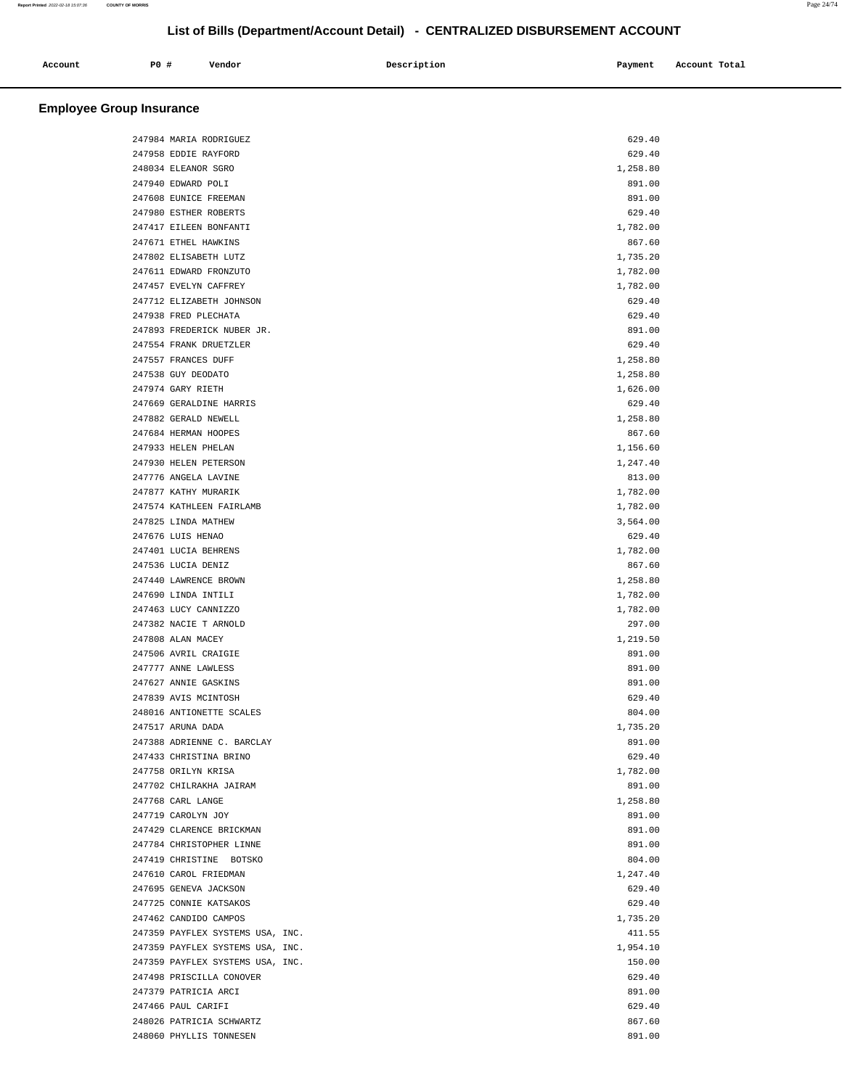| Account | P0# | Vendor | Description | Payment | Account Total |
|---------|-----|--------|-------------|---------|---------------|
|         |     |        |             |         |               |

# **Employee Group Insurance**

| 247984 MARIA RODRIGUEZ           | 629.40   |
|----------------------------------|----------|
| 247958 EDDIE RAYFORD             | 629.40   |
| 248034 ELEANOR SGRO              | 1,258.80 |
| 247940 EDWARD POLI               | 891.00   |
| 247608 EUNICE FREEMAN            | 891.00   |
| 247980 ESTHER ROBERTS            | 629.40   |
| 247417 EILEEN BONFANTI           | 1,782.00 |
| 247671 ETHEL HAWKINS             | 867.60   |
| 247802 ELISABETH LUTZ            | 1,735.20 |
| 247611 EDWARD FRONZUTO           | 1,782.00 |
| 247457 EVELYN CAFFREY            | 1,782.00 |
| 247712 ELIZABETH JOHNSON         | 629.40   |
| 247938 FRED PLECHATA             | 629.40   |
| 247893 FREDERICK NUBER JR.       | 891.00   |
| 247554 FRANK DRUETZLER           | 629.40   |
| 247557 FRANCES DUFF              | 1,258.80 |
| 247538 GUY DEODATO               | 1,258.80 |
| 247974 GARY RIETH                | 1,626.00 |
| 247669 GERALDINE HARRIS          | 629.40   |
| 247882 GERALD NEWELL             | 1,258.80 |
| 247684 HERMAN HOOPES             | 867.60   |
| 247933 HELEN PHELAN              | 1,156.60 |
| 247930 HELEN PETERSON            | 1,247.40 |
| 247776 ANGELA LAVINE             | 813.00   |
| 247877 KATHY MURARIK             | 1,782.00 |
| 247574 KATHLEEN FAIRLAMB         | 1,782.00 |
| 247825 LINDA MATHEW              | 3,564.00 |
| 247676 LUIS HENAO                | 629.40   |
| 247401 LUCIA BEHRENS             | 1,782.00 |
| 247536 LUCIA DENIZ               | 867.60   |
| 247440 LAWRENCE BROWN            | 1,258.80 |
| 247690 LINDA INTILI              | 1,782.00 |
| 247463 LUCY CANNIZZO             | 1,782.00 |
| 247382 NACIE T ARNOLD            | 297.00   |
| 247808 ALAN MACEY                | 1,219.50 |
| 247506 AVRIL CRAIGIE             | 891.00   |
| 247777 ANNE LAWLESS              | 891.00   |
| 247627 ANNIE GASKINS             | 891.00   |
| 247839 AVIS MCINTOSH             | 629.40   |
| 248016 ANTIONETTE SCALES         | 804.00   |
| 247517 ARUNA DADA                | 1,735.20 |
| 247388 ADRIENNE C. BARCLAY       | 891.00   |
| 247433 CHRISTINA BRINO           | 629.40   |
| 247758 ORILYN KRISA              | 1,782.00 |
| 247702 CHILRAKHA JAIRAM          | 891.00   |
| 247768 CARL LANGE                | 1,258.80 |
| 247719 CAROLYN JOY               | 891.00   |
| 247429 CLARENCE BRICKMAN         | 891.00   |
| 247784 CHRISTOPHER LINNE         | 891.00   |
| 247419 CHRISTINE BOTSKO          | 804.00   |
| 247610 CAROL FRIEDMAN            | 1,247.40 |
| 247695 GENEVA JACKSON            | 629.40   |
| 247725 CONNIE KATSAKOS           | 629.40   |
| 247462 CANDIDO CAMPOS            | 1,735.20 |
| 247359 PAYFLEX SYSTEMS USA, INC. | 411.55   |
| 247359 PAYFLEX SYSTEMS USA, INC. | 1,954.10 |
| 247359 PAYFLEX SYSTEMS USA, INC. | 150.00   |
| 247498 PRISCILLA CONOVER         | 629.40   |
| 247379 PATRICIA ARCI             | 891.00   |
| 247466 PAUL CARIFI               | 629.40   |
| 248026 PATRICIA SCHWARTZ         | 867.60   |
| 248060 PHYLLIS TONNESEN          | 891.00   |
|                                  |          |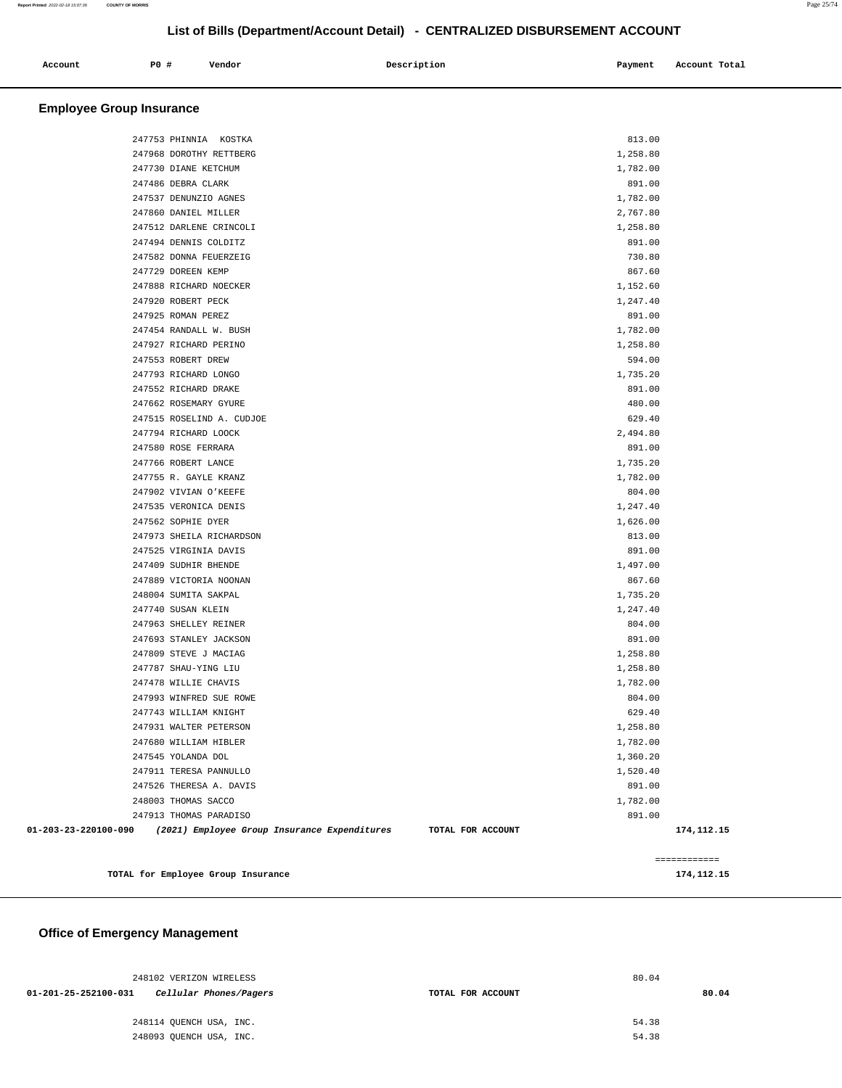| Account | <b>PO #</b> | Vendor | Description | Payment | Account Total |
|---------|-------------|--------|-------------|---------|---------------|
|         |             |        |             |         |               |

#### **Employee Group Insurance**

|                      | TOTAL for Employee Group Insurance           |                      | 174, 112. 15 |
|----------------------|----------------------------------------------|----------------------|--------------|
|                      |                                              |                      | ------------ |
|                      |                                              |                      |              |
| 01-203-23-220100-090 | (2021) Employee Group Insurance Expenditures | TOTAL FOR ACCOUNT    | 174, 112. 15 |
|                      | 247913 THOMAS PARADISO                       | 891.00               |              |
|                      | 248003 THOMAS SACCO                          | 1,782.00             |              |
|                      | 247526 THERESA A. DAVIS                      | 891.00               |              |
|                      | 247911 TERESA PANNULLO                       | 1,520.40             |              |
|                      | 247545 YOLANDA DOL                           | 1,360.20             |              |
|                      | 247680 WILLIAM HIBLER                        | 1,782.00             |              |
|                      | 247931 WALTER PETERSON                       | 1,258.80             |              |
|                      | 247743 WILLIAM KNIGHT                        | 629.40               |              |
|                      | 247993 WINFRED SUE ROWE                      | 804.00               |              |
|                      | 247478 WILLIE CHAVIS                         | 1,782.00             |              |
|                      | 247787 SHAU-YING LIU                         | 1,258.80             |              |
|                      | 247809 STEVE J MACIAG                        | 1,258.80             |              |
|                      | 247693 STANLEY JACKSON                       | 891.00               |              |
|                      | 247963 SHELLEY REINER                        | 804.00               |              |
|                      | 247740 SUSAN KLEIN                           | 1,247.40             |              |
|                      | 248004 SUMITA SAKPAL                         | 1,735.20             |              |
|                      | 247889 VICTORIA NOONAN                       | 867.60               |              |
|                      | 247409 SUDHIR BHENDE                         | 1,497.00             |              |
|                      | 247525 VIRGINIA DAVIS                        | 891.00               |              |
|                      | 247973 SHEILA RICHARDSON                     | 813.00               |              |
|                      | 247562 SOPHIE DYER                           | 1,626.00             |              |
|                      | 247535 VERONICA DENIS                        | 1,247.40             |              |
|                      | 247902 VIVIAN O'KEEFE                        | 804.00               |              |
|                      | 247755 R. GAYLE KRANZ                        | 1,782.00             |              |
|                      | 247766 ROBERT LANCE                          | 1,735.20             |              |
|                      | 247580 ROSE FERRARA                          | 891.00               |              |
|                      | 247794 RICHARD LOOCK                         | 2,494.80             |              |
|                      | 247515 ROSELIND A. CUDJOE                    | 629.40               |              |
|                      | 247662 ROSEMARY GYURE                        | 480.00               |              |
|                      | 247552 RICHARD DRAKE                         | 891.00               |              |
|                      | 247793 RICHARD LONGO                         | 1,735.20             |              |
|                      | 247553 ROBERT DREW                           | 594.00               |              |
|                      | 247927 RICHARD PERINO                        | 1,258.80             |              |
|                      | 247454 RANDALL W. BUSH                       | 1,782.00             |              |
|                      | 247925 ROMAN PEREZ                           | 891.00               |              |
|                      | 247920 ROBERT PECK                           | 1,152.60<br>1,247.40 |              |
|                      | 247888 RICHARD NOECKER                       |                      |              |
|                      | 247729 DOREEN KEMP                           | 867.60               |              |
|                      | 247582 DONNA FEUERZEIG                       | 730.80               |              |
|                      | 247494 DENNIS COLDITZ                        | 891.00               |              |
|                      | 247512 DARLENE CRINCOLI                      | 1,258.80             |              |
|                      | 247860 DANIEL MILLER                         | 2,767.80             |              |
|                      | 247537 DENUNZIO AGNES                        | 1,782.00             |              |
|                      | 247730 DIANE KETCHUM<br>247486 DEBRA CLARK   | 1,782.00<br>891.00   |              |
|                      | 247968 DOROTHY RETTBERG                      | 1,258.80             |              |
|                      | 247753 PHINNIA KOSTKA                        | 813.00               |              |
|                      |                                              |                      |              |

# **Office of Emergency Management**

| 248102 VERIZON WIRELESS                        | 80.04             |       |
|------------------------------------------------|-------------------|-------|
| 01-201-25-252100-031<br>Cellular Phones/Pagers | TOTAL FOR ACCOUNT | 80.04 |
|                                                |                   |       |
| 248114 OUENCH USA, INC.                        |                   | 54.38 |
| 248093 OUENCH USA, INC.                        |                   | 54.38 |
|                                                |                   |       |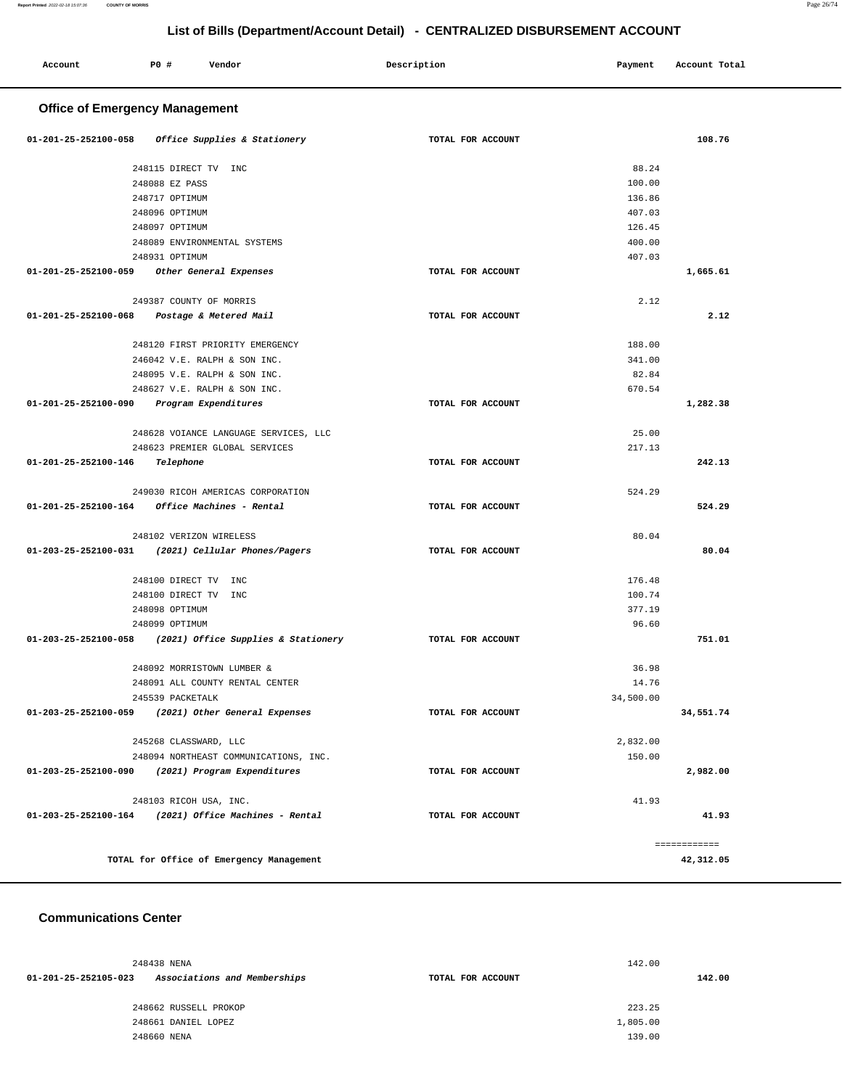| Account                               | P0 #<br>Vendor                                       | Description       | Payment   | Account Total |  |
|---------------------------------------|------------------------------------------------------|-------------------|-----------|---------------|--|
| <b>Office of Emergency Management</b> |                                                      |                   |           |               |  |
| 01-201-25-252100-058                  | Office Supplies & Stationery                         | TOTAL FOR ACCOUNT |           | 108.76        |  |
|                                       | 248115 DIRECT TV INC                                 |                   | 88.24     |               |  |
|                                       | 248088 EZ PASS                                       |                   | 100.00    |               |  |
|                                       | 248717 OPTIMUM                                       |                   | 136.86    |               |  |
|                                       | 248096 OPTIMUM                                       |                   | 407.03    |               |  |
|                                       | 248097 OPTIMUM                                       |                   | 126.45    |               |  |
|                                       | 248089 ENVIRONMENTAL SYSTEMS                         |                   | 400.00    |               |  |
|                                       | 248931 OPTIMUM                                       |                   | 407.03    |               |  |
| 01-201-25-252100-059                  | Other General Expenses                               | TOTAL FOR ACCOUNT |           | 1,665.61      |  |
|                                       | 249387 COUNTY OF MORRIS                              |                   | 2.12      |               |  |
| 01-201-25-252100-068                  | Postage & Metered Mail                               | TOTAL FOR ACCOUNT |           | 2.12          |  |
|                                       | 248120 FIRST PRIORITY EMERGENCY                      |                   | 188.00    |               |  |
|                                       | 246042 V.E. RALPH & SON INC.                         |                   | 341.00    |               |  |
|                                       | 248095 V.E. RALPH & SON INC.                         |                   | 82.84     |               |  |
|                                       | 248627 V.E. RALPH & SON INC.                         |                   | 670.54    |               |  |
| 01-201-25-252100-090                  | Program Expenditures                                 | TOTAL FOR ACCOUNT |           | 1,282.38      |  |
|                                       | 248628 VOIANCE LANGUAGE SERVICES, LLC                |                   | 25.00     |               |  |
|                                       | 248623 PREMIER GLOBAL SERVICES                       |                   | 217.13    |               |  |
| 01-201-25-252100-146                  | Telephone                                            | TOTAL FOR ACCOUNT |           | 242.13        |  |
|                                       | 249030 RICOH AMERICAS CORPORATION                    |                   | 524.29    |               |  |
| 01-201-25-252100-164                  | Office Machines - Rental                             | TOTAL FOR ACCOUNT |           | 524.29        |  |
|                                       | 248102 VERIZON WIRELESS                              |                   | 80.04     |               |  |
| 01-203-25-252100-031                  | (2021) Cellular Phones/Pagers                        | TOTAL FOR ACCOUNT |           | 80.04         |  |
|                                       | 248100 DIRECT TV<br>INC                              |                   | 176.48    |               |  |
|                                       | 248100 DIRECT TV<br>INC                              |                   | 100.74    |               |  |
|                                       | 248098 OPTIMUM                                       |                   | 377.19    |               |  |
|                                       | 248099 OPTIMUM                                       |                   | 96.60     |               |  |
| 01-203-25-252100-058                  | (2021) Office Supplies & Stationery                  | TOTAL FOR ACCOUNT |           | 751.01        |  |
|                                       | 248092 MORRISTOWN LUMBER &                           |                   | 36.98     |               |  |
|                                       | 248091 ALL COUNTY RENTAL CENTER                      |                   | 14.76     |               |  |
|                                       | 245539 PACKETALK                                     |                   | 34,500.00 |               |  |
|                                       | 01-203-25-252100-059 (2021) Other General Expenses   | TOTAL FOR ACCOUNT |           | 34,551.74     |  |
|                                       | 245268 CLASSWARD, LLC                                |                   | 2,832.00  |               |  |
|                                       | 248094 NORTHEAST COMMUNICATIONS, INC.                |                   | 150.00    |               |  |
|                                       | 01-203-25-252100-090 (2021) Program Expenditures     | TOTAL FOR ACCOUNT |           | 2,982.00      |  |
|                                       | 248103 RICOH USA, INC.                               |                   | 41.93     |               |  |
|                                       | 01-203-25-252100-164 (2021) Office Machines - Rental | TOTAL FOR ACCOUNT |           | 41.93         |  |
|                                       |                                                      |                   |           | ------------  |  |
|                                       | TOTAL for Office of Emergency Management             |                   |           | 42,312.05     |  |

#### **Communications Center**

| 248438 NENA          |                              |                   | 142.00   |  |  |
|----------------------|------------------------------|-------------------|----------|--|--|
| 01-201-25-252105-023 | Associations and Memberships | TOTAL FOR ACCOUNT | 142.00   |  |  |
|                      | 248662 RUSSELL PROKOP        |                   | 223.25   |  |  |
|                      | 248661 DANIEL LOPEZ          |                   | 1,805.00 |  |  |
|                      | 248660 NENA                  |                   | 139.00   |  |  |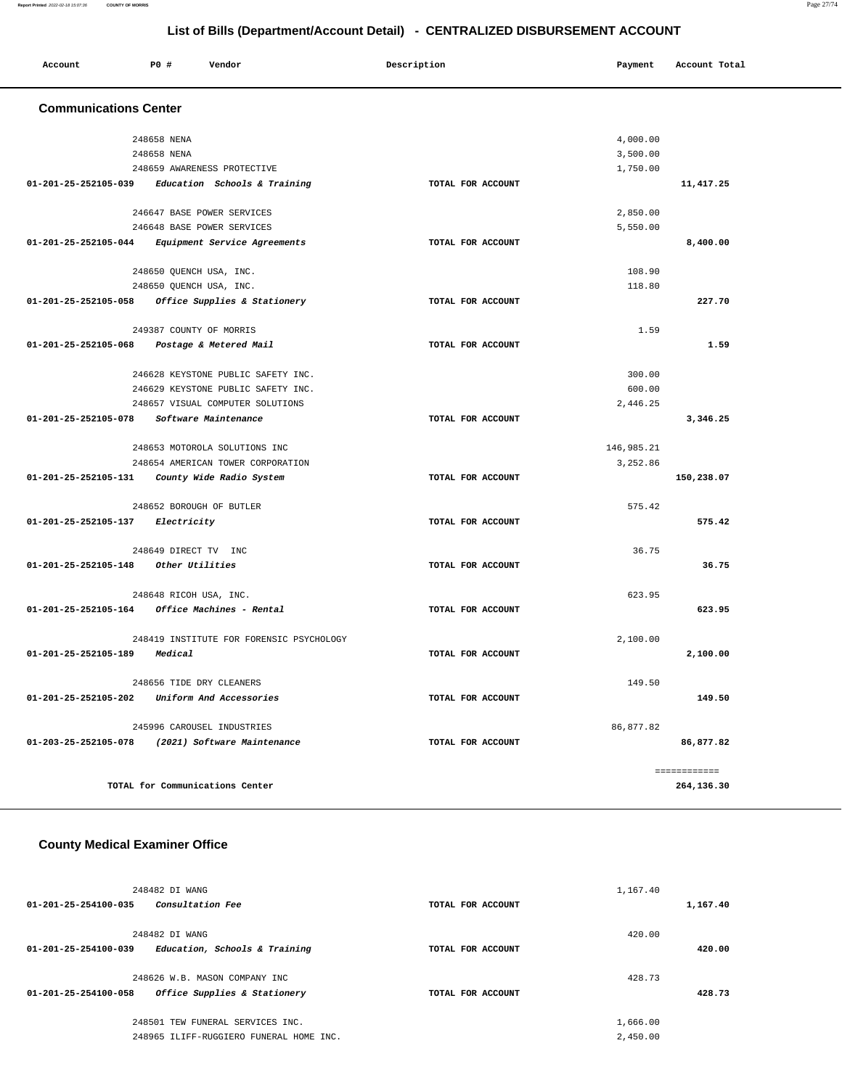#### **Report Printed** 2022-02-18 15:07:36 **COUNTY OF MORRIS** Page 27/74

# **List of Bills (Department/Account Detail) - CENTRALIZED DISBURSEMENT ACCOUNT**

| List of Dilis (DepartmentAccount Detail) - CLNTRALIZLD DISDOROLMENT ACCOUNT |                         |                                                   |                   |            |               |  |
|-----------------------------------------------------------------------------|-------------------------|---------------------------------------------------|-------------------|------------|---------------|--|
| Account                                                                     | P0 #                    | Vendor                                            | Description       | Payment    | Account Total |  |
| <b>Communications Center</b>                                                |                         |                                                   |                   |            |               |  |
|                                                                             | 248658 NENA             |                                                   |                   | 4,000.00   |               |  |
|                                                                             | 248658 NENA             |                                                   |                   | 3,500.00   |               |  |
|                                                                             |                         | 248659 AWARENESS PROTECTIVE                       |                   | 1,750.00   |               |  |
|                                                                             |                         | 01-201-25-252105-039 Education Schools & Training | TOTAL FOR ACCOUNT |            | 11,417.25     |  |
|                                                                             |                         | 246647 BASE POWER SERVICES                        |                   | 2,850.00   |               |  |
|                                                                             |                         | 246648 BASE POWER SERVICES                        |                   | 5,550.00   |               |  |
| 01-201-25-252105-044                                                        |                         | Equipment Service Agreements                      | TOTAL FOR ACCOUNT |            | 8,400.00      |  |
|                                                                             | 248650 QUENCH USA, INC. |                                                   |                   | 108.90     |               |  |
|                                                                             | 248650 QUENCH USA, INC. |                                                   |                   | 118.80     |               |  |
|                                                                             |                         | 01-201-25-252105-058 Office Supplies & Stationery | TOTAL FOR ACCOUNT |            | 227.70        |  |
|                                                                             | 249387 COUNTY OF MORRIS |                                                   |                   | 1.59       |               |  |
| 01-201-25-252105-068 Postage & Metered Mail                                 |                         |                                                   | TOTAL FOR ACCOUNT |            | 1.59          |  |
|                                                                             |                         | 246628 KEYSTONE PUBLIC SAFETY INC.                |                   | 300.00     |               |  |
|                                                                             |                         | 246629 KEYSTONE PUBLIC SAFETY INC.                |                   | 600.00     |               |  |
|                                                                             |                         | 248657 VISUAL COMPUTER SOLUTIONS                  |                   | 2,446.25   |               |  |
| 01-201-25-252105-078 Software Maintenance                                   |                         |                                                   | TOTAL FOR ACCOUNT |            | 3,346.25      |  |
|                                                                             |                         | 248653 MOTOROLA SOLUTIONS INC                     |                   | 146,985.21 |               |  |
|                                                                             |                         | 248654 AMERICAN TOWER CORPORATION                 |                   | 3,252.86   |               |  |
| 01-201-25-252105-131  County Wide Radio System                              |                         |                                                   | TOTAL FOR ACCOUNT |            | 150,238.07    |  |
|                                                                             |                         | 248652 BOROUGH OF BUTLER                          |                   | 575.42     |               |  |
| $01 - 201 - 25 - 252105 - 137$ Electricity                                  |                         |                                                   | TOTAL FOR ACCOUNT |            | 575.42        |  |
|                                                                             | 248649 DIRECT TV INC    |                                                   |                   | 36.75      |               |  |
| 01-201-25-252105-148 Other Utilities                                        |                         |                                                   | TOTAL FOR ACCOUNT |            | 36.75         |  |
|                                                                             | 248648 RICOH USA, INC.  |                                                   |                   | 623.95     |               |  |
| 01-201-25-252105-164 Office Machines - Rental                               |                         |                                                   | TOTAL FOR ACCOUNT |            | 623.95        |  |
|                                                                             |                         | 248419 INSTITUTE FOR FORENSIC PSYCHOLOGY          |                   | 2.100.00   |               |  |
| 01-201-25-252105-189                                                        | Medical                 |                                                   | TOTAL FOR ACCOUNT |            | 2,100.00      |  |
|                                                                             |                         | 248656 TIDE DRY CLEANERS                          |                   | 149.50     |               |  |
| 01-201-25-252105-202 Uniform And Accessories                                |                         |                                                   | TOTAL FOR ACCOUNT |            | 149.50        |  |
|                                                                             |                         | 245996 CAROUSEL INDUSTRIES                        |                   | 86,877.82  |               |  |
| 01-203-25-252105-078 (2021) Software Maintenance                            |                         |                                                   | TOTAL FOR ACCOUNT |            | 86,877.82     |  |
|                                                                             |                         |                                                   |                   |            | ============  |  |
|                                                                             |                         | TOTAL for Communications Center                   |                   |            | 264,136.30    |  |

# **County Medical Examiner Office**

| 248482 DI WANG                                        |                   | 1,167.40 |
|-------------------------------------------------------|-------------------|----------|
| Consultation Fee<br>$01 - 201 - 25 - 254100 - 035$    | TOTAL FOR ACCOUNT | 1,167.40 |
|                                                       |                   |          |
| 248482 DI WANG                                        |                   | 420.00   |
| 01-201-25-254100-039<br>Education, Schools & Training | TOTAL FOR ACCOUNT | 420.00   |
|                                                       |                   |          |
| 248626 W.B. MASON COMPANY INC                         |                   | 428.73   |
| 01-201-25-254100-058<br>Office Supplies & Stationery  | TOTAL FOR ACCOUNT | 428.73   |
|                                                       |                   |          |
| 248501 TEW FUNERAL SERVICES INC.                      |                   | 1,666.00 |
| 248965 ILIFF-RUGGIERO FUNERAL HOME INC.               |                   | 2,450.00 |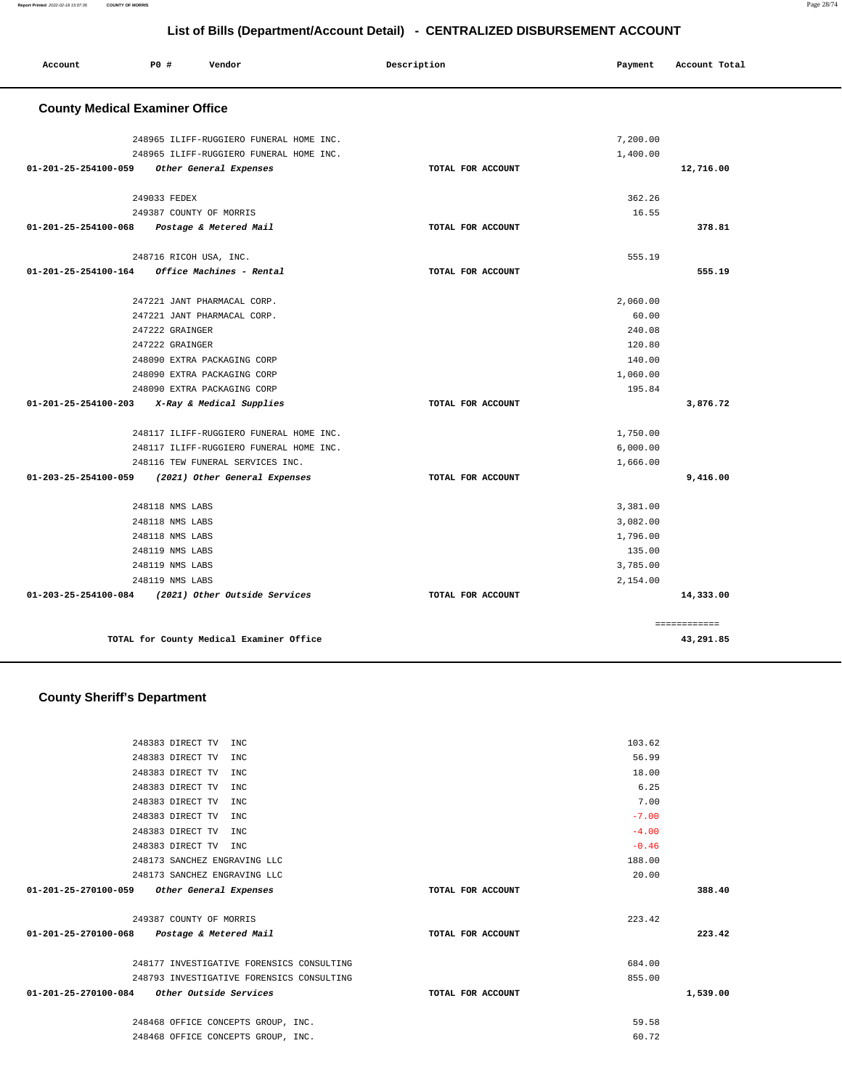#### 248118 NMS LABS 248118 NMS LABS 248118 NMS LABS 248119 NMS LABS 248119 NMS LABS 248119 NMS LABS **01-203-25-254100-084 (2021) Other Outside Services TOTAL FOR ACCOUNT**  3,381.00 3,082.00 1,796.00 135.00 3,785.00 2,154.00 **14,333.00** ============ **TOTAL for County Medical Examiner Office 43,291.85 County Sheriff's Department** 248383 DIRECT TV INC 248383 DIRECT TV INC 248383 DIRECT TV INC 248383 DIRECT TV INC 248383 DIRECT TV INC 248383 DIRECT TV INC 248383 DIRECT TV INC 248383 DIRECT TV INC 248173 SANCHEZ ENGRAVING LLC 248173 SANCHEZ ENGRAVING LLC **01-201-25-270100-059 Other General Expenses TOTAL FOR ACCOUNT**  103.62 56.99 18.00 6.25 7.00 -7.00 -4.00 -0.46 188.00 20.00 **388.40** 249387 COUNTY OF MORRIS **01-201-25-270100-068 Postage & Metered Mail TOTAL FOR ACCOUNT**  223.42 **223.42** 248177 INVESTIGATIVE FORENSICS CONSULTING 248793 INVESTIGATIVE FORENSICS CONSULTING **01-201-25-270100-084 Other Outside Services TOTAL FOR ACCOUNT**  684.00 855.00 **1,539.00**

 248468 OFFICE CONCEPTS GROUP, INC. 59.58 248468 OFFICE CONCEPTS GROUP, INC. 60.72

| 248965 ILIFF-RUGGIERO FUNERAL HOME INC.            |                   | 7,200.00 |           |
|----------------------------------------------------|-------------------|----------|-----------|
| 248965 ILIFF-RUGGIERO FUNERAL HOME INC.            |                   | 1,400.00 |           |
| Other General Expenses<br>01-201-25-254100-059     | TOTAL FOR ACCOUNT |          | 12,716.00 |
| 249033 FEDEX                                       |                   | 362.26   |           |
| 249387 COUNTY OF MORRIS                            |                   | 16.55    |           |
| 01-201-25-254100-068 Postage & Metered Mail        | TOTAL FOR ACCOUNT |          | 378.81    |
| 248716 RICOH USA, INC.                             |                   | 555.19   |           |
| 01-201-25-254100-164<br>Office Machines - Rental   | TOTAL FOR ACCOUNT |          | 555.19    |
| 247221 JANT PHARMACAL CORP.                        |                   | 2,060.00 |           |
| 247221 JANT PHARMACAL CORP.                        |                   | 60.00    |           |
| 247222 GRAINGER                                    |                   | 240.08   |           |
| 247222 GRAINGER                                    |                   | 120.80   |           |
| 248090 EXTRA PACKAGING CORP                        |                   | 140.00   |           |
| 248090 EXTRA PACKAGING CORP                        |                   | 1,060.00 |           |
| 248090 EXTRA PACKAGING CORP                        |                   | 195.84   |           |
| 01-201-25-254100-203 X-Ray & Medical Supplies      | TOTAL FOR ACCOUNT |          | 3,876.72  |
| 248117 ILIFF-RUGGIERO FUNERAL HOME INC.            |                   | 1,750.00 |           |
| 248117 ILIFF-RUGGIERO FUNERAL HOME INC.            |                   | 6,000.00 |           |
| 248116 TEW FUNERAL SERVICES INC.                   |                   | 1,666.00 |           |
| 01-203-25-254100-059 (2021) Other General Expenses | TOTAL FOR ACCOUNT |          | 9,416.00  |
| 248118 NMS LABS                                    |                   | 3,381.00 |           |
| 248118 NMS LABS                                    |                   | 3,082.00 |           |
| 248118 NMS LABS                                    |                   | 1,796.00 |           |
| 248119 NMS LABS                                    |                   | 135.00   |           |
| 248119 NMS LABS                                    |                   | 3,785.00 |           |
| CACIIO MMC TADO                                    |                   | 2.154.00 |           |

 **Account P0 # Vendor Description Payment Account Total**

 **County Medical Examiner Office**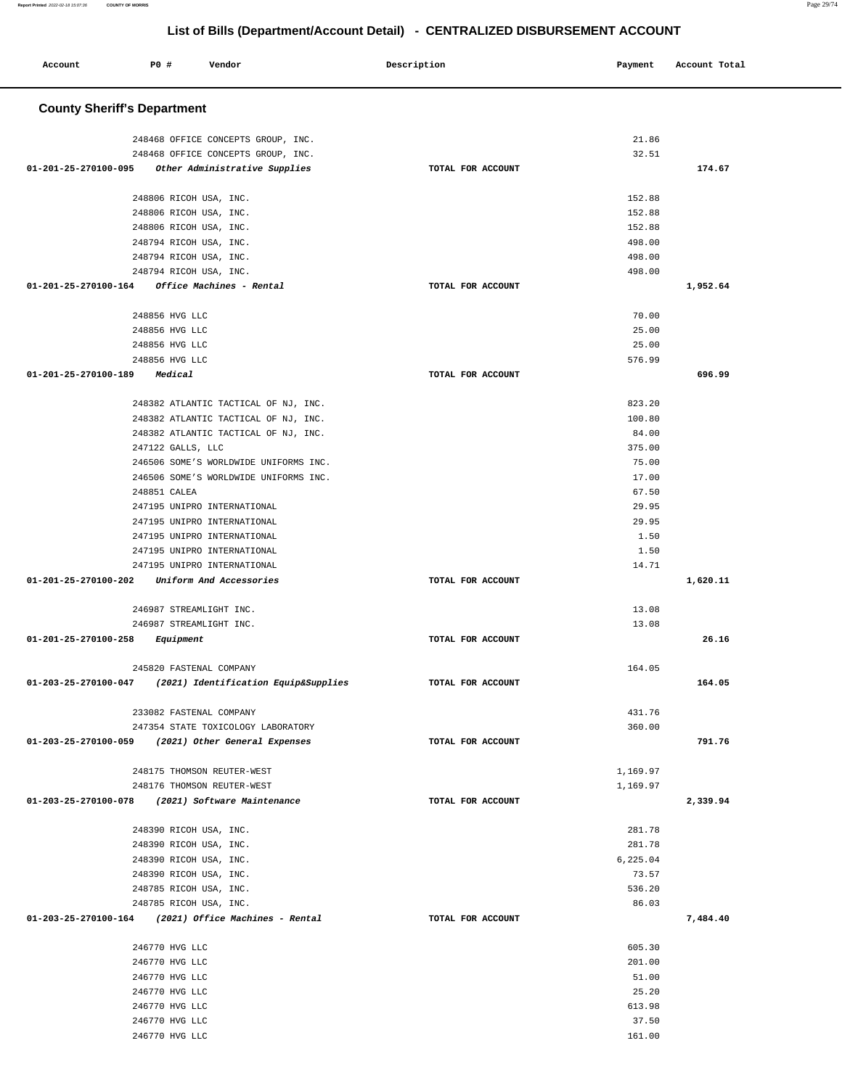#### **County Sheriff's Department**

| 248468 OFFICE CONCEPTS GROUP, INC.                        |                   | 21.86    |          |
|-----------------------------------------------------------|-------------------|----------|----------|
| 248468 OFFICE CONCEPTS GROUP, INC.                        |                   | 32.51    |          |
| 01-201-25-270100-095 Other Administrative Supplies        | TOTAL FOR ACCOUNT |          | 174.67   |
|                                                           |                   |          |          |
| 248806 RICOH USA, INC.                                    |                   | 152.88   |          |
| 248806 RICOH USA, INC.                                    |                   | 152.88   |          |
| 248806 RICOH USA, INC.                                    |                   | 152.88   |          |
| 248794 RICOH USA, INC.                                    |                   | 498.00   |          |
| 248794 RICOH USA, INC.                                    |                   | 498.00   |          |
| 248794 RICOH USA, INC.                                    |                   | 498.00   |          |
| 01-201-25-270100-164 Office Machines - Rental             | TOTAL FOR ACCOUNT |          | 1,952.64 |
|                                                           |                   |          |          |
| 248856 HVG LLC                                            |                   | 70.00    |          |
| 248856 HVG LLC                                            |                   | 25.00    |          |
| 248856 HVG LLC                                            |                   | 25.00    |          |
| 248856 HVG LLC                                            |                   | 576.99   |          |
| 01-201-25-270100-189 Medical                              | TOTAL FOR ACCOUNT |          | 696.99   |
|                                                           |                   |          |          |
| 248382 ATLANTIC TACTICAL OF NJ, INC.                      |                   | 823.20   |          |
| 248382 ATLANTIC TACTICAL OF NJ, INC.                      |                   | 100.80   |          |
| 248382 ATLANTIC TACTICAL OF NJ, INC.                      |                   | 84.00    |          |
| 247122 GALLS, LLC                                         |                   | 375.00   |          |
| 246506 SOME'S WORLDWIDE UNIFORMS INC.                     |                   | 75.00    |          |
| 246506 SOME'S WORLDWIDE UNIFORMS INC.                     |                   | 17.00    |          |
| 248851 CALEA                                              |                   | 67.50    |          |
| 247195 UNIPRO INTERNATIONAL                               |                   | 29.95    |          |
| 247195 UNIPRO INTERNATIONAL                               |                   | 29.95    |          |
| 247195 UNIPRO INTERNATIONAL                               |                   | 1.50     |          |
| 247195 UNIPRO INTERNATIONAL                               |                   | 1.50     |          |
| 247195 UNIPRO INTERNATIONAL                               |                   | 14.71    |          |
| 01-201-25-270100-202 Uniform And Accessories              | TOTAL FOR ACCOUNT |          | 1,620.11 |
|                                                           |                   |          |          |
| 246987 STREAMLIGHT INC.                                   |                   | 13.08    |          |
| 246987 STREAMLIGHT INC.                                   |                   | 13.08    |          |
| 01-201-25-270100-258 Equipment                            | TOTAL FOR ACCOUNT |          | 26.16    |
|                                                           |                   |          |          |
| 245820 FASTENAL COMPANY                                   |                   | 164.05   |          |
| 01-203-25-270100-047 (2021) Identification Equip&Supplies | TOTAL FOR ACCOUNT |          | 164.05   |
|                                                           |                   |          |          |
| 233082 FASTENAL COMPANY                                   |                   | 431.76   |          |
| 247354 STATE TOXICOLOGY LABORATORY                        |                   | 360.00   |          |
| 01-203-25-270100-059<br>(2021) Other General Expenses     | TOTAL FOR ACCOUNT |          | 791.76   |
|                                                           |                   |          |          |
| 248175 THOMSON REUTER-WEST                                |                   | 1,169.97 |          |
| 248176 THOMSON REUTER-WEST                                |                   | 1,169.97 |          |
| 01-203-25-270100-078 (2021) Software Maintenance          | TOTAL FOR ACCOUNT |          | 2,339.94 |
|                                                           |                   |          |          |
| 248390 RICOH USA, INC.                                    |                   | 281.78   |          |
| 248390 RICOH USA, INC.                                    |                   | 281.78   |          |
| 248390 RICOH USA, INC.                                    |                   | 6,225.04 |          |
| 248390 RICOH USA, INC.                                    |                   | 73.57    |          |
| 248785 RICOH USA, INC.                                    |                   | 536.20   |          |
| 248785 RICOH USA, INC.                                    |                   | 86.03    |          |
| 01-203-25-270100-164 (2021) Office Machines - Rental      | TOTAL FOR ACCOUNT |          | 7,484.40 |
|                                                           |                   |          |          |
| 246770 HVG LLC                                            |                   | 605.30   |          |
| 246770 HVG LLC                                            |                   | 201.00   |          |
| 246770 HVG LLC                                            |                   | 51.00    |          |
| 246770 HVG LLC                                            |                   | 25.20    |          |
| 246770 HVG LLC                                            |                   | 613.98   |          |
| 246770 HVG LLC                                            |                   | 37.50    |          |
| 246770 HVG LLC                                            |                   | 161.00   |          |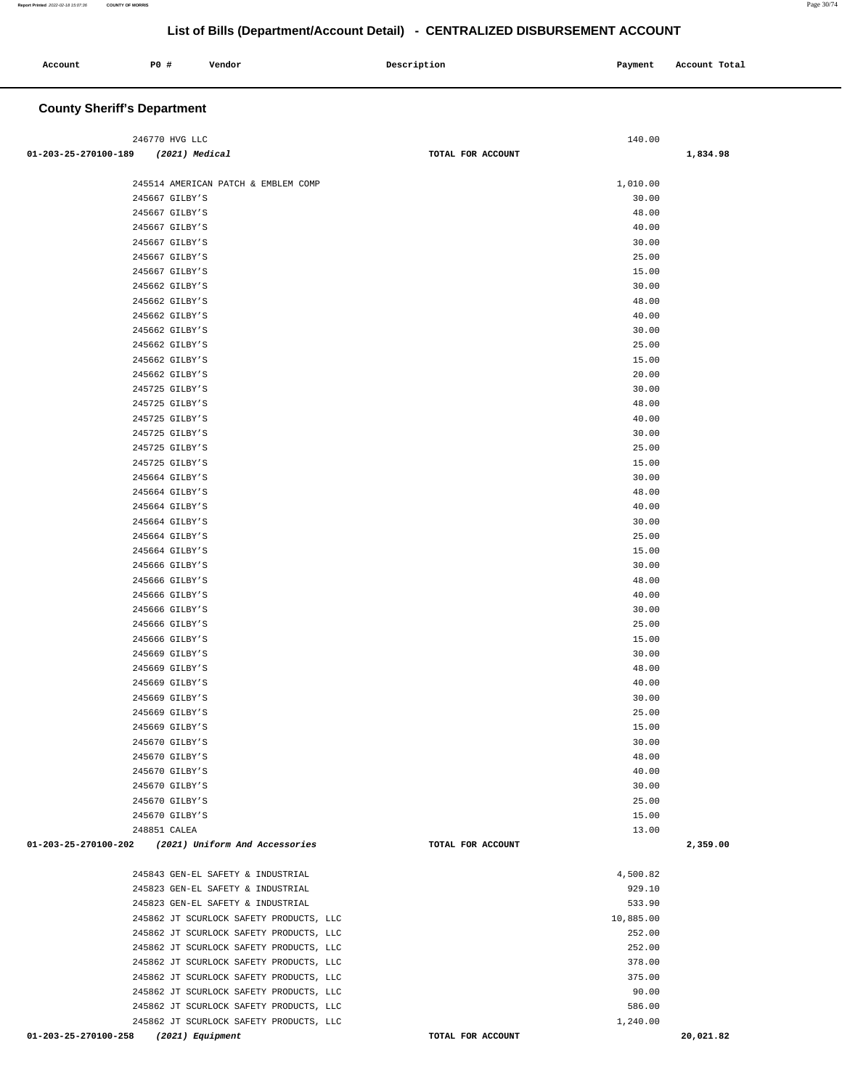| Account | P0 # | Vendor | Description | Payment | Account Total |
|---------|------|--------|-------------|---------|---------------|
|         |      |        |             |         |               |

# **County Sheriff's Department**

| 246770 HVG LLC                                      |                   | 140.00    |           |
|-----------------------------------------------------|-------------------|-----------|-----------|
| (2021) Medical<br>01-203-25-270100-189              | TOTAL FOR ACCOUNT |           | 1,834.98  |
|                                                     |                   |           |           |
| 245514 AMERICAN PATCH & EMBLEM COMP                 |                   | 1,010.00  |           |
| 245667 GILBY'S                                      |                   | 30.00     |           |
| 245667 GILBY'S                                      |                   | 48.00     |           |
| 245667 GILBY'S                                      |                   | 40.00     |           |
| 245667 GILBY'S                                      |                   | 30.00     |           |
| 245667 GILBY'S                                      |                   | 25.00     |           |
| 245667 GILBY'S                                      |                   | 15.00     |           |
|                                                     |                   |           |           |
| 245662 GILBY'S                                      |                   | 30.00     |           |
| 245662 GILBY'S                                      |                   | 48.00     |           |
| 245662 GILBY'S                                      |                   | 40.00     |           |
| 245662 GILBY'S                                      |                   | 30.00     |           |
| 245662 GILBY'S                                      |                   | 25.00     |           |
| 245662 GILBY'S                                      |                   | 15.00     |           |
| 245662 GILBY'S                                      |                   | 20.00     |           |
| 245725 GILBY'S                                      |                   | 30.00     |           |
| 245725 GILBY'S                                      |                   | 48.00     |           |
| 245725 GILBY'S                                      |                   | 40.00     |           |
| 245725 GILBY'S                                      |                   | 30.00     |           |
| 245725 GILBY'S                                      |                   | 25.00     |           |
| 245725 GILBY'S                                      |                   | 15.00     |           |
| 245664 GILBY'S                                      |                   | 30.00     |           |
| 245664 GILBY'S                                      |                   | 48.00     |           |
|                                                     |                   |           |           |
| 245664 GILBY'S                                      |                   | 40.00     |           |
| 245664 GILBY'S                                      |                   | 30.00     |           |
| 245664 GILBY'S                                      |                   | 25.00     |           |
| 245664 GILBY'S                                      |                   | 15.00     |           |
| 245666 GILBY'S                                      |                   | 30.00     |           |
| 245666 GILBY'S                                      |                   | 48.00     |           |
| 245666 GILBY'S                                      |                   | 40.00     |           |
| 245666 GILBY'S                                      |                   | 30.00     |           |
| 245666 GILBY'S                                      |                   | 25.00     |           |
| 245666 GILBY'S                                      |                   | 15.00     |           |
| 245669 GILBY'S                                      |                   | 30.00     |           |
| 245669 GILBY'S                                      |                   | 48.00     |           |
| 245669 GILBY'S                                      |                   | 40.00     |           |
| 245669 GILBY'S                                      |                   | 30.00     |           |
| 245669 GILBY'S                                      |                   | 25.00     |           |
| 245669 GILBY'S                                      |                   | 15.00     |           |
|                                                     |                   | 30.00     |           |
| 245670 GILBY'S                                      |                   |           |           |
| 245670 GILBY'S                                      |                   | 48.00     |           |
| 245670 GILBY'S                                      |                   | 40.00     |           |
| 245670 GILBY'S                                      |                   | 30.00     |           |
| 245670 GILBY'S                                      |                   | 25.00     |           |
| 245670 GILBY'S                                      |                   | 15.00     |           |
| 248851 CALEA                                        |                   | 13.00     |           |
| 01-203-25-270100-202 (2021) Uniform And Accessories | TOTAL FOR ACCOUNT |           | 2,359.00  |
|                                                     |                   |           |           |
| 245843 GEN-EL SAFETY & INDUSTRIAL                   |                   | 4,500.82  |           |
| 245823 GEN-EL SAFETY & INDUSTRIAL                   |                   | 929.10    |           |
| 245823 GEN-EL SAFETY & INDUSTRIAL                   |                   | 533.90    |           |
| 245862 JT SCURLOCK SAFETY PRODUCTS, LLC             |                   | 10,885.00 |           |
| 245862 JT SCURLOCK SAFETY PRODUCTS, LLC             |                   | 252.00    |           |
| 245862 JT SCURLOCK SAFETY PRODUCTS, LLC             |                   | 252.00    |           |
| 245862 JT SCURLOCK SAFETY PRODUCTS, LLC             |                   | 378.00    |           |
| 245862 JT SCURLOCK SAFETY PRODUCTS, LLC             |                   | 375.00    |           |
| 245862 JT SCURLOCK SAFETY PRODUCTS, LLC             |                   | 90.00     |           |
| 245862 JT SCURLOCK SAFETY PRODUCTS, LLC             |                   | 586.00    |           |
|                                                     |                   |           |           |
| 245862 JT SCURLOCK SAFETY PRODUCTS, LLC             |                   | 1,240.00  |           |
| 01-203-25-270100-258<br>(2021) Equipment            | TOTAL FOR ACCOUNT |           | 20,021.82 |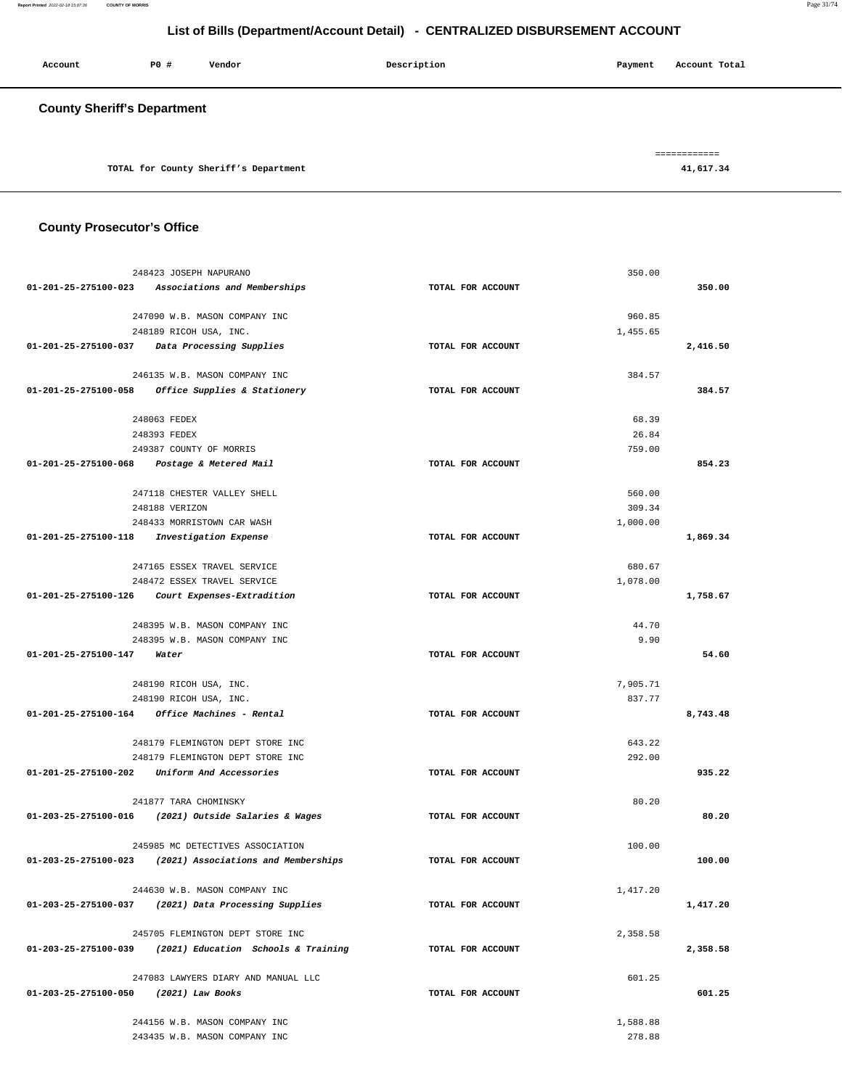| Account                            | <b>PO #</b> | Vendor                                | Description | Account Total<br>Payment   |
|------------------------------------|-------------|---------------------------------------|-------------|----------------------------|
| <b>County Sheriff's Department</b> |             |                                       |             |                            |
|                                    |             | TOTAL for County Sheriff's Department |             | -------------<br>41,617.34 |

<u> 1989 - Johann Barn, amerikansk politiker (</u>

## **County Prosecutor's Office**

|                                       | 248423 JOSEPH NAPURANO                                                                                 |                   | 350.00   |          |
|---------------------------------------|--------------------------------------------------------------------------------------------------------|-------------------|----------|----------|
|                                       | 01-201-25-275100-023 Associations and Memberships                                                      | TOTAL FOR ACCOUNT |          | 350.00   |
|                                       |                                                                                                        |                   |          |          |
|                                       | 247090 W.B. MASON COMPANY INC                                                                          |                   | 960.85   |          |
|                                       | 248189 RICOH USA, INC.                                                                                 |                   | 1,455.65 |          |
|                                       | 01-201-25-275100-037 Data Processing Supplies                                                          | TOTAL FOR ACCOUNT |          | 2,416.50 |
|                                       |                                                                                                        |                   |          |          |
|                                       | 246135 W.B. MASON COMPANY INC                                                                          |                   | 384.57   |          |
|                                       | 01-201-25-275100-058 Office Supplies & Stationery                                                      | TOTAL FOR ACCOUNT |          | 384.57   |
|                                       | 248063 FEDEX                                                                                           |                   | 68.39    |          |
|                                       | 248393 FEDEX                                                                                           |                   | 26.84    |          |
|                                       | 249387 COUNTY OF MORRIS                                                                                |                   | 759.00   |          |
|                                       | 01-201-25-275100-068 Postage & Metered Mail                                                            | TOTAL FOR ACCOUNT |          | 854.23   |
|                                       |                                                                                                        |                   |          |          |
|                                       | 247118 CHESTER VALLEY SHELL                                                                            |                   | 560.00   |          |
|                                       | 248188 VERIZON                                                                                         |                   | 309.34   |          |
|                                       | 248433 MORRISTOWN CAR WASH                                                                             |                   | 1,000.00 |          |
|                                       | 01-201-25-275100-118 Investigation Expense                                                             | TOTAL FOR ACCOUNT |          | 1,869.34 |
|                                       |                                                                                                        |                   |          |          |
|                                       | 247165 ESSEX TRAVEL SERVICE                                                                            |                   | 680.67   |          |
|                                       | 248472 ESSEX TRAVEL SERVICE                                                                            |                   | 1,078.00 |          |
|                                       | 01-201-25-275100-126 Court Expenses-Extradition                                                        | TOTAL FOR ACCOUNT |          | 1,758.67 |
|                                       |                                                                                                        |                   |          |          |
|                                       | 248395 W.B. MASON COMPANY INC                                                                          |                   | 44.70    |          |
|                                       | 248395 W.B. MASON COMPANY INC                                                                          |                   | 9.90     |          |
| 01-201-25-275100-147 Water            |                                                                                                        | TOTAL FOR ACCOUNT |          | 54.60    |
|                                       |                                                                                                        |                   | 7,905.71 |          |
|                                       | 248190 RICOH USA, INC.<br>248190 RICOH USA, INC.                                                       |                   | 837.77   |          |
|                                       | 01-201-25-275100-164 Office Machines - Rental                                                          | TOTAL FOR ACCOUNT |          | 8,743.48 |
|                                       |                                                                                                        |                   |          |          |
|                                       | 248179 FLEMINGTON DEPT STORE INC                                                                       |                   | 643.22   |          |
|                                       | 248179 FLEMINGTON DEPT STORE INC                                                                       |                   | 292.00   |          |
|                                       | 01-201-25-275100-202 Uniform And Accessories                                                           | TOTAL FOR ACCOUNT |          | 935.22   |
|                                       |                                                                                                        |                   |          |          |
|                                       | 241877 TARA CHOMINSKY                                                                                  |                   | 80.20    |          |
|                                       | 01-203-25-275100-016 (2021) Outside Salaries & Wages                                                   | TOTAL FOR ACCOUNT |          | 80.20    |
|                                       |                                                                                                        |                   |          |          |
|                                       | 245985 MC DETECTIVES ASSOCIATION                                                                       |                   | 100.00   |          |
|                                       | $01-203-25-275100-023$ (2021) Associations and Memberships                                             | TOTAL FOR ACCOUNT |          | 100.00   |
|                                       |                                                                                                        |                   |          |          |
|                                       | 244630 W.B. MASON COMPANY INC                                                                          |                   | 1,417.20 |          |
|                                       | $01-203-25-275100-037$ (2021) Data Processing Supplies                                                 | TOTAL FOR ACCOUNT |          | 1,417.20 |
|                                       |                                                                                                        |                   |          |          |
|                                       | 245705 FLEMINGTON DEPT STORE INC<br>$01 - 203 - 25 - 275100 - 039$ (2021) Education Schools & Training | TOTAL FOR ACCOUNT | 2,358.58 | 2,358.58 |
|                                       |                                                                                                        |                   |          |          |
|                                       | 247083 LAWYERS DIARY AND MANUAL LLC                                                                    |                   | 601.25   |          |
| 01-203-25-275100-050 (2021) Law Books |                                                                                                        | TOTAL FOR ACCOUNT |          | 601.25   |
|                                       |                                                                                                        |                   |          |          |
|                                       | 244156 W.B. MASON COMPANY INC                                                                          |                   | 1,588.88 |          |
|                                       | 243435 W.B. MASON COMPANY INC                                                                          |                   | 278.88   |          |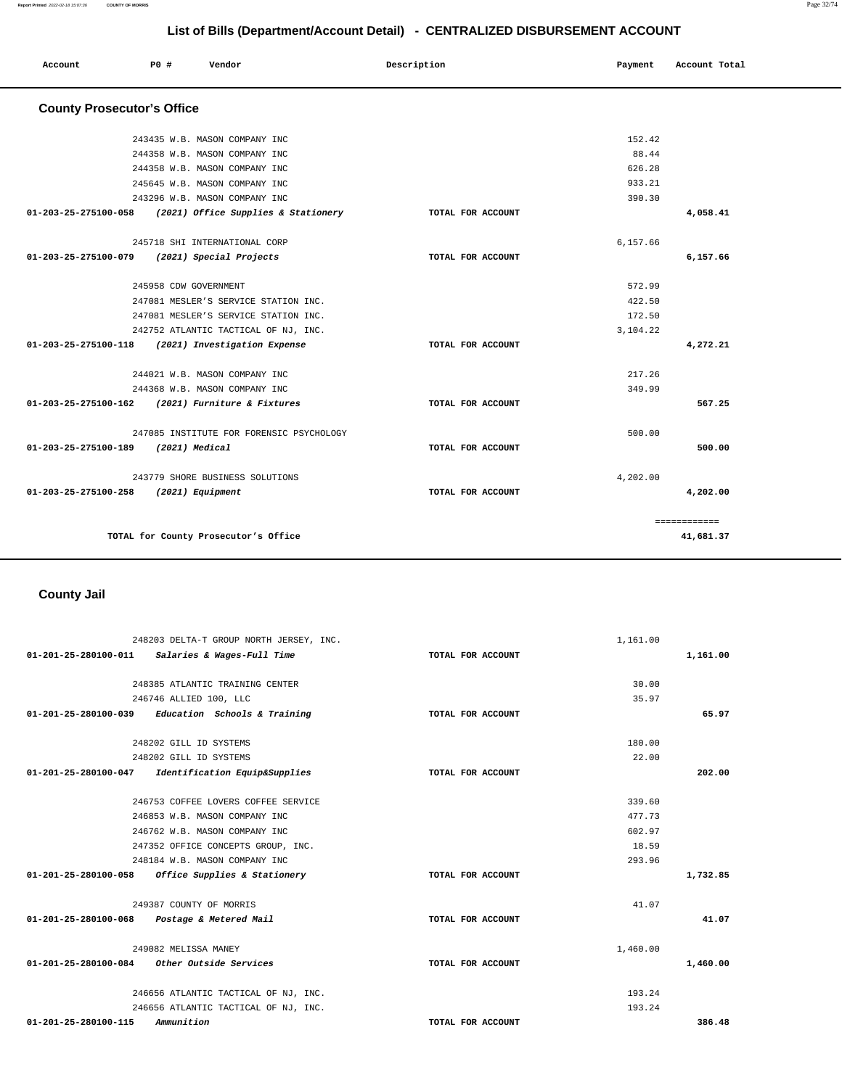| Account<br>. | P0 # | Vendor | Description | Payment | Account Total |
|--------------|------|--------|-------------|---------|---------------|
|              |      |        |             |         |               |

# **County Prosecutor's Office**

|                                       | 243435 W.B. MASON COMPANY INC                            |                   | 152.42   |              |
|---------------------------------------|----------------------------------------------------------|-------------------|----------|--------------|
|                                       | 244358 W.B. MASON COMPANY INC                            |                   | 88.44    |              |
|                                       | 244358 W.B. MASON COMPANY INC                            |                   | 626.28   |              |
|                                       | 245645 W.B. MASON COMPANY INC                            |                   | 933.21   |              |
|                                       | 243296 W.B. MASON COMPANY INC                            |                   | 390.30   |              |
|                                       | 01-203-25-275100-058 (2021) Office Supplies & Stationery | TOTAL FOR ACCOUNT |          | 4,058.41     |
|                                       |                                                          |                   |          |              |
|                                       | 245718 SHI INTERNATIONAL CORP                            |                   | 6,157.66 |              |
| 01-203-25-275100-079                  | (2021) Special Projects                                  | TOTAL FOR ACCOUNT |          | 6,157.66     |
|                                       |                                                          |                   |          |              |
|                                       | 245958 CDW GOVERNMENT                                    |                   | 572.99   |              |
|                                       | 247081 MESLER'S SERVICE STATION INC.                     |                   | 422.50   |              |
|                                       | 247081 MESLER'S SERVICE STATION INC.                     |                   | 172.50   |              |
|                                       | 242752 ATLANTIC TACTICAL OF NJ, INC.                     |                   | 3,104.22 |              |
|                                       | 01-203-25-275100-118 (2021) Investigation Expense        | TOTAL FOR ACCOUNT |          | 4,272.21     |
|                                       |                                                          |                   |          |              |
|                                       | 244021 W.B. MASON COMPANY INC.                           |                   | 217.26   |              |
|                                       | 244368 W.B. MASON COMPANY INC                            |                   | 349.99   |              |
|                                       | 01-203-25-275100-162 (2021) Furniture & Fixtures         | TOTAL FOR ACCOUNT |          | 567.25       |
|                                       |                                                          |                   |          |              |
|                                       | 247085 INSTITUTE FOR FORENSIC PSYCHOLOGY                 |                   | 500.00   |              |
| 01-203-25-275100-189 (2021) Medical   |                                                          | TOTAL FOR ACCOUNT |          | 500.00       |
|                                       |                                                          |                   |          |              |
|                                       | 243779 SHORE BUSINESS SOLUTIONS                          |                   | 4,202.00 |              |
| 01-203-25-275100-258 (2021) Equipment |                                                          | TOTAL FOR ACCOUNT |          | 4,202.00     |
|                                       |                                                          |                   |          |              |
|                                       |                                                          |                   |          | ============ |
|                                       | TOTAL for County Prosecutor's Office                     |                   |          | 41,681.37    |
|                                       |                                                          |                   |          |              |

# **County Jail**

|                      | 248203 DELTA-T GROUP NORTH JERSEY, INC.             |                   | 1,161.00 |          |
|----------------------|-----------------------------------------------------|-------------------|----------|----------|
|                      | $01-201-25-280100-011$ Salaries & Wages-Full Time   | TOTAL FOR ACCOUNT |          | 1,161.00 |
|                      |                                                     |                   |          |          |
|                      | 248385 ATLANTIC TRAINING CENTER                     |                   | 30.00    |          |
|                      | 246746 ALLIED 100, LLC                              |                   | 35.97    |          |
|                      | $01-201-25-280100-039$ Education Schools & Training | TOTAL FOR ACCOUNT |          | 65.97    |
|                      | 248202 GILL ID SYSTEMS                              |                   | 180.00   |          |
|                      | 248202 GILL ID SYSTEMS                              |                   | 22.00    |          |
|                      | 01-201-25-280100-047 Identification Equip&Supplies  | TOTAL FOR ACCOUNT |          | 202.00   |
|                      | 246753 COFFEE LOVERS COFFEE SERVICE                 |                   | 339.60   |          |
|                      | 246853 W.B. MASON COMPANY INC                       |                   | 477.73   |          |
|                      | 246762 W.B. MASON COMPANY INC                       |                   | 602.97   |          |
|                      | 247352 OFFICE CONCEPTS GROUP, INC.                  |                   | 18.59    |          |
|                      | 248184 W.B. MASON COMPANY INC                       |                   | 293.96   |          |
|                      | 01-201-25-280100-058 Office Supplies & Stationery   | TOTAL FOR ACCOUNT |          | 1,732.85 |
|                      | 249387 COUNTY OF MORRIS                             |                   | 41.07    |          |
|                      | 01-201-25-280100-068 Postage & Metered Mail         | TOTAL FOR ACCOUNT |          | 41.07    |
|                      | 249082 MELISSA MANEY                                |                   | 1,460.00 |          |
|                      | 01-201-25-280100-084 Other Outside Services         | TOTAL FOR ACCOUNT |          | 1,460.00 |
|                      | 246656 ATLANTIC TACTICAL OF NJ, INC.                |                   | 193.24   |          |
|                      | 246656 ATLANTIC TACTICAL OF NJ, INC.                |                   | 193.24   |          |
| 01-201-25-280100-115 | Ammunition                                          | TOTAL FOR ACCOUNT |          | 386.48   |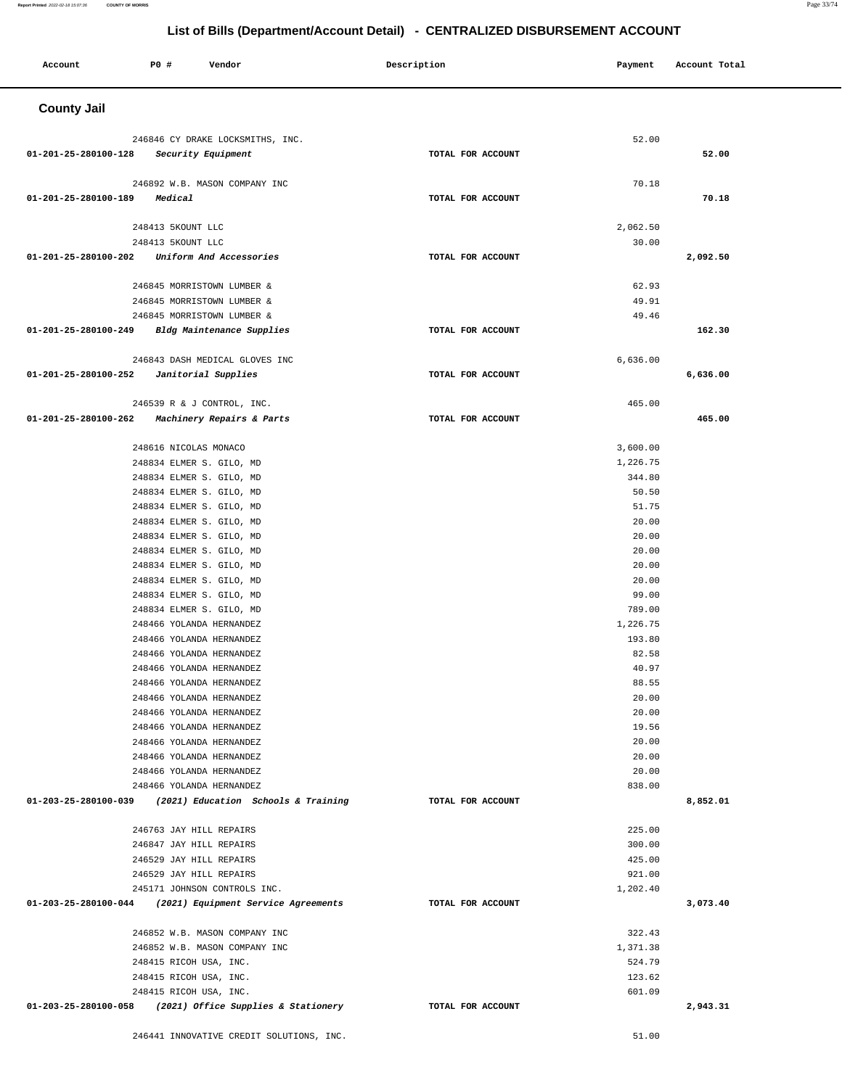| Account              | <b>PO #</b>                                              | Vendor                                                   | Description       | Payment            | Account Total |
|----------------------|----------------------------------------------------------|----------------------------------------------------------|-------------------|--------------------|---------------|
| <b>County Jail</b>   |                                                          |                                                          |                   |                    |               |
|                      |                                                          |                                                          |                   | 52.00              |               |
| 01-201-25-280100-128 |                                                          | 246846 CY DRAKE LOCKSMITHS, INC.<br>Security Equipment   | TOTAL FOR ACCOUNT |                    | 52.00         |
|                      |                                                          |                                                          |                   |                    |               |
|                      |                                                          | 246892 W.B. MASON COMPANY INC                            |                   | 70.18              |               |
| 01-201-25-280100-189 | Medical                                                  |                                                          | TOTAL FOR ACCOUNT |                    | 70.18         |
|                      |                                                          |                                                          |                   |                    |               |
|                      | 248413 5KOUNT LLC                                        |                                                          |                   | 2,062.50           |               |
|                      | 248413 5KOUNT LLC                                        |                                                          |                   | 30.00              |               |
| 01-201-25-280100-202 |                                                          | Uniform And Accessories                                  | TOTAL FOR ACCOUNT |                    | 2,092.50      |
|                      |                                                          |                                                          |                   |                    |               |
|                      | 246845 MORRISTOWN LUMBER &<br>246845 MORRISTOWN LUMBER & |                                                          |                   | 62.93<br>49.91     |               |
|                      | 246845 MORRISTOWN LUMBER &                               |                                                          |                   | 49.46              |               |
| 01-201-25-280100-249 |                                                          | Bldg Maintenance Supplies                                | TOTAL FOR ACCOUNT |                    | 162.30        |
|                      |                                                          |                                                          |                   |                    |               |
|                      |                                                          | 246843 DASH MEDICAL GLOVES INC                           |                   | 6,636.00           |               |
| 01-201-25-280100-252 |                                                          | Janitorial Supplies                                      | TOTAL FOR ACCOUNT |                    | 6,636.00      |
|                      |                                                          |                                                          |                   |                    |               |
|                      | 246539 R & J CONTROL, INC.                               |                                                          |                   | 465.00             |               |
| 01-201-25-280100-262 |                                                          | Machinery Repairs & Parts                                | TOTAL FOR ACCOUNT |                    | 465.00        |
|                      |                                                          |                                                          |                   |                    |               |
|                      | 248616 NICOLAS MONACO                                    |                                                          |                   | 3,600.00           |               |
|                      | 248834 ELMER S. GILO, MD                                 |                                                          |                   | 1,226.75<br>344.80 |               |
|                      | 248834 ELMER S. GILO, MD<br>248834 ELMER S. GILO, MD     |                                                          |                   | 50.50              |               |
|                      | 248834 ELMER S. GILO, MD                                 |                                                          |                   | 51.75              |               |
|                      | 248834 ELMER S. GILO, MD                                 |                                                          |                   | 20.00              |               |
|                      | 248834 ELMER S. GILO, MD                                 |                                                          |                   | 20.00              |               |
|                      | 248834 ELMER S. GILO, MD                                 |                                                          |                   | 20.00              |               |
|                      | 248834 ELMER S. GILO, MD                                 |                                                          |                   | 20.00              |               |
|                      | 248834 ELMER S. GILO, MD                                 |                                                          |                   | 20.00              |               |
|                      | 248834 ELMER S. GILO, MD                                 |                                                          |                   | 99.00              |               |
|                      | 248834 ELMER S. GILO, MD                                 |                                                          |                   | 789.00             |               |
|                      | 248466 YOLANDA HERNANDEZ                                 |                                                          |                   | 1,226.75           |               |
|                      | 248466 YOLANDA HERNANDEZ                                 |                                                          |                   | 193.80             |               |
|                      | 248466 YOLANDA HERNANDEZ                                 |                                                          |                   | 82.58              |               |
|                      | 248466 YOLANDA HERNANDEZ<br>248466 YOLANDA HERNANDEZ     |                                                          |                   | 40.97<br>88.55     |               |
|                      | 248466 YOLANDA HERNANDEZ                                 |                                                          |                   | 20.00              |               |
|                      | 248466 YOLANDA HERNANDEZ                                 |                                                          |                   | 20.00              |               |
|                      | 248466 YOLANDA HERNANDEZ                                 |                                                          |                   | 19.56              |               |
|                      | 248466 YOLANDA HERNANDEZ                                 |                                                          |                   | 20.00              |               |
|                      | 248466 YOLANDA HERNANDEZ                                 |                                                          |                   | 20.00              |               |
|                      | 248466 YOLANDA HERNANDEZ                                 |                                                          |                   | 20.00              |               |
|                      | 248466 YOLANDA HERNANDEZ                                 |                                                          |                   | 838.00             |               |
| 01-203-25-280100-039 |                                                          | (2021) Education Schools & Training                      | TOTAL FOR ACCOUNT |                    | 8,852.01      |
|                      |                                                          |                                                          |                   | 225.00             |               |
|                      | 246763 JAY HILL REPAIRS<br>246847 JAY HILL REPAIRS       |                                                          |                   | 300.00             |               |
|                      | 246529 JAY HILL REPAIRS                                  |                                                          |                   | 425.00             |               |
|                      | 246529 JAY HILL REPAIRS                                  |                                                          |                   | 921.00             |               |
|                      |                                                          | 245171 JOHNSON CONTROLS INC.                             |                   | 1,202.40           |               |
|                      |                                                          | 01-203-25-280100-044 (2021) Equipment Service Agreements | TOTAL FOR ACCOUNT |                    | 3,073.40      |
|                      |                                                          |                                                          |                   |                    |               |
|                      |                                                          | 246852 W.B. MASON COMPANY INC                            |                   | 322.43             |               |
|                      |                                                          | 246852 W.B. MASON COMPANY INC                            |                   | 1,371.38           |               |
|                      | 248415 RICOH USA, INC.                                   |                                                          |                   | 524.79             |               |
|                      | 248415 RICOH USA, INC.                                   |                                                          |                   | 123.62             |               |
|                      | 248415 RICOH USA, INC.                                   |                                                          | TOTAL FOR ACCOUNT | 601.09             |               |
|                      |                                                          | 01-203-25-280100-058 (2021) Office Supplies & Stationery |                   |                    | 2,943.31      |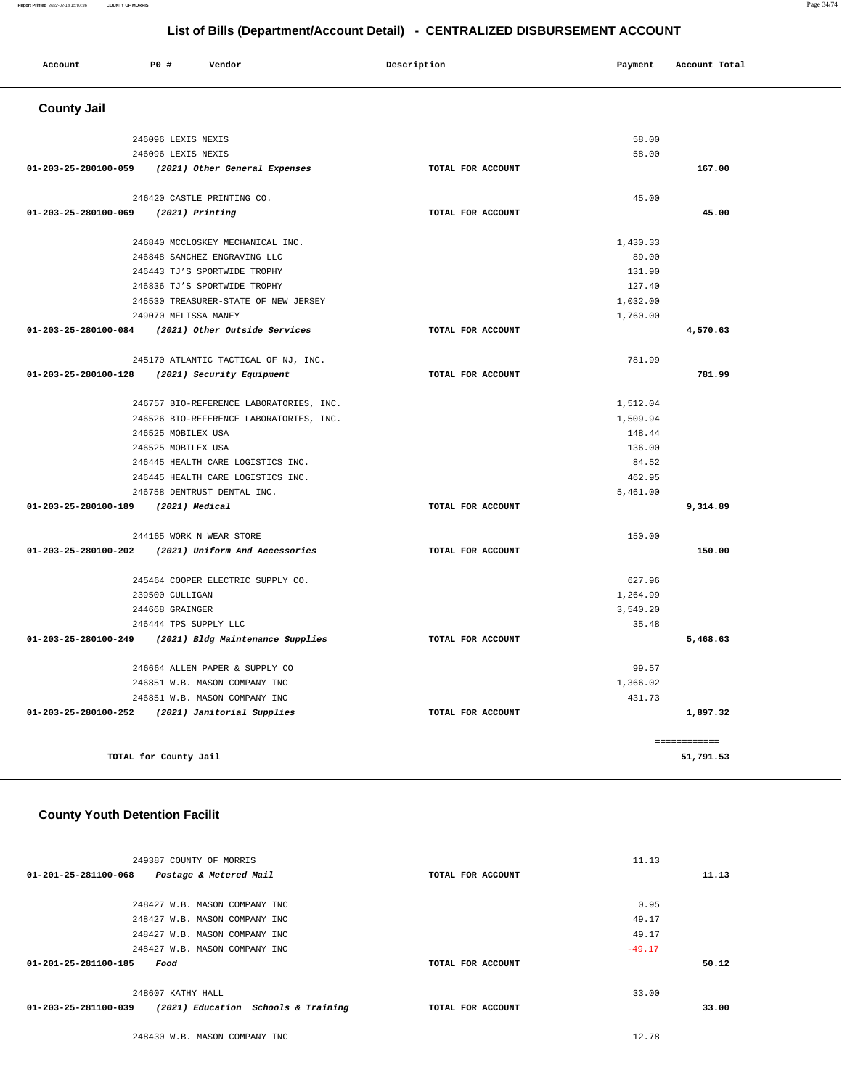#### **Report Printed** 2022-02-18 15:07:36 **COUNTY OF MORRIS** Page 34/74

## **List of Bills (Department/Account Detail) - CENTRALIZED DISBURSEMENT ACCOUNT**

| Account              | P0 #<br>Vendor     | Description | Account Total<br>Payment |
|----------------------|--------------------|-------------|--------------------------|
| <b>County Jail</b>   |                    |             |                          |
|                      | 246096 LEXIS NEXIS |             | 58.00                    |
| 21.222 25.222 25.222 | 246096 LEXIS NEXIS | $m = 100$   | 58.00<br>5.55.02         |

|                                        | 01-203-25-280100-059 (2021) Other General Expenses    | TOTAL FOR ACCOUNT |          | 167.00       |
|----------------------------------------|-------------------------------------------------------|-------------------|----------|--------------|
|                                        | 246420 CASTLE PRINTING CO.                            |                   | 45.00    |              |
| $01-203-25-280100-069$ (2021) Printing |                                                       | TOTAL FOR ACCOUNT |          | 45.00        |
|                                        |                                                       |                   |          |              |
|                                        | 246840 MCCLOSKEY MECHANICAL INC.                      |                   | 1,430.33 |              |
|                                        | 246848 SANCHEZ ENGRAVING LLC                          |                   | 89.00    |              |
|                                        | 246443 TJ'S SPORTWIDE TROPHY                          |                   | 131.90   |              |
|                                        | 246836 TJ'S SPORTWIDE TROPHY                          |                   | 127.40   |              |
|                                        | 246530 TREASURER-STATE OF NEW JERSEY                  |                   | 1,032.00 |              |
|                                        | 249070 MELISSA MANEY                                  |                   | 1,760.00 |              |
|                                        | 01-203-25-280100-084 (2021) Other Outside Services    | TOTAL FOR ACCOUNT |          | 4,570.63     |
|                                        | 245170 ATLANTIC TACTICAL OF NJ, INC.                  |                   | 781.99   |              |
|                                        | 01-203-25-280100-128 (2021) Security Equipment        | TOTAL FOR ACCOUNT |          | 781.99       |
|                                        | 246757 BIO-REFERENCE LABORATORIES, INC.               |                   | 1,512.04 |              |
|                                        | 246526 BIO-REFERENCE LABORATORIES, INC.               |                   | 1,509.94 |              |
|                                        | 246525 MOBILEX USA                                    |                   | 148.44   |              |
|                                        | 246525 MOBILEX USA                                    |                   | 136.00   |              |
|                                        | 246445 HEALTH CARE LOGISTICS INC.                     |                   | 84.52    |              |
|                                        | 246445 HEALTH CARE LOGISTICS INC.                     |                   | 462.95   |              |
|                                        | 246758 DENTRUST DENTAL INC.                           |                   | 5,461.00 |              |
| 01-203-25-280100-189 (2021) Medical    |                                                       | TOTAL FOR ACCOUNT |          | 9,314.89     |
|                                        | 244165 WORK N WEAR STORE                              |                   | 150.00   |              |
|                                        | 01-203-25-280100-202 (2021) Uniform And Accessories   | TOTAL FOR ACCOUNT |          | 150.00       |
|                                        | 245464 COOPER ELECTRIC SUPPLY CO.                     |                   | 627.96   |              |
|                                        | 239500 CULLIGAN                                       |                   | 1,264.99 |              |
|                                        | 244668 GRAINGER                                       |                   | 3,540.20 |              |
|                                        | 246444 TPS SUPPLY LLC                                 |                   | 35.48    |              |
|                                        | 01-203-25-280100-249 (2021) Bldg Maintenance Supplies | TOTAL FOR ACCOUNT |          | 5,468.63     |
|                                        | 246664 ALLEN PAPER & SUPPLY CO                        |                   | 99.57    |              |
|                                        | 246851 W.B. MASON COMPANY INC                         |                   | 1,366.02 |              |
|                                        | 246851 W.B. MASON COMPANY INC                         |                   | 431.73   |              |
|                                        | 01-203-25-280100-252 (2021) Janitorial Supplies       | TOTAL FOR ACCOUNT |          | 1,897.32     |
|                                        |                                                       |                   |          | ============ |
|                                        | TOTAL for County Jail                                 |                   |          | 51,791.53    |

# **County Youth Detention Facilit**

| 249387 COUNTY OF MORRIS                                     |                   | 11.13    |
|-------------------------------------------------------------|-------------------|----------|
| $01 - 201 - 25 - 281100 - 068$<br>Postage & Metered Mail    | TOTAL FOR ACCOUNT | 11.13    |
|                                                             |                   |          |
| 248427 W.B. MASON COMPANY INC                               |                   | 0.95     |
| 248427 W.B. MASON COMPANY INC                               |                   | 49.17    |
| 248427 W.B. MASON COMPANY INC                               |                   | 49.17    |
| 248427 W.B. MASON COMPANY INC                               |                   | $-49.17$ |
| 01-201-25-281100-185<br>Food                                | TOTAL FOR ACCOUNT | 50.12    |
|                                                             |                   |          |
| 248607 KATHY HALL                                           |                   | 33.00    |
| (2021) Education Schools & Training<br>01-203-25-281100-039 | TOTAL FOR ACCOUNT | 33.00    |
| 248430 W.B. MASON COMPANY INC                               |                   | 12.78    |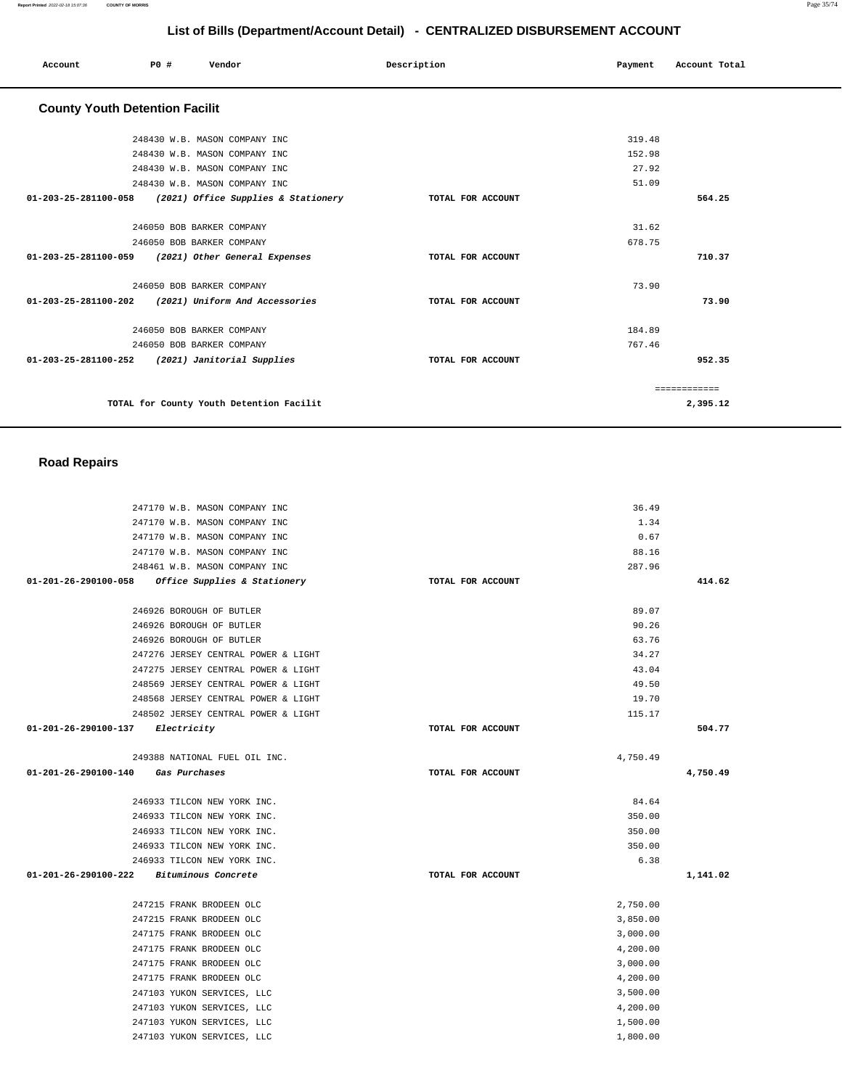| Account                                         | <b>PO #</b> | Vendor                                                   | Description       | Payment | Account Total |
|-------------------------------------------------|-------------|----------------------------------------------------------|-------------------|---------|---------------|
| <b>County Youth Detention Facilit</b>           |             |                                                          |                   |         |               |
|                                                 |             | 248430 W.B. MASON COMPANY INC                            |                   | 319.48  |               |
|                                                 |             | 248430 W.B. MASON COMPANY INC                            |                   | 152.98  |               |
|                                                 |             | 248430 W.B. MASON COMPANY INC                            |                   | 27.92   |               |
|                                                 |             | 248430 W.B. MASON COMPANY INC                            |                   | 51.09   |               |
|                                                 |             | 01-203-25-281100-058 (2021) Office Supplies & Stationery | TOTAL FOR ACCOUNT |         | 564.25        |
|                                                 |             | 246050 BOB BARKER COMPANY                                |                   | 31.62   |               |
|                                                 |             | 246050 BOB BARKER COMPANY                                |                   | 678.75  |               |
|                                                 |             | 01-203-25-281100-059 (2021) Other General Expenses       | TOTAL FOR ACCOUNT |         | 710.37        |
|                                                 |             | 246050 BOB BARKER COMPANY                                |                   | 73.90   |               |
|                                                 |             | 01-203-25-281100-202 (2021) Uniform And Accessories      | TOTAL FOR ACCOUNT |         | 73.90         |
|                                                 |             | 246050 BOB BARKER COMPANY                                |                   | 184.89  |               |
|                                                 |             | 246050 BOB BARKER COMPANY                                |                   | 767.46  |               |
| 01-203-25-281100-252 (2021) Janitorial Supplies |             |                                                          | TOTAL FOR ACCOUNT |         | 952.35        |
|                                                 |             |                                                          |                   |         | ============  |
|                                                 |             | TOTAL for County Youth Detention Facilit                 |                   |         | 2,395.12      |

## **Road Repairs**

| 247170 W.B. MASON COMPANY INC                     |                   |          |          |
|---------------------------------------------------|-------------------|----------|----------|
|                                                   |                   | 36.49    |          |
| 247170 W.B. MASON COMPANY INC                     |                   | 1.34     |          |
| 247170 W.B. MASON COMPANY INC                     |                   | 0.67     |          |
| 247170 W.B. MASON COMPANY INC                     |                   | 88.16    |          |
| 248461 W.B. MASON COMPANY INC                     |                   | 287.96   |          |
| 01-201-26-290100-058 Office Supplies & Stationery | TOTAL FOR ACCOUNT |          | 414.62   |
|                                                   |                   |          |          |
| 246926 BOROUGH OF BUTLER                          |                   | 89.07    |          |
| 246926 BOROUGH OF BUTLER                          |                   | 90.26    |          |
| 246926 BOROUGH OF BUTLER                          |                   | 63.76    |          |
| 247276 JERSEY CENTRAL POWER & LIGHT               |                   | 34.27    |          |
| 247275 JERSEY CENTRAL POWER & LIGHT               |                   | 43.04    |          |
| 248569 JERSEY CENTRAL POWER & LIGHT               |                   | 49.50    |          |
| 248568 JERSEY CENTRAL POWER & LIGHT               |                   | 19.70    |          |
| 248502 JERSEY CENTRAL POWER & LIGHT               |                   | 115.17   |          |
| 01-201-26-290100-137 Electricity                  | TOTAL FOR ACCOUNT |          | 504.77   |
|                                                   |                   |          |          |
| 249388 NATIONAL FUEL OIL INC.                     |                   | 4,750.49 |          |
| 01-201-26-290100-140 Gas Purchases                | TOTAL FOR ACCOUNT |          | 4,750.49 |
| 246933 TILCON NEW YORK INC.                       |                   | 84.64    |          |
|                                                   |                   |          |          |
|                                                   |                   |          |          |
| 246933 TILCON NEW YORK INC.                       |                   | 350.00   |          |
| 246933 TILCON NEW YORK INC.                       |                   | 350.00   |          |
| 246933 TILCON NEW YORK INC.                       |                   | 350.00   |          |
| 246933 TILCON NEW YORK INC.                       |                   | 6.38     |          |
| 01-201-26-290100-222 Bituminous Concrete          | TOTAL FOR ACCOUNT |          | 1,141.02 |
| 247215 FRANK BRODEEN OLC                          |                   | 2,750.00 |          |
| 247215 FRANK BRODEEN OLC                          |                   | 3,850.00 |          |
| 247175 FRANK BRODEEN OLC                          |                   | 3,000.00 |          |
| 247175 FRANK BRODEEN OLC                          |                   | 4,200.00 |          |
| 247175 FRANK BRODEEN OLC                          |                   | 3,000.00 |          |
| 247175 FRANK BRODEEN OLC                          |                   | 4,200.00 |          |
| 247103 YUKON SERVICES, LLC                        |                   | 3,500.00 |          |
| 247103 YUKON SERVICES, LLC                        |                   | 4,200.00 |          |
| 247103 YUKON SERVICES, LLC                        |                   | 1,500.00 |          |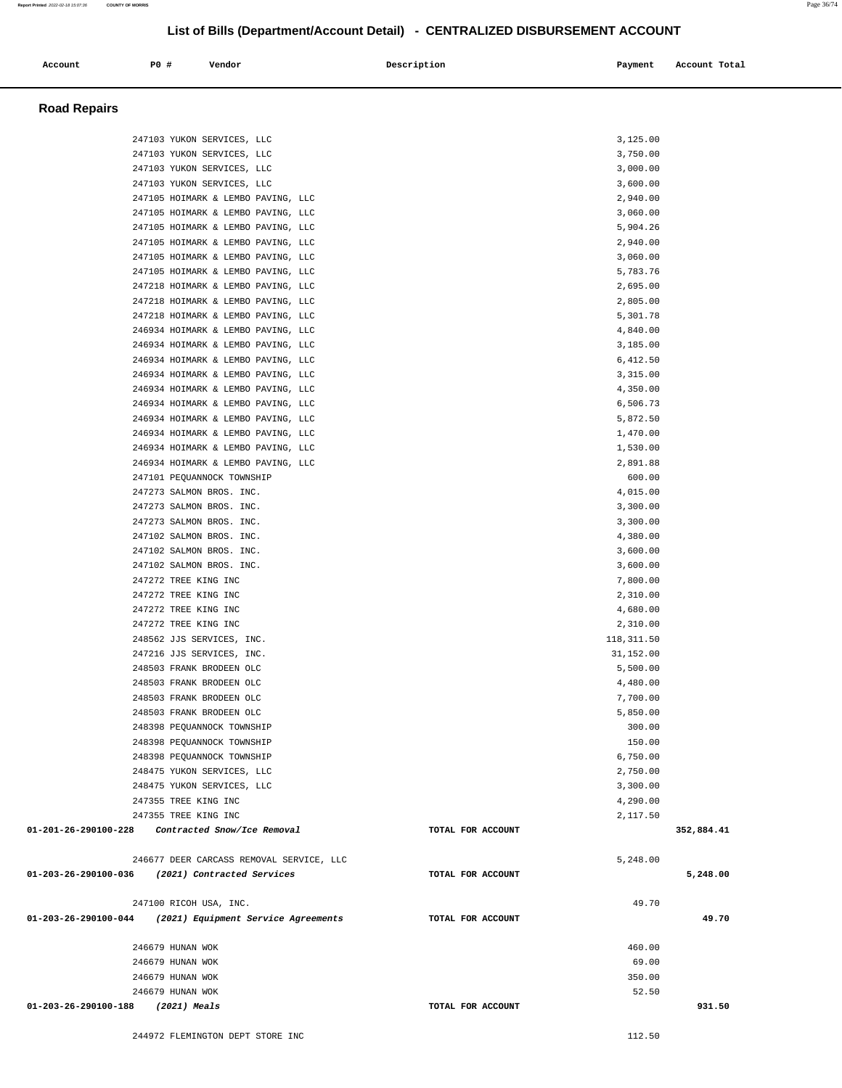Account 20 **PO** # Vendor **Payment Payment Account Total** 

| <b>Road Repairs</b>                                        |                                                                          |                   |                      |  |
|------------------------------------------------------------|--------------------------------------------------------------------------|-------------------|----------------------|--|
|                                                            |                                                                          |                   |                      |  |
|                                                            | 247103 YUKON SERVICES, LLC                                               |                   | 3,125.00             |  |
|                                                            | 247103 YUKON SERVICES, LLC                                               |                   | 3,750.00             |  |
|                                                            | 247103 YUKON SERVICES, LLC                                               |                   | 3,000.00             |  |
|                                                            | 247103 YUKON SERVICES, LLC                                               |                   | 3,600.00             |  |
|                                                            | 247105 HOIMARK & LEMBO PAVING, LLC                                       |                   | 2,940.00<br>3,060.00 |  |
|                                                            | 247105 HOIMARK & LEMBO PAVING, LLC<br>247105 HOIMARK & LEMBO PAVING, LLC |                   | 5,904.26             |  |
|                                                            | 247105 HOIMARK & LEMBO PAVING, LLC                                       |                   | 2,940.00             |  |
|                                                            | 247105 HOIMARK & LEMBO PAVING, LLC                                       |                   | 3,060.00             |  |
|                                                            | 247105 HOIMARK & LEMBO PAVING, LLC                                       |                   | 5,783.76             |  |
|                                                            | 247218 HOIMARK & LEMBO PAVING, LLC                                       |                   | 2,695.00             |  |
|                                                            | 247218 HOIMARK & LEMBO PAVING, LLC                                       |                   | 2,805.00             |  |
|                                                            | 247218 HOIMARK & LEMBO PAVING, LLC                                       |                   | 5,301.78             |  |
|                                                            | 246934 HOIMARK & LEMBO PAVING, LLC                                       |                   | 4,840.00             |  |
|                                                            | 246934 HOIMARK & LEMBO PAVING, LLC                                       |                   | 3,185.00             |  |
|                                                            | 246934 HOIMARK & LEMBO PAVING, LLC                                       |                   | 6,412.50             |  |
|                                                            | 246934 HOIMARK & LEMBO PAVING, LLC<br>246934 HOIMARK & LEMBO PAVING, LLC |                   | 3,315.00<br>4,350.00 |  |
|                                                            | 246934 HOIMARK & LEMBO PAVING, LLC                                       |                   | 6,506.73             |  |
|                                                            | 246934 HOIMARK & LEMBO PAVING, LLC                                       |                   | 5,872.50             |  |
|                                                            | 246934 HOIMARK & LEMBO PAVING, LLC                                       |                   | 1,470.00             |  |
|                                                            | 246934 HOIMARK & LEMBO PAVING, LLC                                       |                   | 1,530.00             |  |
|                                                            | 246934 HOIMARK & LEMBO PAVING, LLC                                       |                   | 2,891.88             |  |
|                                                            | 247101 PEQUANNOCK TOWNSHIP                                               |                   | 600.00               |  |
|                                                            | 247273 SALMON BROS. INC.                                                 |                   | 4,015.00             |  |
|                                                            | 247273 SALMON BROS. INC.                                                 |                   | 3,300.00             |  |
|                                                            | 247273 SALMON BROS. INC.                                                 |                   | 3,300.00             |  |
|                                                            | 247102 SALMON BROS. INC.                                                 |                   | 4,380.00             |  |
|                                                            | 247102 SALMON BROS. INC.                                                 |                   | 3,600.00<br>3,600.00 |  |
|                                                            | 247102 SALMON BROS. INC.<br>247272 TREE KING INC                         |                   | 7,800.00             |  |
|                                                            | 247272 TREE KING INC                                                     |                   | 2,310.00             |  |
|                                                            | 247272 TREE KING INC                                                     |                   | 4,680.00             |  |
|                                                            | 247272 TREE KING INC                                                     |                   | 2,310.00             |  |
|                                                            | 248562 JJS SERVICES, INC.                                                |                   | 118, 311.50          |  |
|                                                            | 247216 JJS SERVICES, INC.                                                |                   | 31,152.00            |  |
|                                                            | 248503 FRANK BRODEEN OLC                                                 |                   | 5,500.00             |  |
|                                                            | 248503 FRANK BRODEEN OLC                                                 |                   | 4,480.00             |  |
|                                                            | 248503 FRANK BRODEEN OLC                                                 |                   | 7,700.00             |  |
|                                                            | 248503 FRANK BRODEEN OLC                                                 |                   | 5,850.00<br>300.00   |  |
|                                                            | 248398 PEQUANNOCK TOWNSHIP<br>248398 PEQUANNOCK TOWNSHIP                 |                   | 150.00               |  |
|                                                            | 248398 PEQUANNOCK TOWNSHIP                                               |                   | 6,750.00             |  |
|                                                            | 248475 YUKON SERVICES, LLC                                               |                   | 2,750.00             |  |
|                                                            | 248475 YUKON SERVICES, LLC                                               |                   | 3,300.00             |  |
|                                                            | 247355 TREE KING INC                                                     |                   | 4,290.00             |  |
|                                                            | 247355 TREE KING INC                                                     |                   | 2,117.50             |  |
| 01-201-26-290100-228                                       | Contracted Snow/Ice Removal                                              | TOTAL FOR ACCOUNT | 352,884.41           |  |
|                                                            | 246677 DEER CARCASS REMOVAL SERVICE, LLC                                 |                   | 5,248.00             |  |
|                                                            | 01-203-26-290100-036 (2021) Contracted Services                          | TOTAL FOR ACCOUNT | 5,248.00             |  |
|                                                            | 247100 RICOH USA, INC.                                                   |                   | 49.70                |  |
| $01-203-26-290100-044$ (2021) Equipment Service Agreements |                                                                          | TOTAL FOR ACCOUNT | 49.70                |  |
|                                                            |                                                                          |                   |                      |  |
|                                                            | 246679 HUNAN WOK                                                         |                   | 460.00               |  |
|                                                            | 246679 HUNAN WOK<br>246679 HUNAN WOK                                     |                   | 69.00<br>350.00      |  |
|                                                            | 246679 HUNAN WOK                                                         |                   | 52.50                |  |
| 01-203-26-290100-188 (2021) Meals                          |                                                                          | TOTAL FOR ACCOUNT | 931.50               |  |
|                                                            |                                                                          |                   |                      |  |
|                                                            | 244972 FLEMINGTON DEPT STORE INC                                         |                   | 112.50               |  |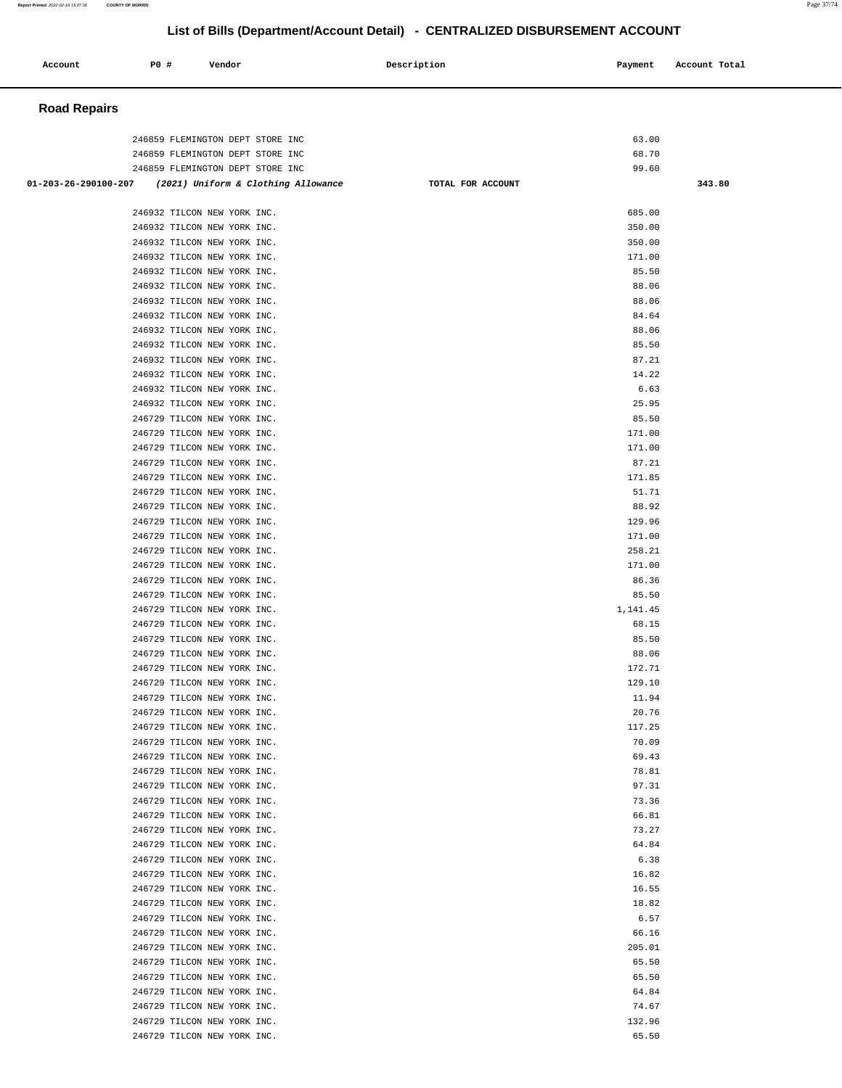| Account              | <b>PO #</b>                                                                                              | Vendor |                                     | Description       | Payment                 | Account Total |
|----------------------|----------------------------------------------------------------------------------------------------------|--------|-------------------------------------|-------------------|-------------------------|---------------|
| <b>Road Repairs</b>  |                                                                                                          |        |                                     |                   |                         |               |
|                      | 246859 FLEMINGTON DEPT STORE INC<br>246859 FLEMINGTON DEPT STORE INC<br>246859 FLEMINGTON DEPT STORE INC |        |                                     |                   | 63.00<br>68.70<br>99.60 |               |
| 01-203-26-290100-207 |                                                                                                          |        | (2021) Uniform & Clothing Allowance | TOTAL FOR ACCOUNT |                         | 343.80        |
|                      |                                                                                                          |        |                                     |                   |                         |               |
|                      | 246932 TILCON NEW YORK INC.<br>246932 TILCON NEW YORK INC.                                               |        |                                     |                   | 685.00<br>350.00        |               |
|                      | 246932 TILCON NEW YORK INC.                                                                              |        |                                     |                   | 350.00                  |               |
|                      | 246932 TILCON NEW YORK INC.                                                                              |        |                                     |                   | 171.00                  |               |
|                      | 246932 TILCON NEW YORK INC.                                                                              |        |                                     |                   | 85.50                   |               |
|                      | 246932 TILCON NEW YORK INC.<br>246932 TILCON NEW YORK INC.                                               |        |                                     |                   | 88.06<br>88.06          |               |
|                      | 246932 TILCON NEW YORK INC.                                                                              |        |                                     |                   | 84.64                   |               |
|                      | 246932 TILCON NEW YORK INC.                                                                              |        |                                     |                   | 88.06                   |               |
|                      | 246932 TILCON NEW YORK INC.                                                                              |        |                                     |                   | 85.50                   |               |
|                      | 246932 TILCON NEW YORK INC.                                                                              |        |                                     |                   | 87.21                   |               |
|                      | 246932 TILCON NEW YORK INC.                                                                              |        |                                     |                   | 14.22<br>6.63           |               |
|                      | 246932 TILCON NEW YORK INC.<br>246932 TILCON NEW YORK INC.                                               |        |                                     |                   | 25.95                   |               |
|                      | 246729 TILCON NEW YORK INC.                                                                              |        |                                     |                   | 85.50                   |               |
|                      | 246729 TILCON NEW YORK INC.                                                                              |        |                                     |                   | 171.00                  |               |
|                      | 246729 TILCON NEW YORK INC.                                                                              |        |                                     |                   | 171.00                  |               |
|                      | 246729 TILCON NEW YORK INC.<br>246729 TILCON NEW YORK INC.                                               |        |                                     |                   | 87.21<br>171.85         |               |
|                      | 246729 TILCON NEW YORK INC.                                                                              |        |                                     |                   | 51.71                   |               |
|                      | 246729 TILCON NEW YORK INC.                                                                              |        |                                     |                   | 88.92                   |               |
|                      | 246729 TILCON NEW YORK INC.                                                                              |        |                                     |                   | 129.96                  |               |
|                      | 246729 TILCON NEW YORK INC.                                                                              |        |                                     |                   | 171.00                  |               |
|                      | 246729 TILCON NEW YORK INC.<br>246729 TILCON NEW YORK INC.                                               |        |                                     |                   | 258.21<br>171.00        |               |
|                      | 246729 TILCON NEW YORK INC.                                                                              |        |                                     |                   | 86.36                   |               |
|                      | 246729 TILCON NEW YORK INC.                                                                              |        |                                     |                   | 85.50                   |               |
|                      | 246729 TILCON NEW YORK INC.                                                                              |        |                                     |                   | 1,141.45                |               |
|                      | 246729 TILCON NEW YORK INC.                                                                              |        |                                     |                   | 68.15                   |               |
|                      | 246729 TILCON NEW YORK INC.<br>246729 TILCON NEW YORK INC.                                               |        |                                     |                   | 85.50<br>88.06          |               |
|                      | 246729 TILCON NEW YORK INC.                                                                              |        |                                     |                   | 172.71                  |               |
|                      | 246729 TILCON NEW YORK INC.                                                                              |        |                                     |                   | 129.10                  |               |
|                      | 246729 TILCON NEW YORK INC.                                                                              |        |                                     |                   | 11.94                   |               |
|                      | 246729 TILCON NEW YORK INC.                                                                              |        |                                     |                   | 20.76<br>117.25         |               |
|                      | 246729 TILCON NEW YORK INC.<br>246729 TILCON NEW YORK INC.                                               |        |                                     |                   | 70.09                   |               |
|                      | 246729 TILCON NEW YORK INC.                                                                              |        |                                     |                   | 69.43                   |               |
|                      | 246729 TILCON NEW YORK INC.                                                                              |        |                                     |                   | 78.81                   |               |
|                      | 246729 TILCON NEW YORK INC.                                                                              |        |                                     |                   | 97.31                   |               |
|                      | 246729 TILCON NEW YORK INC.<br>246729 TILCON NEW YORK INC.                                               |        |                                     |                   | 73.36<br>66.81          |               |
|                      | 246729 TILCON NEW YORK INC.                                                                              |        |                                     |                   | 73.27                   |               |
|                      | 246729 TILCON NEW YORK INC.                                                                              |        |                                     |                   | 64.84                   |               |
|                      | 246729 TILCON NEW YORK INC.                                                                              |        |                                     |                   | 6.38                    |               |
|                      | 246729 TILCON NEW YORK INC.                                                                              |        |                                     |                   | 16.82                   |               |
|                      | 246729 TILCON NEW YORK INC.<br>246729 TILCON NEW YORK INC.                                               |        |                                     |                   | 16.55<br>18.82          |               |
|                      | 246729 TILCON NEW YORK INC.                                                                              |        |                                     |                   | 6.57                    |               |
|                      | 246729 TILCON NEW YORK INC.                                                                              |        |                                     |                   | 66.16                   |               |
|                      | 246729 TILCON NEW YORK INC.                                                                              |        |                                     |                   | 205.01                  |               |
|                      | 246729 TILCON NEW YORK INC.                                                                              |        |                                     |                   | 65.50                   |               |
|                      | 246729 TILCON NEW YORK INC.<br>246729 TILCON NEW YORK INC.                                               |        |                                     |                   | 65.50<br>64.84          |               |
|                      | 246729 TILCON NEW YORK INC.                                                                              |        |                                     |                   | 74.67                   |               |
|                      | 246729 TILCON NEW YORK INC.                                                                              |        |                                     |                   | 132.96                  |               |
|                      | 246729 TILCON NEW YORK INC.                                                                              |        |                                     |                   | 65.50                   |               |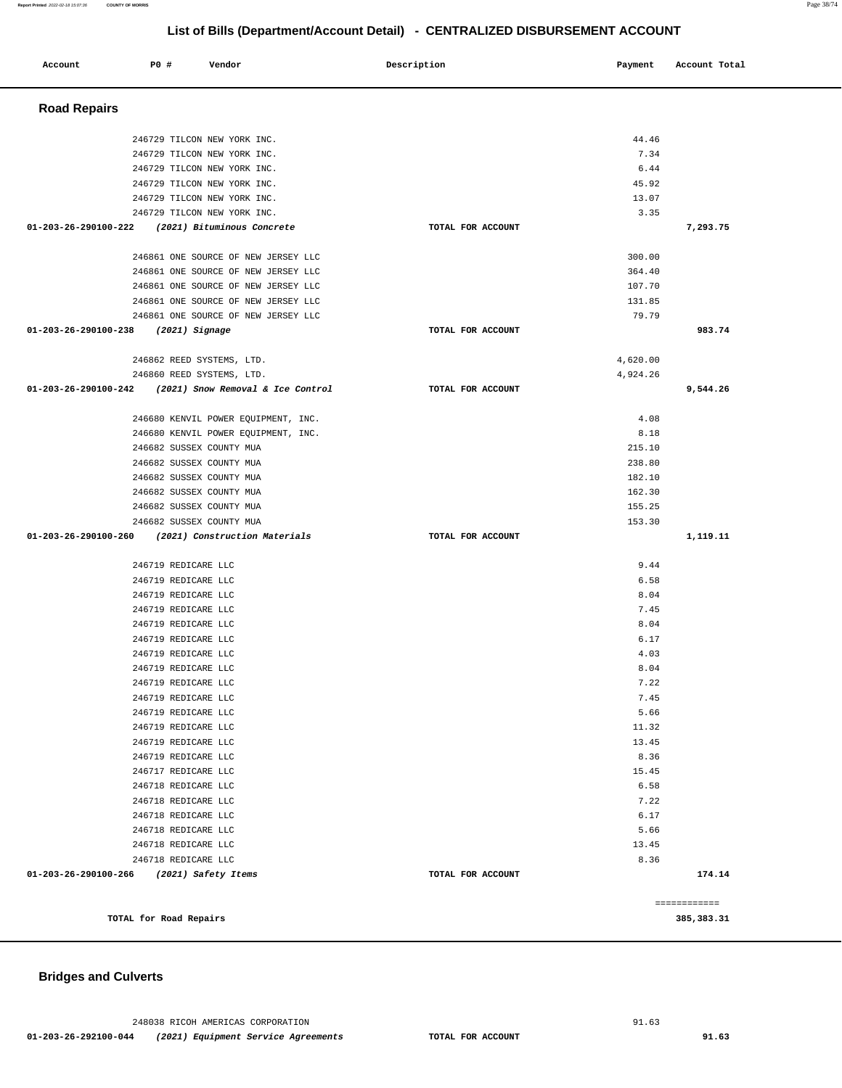# **Bridges and Culverts**

| <b>Road Repairs</b>                                                |                   |              |              |
|--------------------------------------------------------------------|-------------------|--------------|--------------|
| 246729 TILCON NEW YORK INC.                                        |                   | 44.46        |              |
| 246729 TILCON NEW YORK INC.                                        |                   | 7.34         |              |
| 246729 TILCON NEW YORK INC.                                        |                   | 6.44         |              |
| 246729 TILCON NEW YORK INC.                                        |                   | 45.92        |              |
| 246729 TILCON NEW YORK INC.                                        |                   | 13.07        |              |
| 246729 TILCON NEW YORK INC.                                        |                   | 3.35         |              |
| (2021) Bituminous Concrete<br>01-203-26-290100-222                 | TOTAL FOR ACCOUNT |              | 7,293.75     |
| 246861 ONE SOURCE OF NEW JERSEY LLC                                |                   | 300.00       |              |
| 246861 ONE SOURCE OF NEW JERSEY LLC                                |                   | 364.40       |              |
| 246861 ONE SOURCE OF NEW JERSEY LLC                                |                   | 107.70       |              |
| 246861 ONE SOURCE OF NEW JERSEY LLC                                |                   | 131.85       |              |
| 246861 ONE SOURCE OF NEW JERSEY LLC                                |                   | 79.79        |              |
| $01-203-26-290100-238$ (2021) Signage                              | TOTAL FOR ACCOUNT |              | 983.74       |
| 246862 REED SYSTEMS, LTD.                                          |                   | 4,620.00     |              |
| 246860 REED SYSTEMS, LTD.                                          |                   | 4,924.26     |              |
| 01-203-26-290100-242 (2021) Snow Removal & Ice Control             | TOTAL FOR ACCOUNT |              | 9,544.26     |
| 246680 KENVIL POWER EOUIPMENT, INC.                                |                   | 4.08         |              |
| 246680 KENVIL POWER EQUIPMENT, INC.                                |                   | 8.18         |              |
| 246682 SUSSEX COUNTY MUA                                           |                   | 215.10       |              |
| 246682 SUSSEX COUNTY MUA                                           |                   | 238.80       |              |
| 246682 SUSSEX COUNTY MUA                                           |                   | 182.10       |              |
| 246682 SUSSEX COUNTY MUA                                           |                   | 162.30       |              |
| 246682 SUSSEX COUNTY MUA                                           |                   | 155.25       |              |
| 246682 SUSSEX COUNTY MUA                                           |                   | 153.30       |              |
| 01-203-26-290100-260 (2021) Construction Materials                 | TOTAL FOR ACCOUNT |              | 1,119.11     |
| 246719 REDICARE LLC                                                |                   | 9.44         |              |
| 246719 REDICARE LLC                                                |                   | 6.58         |              |
| 246719 REDICARE LLC                                                |                   | 8.04         |              |
| 246719 REDICARE LLC                                                |                   | 7.45         |              |
| 246719 REDICARE LLC                                                |                   | 8.04         |              |
| 246719 REDICARE LLC<br>246719 REDICARE LLC                         |                   | 6.17<br>4.03 |              |
| 246719 REDICARE LLC                                                |                   | 8.04         |              |
| 246719 REDICARE LLC                                                |                   | 7.22         |              |
| 246719 REDICARE LLC                                                |                   | 7.45         |              |
| 246719 REDICARE LLC                                                |                   | 5.66         |              |
| 246719 REDICARE LLC                                                |                   | 11.32        |              |
| 246719 REDICARE LLC                                                |                   | 13.45        |              |
| 246719 REDICARE LLC                                                |                   | 8.36         |              |
| 246717 REDICARE LLC                                                |                   | 15.45        |              |
| 246718 REDICARE LLC                                                |                   | 6.58         |              |
| 246718 REDICARE LLC                                                |                   | 7.22         |              |
| 246718 REDICARE LLC                                                |                   | 6.17         |              |
| 246718 REDICARE LLC                                                |                   | 5.66         |              |
| 246718 REDICARE LLC                                                |                   | 13.45        |              |
| 246718 REDICARE LLC<br>01-203-26-290100-266<br>(2021) Safety Items | TOTAL FOR ACCOUNT | 8.36         | 174.14       |
|                                                                    |                   |              |              |
|                                                                    |                   |              | ============ |
| TOTAL for Road Repairs                                             |                   |              | 385, 383.31  |

**List of Bills (Department/Account Detail) - CENTRALIZED DISBURSEMENT ACCOUNT**

 **Account** 20 **P P**  $\uparrow$  **Payment** Payment Account Total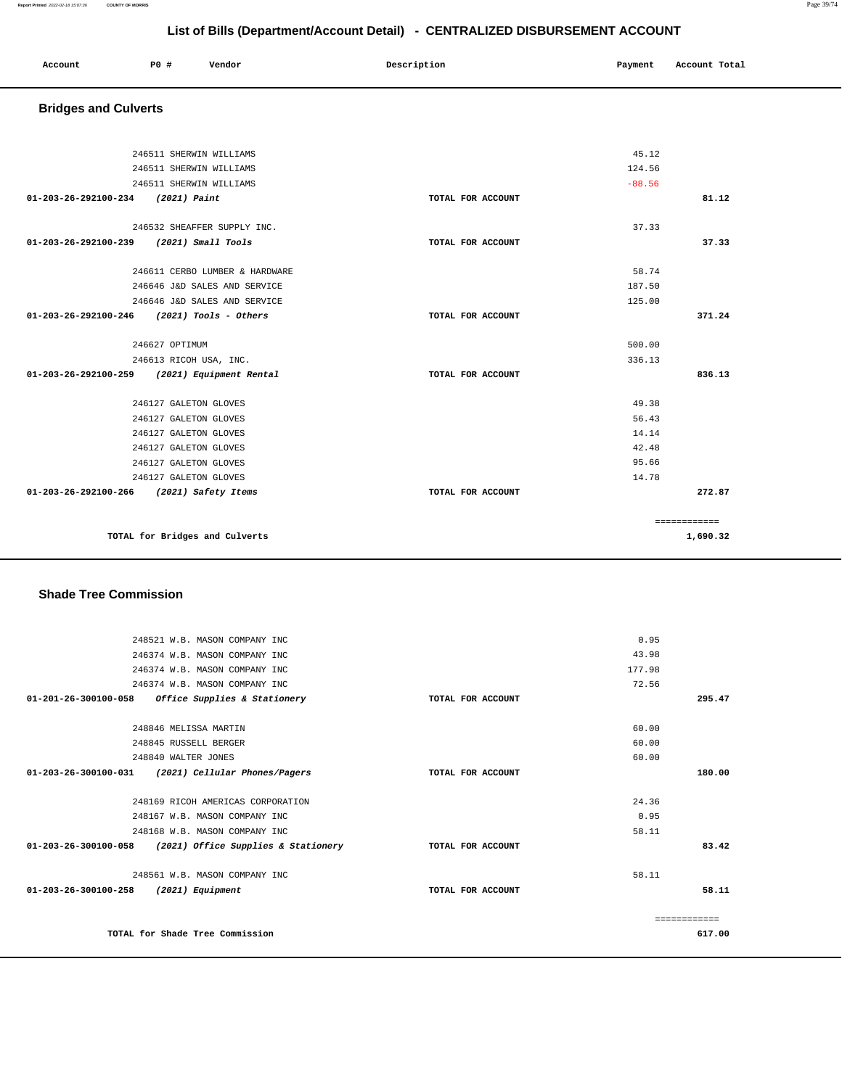### **Report Printed** 2022-02-18 15:07:36 **COUNTY OF MORRIS** Page 39/74

# **List of Bills (Department/Account Detail) - CENTRALIZED DISBURSEMENT ACCOUNT**

| Account<br>. | P0 # | Vendor | Description | Payment | Account Total |
|--------------|------|--------|-------------|---------|---------------|
|              |      |        |             |         |               |

# **Bridges and Culverts**

|                                              | TOTAL for Bridges and Culverts |                   |          | ============<br>1,690.32 |
|----------------------------------------------|--------------------------------|-------------------|----------|--------------------------|
| 01-203-26-292100-266 (2021) Safety Items     |                                | TOTAL FOR ACCOUNT |          | 272.87                   |
|                                              | 246127 GALETON GLOVES          |                   | 14.78    |                          |
|                                              | 246127 GALETON GLOVES          |                   | 95.66    |                          |
|                                              | 246127 GALETON GLOVES          |                   | 42.48    |                          |
|                                              | 246127 GALETON GLOVES          |                   | 14.14    |                          |
|                                              | 246127 GALETON GLOVES          |                   | 56.43    |                          |
|                                              | 246127 GALETON GLOVES          |                   | 49.38    |                          |
| 01-203-26-292100-259 (2021) Equipment Rental |                                | TOTAL FOR ACCOUNT |          | 836.13                   |
|                                              | 246613 RICOH USA, INC.         |                   | 336.13   |                          |
|                                              | 246627 OPTIMUM                 |                   | 500.00   |                          |
| $01-203-26-292100-246$ (2021) Tools - Others |                                | TOTAL FOR ACCOUNT |          | 371.24                   |
|                                              | 246646 J&D SALES AND SERVICE   |                   | 125.00   |                          |
|                                              | 246646 J&D SALES AND SERVICE   |                   | 187.50   |                          |
|                                              | 246611 CERBO LUMBER & HARDWARE |                   | 58.74    |                          |
| 01-203-26-292100-239 (2021) Small Tools      |                                | TOTAL FOR ACCOUNT |          | 37.33                    |
|                                              | 246532 SHEAFFER SUPPLY INC.    |                   | 37.33    |                          |
| 01-203-26-292100-234 (2021) Paint            |                                | TOTAL FOR ACCOUNT |          | 81.12                    |
|                                              | 246511 SHERWIN WILLIAMS        |                   | $-88.56$ |                          |
| 246511 SHERWIN WILLIAMS                      |                                | 124.56            |          |                          |
|                                              | 246511 SHERWIN WILLIAMS        |                   | 45.12    |                          |

## **Shade Tree Commission**

| 248521 W.B. MASON COMPANY INC                                  |                   | 0.95         |
|----------------------------------------------------------------|-------------------|--------------|
| 246374 W.B. MASON COMPANY INC                                  |                   | 43.98        |
| 246374 W.B. MASON COMPANY INC                                  |                   | 177.98       |
| 246374 W.B. MASON COMPANY INC                                  |                   | 72.56        |
| $01 - 201 - 26 - 300100 - 058$<br>Office Supplies & Stationery | TOTAL FOR ACCOUNT | 295.47       |
|                                                                |                   |              |
| 248846 MELISSA MARTIN                                          |                   | 60.00        |
| 248845 RUSSELL BERGER                                          |                   | 60.00        |
| 248840 WALTER JONES                                            |                   | 60.00        |
| 01-203-26-300100-031 (2021) Cellular Phones/Pagers             | TOTAL FOR ACCOUNT | 180.00       |
|                                                                |                   |              |
| 248169 RICOH AMERICAS CORPORATION                              |                   | 24.36        |
| 248167 W.B. MASON COMPANY INC                                  |                   | 0.95         |
| 248168 W.B. MASON COMPANY INC                                  |                   | 58.11        |
| 01-203-26-300100-058 (2021) Office Supplies & Stationery       | TOTAL FOR ACCOUNT | 83.42        |
| 248561 W.B. MASON COMPANY INC                                  |                   | 58.11        |
| 01-203-26-300100-258                                           |                   | 58.11        |
| (2021) Equipment                                               | TOTAL FOR ACCOUNT |              |
|                                                                |                   | ============ |
| TOTAL for Shade Tree Commission                                |                   | 617.00       |
|                                                                |                   |              |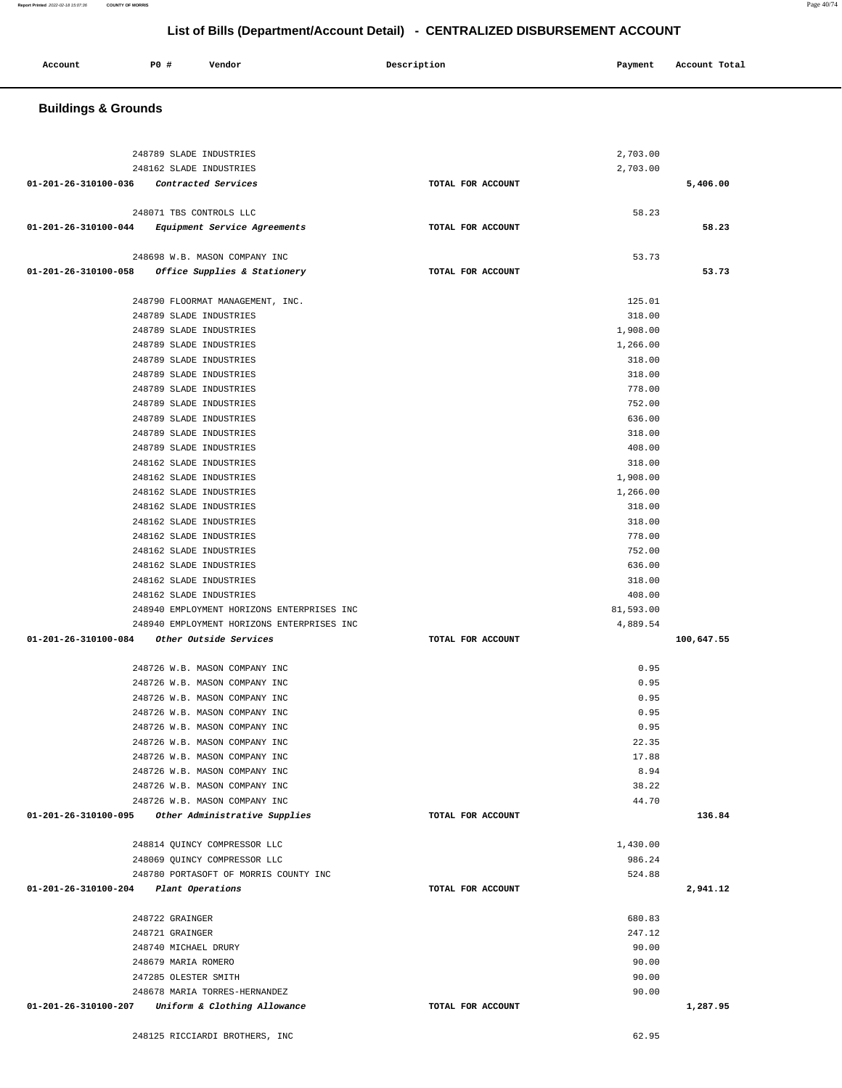| 01-201-26-310100-058                        | Office Supplies & Stationery               | TOTAL FOR ACCOUNT | 53.73      |
|---------------------------------------------|--------------------------------------------|-------------------|------------|
|                                             | 248790 FLOORMAT MANAGEMENT, INC.           | 125.01            |            |
|                                             | 248789 SLADE INDUSTRIES                    | 318.00            |            |
|                                             | 248789 SLADE INDUSTRIES                    | 1,908.00          |            |
|                                             | 248789 SLADE INDUSTRIES                    | 1,266.00          |            |
|                                             | 248789 SLADE INDUSTRIES                    | 318.00            |            |
|                                             | 248789 SLADE INDUSTRIES                    | 318.00            |            |
|                                             | 248789 SLADE INDUSTRIES                    | 778.00            |            |
|                                             | 248789 SLADE INDUSTRIES                    | 752.00            |            |
|                                             | 248789 SLADE INDUSTRIES                    | 636.00            |            |
|                                             | 248789 SLADE INDUSTRIES                    | 318.00            |            |
|                                             | 248789 SLADE INDUSTRIES                    | 408.00            |            |
|                                             | 248162 SLADE INDUSTRIES                    | 318.00            |            |
|                                             | 248162 SLADE INDUSTRIES                    |                   |            |
|                                             |                                            | 1,908.00          |            |
|                                             | 248162 SLADE INDUSTRIES                    | 1,266.00          |            |
|                                             | 248162 SLADE INDUSTRIES                    | 318.00            |            |
|                                             | 248162 SLADE INDUSTRIES                    | 318.00            |            |
|                                             | 248162 SLADE INDUSTRIES                    | 778.00            |            |
|                                             | 248162 SLADE INDUSTRIES                    | 752.00            |            |
|                                             | 248162 SLADE INDUSTRIES                    | 636.00            |            |
|                                             | 248162 SLADE INDUSTRIES                    | 318.00            |            |
|                                             | 248162 SLADE INDUSTRIES                    | 408.00            |            |
|                                             | 248940 EMPLOYMENT HORIZONS ENTERPRISES INC | 81,593.00         |            |
|                                             | 248940 EMPLOYMENT HORIZONS ENTERPRISES INC | 4,889.54          |            |
| 01-201-26-310100-084 Other Outside Services |                                            | TOTAL FOR ACCOUNT | 100,647.55 |
|                                             | 248726 W.B. MASON COMPANY INC              | 0.95              |            |
|                                             | 248726 W.B. MASON COMPANY INC              | 0.95              |            |
|                                             | 248726 W.B. MASON COMPANY INC              | 0.95              |            |
|                                             | 248726 W.B. MASON COMPANY INC              | 0.95              |            |
|                                             | 248726 W.B. MASON COMPANY INC              | 0.95              |            |
|                                             | 248726 W.B. MASON COMPANY INC              | 22.35             |            |
|                                             |                                            | 17.88             |            |
|                                             | 248726 W.B. MASON COMPANY INC              | 8.94              |            |
|                                             | 248726 W.B. MASON COMPANY INC              |                   |            |
|                                             | 248726 W.B. MASON COMPANY INC              | 38.22<br>44.70    |            |
|                                             | 248726 W.B. MASON COMPANY INC              | TOTAL FOR ACCOUNT | 136.84     |
| 01-201-26-310100-095                        | <i>Other Administrative Supplies</i>       |                   |            |
|                                             | 248814 QUINCY COMPRESSOR LLC               | 1,430.00          |            |
|                                             | 248069 QUINCY COMPRESSOR LLC               | 986.24            |            |
|                                             | 248780 PORTASOFT OF MORRIS COUNTY INC      | 524.88            |            |
| 01-201-26-310100-204                        | Plant Operations                           | TOTAL FOR ACCOUNT | 2,941.12   |
|                                             |                                            |                   |            |
|                                             | 248722 GRAINGER                            | 680.83            |            |
|                                             | 248721 GRAINGER                            | 247.12            |            |
|                                             | 248740 MICHAEL DRURY                       | 90.00             |            |
|                                             | 248679 MARIA ROMERO                        | 90.00             |            |
|                                             | 247285 OLESTER SMITH                       | 90.00             |            |
|                                             | 248678 MARIA TORRES-HERNANDEZ              | 90.00             |            |
| 01-201-26-310100-207                        | Uniform & Clothing Allowance               | TOTAL FOR ACCOUNT | 1,287.95   |
|                                             |                                            |                   |            |
|                                             | 248125 RICCIARDI BROTHERS, INC             | 62.95             |            |

 **Account** 20 **P P**  $\uparrow$  **Payment** Payment Account Total

248789 SLADE INDUSTRIES 2,703.00 248162 SLADE INDUSTRIES 2,703.00  **01-201-26-310100-036 Contracted Services TOTAL FOR ACCOUNT 5,406.00**

 248071 TBS CONTROLS LLC 58.23  **01-201-26-310100-044 Equipment Service Agreements TOTAL FOR ACCOUNT 58.23**

248698 W.B. MASON COMPANY INC 53.73

### **Buildings & Grounds**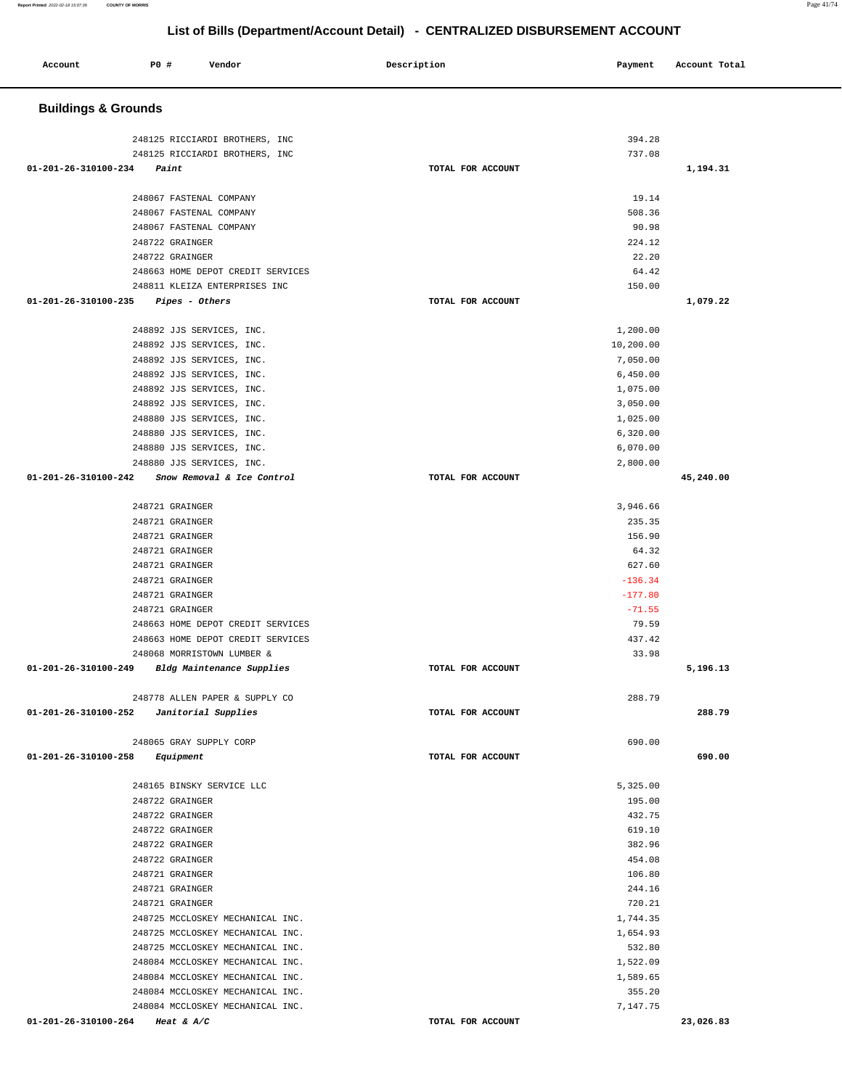| Account                        | P0 # | Vendor                                                 | Description       | Payment               | Account Total |
|--------------------------------|------|--------------------------------------------------------|-------------------|-----------------------|---------------|
| <b>Buildings &amp; Grounds</b> |      |                                                        |                   |                       |               |
|                                |      | 248125 RICCIARDI BROTHERS, INC                         |                   | 394.28                |               |
|                                |      | 248125 RICCIARDI BROTHERS, INC                         |                   | 737.08                |               |
| 01-201-26-310100-234           |      | Paint                                                  | TOTAL FOR ACCOUNT |                       | 1,194.31      |
|                                |      |                                                        |                   |                       |               |
|                                |      | 248067 FASTENAL COMPANY                                |                   | 19.14                 |               |
|                                |      | 248067 FASTENAL COMPANY                                |                   | 508.36                |               |
|                                |      | 248067 FASTENAL COMPANY                                |                   | 90.98                 |               |
|                                |      | 248722 GRAINGER                                        |                   | 224.12<br>22.20       |               |
|                                |      | 248722 GRAINGER<br>248663 HOME DEPOT CREDIT SERVICES   |                   | 64.42                 |               |
|                                |      | 248811 KLEIZA ENTERPRISES INC                          |                   | 150.00                |               |
| 01-201-26-310100-235           |      | Pipes - Others                                         | TOTAL FOR ACCOUNT |                       | 1,079.22      |
|                                |      |                                                        |                   |                       |               |
|                                |      | 248892 JJS SERVICES, INC.                              |                   | 1,200.00              |               |
|                                |      | 248892 JJS SERVICES, INC.                              |                   | 10,200.00<br>7,050.00 |               |
|                                |      | 248892 JJS SERVICES, INC.<br>248892 JJS SERVICES, INC. |                   | 6,450.00              |               |
|                                |      | 248892 JJS SERVICES, INC.                              |                   | 1,075.00              |               |
|                                |      | 248892 JJS SERVICES, INC.                              |                   | 3,050.00              |               |
|                                |      | 248880 JJS SERVICES, INC.                              |                   | 1,025.00              |               |
|                                |      | 248880 JJS SERVICES, INC.                              |                   | 6,320.00              |               |
|                                |      | 248880 JJS SERVICES, INC.                              |                   | 6,070.00              |               |
|                                |      | 248880 JJS SERVICES, INC.                              |                   | 2,800.00              |               |
| 01-201-26-310100-242           |      | Snow Removal & Ice Control                             | TOTAL FOR ACCOUNT |                       | 45,240.00     |
|                                |      | 248721 GRAINGER                                        |                   | 3,946.66              |               |
|                                |      | 248721 GRAINGER                                        |                   | 235.35                |               |
|                                |      | 248721 GRAINGER                                        |                   | 156.90                |               |
|                                |      | 248721 GRAINGER                                        |                   | 64.32                 |               |
|                                |      | 248721 GRAINGER                                        |                   | 627.60                |               |
|                                |      | 248721 GRAINGER                                        |                   | $-136.34$             |               |
|                                |      | 248721 GRAINGER                                        |                   | $-177.80$             |               |
|                                |      | 248721 GRAINGER                                        |                   | $-71.55$              |               |
|                                |      | 248663 HOME DEPOT CREDIT SERVICES                      |                   | 79.59                 |               |
|                                |      | 248663 HOME DEPOT CREDIT SERVICES                      |                   | 437.42                |               |
|                                |      | 248068 MORRISTOWN LUMBER &                             |                   | 33.98                 |               |
| 01-201-26-310100-249           |      | Bldg Maintenance Supplies                              | TOTAL FOR ACCOUNT |                       | 5,196.13      |
|                                |      | 248778 ALLEN PAPER & SUPPLY CO                         |                   | 288.79                |               |
| 01-201-26-310100-252           |      | Janitorial Supplies                                    | TOTAL FOR ACCOUNT |                       | 288.79        |
|                                |      | 248065 GRAY SUPPLY CORP                                |                   | 690.00                |               |
| $01 - 201 - 26 - 310100 - 258$ |      | Equipment                                              | TOTAL FOR ACCOUNT |                       | 690.00        |
|                                |      | 248165 BINSKY SERVICE LLC                              |                   | 5,325.00              |               |
|                                |      | 248722 GRAINGER                                        |                   | 195.00                |               |
|                                |      | 248722 GRAINGER                                        |                   | 432.75                |               |
|                                |      | 248722 GRAINGER                                        |                   | 619.10                |               |
|                                |      | 248722 GRAINGER                                        |                   | 382.96                |               |
|                                |      | 248722 GRAINGER                                        |                   | 454.08                |               |
|                                |      | 248721 GRAINGER                                        |                   | 106.80                |               |
|                                |      | 248721 GRAINGER                                        |                   | 244.16                |               |
|                                |      | 248721 GRAINGER<br>248725 MCCLOSKEY MECHANICAL INC.    |                   | 720.21<br>1,744.35    |               |
|                                |      | 248725 MCCLOSKEY MECHANICAL INC.                       |                   | 1,654.93              |               |
|                                |      | 248725 MCCLOSKEY MECHANICAL INC.                       |                   | 532.80                |               |
|                                |      | 248084 MCCLOSKEY MECHANICAL INC.                       |                   | 1,522.09              |               |
|                                |      | 248084 MCCLOSKEY MECHANICAL INC.                       |                   | 1,589.65              |               |
|                                |      | 248084 MCCLOSKEY MECHANICAL INC.                       |                   | 355.20                |               |
|                                |      | 248084 MCCLOSKEY MECHANICAL INC.                       |                   | 7,147.75              |               |
| 01-201-26-310100-264           |      | Heat & $A/C$                                           | TOTAL FOR ACCOUNT |                       | 23,026.83     |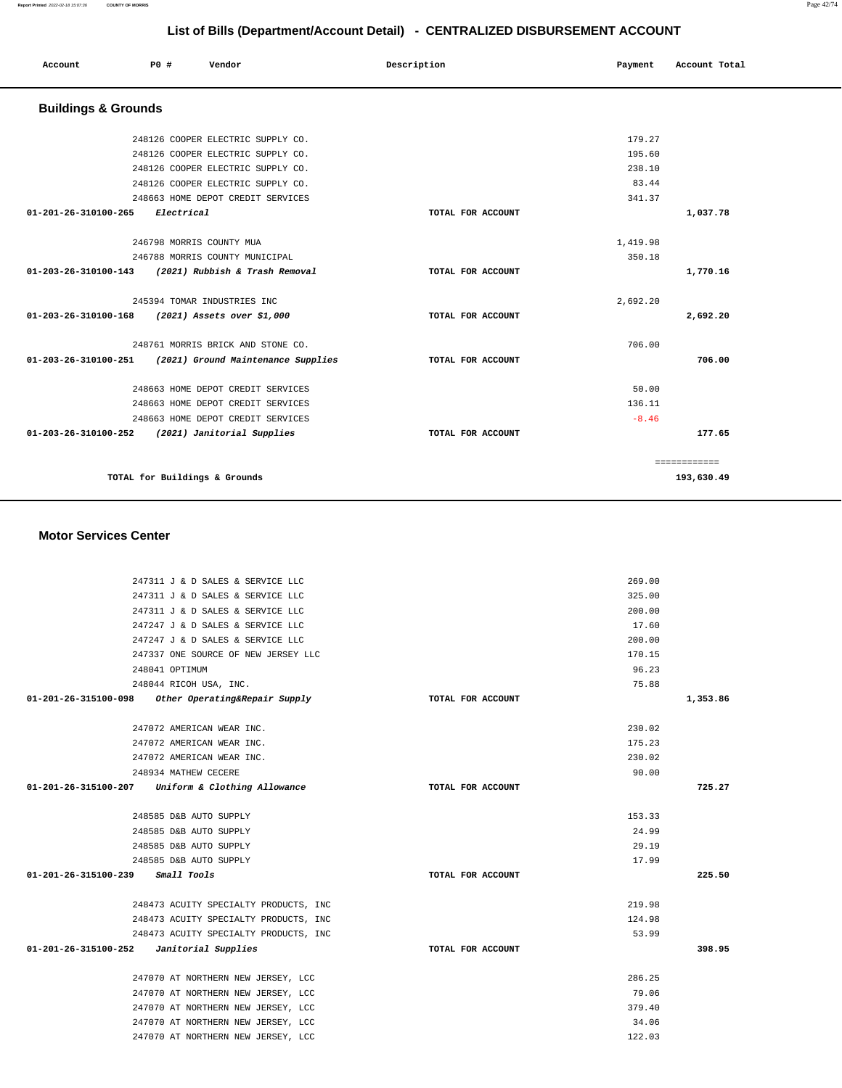| List of Bills (Department/Account Detail) - CENTRALIZED DISBURSEMENT ACCOUNT |             |            |                                    |  |             |                   |          |               |
|------------------------------------------------------------------------------|-------------|------------|------------------------------------|--|-------------|-------------------|----------|---------------|
| Account                                                                      | <b>PO #</b> |            | Vendor                             |  | Description |                   | Payment  | Account Total |
| <b>Buildings &amp; Grounds</b>                                               |             |            |                                    |  |             |                   |          |               |
|                                                                              |             |            | 248126 COOPER ELECTRIC SUPPLY CO.  |  |             |                   | 179.27   |               |
|                                                                              |             |            | 248126 COOPER ELECTRIC SUPPLY CO.  |  |             |                   | 195.60   |               |
|                                                                              |             |            | 248126 COOPER ELECTRIC SUPPLY CO.  |  |             |                   | 238.10   |               |
|                                                                              |             |            | 248126 COOPER ELECTRIC SUPPLY CO.  |  |             |                   | 83.44    |               |
|                                                                              |             |            | 248663 HOME DEPOT CREDIT SERVICES  |  |             |                   | 341.37   |               |
| 01-201-26-310100-265                                                         |             | Electrical |                                    |  |             | TOTAL FOR ACCOUNT |          | 1,037.78      |
|                                                                              |             |            | 246798 MORRIS COUNTY MUA           |  |             |                   | 1,419.98 |               |
|                                                                              |             |            | 246788 MORRIS COUNTY MUNICIPAL     |  |             |                   | 350.18   |               |
| 01-203-26-310100-143                                                         |             |            | (2021) Rubbish & Trash Removal     |  |             | TOTAL FOR ACCOUNT |          | 1,770.16      |
|                                                                              |             |            | 245394 TOMAR INDUSTRIES INC        |  |             |                   | 2,692.20 |               |
| 01-203-26-310100-168                                                         |             |            | (2021) Assets over \$1,000         |  |             | TOTAL FOR ACCOUNT |          | 2,692.20      |
|                                                                              |             |            | 248761 MORRIS BRICK AND STONE CO.  |  |             |                   | 706.00   |               |
| 01-203-26-310100-251                                                         |             |            | (2021) Ground Maintenance Supplies |  |             | TOTAL FOR ACCOUNT |          | 706.00        |
|                                                                              |             |            | 248663 HOME DEPOT CREDIT SERVICES  |  |             |                   | 50.00    |               |
|                                                                              |             |            | 248663 HOME DEPOT CREDIT SERVICES  |  |             |                   | 136.11   |               |

| ------     |                   | alvvva mone belvi chebili pentitud                 |
|------------|-------------------|----------------------------------------------------|
| $-8.46$    |                   | 248663 HOME DEPOT CREDIT SERVICES                  |
| 177.65     | TOTAL FOR ACCOUNT | (2021) Janitorial Supplies<br>01-203-26-310100-252 |
|            |                   |                                                    |
|            |                   |                                                    |
| 193,630.49 |                   | TOTAL for Buildings & Grounds                      |
|            |                   |                                                    |
|            |                   |                                                    |

### **Motor Services Center**

| 247311 J & D SALES & SERVICE LLC                   |                   | 269.00 |          |
|----------------------------------------------------|-------------------|--------|----------|
| 247311 J & D SALES & SERVICE LLC                   |                   | 325.00 |          |
| 247311 J & D SALES & SERVICE LLC                   |                   | 200.00 |          |
| 247247 J & D SALES & SERVICE LLC                   |                   | 17.60  |          |
| 247247 J & D SALES & SERVICE LLC                   |                   | 200.00 |          |
| 247337 ONE SOURCE OF NEW JERSEY LLC                |                   | 170.15 |          |
| 248041 OPTIMUM                                     |                   | 96.23  |          |
| 248044 RICOH USA, INC.                             |                   | 75.88  |          |
| 01-201-26-315100-098 Other Operating&Repair Supply | TOTAL FOR ACCOUNT |        | 1,353.86 |
| 247072 AMERICAN WEAR INC.                          |                   | 230.02 |          |
| 247072 AMERICAN WEAR INC.                          |                   | 175.23 |          |
| 247072 AMERICAN WEAR INC.                          |                   | 230.02 |          |
| 248934 MATHEW CECERE                               |                   | 90.00  |          |
| 01-201-26-315100-207 Uniform & Clothing Allowance  | TOTAL FOR ACCOUNT |        | 725.27   |
| 248585 D&B AUTO SUPPLY                             |                   | 153.33 |          |
| 248585 D&B AUTO SUPPLY                             |                   | 24.99  |          |
| 248585 D&B AUTO SUPPLY                             |                   | 29.19  |          |
| 248585 D&B AUTO SUPPLY                             |                   | 17.99  |          |
| $01 - 201 - 26 - 315100 - 239$ Small Tools         | TOTAL FOR ACCOUNT |        | 225.50   |
| 248473 ACUITY SPECIALTY PRODUCTS, INC              |                   | 219.98 |          |
| 248473 ACUITY SPECIALTY PRODUCTS, INC              |                   | 124.98 |          |
| 248473 ACUITY SPECIALTY PRODUCTS, INC              |                   | 53.99  |          |
| $01-201-26-315100-252$ Janitorial Supplies         | TOTAL FOR ACCOUNT |        | 398.95   |
| 247070 AT NORTHERN NEW JERSEY, LCC                 |                   | 286.25 |          |
| 247070 AT NORTHERN NEW JERSEY, LCC                 |                   | 79.06  |          |
| 247070 AT NORTHERN NEW JERSEY, LCC                 |                   | 379.40 |          |
| 247070 AT NORTHERN NEW JERSEY, LCC                 |                   | 34.06  |          |
| 247070 AT NORTHERN NEW JERSEY, LCC                 |                   | 122.03 |          |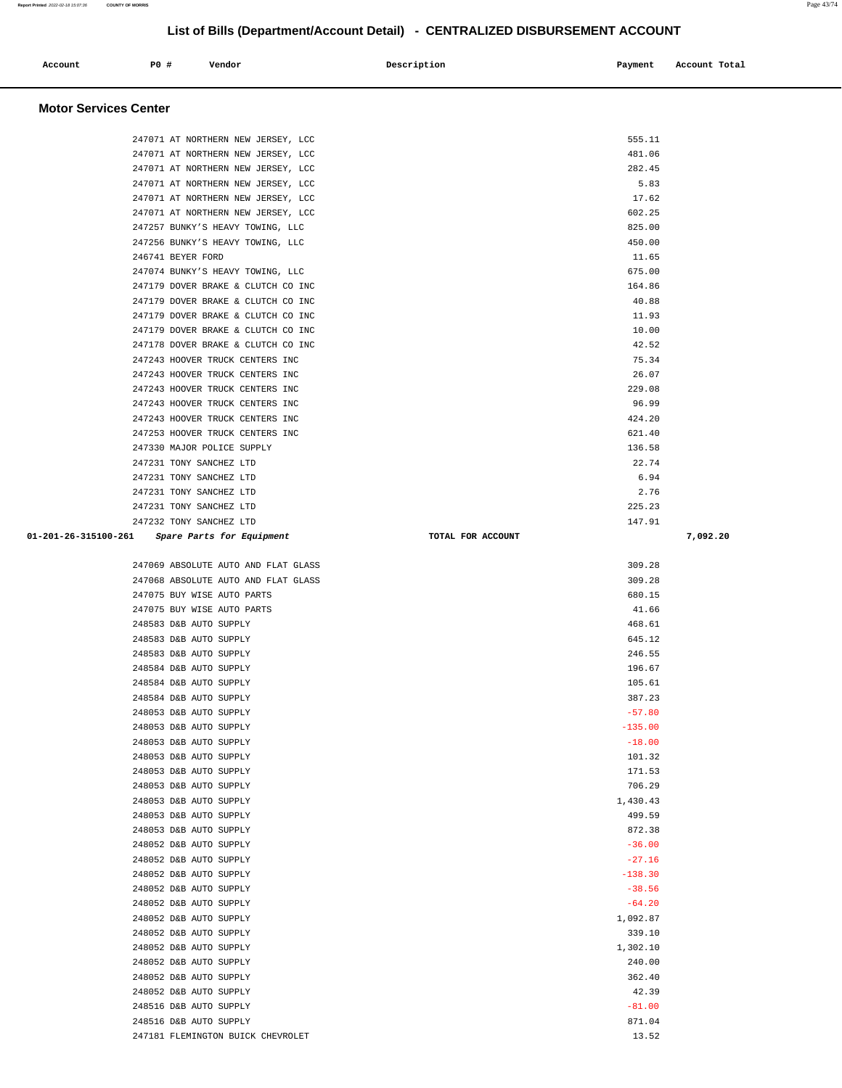| Account                      | PO# | Vendor                             | Description | Payment | Account Total |
|------------------------------|-----|------------------------------------|-------------|---------|---------------|
| <b>Motor Services Center</b> |     |                                    |             |         |               |
|                              |     | 247071 AT NORTHERN NEW JERSEY, LCC |             | 555.11  |               |
|                              |     | 247071 AT NORTHERN NEW JERSEY, LCC |             | 481.06  |               |
|                              |     | 247071 AT NORTHERN NEW JERSEY, LCC |             | 282.45  |               |
|                              |     | 247071 AT NORTHERN NEW JERSEY, LCC |             | 5.83    |               |

247071 AT NORTHERN NEW JERSEY, LCC 30 17.62 247071 AT NORTHERN NEW JERSEY, LCC 602.25 247257 BUNKY'S HEAVY TOWING, LLC 825.00 247256 BUNKY'S HEAVY TOWING, LLC 450.00 246741 BEYER FORD 11.65 247074 BUNKY'S HEAVY TOWING, LLC 675.00 247179 DOVER BRAKE & CLUTCH CO INC 164.86 247179 DOVER BRAKE & CLUTCH CO INC 40.88 247179 DOVER BRAKE & CLUTCH CO INC 11.93 247179 DOVER BRAKE & CLUTCH CO INC 10.00 247178 DOVER BRAKE & CLUTCH CO INC 42.52 247243 HOOVER TRUCK CENTERS INC 75.34 247243 HOOVER TRUCK CENTERS INC 26.07 247243 HOOVER TRUCK CENTERS INC 229.08 247243 HOOVER TRUCK CENTERS INC 96.99 247243 HOOVER TRUCK CENTERS INC 424.20 247253 HOOVER TRUCK CENTERS INC 621.40 247330 MAJOR POLICE SUPPLY 136.58 247231 TONY SANCHEZ LTD 22.74 247231 TONY SANCHEZ LTD 6.94 247231 TONY SANCHEZ LTD 2.76 247231 TONY SANCHEZ LTD 225.23 247232 TONY SANCHEZ LTD 147.91  **01-201-26-315100-261 Spare Parts for Equipment TOTAL FOR ACCOUNT 7,092.20**

|  |  | 825.0 |
|--|--|-------|
|  |  | 450.0 |
|  |  | 11.6  |
|  |  | 675.0 |
|  |  | 164.8 |
|  |  | 40.8  |
|  |  | 11.9  |
|  |  | 10.0  |
|  |  | 42.5  |
|  |  | 75.3  |
|  |  | 26.0  |
|  |  | 229.0 |
|  |  | 96.9  |
|  |  | 424.2 |
|  |  | 621.4 |
|  |  | 136.5 |
|  |  | 22.7  |
|  |  | 6.9   |
|  |  | 2.7   |
|  |  | 225.2 |
|  |  |       |

| 247069 ABSOLUTE AUTO AND FLAT GLASS | 309.28    |
|-------------------------------------|-----------|
| 247068 ABSOLUTE AUTO AND FLAT GLASS | 309.28    |
| 247075 BUY WISE AUTO PARTS          | 680.15    |
| 247075 BUY WISE AUTO PARTS          | 41.66     |
| 248583 D&B AUTO SUPPLY              | 468.61    |
| 248583 D&B AUTO SUPPLY              | 645.12    |
| 248583 D&B AUTO SUPPLY              | 246.55    |
| 248584 D&B AUTO SUPPLY              | 196.67    |
| 248584 D&B AUTO SUPPLY              | 105.61    |
| 248584 D&B AUTO SUPPLY              | 387.23    |
| 248053 D&B AUTO SUPPLY              | $-57.80$  |
| 248053 D&B AUTO SUPPLY              | $-135.00$ |
| 248053 D&B AUTO SUPPLY              | $-18.00$  |
| 248053 D&B AUTO SUPPLY              | 101.32    |
| 248053 D&B AUTO SUPPLY              | 171.53    |
| 248053 D&B AUTO SUPPLY              | 706.29    |
| 248053 D&B AUTO SUPPLY              | 1,430.43  |
| 248053 D&B AUTO SUPPLY              | 499.59    |
| 248053 D&B AUTO SUPPLY              | 872.38    |
| 248052 D&B AUTO SUPPLY              | $-36.00$  |
| 248052 D&B AUTO SUPPLY              | $-27.16$  |
| 248052 D&B AUTO SUPPLY              | $-138.30$ |
| 248052 D&B AUTO SUPPLY              | $-38.56$  |
| 248052 D&B AUTO SUPPLY              | $-64.20$  |
| 248052 D&B AUTO SUPPLY              | 1,092.87  |
| 248052 D&B AUTO SUPPLY              | 339.10    |
| 248052 D&B AUTO SUPPLY              | 1,302.10  |
| 248052 D&B AUTO SUPPLY              | 240.00    |
| 248052 D&B AUTO SUPPLY              | 362.40    |
| 248052 D&B AUTO SUPPLY              | 42.39     |
| 248516 D&B AUTO SUPPLY              | $-81.00$  |
| 248516 D&B AUTO SUPPLY              | 871.04    |
| 247181 FLEMINGTON BUICK CHEVROLET   | 13.52     |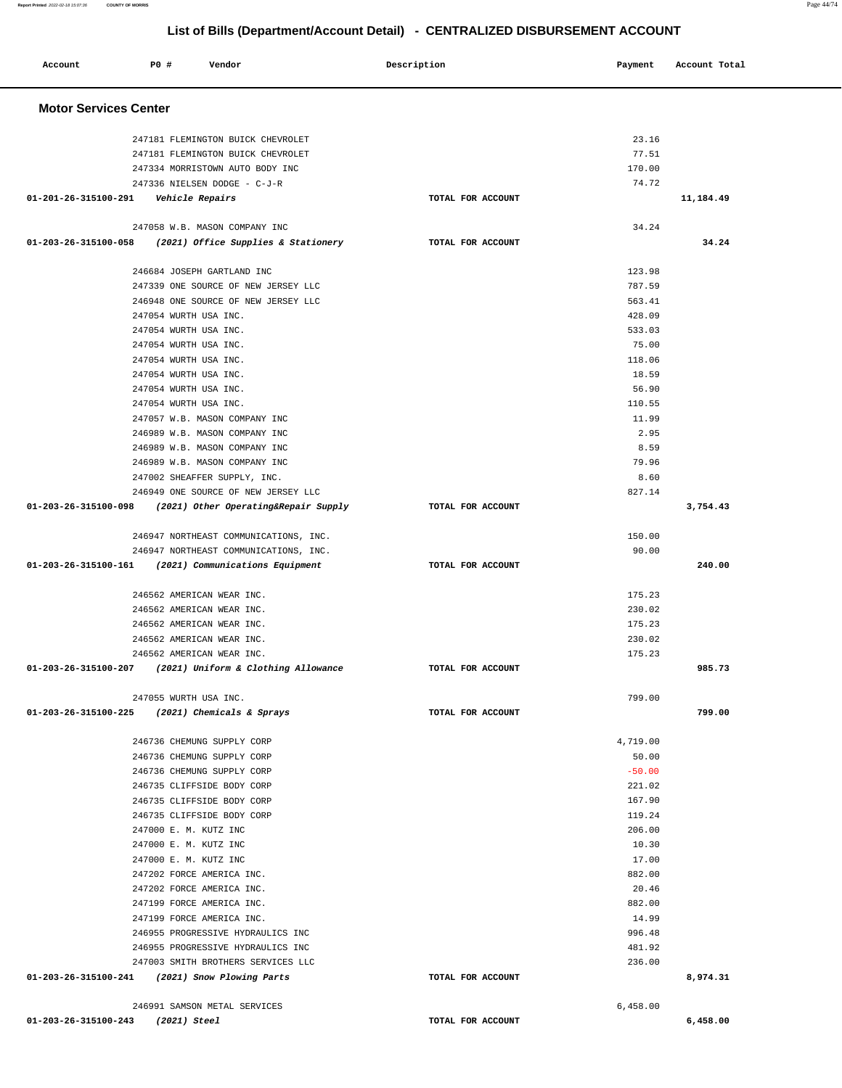| Account                        | <b>PO #</b>                   | Vendor                                                               | Description       | Payment          | Account Total |
|--------------------------------|-------------------------------|----------------------------------------------------------------------|-------------------|------------------|---------------|
| <b>Motor Services Center</b>   |                               |                                                                      |                   |                  |               |
|                                |                               | 247181 FLEMINGTON BUICK CHEVROLET                                    |                   | 23.16<br>77.51   |               |
|                                |                               | 247181 FLEMINGTON BUICK CHEVROLET<br>247334 MORRISTOWN AUTO BODY INC |                   | 170.00           |               |
|                                |                               | 247336 NIELSEN DODGE - C-J-R                                         |                   | 74.72            |               |
| 01-201-26-315100-291           | <i><b>Vehicle Repairs</b></i> |                                                                      | TOTAL FOR ACCOUNT |                  | 11,184.49     |
|                                |                               | 247058 W.B. MASON COMPANY INC                                        |                   | 34.24            |               |
| $01 - 203 - 26 - 315100 - 058$ |                               | (2021) Office Supplies & Stationery                                  | TOTAL FOR ACCOUNT |                  | 34.24         |
|                                |                               | 246684 JOSEPH GARTLAND INC                                           |                   | 123.98           |               |
|                                |                               | 247339 ONE SOURCE OF NEW JERSEY LLC                                  |                   | 787.59           |               |
|                                | 247054 WURTH USA INC.         | 246948 ONE SOURCE OF NEW JERSEY LLC                                  |                   | 563.41<br>428.09 |               |
|                                | 247054 WURTH USA INC.         |                                                                      |                   | 533.03           |               |
|                                | 247054 WURTH USA INC.         |                                                                      |                   | 75.00            |               |
|                                | 247054 WURTH USA INC.         |                                                                      |                   | 118.06           |               |
|                                | 247054 WURTH USA INC.         |                                                                      |                   | 18.59            |               |
|                                | 247054 WURTH USA INC.         |                                                                      |                   | 56.90            |               |
|                                | 247054 WURTH USA INC.         |                                                                      |                   | 110.55           |               |
|                                |                               | 247057 W.B. MASON COMPANY INC                                        |                   | 11.99            |               |
|                                |                               | 246989 W.B. MASON COMPANY INC                                        |                   | 2.95             |               |
|                                |                               | 246989 W.B. MASON COMPANY INC<br>246989 W.B. MASON COMPANY INC       |                   | 8.59<br>79.96    |               |
|                                |                               | 247002 SHEAFFER SUPPLY, INC.                                         |                   | 8.60             |               |
|                                |                               | 246949 ONE SOURCE OF NEW JERSEY LLC                                  |                   | 827.14           |               |
| 01-203-26-315100-098           |                               | (2021) Other Operating&Repair Supply                                 | TOTAL FOR ACCOUNT |                  | 3,754.43      |
|                                |                               | 246947 NORTHEAST COMMUNICATIONS, INC.                                |                   | 150.00           |               |
|                                |                               | 246947 NORTHEAST COMMUNICATIONS, INC.                                |                   | 90.00            |               |
| 01-203-26-315100-161           |                               | (2021) Communications Equipment                                      | TOTAL FOR ACCOUNT |                  | 240.00        |
|                                |                               | 246562 AMERICAN WEAR INC.                                            |                   | 175.23           |               |
|                                |                               | 246562 AMERICAN WEAR INC.                                            |                   | 230.02           |               |
|                                |                               | 246562 AMERICAN WEAR INC.                                            |                   | 175.23           |               |
|                                |                               | 246562 AMERICAN WEAR INC.<br>246562 AMERICAN WEAR INC.               |                   | 230.02<br>175.23 |               |
| 01-203-26-315100-207           |                               | (2021) Uniform & Clothing Allowance                                  | TOTAL FOR ACCOUNT |                  | 985.73        |
|                                | 247055 WURTH USA INC.         |                                                                      |                   | 799.00           |               |
| $01 - 203 - 26 - 315100 - 225$ |                               | (2021) Chemicals & Sprays                                            | TOTAL FOR ACCOUNT |                  | 799.00        |
|                                |                               | 246736 CHEMUNG SUPPLY CORP                                           |                   | 4,719.00         |               |
|                                |                               | 246736 CHEMUNG SUPPLY CORP                                           |                   | 50.00            |               |
|                                |                               | 246736 CHEMUNG SUPPLY CORP                                           |                   | $-50.00$         |               |
|                                |                               | 246735 CLIFFSIDE BODY CORP                                           |                   | 221.02           |               |
|                                |                               | 246735 CLIFFSIDE BODY CORP                                           |                   | 167.90           |               |
|                                | 247000 E. M. KUTZ INC         | 246735 CLIFFSIDE BODY CORP                                           |                   | 119.24<br>206.00 |               |
|                                | 247000 E. M. KUTZ INC         |                                                                      |                   | 10.30            |               |
|                                | 247000 E. M. KUTZ INC         |                                                                      |                   | 17.00            |               |
|                                |                               | 247202 FORCE AMERICA INC.                                            |                   | 882.00           |               |
|                                |                               | 247202 FORCE AMERICA INC.                                            |                   | 20.46            |               |
|                                |                               | 247199 FORCE AMERICA INC.                                            |                   | 882.00           |               |
|                                |                               | 247199 FORCE AMERICA INC.                                            |                   | 14.99            |               |
|                                |                               | 246955 PROGRESSIVE HYDRAULICS INC                                    |                   | 996.48           |               |
|                                |                               | 246955 PROGRESSIVE HYDRAULICS INC                                    |                   | 481.92           |               |
|                                |                               | 247003 SMITH BROTHERS SERVICES LLC                                   |                   | 236.00           |               |
| 01-203-26-315100-241           |                               | (2021) Snow Plowing Parts                                            | TOTAL FOR ACCOUNT |                  | 8,974.31      |
|                                |                               | 246991 SAMSON METAL SERVICES                                         |                   | 6,458.00         |               |
| 01-203-26-315100-243           | (2021) Steel                  |                                                                      | TOTAL FOR ACCOUNT |                  | 6,458.00      |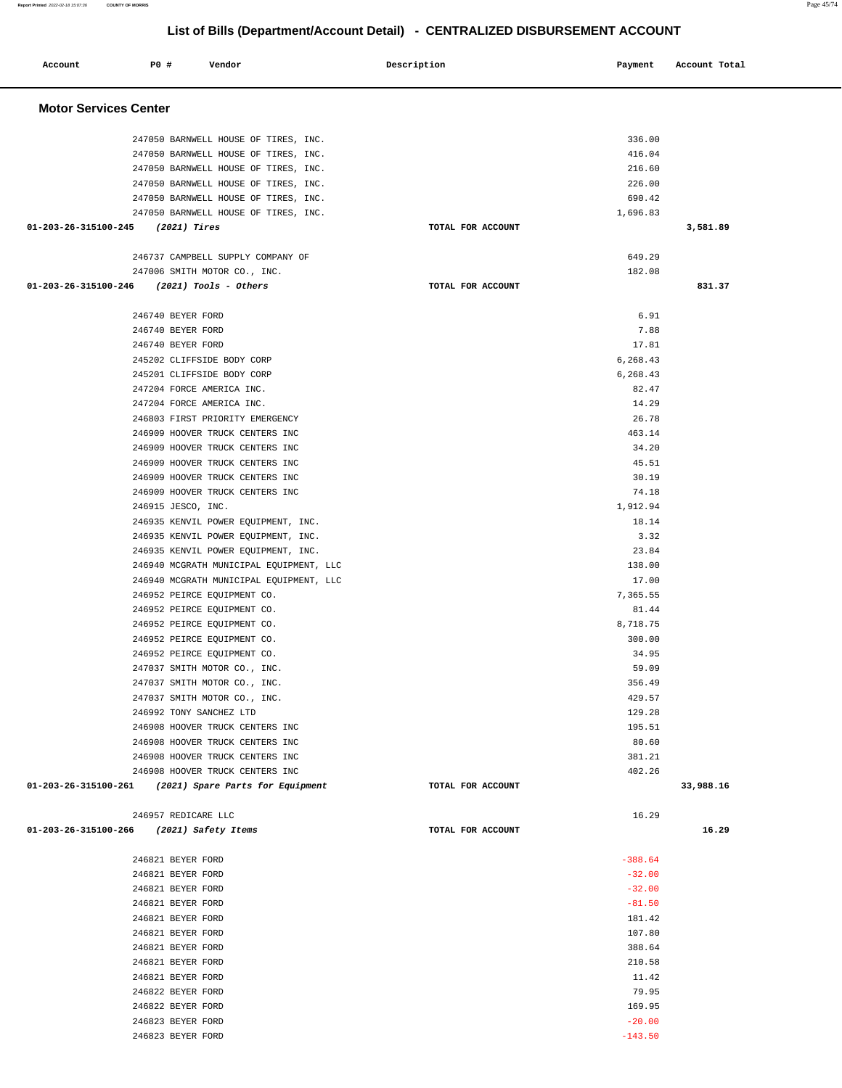| Account                                  | <b>PO #</b>                                                                                                                                                                                                                                                                   | Vendor                                                                                                                                                                                                                                                                                                                                                                                                                                                                                                                                                                                                                                                                                                                                                                                                                                                                           | Description |                   | Payment                                                                                                                                                                                                                                                                                       | Account Total |  |
|------------------------------------------|-------------------------------------------------------------------------------------------------------------------------------------------------------------------------------------------------------------------------------------------------------------------------------|----------------------------------------------------------------------------------------------------------------------------------------------------------------------------------------------------------------------------------------------------------------------------------------------------------------------------------------------------------------------------------------------------------------------------------------------------------------------------------------------------------------------------------------------------------------------------------------------------------------------------------------------------------------------------------------------------------------------------------------------------------------------------------------------------------------------------------------------------------------------------------|-------------|-------------------|-----------------------------------------------------------------------------------------------------------------------------------------------------------------------------------------------------------------------------------------------------------------------------------------------|---------------|--|
| <b>Motor Services Center</b>             |                                                                                                                                                                                                                                                                               |                                                                                                                                                                                                                                                                                                                                                                                                                                                                                                                                                                                                                                                                                                                                                                                                                                                                                  |             |                   |                                                                                                                                                                                                                                                                                               |               |  |
|                                          |                                                                                                                                                                                                                                                                               | 247050 BARNWELL HOUSE OF TIRES, INC.<br>247050 BARNWELL HOUSE OF TIRES, INC.<br>247050 BARNWELL HOUSE OF TIRES, INC.<br>247050 BARNWELL HOUSE OF TIRES, INC.<br>247050 BARNWELL HOUSE OF TIRES, INC.                                                                                                                                                                                                                                                                                                                                                                                                                                                                                                                                                                                                                                                                             |             |                   | 336.00<br>416.04<br>216.60<br>226.00<br>690.42                                                                                                                                                                                                                                                |               |  |
| 01-203-26-315100-245                     | (2021) Tires                                                                                                                                                                                                                                                                  | 247050 BARNWELL HOUSE OF TIRES, INC.                                                                                                                                                                                                                                                                                                                                                                                                                                                                                                                                                                                                                                                                                                                                                                                                                                             |             | TOTAL FOR ACCOUNT | 1,696.83                                                                                                                                                                                                                                                                                      | 3,581.89      |  |
| 01-203-26-315100-246                     |                                                                                                                                                                                                                                                                               | 246737 CAMPBELL SUPPLY COMPANY OF<br>247006 SMITH MOTOR CO., INC.<br>(2021) Tools - Others                                                                                                                                                                                                                                                                                                                                                                                                                                                                                                                                                                                                                                                                                                                                                                                       |             | TOTAL FOR ACCOUNT | 649.29<br>182.08                                                                                                                                                                                                                                                                              | 831.37        |  |
|                                          | 246740 BEYER FORD<br>246740 BEYER FORD<br>246740 BEYER FORD<br>246915 JESCO, INC.<br>246992 TONY SANCHEZ LTD                                                                                                                                                                  | 245202 CLIFFSIDE BODY CORP<br>245201 CLIFFSIDE BODY CORP<br>247204 FORCE AMERICA INC.<br>247204 FORCE AMERICA INC.<br>246803 FIRST PRIORITY EMERGENCY<br>246909 HOOVER TRUCK CENTERS INC<br>246909 HOOVER TRUCK CENTERS INC<br>246909 HOOVER TRUCK CENTERS INC<br>246909 HOOVER TRUCK CENTERS INC<br>246909 HOOVER TRUCK CENTERS INC<br>246935 KENVIL POWER EQUIPMENT, INC.<br>246935 KENVIL POWER EQUIPMENT, INC.<br>246935 KENVIL POWER EQUIPMENT, INC.<br>246940 MCGRATH MUNICIPAL EQUIPMENT, LLC<br>246940 MCGRATH MUNICIPAL EQUIPMENT, LLC<br>246952 PEIRCE EQUIPMENT CO.<br>246952 PEIRCE EQUIPMENT CO.<br>246952 PEIRCE EQUIPMENT CO.<br>246952 PEIRCE EQUIPMENT CO.<br>246952 PEIRCE EQUIPMENT CO.<br>247037 SMITH MOTOR CO., INC.<br>247037 SMITH MOTOR CO., INC.<br>247037 SMITH MOTOR CO., INC.<br>246908 HOOVER TRUCK CENTERS INC<br>246908 HOOVER TRUCK CENTERS INC |             |                   | 6.91<br>7.88<br>17.81<br>6,268.43<br>6,268.43<br>82.47<br>14.29<br>26.78<br>463.14<br>34.20<br>45.51<br>30.19<br>74.18<br>1,912.94<br>18.14<br>3.32<br>23.84<br>138.00<br>17.00<br>7,365.55<br>81.44<br>8,718.75<br>300.00<br>34.95<br>59.09<br>356.49<br>429.57<br>129.28<br>195.51<br>80.60 |               |  |
|                                          |                                                                                                                                                                                                                                                                               | 246908 HOOVER TRUCK CENTERS INC<br>246908 HOOVER TRUCK CENTERS INC<br>01-203-26-315100-261 (2021) Spare Parts for Equipment                                                                                                                                                                                                                                                                                                                                                                                                                                                                                                                                                                                                                                                                                                                                                      |             | TOTAL FOR ACCOUNT | 381.21<br>402.26                                                                                                                                                                                                                                                                              | 33,988.16     |  |
| 01-203-26-315100-266 (2021) Safety Items | 246957 REDICARE LLC                                                                                                                                                                                                                                                           |                                                                                                                                                                                                                                                                                                                                                                                                                                                                                                                                                                                                                                                                                                                                                                                                                                                                                  |             | TOTAL FOR ACCOUNT | 16.29                                                                                                                                                                                                                                                                                         | 16.29         |  |
|                                          | 246821 BEYER FORD<br>246821 BEYER FORD<br>246821 BEYER FORD<br>246821 BEYER FORD<br>246821 BEYER FORD<br>246821 BEYER FORD<br>246821 BEYER FORD<br>246821 BEYER FORD<br>246821 BEYER FORD<br>246822 BEYER FORD<br>246822 BEYER FORD<br>246823 BEYER FORD<br>246823 BEYER FORD |                                                                                                                                                                                                                                                                                                                                                                                                                                                                                                                                                                                                                                                                                                                                                                                                                                                                                  |             |                   | $-388.64$<br>$-32.00$<br>$-32.00$<br>$-81.50$<br>181.42<br>107.80<br>388.64<br>210.58<br>11.42<br>79.95<br>169.95<br>$-20.00$<br>$-143.50$                                                                                                                                                    |               |  |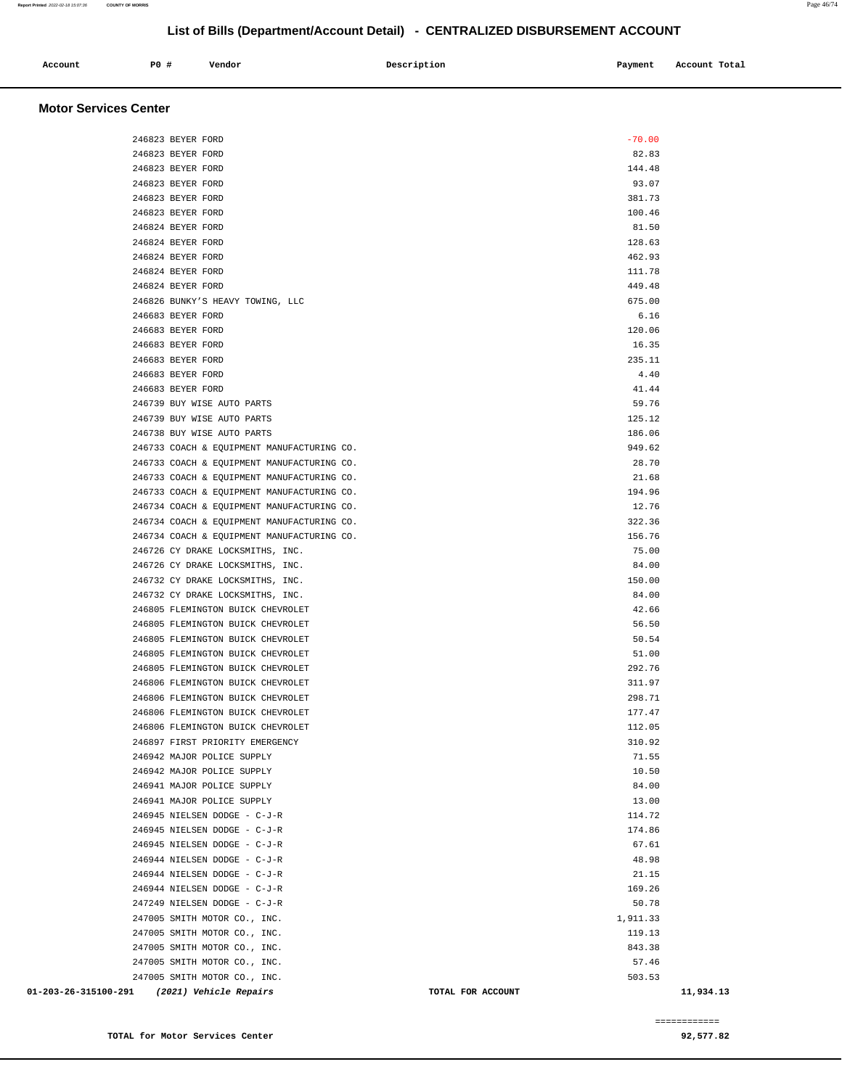| Account<br>. | P0# | Vendor | Description | Payment | Account Total |
|--------------|-----|--------|-------------|---------|---------------|
|              |     |        |             |         |               |

### **Motor Services Center**

| 246823 BEYER FORD                           | $-70.00$          |           |
|---------------------------------------------|-------------------|-----------|
| 246823 BEYER FORD                           | 82.83             |           |
| 246823 BEYER FORD                           | 144.48            |           |
| 246823 BEYER FORD                           | 93.07             |           |
| 246823 BEYER FORD                           | 381.73            |           |
| 246823 BEYER FORD                           | 100.46            |           |
| 246824 BEYER FORD                           | 81.50             |           |
| 246824 BEYER FORD                           | 128.63            |           |
| 246824 BEYER FORD                           | 462.93            |           |
| 246824 BEYER FORD                           | 111.78            |           |
| 246824 BEYER FORD                           | 449.48            |           |
| 246826 BUNKY'S HEAVY TOWING, LLC            | 675.00            |           |
| 246683 BEYER FORD                           | 6.16              |           |
| 246683 BEYER FORD                           | 120.06            |           |
| 246683 BEYER FORD                           | 16.35             |           |
| 246683 BEYER FORD                           | 235.11            |           |
| 246683 BEYER FORD                           | 4.40              |           |
| 246683 BEYER FORD                           | 41.44             |           |
| 246739 BUY WISE AUTO PARTS                  | 59.76             |           |
| 246739 BUY WISE AUTO PARTS                  | 125.12            |           |
| 246738 BUY WISE AUTO PARTS                  | 186.06            |           |
| 246733 COACH & EQUIPMENT MANUFACTURING CO.  | 949.62            |           |
| 246733 COACH & EQUIPMENT MANUFACTURING CO.  | 28.70             |           |
| 246733 COACH & EQUIPMENT MANUFACTURING CO.  | 21.68             |           |
| 246733 COACH & EQUIPMENT MANUFACTURING CO.  | 194.96            |           |
| 246734 COACH & EQUIPMENT MANUFACTURING CO.  | 12.76             |           |
| 246734 COACH & EQUIPMENT MANUFACTURING CO.  | 322.36            |           |
|                                             | 156.76            |           |
| 246734 COACH & EQUIPMENT MANUFACTURING CO.  | 75.00             |           |
| 246726 CY DRAKE LOCKSMITHS, INC.            |                   |           |
| 246726 CY DRAKE LOCKSMITHS, INC.            | 84.00             |           |
| 246732 CY DRAKE LOCKSMITHS, INC.            | 150.00            |           |
| 246732 CY DRAKE LOCKSMITHS, INC.            | 84.00             |           |
| 246805 FLEMINGTON BUICK CHEVROLET           | 42.66             |           |
| 246805 FLEMINGTON BUICK CHEVROLET           | 56.50             |           |
| 246805 FLEMINGTON BUICK CHEVROLET           | 50.54             |           |
| 246805 FLEMINGTON BUICK CHEVROLET           | 51.00             |           |
| 246805 FLEMINGTON BUICK CHEVROLET           | 292.76            |           |
| 246806 FLEMINGTON BUICK CHEVROLET           | 311.97            |           |
| 246806 FLEMINGTON BUICK CHEVROLET           | 298.71            |           |
| 246806 FLEMINGTON BUICK CHEVROLET           | 177.47            |           |
| 246806 FLEMINGTON BUICK CHEVROLET           | 112.05            |           |
| 246897 FIRST PRIORITY EMERGENCY             | 310.92            |           |
| 246942 MAJOR POLICE SUPPLY                  | 71.55             |           |
| 246942 MAJOR POLICE SUPPLY                  | 10.50             |           |
| 246941 MAJOR POLICE SUPPLY                  | 84.00             |           |
| 246941 MAJOR POLICE SUPPLY                  | 13.00             |           |
| 246945 NIELSEN DODGE - C-J-R                | 114.72            |           |
| 246945 NIELSEN DODGE - C-J-R                | 174.86            |           |
| 246945 NIELSEN DODGE - C-J-R                | 67.61             |           |
| 246944 NIELSEN DODGE - C-J-R                | 48.98             |           |
| 246944 NIELSEN DODGE - C-J-R                | 21.15             |           |
| 246944 NIELSEN DODGE - C-J-R                | 169.26            |           |
| 247249 NIELSEN DODGE - C-J-R                | 50.78             |           |
| 247005 SMITH MOTOR CO., INC.                | 1,911.33          |           |
| 247005 SMITH MOTOR CO., INC.                | 119.13            |           |
| 247005 SMITH MOTOR CO., INC.                | 843.38            |           |
| 247005 SMITH MOTOR CO., INC.                | 57.46             |           |
| 247005 SMITH MOTOR CO., INC.                | 503.53            |           |
| 01-203-26-315100-291 (2021) Vehicle Repairs | TOTAL FOR ACCOUNT | 11,934.13 |

============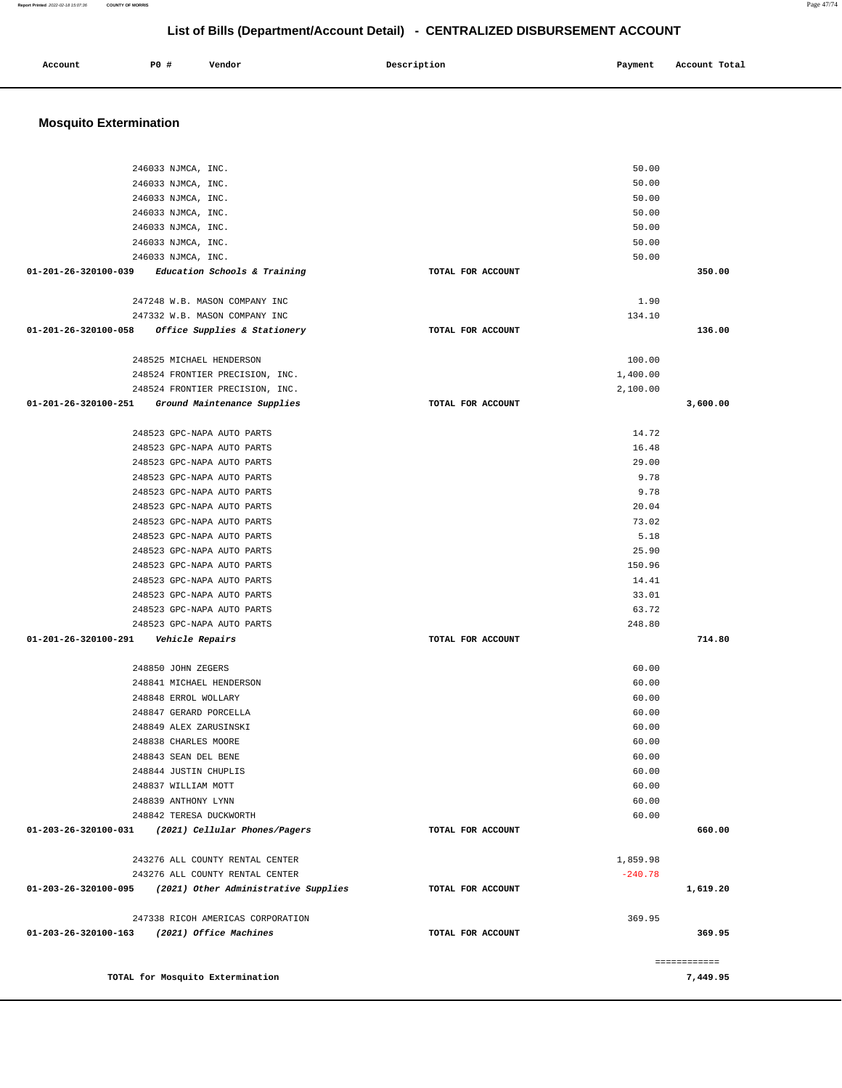### **Mosquito Extermination**  246033 NJMCA, INC. 246033 NJMCA, INC. 246033 NJMCA, INC. 246033 NJMCA, INC. 246033 NJMCA, INC. 246033 NJMCA, INC. 246033 NJMCA, INC. **01-201-26-320100-039 Education Schools & Training TOTAL FOR ACCOUNT**  50.00 50.00 50.00 50.00 50.00 50.00 50.00 **350.00** 247248 W.B. MASON COMPANY INC 247332 W.B. MASON COMPANY INC **01-201-26-320100-058 Office Supplies & Stationery TOTAL FOR ACCOUNT**  1.90 134.10 **136.00** 248525 MICHAEL HENDERSON 248524 FRONTIER PRECISION, INC. 248524 FRONTIER PRECISION, INC. **01-201-26-320100-251 Ground Maintenance Supplies TOTAL FOR ACCOUNT**  100.00 1,400.00 2,100.00 **3,600.00** 248523 GPC-NAPA AUTO PARTS 248523 GPC-NAPA AUTO PARTS 248523 GPC-NAPA AUTO PARTS 248523 GPC-NAPA AUTO PARTS 248523 GPC-NAPA AUTO PARTS 248523 GPC-NAPA AUTO PARTS 248523 GPC-NAPA AUTO PARTS 248523 GPC-NAPA AUTO PARTS 248523 GPC-NAPA AUTO PARTS 248523 GPC-NAPA AUTO PARTS 248523 GPC-NAPA AUTO PARTS 248523 GPC-NAPA AUTO PARTS 248523 GPC-NAPA AUTO PARTS 248523 GPC-NAPA AUTO PARTS **01-201-26-320100-291 Vehicle Repairs TOTAL FOR ACCOUNT**  14.72 16.48 29.00 9.78 9.78 20.04 73.02 5.18 25.90 150.96 14.41 33.01 63.72 248.80 **714.80** 248850 JOHN ZEGERS 248841 MICHAEL HENDERSON 248848 ERROL WOLLARY 248847 GERARD PORCELLA 248849 ALEX ZARUSINSKI 248838 CHARLES MOORE 248843 SEAN DEL BENE 248844 JUSTIN CHUPLIS 248837 WILLIAM MOTT 248839 ANTHONY LYNN 248842 TERESA DUCKWORTH **01-203-26-320100-031 (2021) Cellular Phones/Pagers TOTAL FOR ACCOUNT**  60.00 60.00 60.00 60.00 60.00 60.00 60.00 60.00 60.00 60.00 60.00 **660.00** 243276 ALL COUNTY RENTAL CENTER 243276 ALL COUNTY RENTAL CENTER **01-203-26-320100-095 (2021) Other Administrative Supplies TOTAL FOR ACCOUNT**  1,859.98 -240.78 **1,619.20** 247338 RICOH AMERICAS CORPORATION **01-203-26-320100-163 (2021) Office Machines TOTAL FOR ACCOUNT**  369.95 **369.95** ============ **TOTAL for Mosquito Extermination 7,449.95**

 **Account P0 # Vendor Description Payment Account Total**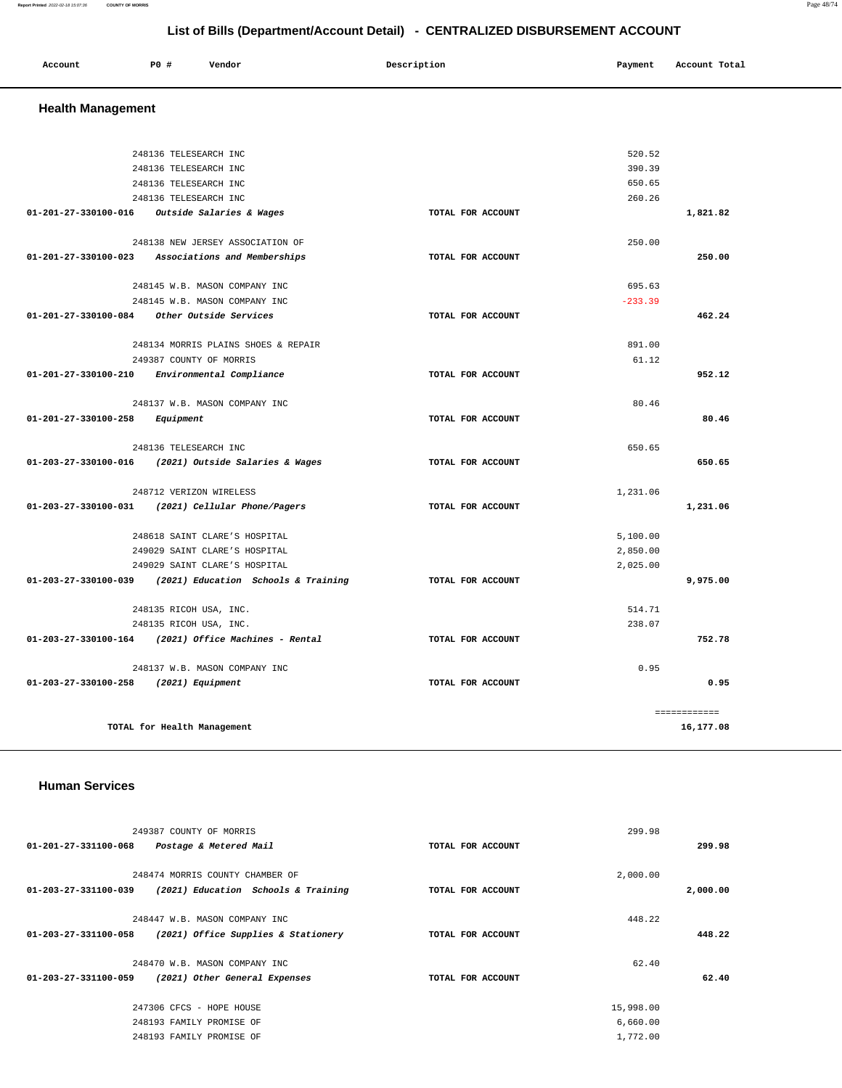### **Report Printed** 2022-02-18 15:07:36 **COUNTY OF MORRIS** Page 48/74

# **List of Bills (Department/Account Detail) - CENTRALIZED DISBURSEMENT ACCOUNT**

| Account | P0 | Vendor | Description | Payment | Account Total |
|---------|----|--------|-------------|---------|---------------|
|         |    |        |             |         |               |

# **Health Management**

|                                          | 248136 TELESEARCH INC                                    |                   | 520.52    |              |
|------------------------------------------|----------------------------------------------------------|-------------------|-----------|--------------|
|                                          | 248136 TELESEARCH INC                                    |                   | 390.39    |              |
|                                          | 248136 TELESEARCH INC                                    |                   | 650.65    |              |
|                                          | 248136 TELESEARCH INC                                    |                   | 260.26    |              |
|                                          | 01-201-27-330100-016 Outside Salaries & Wages            | TOTAL FOR ACCOUNT |           | 1,821.82     |
|                                          | 248138 NEW JERSEY ASSOCIATION OF                         |                   | 250.00    |              |
|                                          | 01-201-27-330100-023 Associations and Memberships        | TOTAL FOR ACCOUNT |           | 250.00       |
|                                          | 248145 W.B. MASON COMPANY INC                            |                   | 695.63    |              |
|                                          | 248145 W.B. MASON COMPANY INC                            |                   | $-233.39$ |              |
|                                          | 01-201-27-330100-084 Other Outside Services              | TOTAL FOR ACCOUNT |           | 462.24       |
|                                          | 248134 MORRIS PLAINS SHOES & REPAIR                      |                   | 891.00    |              |
|                                          | 249387 COUNTY OF MORRIS                                  |                   | 61.12     |              |
|                                          | 01-201-27-330100-210 Environmental Compliance            | TOTAL FOR ACCOUNT |           | 952.12       |
|                                          | 248137 W.B. MASON COMPANY INC.                           |                   | 80.46     |              |
| $01 - 201 - 27 - 330100 - 258$ Equipment |                                                          | TOTAL FOR ACCOUNT |           | 80.46        |
|                                          | 248136 TELESEARCH INC                                    |                   | 650.65    |              |
|                                          | 01-203-27-330100-016 (2021) Outside Salaries & Wages     | TOTAL FOR ACCOUNT |           | 650.65       |
|                                          | 248712 VERIZON WIRELESS                                  |                   | 1,231.06  |              |
|                                          | 01-203-27-330100-031 (2021) Cellular Phone/Pagers        | TOTAL FOR ACCOUNT |           | 1,231.06     |
|                                          | 248618 SAINT CLARE'S HOSPITAL                            |                   | 5,100.00  |              |
|                                          | 249029 SAINT CLARE'S HOSPITAL                            |                   | 2,850.00  |              |
|                                          | 249029 SAINT CLARE'S HOSPITAL                            |                   | 2,025.00  |              |
|                                          | 01-203-27-330100-039 (2021) Education Schools & Training | TOTAL FOR ACCOUNT |           | 9,975.00     |
|                                          | 248135 RICOH USA, INC.                                   |                   | 514.71    |              |
|                                          | 248135 RICOH USA, INC.                                   |                   | 238.07    |              |
|                                          | $01-203-27-330100-164$ (2021) Office Machines - Rental   | TOTAL FOR ACCOUNT |           | 752.78       |
|                                          | 248137 W.B. MASON COMPANY INC                            |                   | 0.95      |              |
| 01-203-27-330100-258 (2021) Equipment    |                                                          | TOTAL FOR ACCOUNT |           | 0.95         |
|                                          |                                                          |                   |           | ============ |
|                                          | TOTAL for Health Management                              |                   |           | 16,177.08    |

# **Human Services**

| 249387 COUNTY OF MORRIS                                     |                   | 299.98    |          |
|-------------------------------------------------------------|-------------------|-----------|----------|
| $01 - 201 - 27 - 331100 - 068$<br>Postage & Metered Mail    | TOTAL FOR ACCOUNT |           | 299.98   |
|                                                             |                   |           |          |
| 248474 MORRIS COUNTY CHAMBER OF                             |                   | 2,000.00  |          |
| 01-203-27-331100-039<br>(2021) Education Schools & Training | TOTAL FOR ACCOUNT |           | 2,000.00 |
|                                                             |                   |           |          |
| 248447 W.B. MASON COMPANY INC                               |                   | 448.22    |          |
| 01-203-27-331100-058<br>(2021) Office Supplies & Stationery | TOTAL FOR ACCOUNT |           | 448.22   |
|                                                             |                   |           |          |
| 248470 W.B. MASON COMPANY INC                               |                   | 62.40     |          |
| (2021) Other General Expenses<br>01-203-27-331100-059       | TOTAL FOR ACCOUNT |           | 62.40    |
| 247306 CFCS - HOPE HOUSE                                    |                   | 15,998.00 |          |
|                                                             |                   |           |          |
| 248193 FAMILY PROMISE OF                                    |                   | 6,660.00  |          |
| 248193 FAMILY PROMISE OF                                    |                   | 1,772.00  |          |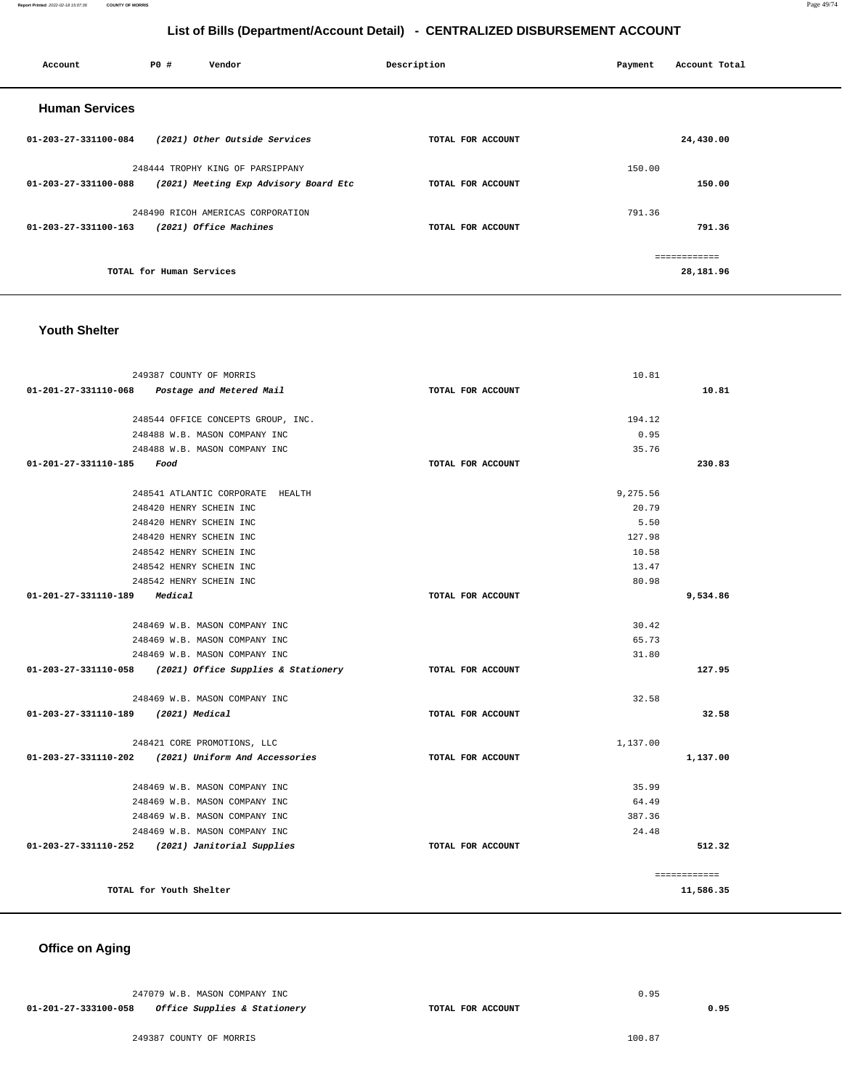| Account               | <b>PO #</b>              | Vendor                                | Description       | Payment | Account Total |
|-----------------------|--------------------------|---------------------------------------|-------------------|---------|---------------|
| <b>Human Services</b> |                          |                                       |                   |         |               |
| 01-203-27-331100-084  |                          | (2021) Other Outside Services         | TOTAL FOR ACCOUNT |         | 24,430.00     |
|                       |                          | 248444 TROPHY KING OF PARSIPPANY      |                   | 150.00  |               |
| 01-203-27-331100-088  |                          | (2021) Meeting Exp Advisory Board Etc | TOTAL FOR ACCOUNT |         | 150.00        |
|                       |                          | 248490 RICOH AMERICAS CORPORATION     |                   | 791.36  |               |
| 01-203-27-331100-163  |                          | (2021) Office Machines                | TOTAL FOR ACCOUNT |         | 791.36        |
|                       |                          |                                       |                   |         | ------------  |
|                       | TOTAL for Human Services |                                       |                   |         | 28,181.96     |
|                       |                          |                                       |                   |         |               |

### **Youth Shelter**

| 249387 COUNTY OF MORRIS                                        |                   | 10.81         |
|----------------------------------------------------------------|-------------------|---------------|
| $01-201-27-331110-068$ Postage and Metered Mail                | TOTAL FOR ACCOUNT | 10.81         |
|                                                                |                   |               |
| 248544 OFFICE CONCEPTS GROUP, INC.                             |                   | 194.12        |
| 248488 W.B. MASON COMPANY INC<br>248488 W.B. MASON COMPANY INC |                   | 0.95<br>35.76 |
| 01-201-27-331110-185 Food                                      | TOTAL FOR ACCOUNT | 230.83        |
|                                                                |                   |               |
| 248541 ATLANTIC CORPORATE HEALTH                               |                   | 9.275.56      |
| 248420 HENRY SCHEIN INC                                        |                   | 20.79         |
| 248420 HENRY SCHEIN INC                                        |                   | 5.50          |
| 248420 HENRY SCHEIN INC                                        |                   | 127.98        |
| 248542 HENRY SCHEIN INC                                        |                   | 10.58         |
| 248542 HENRY SCHEIN INC                                        |                   | 13.47         |
| 248542 HENRY SCHEIN INC                                        |                   | 80.98         |
| 01-201-27-331110-189 Medical                                   | TOTAL FOR ACCOUNT | 9,534.86      |
| 248469 W.B. MASON COMPANY INC                                  |                   | 30.42         |
| 248469 W.B. MASON COMPANY INC                                  |                   | 65.73         |
| 248469 W.B. MASON COMPANY INC                                  |                   | 31.80         |
| 01-203-27-331110-058 (2021) Office Supplies & Stationery       | TOTAL FOR ACCOUNT | 127.95        |
|                                                                |                   |               |
| 248469 W.B. MASON COMPANY INC.                                 |                   | 32.58         |
| 01-203-27-331110-189 (2021) Medical                            | TOTAL FOR ACCOUNT | 32.58         |
| 248421 CORE PROMOTIONS, LLC                                    |                   | 1,137.00      |
| 01-203-27-331110-202 (2021) Uniform And Accessories            | TOTAL FOR ACCOUNT | 1,137.00      |
| 248469 W.B. MASON COMPANY INC                                  |                   | 35.99         |
| 248469 W.B. MASON COMPANY INC                                  |                   | 64.49         |
| 248469 W.B. MASON COMPANY INC                                  |                   | 387.36        |
| 248469 W.B. MASON COMPANY INC                                  |                   | 24.48         |
| 01-203-27-331110-252 (2021) Janitorial Supplies                | TOTAL FOR ACCOUNT | 512.32        |
|                                                                |                   |               |
|                                                                |                   | ============  |
| TOTAL for Youth Shelter                                        |                   | 11,586.35     |
|                                                                |                   |               |

# **Office on Aging**

247079 W.B. MASON COMPANY INC **01-201-27-333100-058 Office Supplies & Stationery** 

**TOTAL FOR ACCOUNT** 

249387 COUNTY OF MORRIS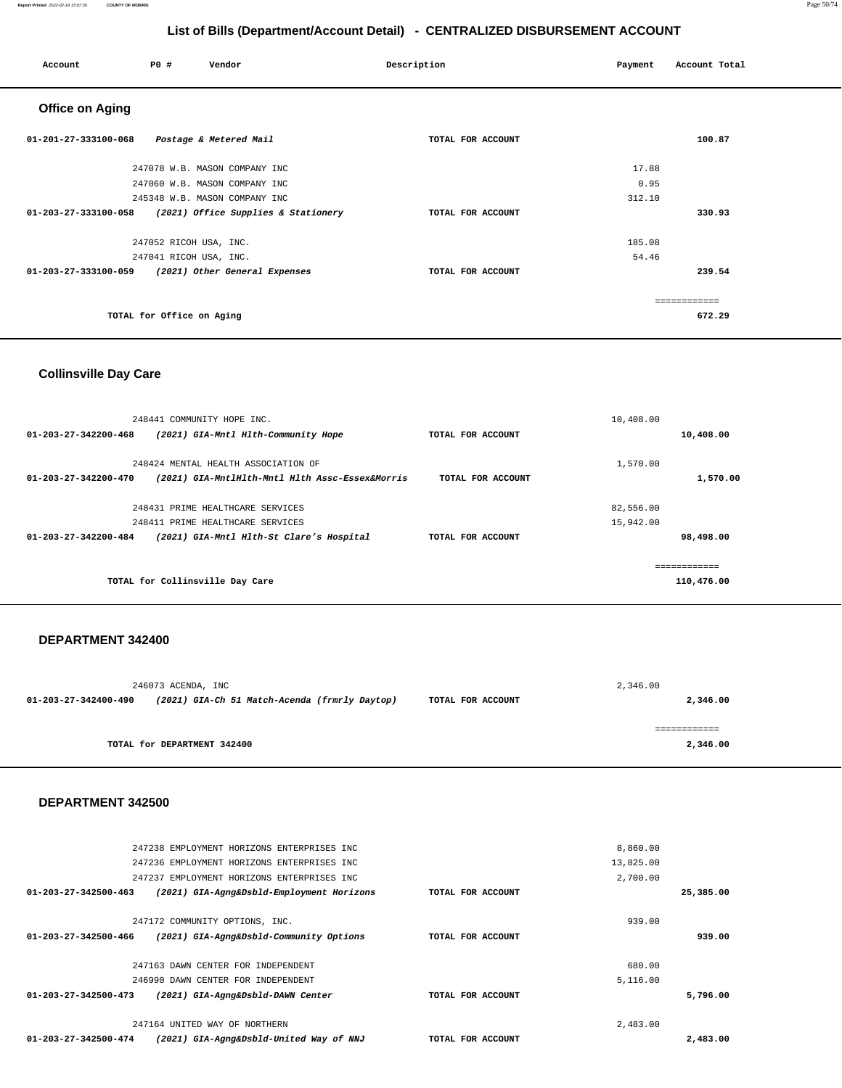### 247236 EMPLOYMENT HORIZONS ENTERPRISES INC 247237 EMPLOYMENT HORIZONS ENTERPRISES INC **01-203-27-342500-463 (2021) GIA-Agng&Dsbld-Employment Horizons TOTAL FOR ACCOUNT**  13,825.00 2,700.00 **25,385.00** 247172 COMMUNITY OPTIONS, INC. **01-203-27-342500-466 (2021) GIA-Agng&Dsbld-Community Options TOTAL FOR ACCOUNT**  939.00 **939.00** 247163 DAWN CENTER FOR INDEPENDENT 246990 DAWN CENTER FOR INDEPENDENT **01-203-27-342500-473 (2021) GIA-Agng&Dsbld-DAWN Center TOTAL FOR ACCOUNT**  680.00 5,116.00 **5,796.00** 247164 UNITED WAY OF NORTHERN 2,483.00

### **DEPARTMENT 342500**

|                      | 246073 ACENDA, INC                            |                   | 2,346.00      |
|----------------------|-----------------------------------------------|-------------------|---------------|
| 01-203-27-342400-490 | (2021) GIA-Ch 51 Match-Acenda (frmrly Daytop) | TOTAL FOR ACCOUNT | 2,346.00      |
|                      |                                               |                   | :===========: |
|                      | TOTAL for DEPARTMENT 342400                   |                   | 2,346.00      |

### **DEPARTMENT 342400**

| $01 - 203 - 27 - 342200 - 468$ | (2021) GIA-Mntl Hlth-Community Hope             | TOTAL FOR ACCOUNT |           | 10,408.00    |
|--------------------------------|-------------------------------------------------|-------------------|-----------|--------------|
|                                | 248424 MENTAL HEALTH ASSOCIATION OF             |                   | 1,570.00  |              |
| 01-203-27-342200-470           | (2021) GIA-MntlHlth-Mntl Hlth Assc-Essex&Morris | TOTAL FOR ACCOUNT |           | 1,570.00     |
|                                | 248431 PRIME HEALTHCARE SERVICES                |                   | 82,556.00 |              |
|                                | 248411 PRIME HEALTHCARE SERVICES                |                   | 15,942.00 |              |
| $01 - 203 - 27 - 342200 - 484$ | (2021) GIA-Mntl Hlth-St Clare's Hospital        | TOTAL FOR ACCOUNT |           | 98,498.00    |
|                                |                                                 |                   |           | ------------ |
|                                | TOTAL for Collinsville Day Care                 |                   |           | 110,476.00   |

# **Collinsville Day Care**

248441 COMMUNITY HOPE INC.

247238 EMPLOYMENT HORIZONS ENTERPRISES INC

**01-203-27-342500-474 (2021) GIA-Agng&Dsbld-United Way of NNJ TOTAL FOR ACCOUNT** 

| <b>Office on Aging</b>                                      |                   |               |
|-------------------------------------------------------------|-------------------|---------------|
| 01-201-27-333100-068<br>Postage & Metered Mail              | TOTAL FOR ACCOUNT | 100.87        |
| 247078 W.B. MASON COMPANY INC                               |                   | 17.88         |
| 247060 W.B. MASON COMPANY INC                               |                   | 0.95          |
| 245348 W.B. MASON COMPANY INC                               |                   | 312.10        |
| 01-203-27-333100-058<br>(2021) Office Supplies & Stationery | TOTAL FOR ACCOUNT | 330.93        |
| 247052 RICOH USA, INC.                                      |                   | 185.08        |
| 247041 RICOH USA, INC.                                      |                   | 54.46         |
| 01-203-27-333100-059<br>(2021) Other General Expenses       | TOTAL FOR ACCOUNT | 239.54        |
|                                                             |                   | ------------- |
| TOTAL for Office on Aging                                   |                   | 672.29        |

 **Account P0 # Vendor Description Payment Account Total**

10,408.00

8,860.00

**2,483.00**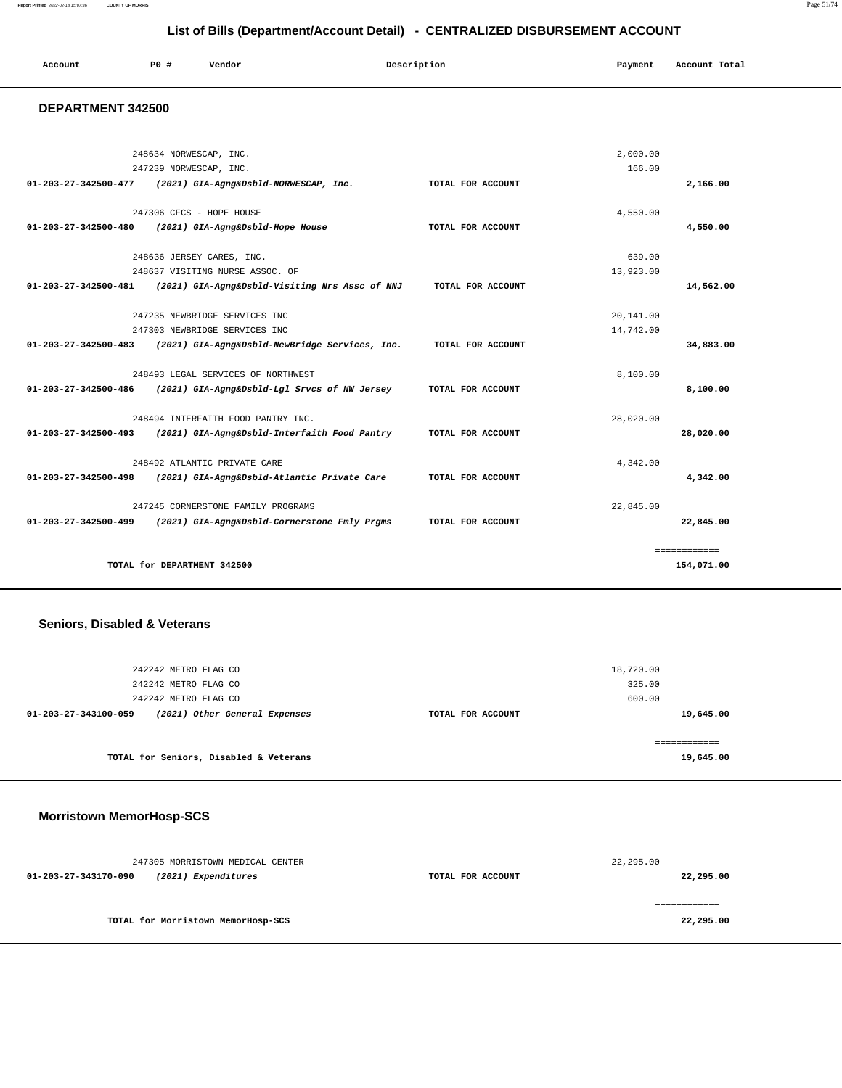**Report Printed** 2022-02-18 15:07:36 **COUNTY OF MORRIS** Page 51/74

# **List of Bills (Department/Account Detail) - CENTRALIZED DISBURSEMENT ACCOUNT**

| Account | P <sub>0</sub> | Vendor | Description | Payment | Account Total |
|---------|----------------|--------|-------------|---------|---------------|
|         |                |        |             |         |               |

### **DEPARTMENT 342500**

|                                | 248634 NORWESCAP, INC.                         |                   | 2,000.00  |              |
|--------------------------------|------------------------------------------------|-------------------|-----------|--------------|
|                                | 247239 NORWESCAP, INC.                         |                   | 166.00    |              |
| $01 - 203 - 27 - 342500 - 477$ | (2021) GIA-Agng&Dsbld-NORWESCAP, Inc.          | TOTAL FOR ACCOUNT |           | 2,166.00     |
|                                | 247306 CFCS - HOPE HOUSE                       |                   | 4,550.00  |              |
| $01 - 203 - 27 - 342500 - 480$ | (2021) GIA-Agng&Dsbld-Hope House               | TOTAL FOR ACCOUNT |           | 4,550.00     |
|                                | 248636 JERSEY CARES, INC.                      |                   | 639.00    |              |
|                                | 248637 VISITING NURSE ASSOC. OF                |                   | 13,923.00 |              |
| $01 - 203 - 27 - 342500 - 481$ | (2021) GIA-Agng&Dsbld-Visiting Nrs Assc of NNJ | TOTAL FOR ACCOUNT |           | 14,562.00    |
|                                | 247235 NEWBRIDGE SERVICES INC                  |                   | 20,141.00 |              |
|                                | 247303 NEWBRIDGE SERVICES INC                  |                   | 14,742.00 |              |
| $01 - 203 - 27 - 342500 - 483$ | (2021) GIA-Agng&Dsbld-NewBridge Services, Inc. | TOTAL FOR ACCOUNT |           | 34,883.00    |
|                                | 248493 LEGAL SERVICES OF NORTHWEST             |                   | 8,100.00  |              |
| 01-203-27-342500-486           | (2021) GIA-Agng&Dsbld-Lgl Srvcs of NW Jersey   | TOTAL FOR ACCOUNT |           | 8,100.00     |
|                                | 248494 INTERFAITH FOOD PANTRY INC.             |                   | 28,020.00 |              |
| $01 - 203 - 27 - 342500 - 493$ | (2021) GIA-Agng&Dsbld-Interfaith Food Pantry   | TOTAL FOR ACCOUNT |           | 28,020.00    |
|                                | 248492 ATLANTIC PRIVATE CARE                   |                   | 4.342.00  |              |
| $01 - 203 - 27 - 342500 - 498$ | (2021) GIA-Agng&Dsbld-Atlantic Private Care    | TOTAL FOR ACCOUNT |           | 4,342.00     |
|                                | 247245 CORNERSTONE FAMILY PROGRAMS             |                   | 22,845.00 |              |
| $01 - 203 - 27 - 342500 - 499$ | (2021) GIA-Agng&Dsbld-Cornerstone Fmly Prgms   | TOTAL FOR ACCOUNT |           | 22,845.00    |
|                                |                                                |                   |           | ============ |
|                                | TOTAL for DEPARTMENT 342500                    |                   |           | 154,071.00   |

# **Seniors, Disabled & Veterans**

| 242242 METRO FLAG CO                                  | 18,720.00         |           |
|-------------------------------------------------------|-------------------|-----------|
| 242242 METRO FLAG CO                                  | 325.00            |           |
| 242242 METRO FLAG CO                                  | 600.00            |           |
| (2021) Other General Expenses<br>01-203-27-343100-059 | TOTAL FOR ACCOUNT | 19,645.00 |
| TOTAL for Seniors, Disabled & Veterans                |                   | 19,645.00 |

# **Morristown MemorHosp-SCS**

|                      | 247305 MORRISTOWN MEDICAL CENTER   |                   | 22,295.00 |
|----------------------|------------------------------------|-------------------|-----------|
| 01-203-27-343170-090 | (2021) Expenditures                | TOTAL FOR ACCOUNT | 22,295.00 |
|                      |                                    |                   |           |
|                      |                                    |                   |           |
|                      | TOTAL for Morristown MemorHosp-SCS |                   | 22,295.00 |
|                      |                                    |                   |           |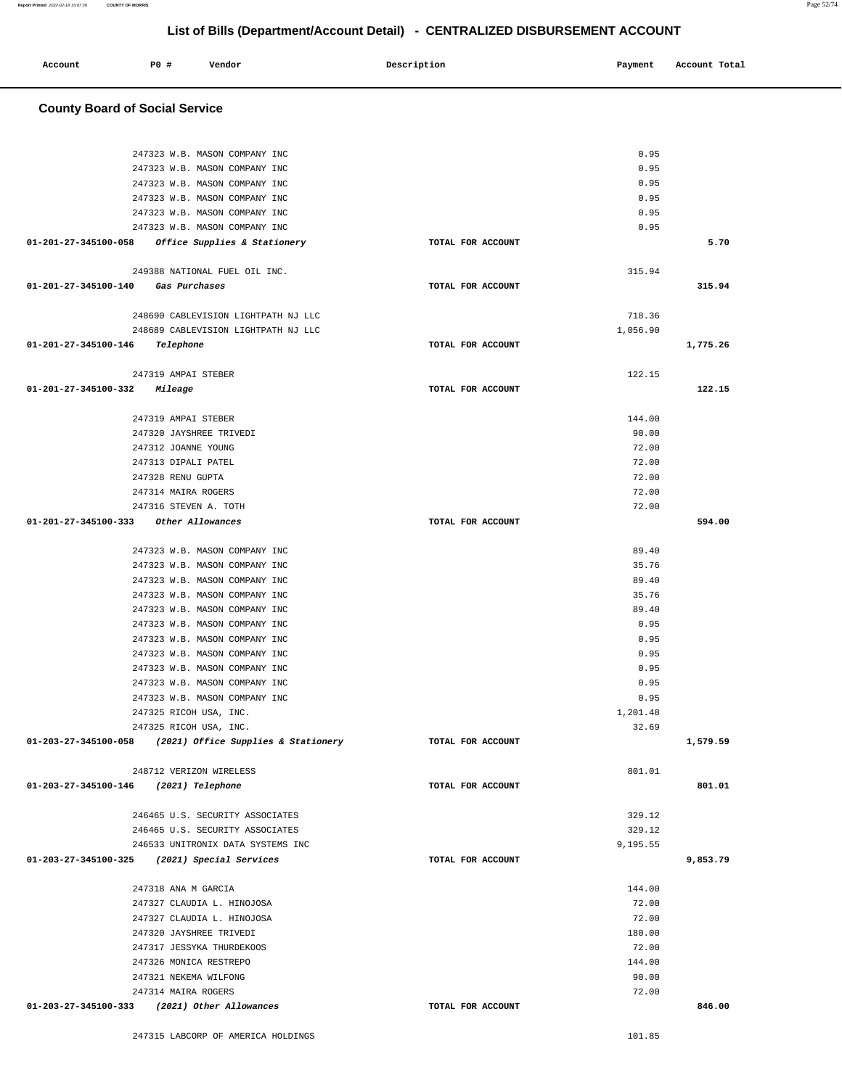|              | <b>PO #</b> | Vendor | Description        | Payment | Account Total |
|--------------|-------------|--------|--------------------|---------|---------------|
| Account<br>. |             |        | $\sim$ $\sim$<br>. |         | .<br>.        |
|              |             |        |                    |         |               |

### **County Board of Social Service**

| 247323 W.B. MASON COMPANY INC                            |                   | 0.95     |          |
|----------------------------------------------------------|-------------------|----------|----------|
| 247323 W.B. MASON COMPANY INC                            |                   | 0.95     |          |
| 247323 W.B. MASON COMPANY INC                            |                   | 0.95     |          |
| 247323 W.B. MASON COMPANY INC                            |                   | 0.95     |          |
| 247323 W.B. MASON COMPANY INC                            |                   | 0.95     |          |
| 247323 W.B. MASON COMPANY INC                            |                   | 0.95     |          |
| 01-201-27-345100-058 Office Supplies & Stationery        | TOTAL FOR ACCOUNT |          | 5.70     |
| 249388 NATIONAL FUEL OIL INC.                            |                   | 315.94   |          |
| 01-201-27-345100-140 Gas Purchases                       | TOTAL FOR ACCOUNT |          | 315.94   |
|                                                          |                   |          |          |
| 248690 CABLEVISION LIGHTPATH NJ LLC                      |                   | 718.36   |          |
| 248689 CABLEVISION LIGHTPATH NJ LLC                      |                   | 1,056.90 |          |
| 01-201-27-345100-146 Telephone                           | TOTAL FOR ACCOUNT |          | 1,775.26 |
|                                                          |                   |          |          |
| 247319 AMPAI STEBER                                      |                   | 122.15   |          |
| 01-201-27-345100-332 Mileage                             | TOTAL FOR ACCOUNT |          | 122.15   |
|                                                          |                   |          |          |
| 247319 AMPAI STEBER                                      |                   | 144.00   |          |
| 247320 JAYSHREE TRIVEDI                                  |                   | 90.00    |          |
| 247312 JOANNE YOUNG                                      |                   | 72.00    |          |
| 247313 DIPALI PATEL                                      |                   | 72.00    |          |
| 247328 RENU GUPTA                                        |                   | 72.00    |          |
| 247314 MAIRA ROGERS                                      |                   | 72.00    |          |
| 247316 STEVEN A. TOTH                                    |                   | 72.00    |          |
| 01-201-27-345100-333 Other Allowances                    | TOTAL FOR ACCOUNT |          | 594.00   |
|                                                          |                   |          |          |
| 247323 W.B. MASON COMPANY INC                            |                   | 89.40    |          |
| 247323 W.B. MASON COMPANY INC                            |                   | 35.76    |          |
| 247323 W.B. MASON COMPANY INC                            |                   | 89.40    |          |
| 247323 W.B. MASON COMPANY INC                            |                   | 35.76    |          |
| 247323 W.B. MASON COMPANY INC                            |                   | 89.40    |          |
| 247323 W.B. MASON COMPANY INC                            |                   | 0.95     |          |
| 247323 W.B. MASON COMPANY INC                            |                   | 0.95     |          |
|                                                          |                   |          |          |
| 247323 W.B. MASON COMPANY INC                            |                   | 0.95     |          |
| 247323 W.B. MASON COMPANY INC                            |                   | 0.95     |          |
| 247323 W.B. MASON COMPANY INC                            |                   | 0.95     |          |
| 247323 W.B. MASON COMPANY INC                            |                   | 0.95     |          |
| 247325 RICOH USA, INC.                                   |                   | 1,201.48 |          |
| 247325 RICOH USA, INC.                                   |                   | 32.69    |          |
| 01-203-27-345100-058 (2021) Office Supplies & Stationery | TOTAL FOR ACCOUNT |          | 1,579.59 |
| 248712 VERIZON WIRELESS                                  |                   | 801.01   |          |
| 01-203-27-345100-146 (2021) Telephone                    | TOTAL FOR ACCOUNT |          | 801.01   |
|                                                          |                   |          |          |
| 246465 U.S. SECURITY ASSOCIATES                          |                   | 329.12   |          |
| 246465 U.S. SECURITY ASSOCIATES                          |                   | 329.12   |          |
| 246533 UNITRONIX DATA SYSTEMS INC                        |                   | 9,195.55 |          |
| 01-203-27-345100-325 (2021) Special Services             | TOTAL FOR ACCOUNT |          | 9,853.79 |
|                                                          |                   |          |          |
| 247318 ANA M GARCIA                                      |                   | 144.00   |          |
| 247327 CLAUDIA L. HINOJOSA                               |                   | 72.00    |          |
| 247327 CLAUDIA L. HINOJOSA                               |                   | 72.00    |          |
| 247320 JAYSHREE TRIVEDI                                  |                   | 180.00   |          |
| 247317 JESSYKA THURDEKOOS                                |                   | 72.00    |          |
| 247326 MONICA RESTREPO                                   |                   | 144.00   |          |
| 247321 NEKEMA WILFONG                                    |                   | 90.00    |          |
| 247314 MAIRA ROGERS                                      |                   | 72.00    |          |
| 01-203-27-345100-333 (2021) Other Allowances             | TOTAL FOR ACCOUNT |          | 846.00   |
|                                                          |                   |          |          |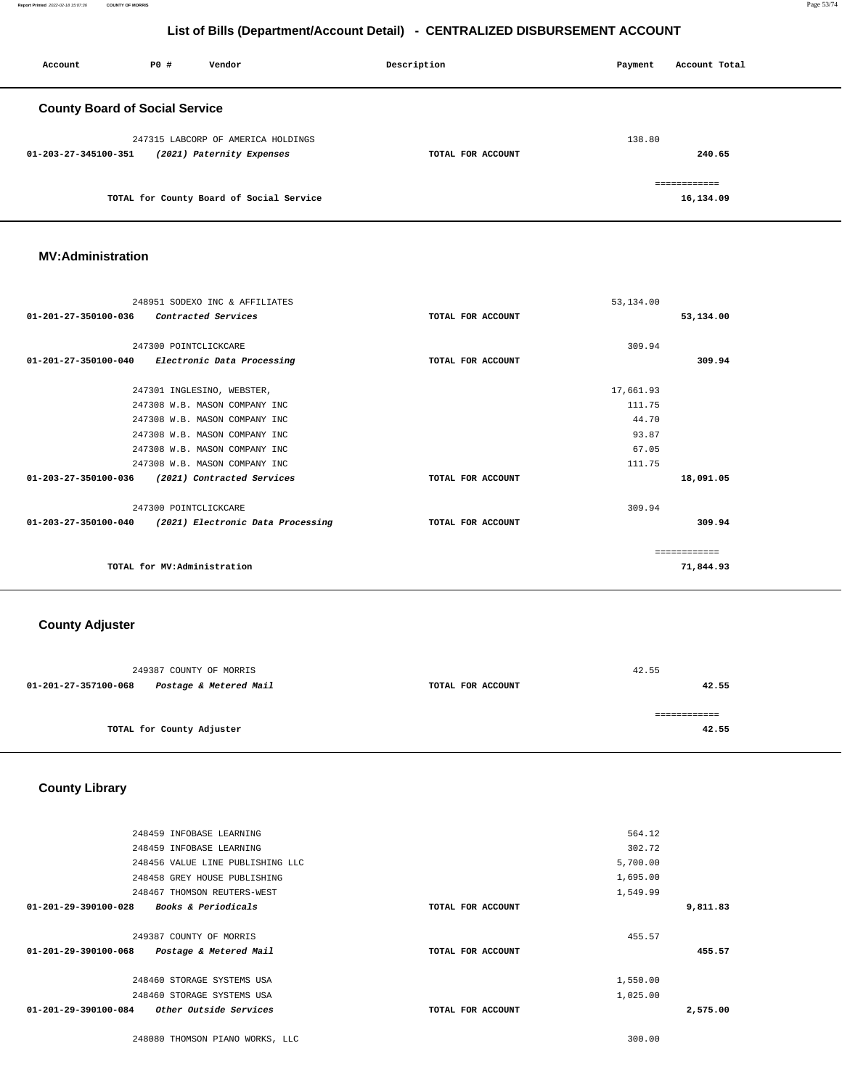**Report Printed** 2022-02-18 15:07:36 **COUNTY OF MORRIS** Page 53/74

# **List of Bills (Department/Account Detail) - CENTRALIZED DISBURSEMENT ACCOUNT**

| Account                               | P0 # | Vendor                                   | Description       | Payment | Account Total |  |
|---------------------------------------|------|------------------------------------------|-------------------|---------|---------------|--|
| <b>County Board of Social Service</b> |      |                                          |                   |         |               |  |
|                                       |      | 247315 LABCORP OF AMERICA HOLDINGS       |                   | 138.80  |               |  |
| 01-203-27-345100-351                  |      | (2021) Paternity Expenses                | TOTAL FOR ACCOUNT |         | 240.65        |  |
|                                       |      |                                          |                   |         | ============  |  |
|                                       |      | TOTAL for County Board of Social Service |                   |         | 16,134.09     |  |

## **MV:Administration**

| 248951 SODEXO INC & AFFILIATES                         |                   | 53, 134.00 |              |
|--------------------------------------------------------|-------------------|------------|--------------|
| 01-201-27-350100-036<br>Contracted Services            | TOTAL FOR ACCOUNT |            | 53,134.00    |
|                                                        |                   |            |              |
| 247300 POINTCLICKCARE                                  |                   | 309.94     |              |
| 01-201-27-350100-040 Electronic Data Processing        | TOTAL FOR ACCOUNT |            | 309.94       |
|                                                        |                   |            |              |
| 247301 INGLESINO, WEBSTER,                             |                   | 17,661.93  |              |
| 247308 W.B. MASON COMPANY INC                          |                   | 111.75     |              |
| 247308 W.B. MASON COMPANY INC                          |                   | 44.70      |              |
| 247308 W.B. MASON COMPANY INC                          |                   | 93.87      |              |
| 247308 W.B. MASON COMPANY INC                          |                   | 67.05      |              |
| 247308 W.B. MASON COMPANY INC                          |                   | 111.75     |              |
| 01-203-27-350100-036<br>(2021) Contracted Services     | TOTAL FOR ACCOUNT |            | 18,091.05    |
| 247300 POINTCLICKCARE                                  |                   | 309.94     |              |
| 01-203-27-350100-040 (2021) Electronic Data Processing | TOTAL FOR ACCOUNT |            | 309.94       |
|                                                        |                   |            |              |
|                                                        |                   |            | ------------ |
| TOTAL for MV:Administration                            |                   |            | 71,844.93    |
|                                                        |                   |            |              |

### **County Adjuster**

|                      | 249387 COUNTY OF MORRIS   |                   | 42.55 |
|----------------------|---------------------------|-------------------|-------|
| 01-201-27-357100-068 | Postage & Metered Mail    | TOTAL FOR ACCOUNT | 42.55 |
|                      |                           |                   |       |
|                      |                           |                   |       |
|                      | TOTAL for County Adjuster |                   | 42.55 |
|                      |                           |                   |       |

# **County Library**

| 248459 INFOBASE LEARNING                                 |                   | 564.12   |          |
|----------------------------------------------------------|-------------------|----------|----------|
| 248459 INFOBASE LEARNING                                 |                   | 302.72   |          |
| 248456 VALUE LINE PUBLISHING LLC                         |                   | 5,700.00 |          |
| 248458 GREY HOUSE PUBLISHING                             |                   | 1,695.00 |          |
| 248467 THOMSON REUTERS-WEST                              |                   | 1,549.99 |          |
| Books & Periodicals<br>$01 - 201 - 29 - 390100 - 028$    | TOTAL FOR ACCOUNT |          | 9,811.83 |
|                                                          |                   |          |          |
| 249387 COUNTY OF MORRIS                                  |                   | 455.57   |          |
| $01 - 201 - 29 - 390100 - 068$<br>Postage & Metered Mail | TOTAL FOR ACCOUNT |          | 455.57   |
|                                                          |                   |          |          |
| 248460 STORAGE SYSTEMS USA                               |                   | 1,550.00 |          |
| 248460 STORAGE SYSTEMS USA                               |                   | 1,025.00 |          |
| $01 - 201 - 29 - 390100 - 084$<br>Other Outside Services | TOTAL FOR ACCOUNT |          | 2,575.00 |
|                                                          |                   |          |          |

248080 THOMSON PIANO WORKS, LLC 300.00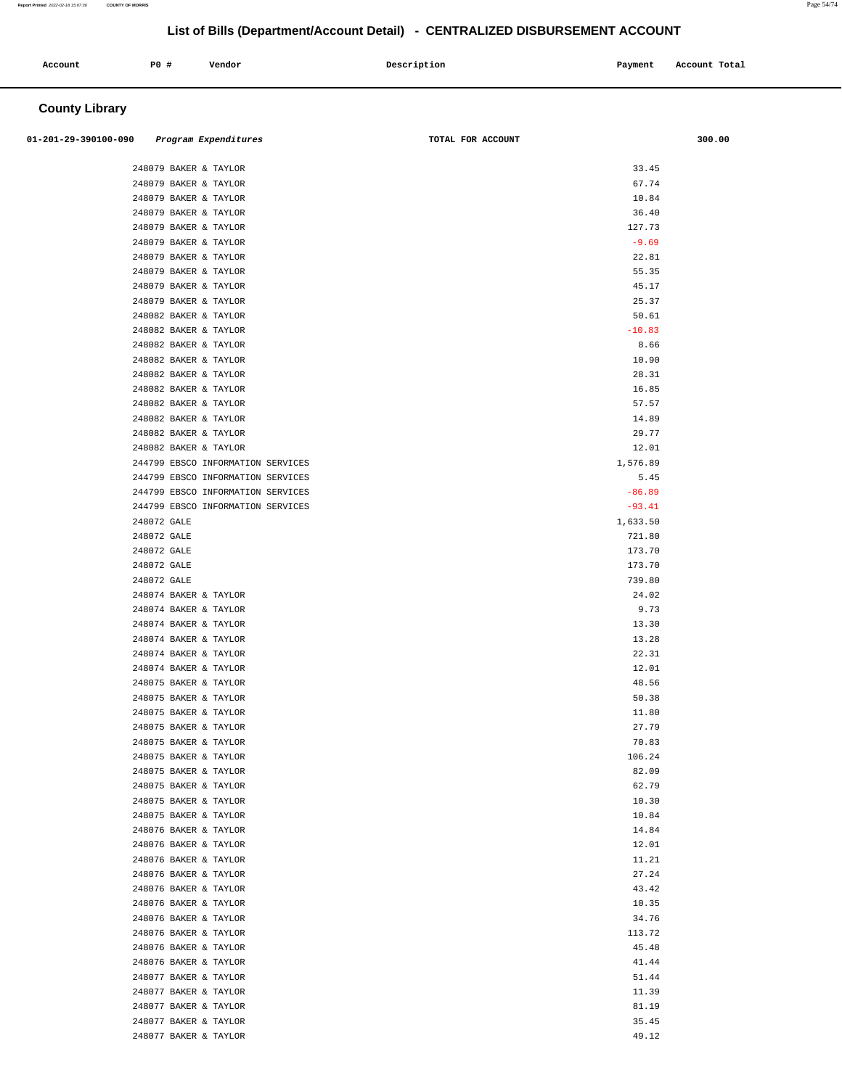| Account<br>. | P0 # | Vendor | Description | Payment<br>$\sim$ $\sim$ | Account Total |
|--------------|------|--------|-------------|--------------------------|---------------|
|              |      |        |             |                          |               |

# **County Library**

| 01-201-29-390100-090  | Program Expenditures              | TOTAL FOR ACCOUNT | 300.00 |
|-----------------------|-----------------------------------|-------------------|--------|
|                       |                                   |                   |        |
| 248079 BAKER & TAYLOR |                                   | 33.45             |        |
| 248079 BAKER & TAYLOR |                                   | 67.74             |        |
| 248079 BAKER & TAYLOR |                                   | 10.84             |        |
| 248079 BAKER & TAYLOR |                                   | 36.40             |        |
| 248079 BAKER & TAYLOR |                                   | 127.73            |        |
| 248079 BAKER & TAYLOR |                                   | $-9.69$           |        |
| 248079 BAKER & TAYLOR |                                   | 22.81             |        |
| 248079 BAKER & TAYLOR |                                   | 55.35             |        |
| 248079 BAKER & TAYLOR |                                   | 45.17             |        |
| 248079 BAKER & TAYLOR |                                   | 25.37             |        |
| 248082 BAKER & TAYLOR |                                   | 50.61             |        |
| 248082 BAKER & TAYLOR |                                   | $-10.83$          |        |
| 248082 BAKER & TAYLOR |                                   | 8.66              |        |
| 248082 BAKER & TAYLOR |                                   | 10.90             |        |
| 248082 BAKER & TAYLOR |                                   | 28.31             |        |
| 248082 BAKER & TAYLOR |                                   | 16.85             |        |
| 248082 BAKER & TAYLOR |                                   | 57.57             |        |
| 248082 BAKER & TAYLOR |                                   | 14.89             |        |
| 248082 BAKER & TAYLOR |                                   | 29.77             |        |
| 248082 BAKER & TAYLOR |                                   | 12.01             |        |
|                       | 244799 EBSCO INFORMATION SERVICES | 1,576.89          |        |
|                       | 244799 EBSCO INFORMATION SERVICES | 5.45              |        |
|                       | 244799 EBSCO INFORMATION SERVICES | $-86.89$          |        |
|                       | 244799 EBSCO INFORMATION SERVICES | $-93.41$          |        |
| 248072 GALE           |                                   | 1,633.50          |        |
| 248072 GALE           |                                   | 721.80            |        |
| 248072 GALE           |                                   | 173.70            |        |
| 248072 GALE           |                                   | 173.70            |        |
| 248072 GALE           |                                   | 739.80            |        |
| 248074 BAKER & TAYLOR |                                   | 24.02             |        |
| 248074 BAKER & TAYLOR |                                   | 9.73              |        |
| 248074 BAKER & TAYLOR |                                   | 13.30             |        |
| 248074 BAKER & TAYLOR |                                   | 13.28             |        |
| 248074 BAKER & TAYLOR |                                   | 22.31             |        |
| 248074 BAKER & TAYLOR |                                   | 12.01             |        |
| 248075 BAKER & TAYLOR |                                   | 48.56             |        |
| 248075 BAKER & TAYLOR |                                   | 50.38             |        |
| 248075 BAKER & TAYLOR |                                   | 11.80             |        |
| 248075 BAKER & TAYLOR |                                   | 27.79             |        |
| 248075 BAKER & TAYLOR |                                   | 70.83             |        |
| 248075 BAKER & TAYLOR |                                   | 106.24            |        |
| 248075 BAKER & TAYLOR |                                   | 82.09             |        |
| 248075 BAKER & TAYLOR |                                   | 62.79             |        |
| 248075 BAKER & TAYLOR |                                   | 10.30             |        |
| 248075 BAKER & TAYLOR |                                   | 10.84             |        |
| 248076 BAKER & TAYLOR |                                   | 14.84             |        |
| 248076 BAKER & TAYLOR |                                   | 12.01             |        |
| 248076 BAKER & TAYLOR |                                   | 11.21             |        |
| 248076 BAKER & TAYLOR |                                   | 27.24             |        |
| 248076 BAKER & TAYLOR |                                   | 43.42             |        |
| 248076 BAKER & TAYLOR |                                   | 10.35             |        |
| 248076 BAKER & TAYLOR |                                   | 34.76             |        |
| 248076 BAKER & TAYLOR |                                   | 113.72            |        |
| 248076 BAKER & TAYLOR |                                   | 45.48             |        |
| 248076 BAKER & TAYLOR |                                   | 41.44             |        |
| 248077 BAKER & TAYLOR |                                   | 51.44             |        |
| 248077 BAKER & TAYLOR |                                   | 11.39             |        |
| 248077 BAKER & TAYLOR |                                   | 81.19             |        |
| 248077 BAKER & TAYLOR |                                   | 35.45             |        |
| 248077 BAKER & TAYLOR |                                   | 49.12             |        |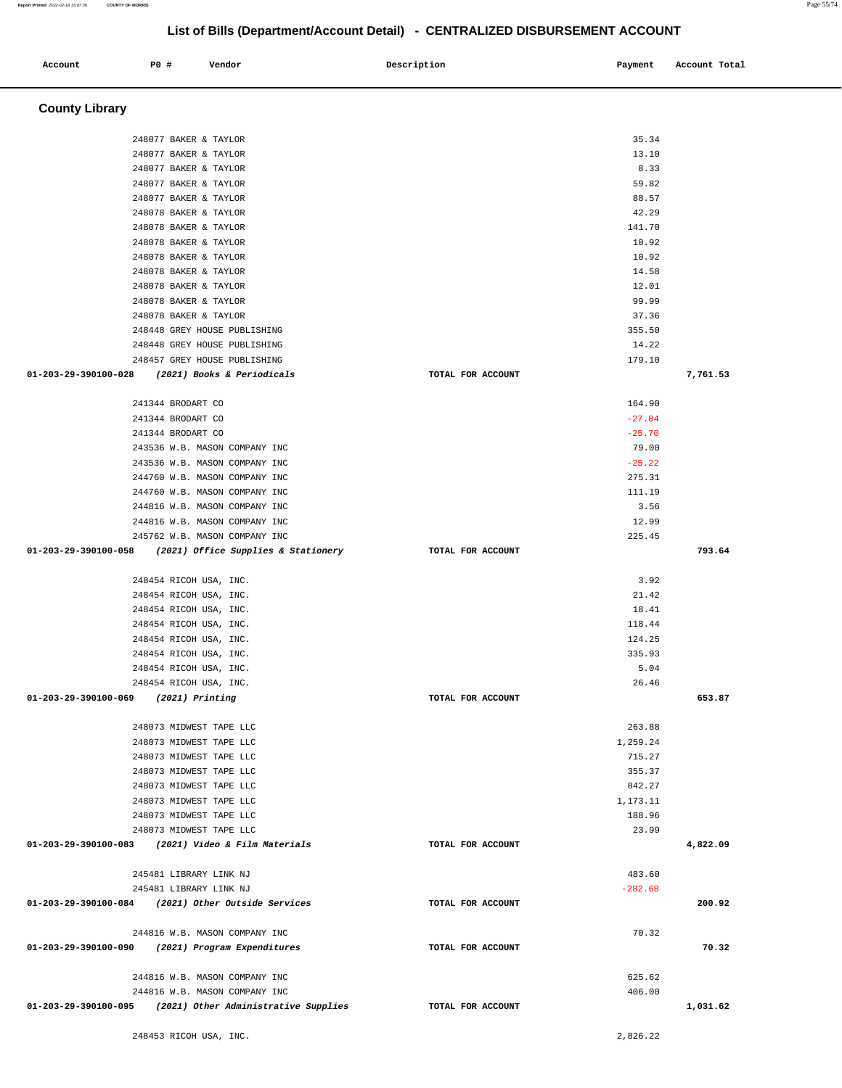# **County Library**  248077 BAKER & TAYLOR 35.34 248077 BAKER & TAYLOR 13.10 248077 BAKER & TAYLOR 8.33 248077 BAKER & TAYLOR 59.82 248077 BAKER & TAYLOR 88.57 248078 BAKER & TAYLOR 42.29 248078 BAKER & TAYLOR 141.70 248078 BAKER & TAYLOR 10.92 248078 BAKER & TAYLOR 10.92 248078 BAKER & TAYLOR 14.58 248078 BAKER & TAYLOR 12.01 248078 BAKER & TAYLOR 99.99 248078 BAKER & TAYLOR 37.36 248448 GREY HOUSE PUBLISHING 355.50 248448 GREY HOUSE PUBLISHING 14.22 248457 GREY HOUSE PUBLISHING 179.10  **01-203-29-390100-028 (2021) Books & Periodicals TOTAL FOR ACCOUNT 7,761.53** 241344 BRODART CO 164.90 241344 BRODART CO -27.84 241344 BRODART CO -25.70 243536 W.B. MASON COMPANY INC 79.00  $243536$  W.B. MASON COMPANY INC  $-25.22$  244760 W.B. MASON COMPANY INC 275.31 244760 W.B. MASON COMPANY INC 111.19 244816 W.B. MASON COMPANY INC 3.56 244816 W.B. MASON COMPANY INC 12.99 245762 W.B. MASON COMPANY INC 225.45  **01-203-29-390100-058 (2021) Office Supplies & Stationery TOTAL FOR ACCOUNT 793.64** 248454 RICOH USA, INC. 3.92 248454 RICOH USA, INC. 21.42 248454 RICOH USA, INC. 18.41 248454 RICOH USA, INC. 118.44 248454 RICOH USA, INC. 124.25 248454 RICOH USA, INC. 335.93 248454 RICOH USA, INC. 5.04 248454 RICOH USA, INC. 26.46  **01-203-29-390100-069 (2021) Printing TOTAL FOR ACCOUNT 653.87** 248073 MIDWEST TAPE LLC 263.88 248073 MIDWEST TAPE LLC 1,259.24 248073 MIDWEST TAPE LLC 715.27 248073 MIDWEST TAPE LLC 355.37 248073 MIDWEST TAPE LLC 842.27 248073 MIDWEST TAPE LLC 1,173.11 248073 MIDWEST TAPE LLC 188.96 248073 MIDWEST TAPE LLC 23.99  **01-203-29-390100-083 (2021) Video & Film Materials TOTAL FOR ACCOUNT 4,822.09** 245481 LIBRARY LINK NJ 483.60 245481 LIBRARY LINK NJ -282.68  **01-203-29-390100-084 (2021) Other Outside Services TOTAL FOR ACCOUNT 200.92** 244816 W.B. MASON COMPANY INC 70.32  **01-203-29-390100-090 (2021) Program Expenditures TOTAL FOR ACCOUNT 70.32** 244816 W.B. MASON COMPANY INC 625.62 244816 W.B. MASON COMPANY INC 406.00  **01-203-29-390100-095 (2021) Other Administrative Supplies TOTAL FOR ACCOUNT [1,031.62](https://1,031.62)**  248453 RICOH USA, INC. [2,826.22](https://2,826.22)

 **Account P0 # Vendor Description Payment Account Total**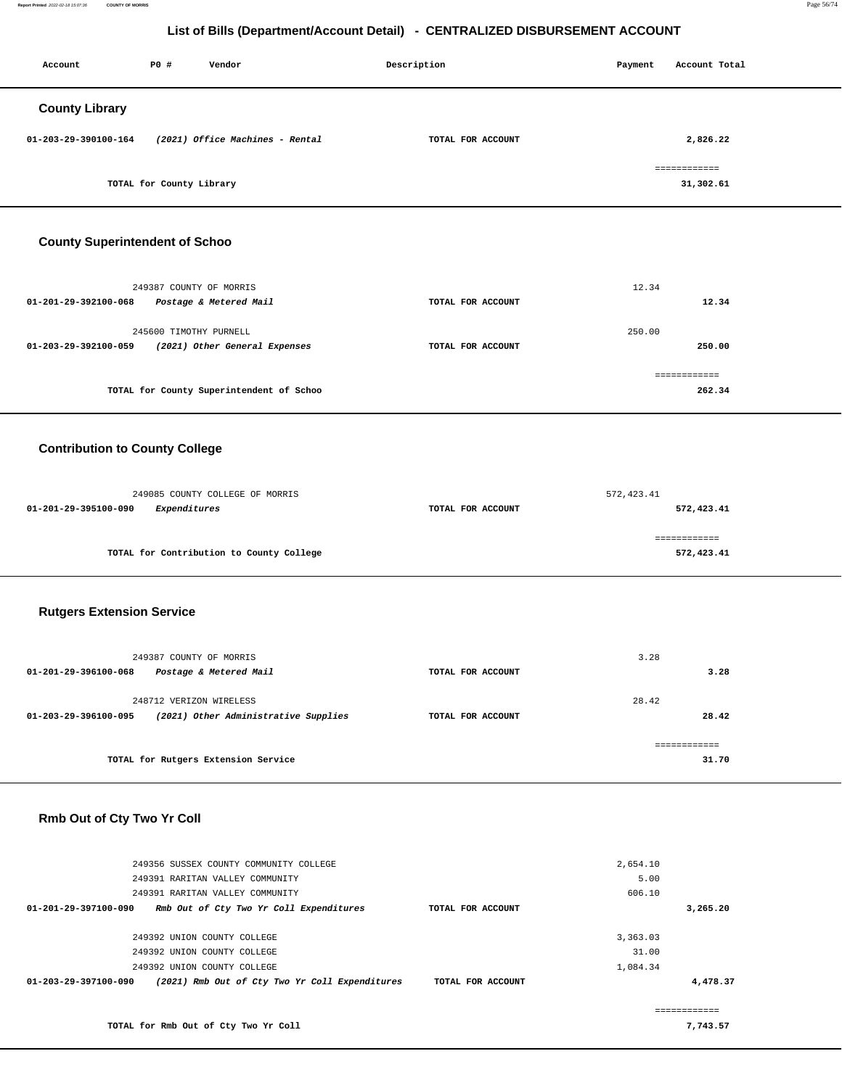**Report Printed** 2022-02-18 15:07:36 **COUNTY OF MORRIS** Page 56/74

# **List of Bills (Department/Account Detail) - CENTRALIZED DISBURSEMENT ACCOUNT**

| Account               | P0 #                     | Vendor                          | Description       | Payment | Account Total             |
|-----------------------|--------------------------|---------------------------------|-------------------|---------|---------------------------|
| <b>County Library</b> |                          |                                 |                   |         |                           |
| 01-203-29-390100-164  |                          | (2021) Office Machines - Rental | TOTAL FOR ACCOUNT |         | 2,826.22                  |
|                       | TOTAL for County Library |                                 |                   |         | ============<br>31,302.61 |

# **County Superintendent of Schoo**

| 249387 COUNTY OF MORRIS<br>Postage & Metered Mail<br>01-201-29-392100-068                 | TOTAL FOR ACCOUNT | 12.34<br>12.34         |
|-------------------------------------------------------------------------------------------|-------------------|------------------------|
| 245600 TIMOTHY PURNELL<br>(2021) Other General Expenses<br>$01 - 203 - 29 - 392100 - 059$ | TOTAL FOR ACCOUNT | 250.00<br>250.00       |
| TOTAL for County Superintendent of Schoo                                                  |                   | ============<br>262.34 |

# **Contribution to County College**

| 249085 COUNTY COLLEGE OF MORRIS          |                   | 572, 423.41 |
|------------------------------------------|-------------------|-------------|
| Expenditures<br>01-201-29-395100-090     | TOTAL FOR ACCOUNT | 572,423.41  |
|                                          |                   |             |
|                                          |                   |             |
| TOTAL for Contribution to County College |                   | 572,423.41  |

# **Rutgers Extension Service**

| 249387 COUNTY OF MORRIS<br>01-201-29-396100-068 | Postage & Metered Mail               | TOTAL FOR ACCOUNT | 3.28<br>3.28   |  |
|-------------------------------------------------|--------------------------------------|-------------------|----------------|--|
| 248712 VERIZON WIRELESS<br>01-203-29-396100-095 | (2021) Other Administrative Supplies | TOTAL FOR ACCOUNT | 28.42<br>28.42 |  |
|                                                 | TOTAL for Rutgers Extension Service  |                   | 31.70          |  |

# **Rmb Out of Cty Two Yr Coll**

| 249356 SUSSEX COUNTY COMMUNITY COLLEGE                                           |                   | 2,654.10 |              |
|----------------------------------------------------------------------------------|-------------------|----------|--------------|
| 249391 RARITAN VALLEY COMMUNITY                                                  |                   | 5.00     |              |
| 249391 RARITAN VALLEY COMMUNITY                                                  |                   | 606.10   |              |
| Rmb Out of Cty Two Yr Coll Expenditures<br>$01 - 201 - 29 - 397100 - 090$        | TOTAL FOR ACCOUNT |          | 3,265.20     |
|                                                                                  |                   |          |              |
| 249392 UNION COUNTY COLLEGE                                                      |                   | 3,363.03 |              |
| 249392 UNION COUNTY COLLEGE                                                      |                   | 31.00    |              |
| 249392 UNION COUNTY COLLEGE                                                      |                   | 1,084.34 |              |
| (2021) Rmb Out of Cty Two Yr Coll Expenditures<br>$01 - 203 - 29 - 397100 - 090$ | TOTAL FOR ACCOUNT |          | 4,478.37     |
|                                                                                  |                   |          |              |
|                                                                                  |                   |          | ============ |
| TOTAL for Rmb Out of Cty Two Yr Coll                                             |                   |          | 7.743.57     |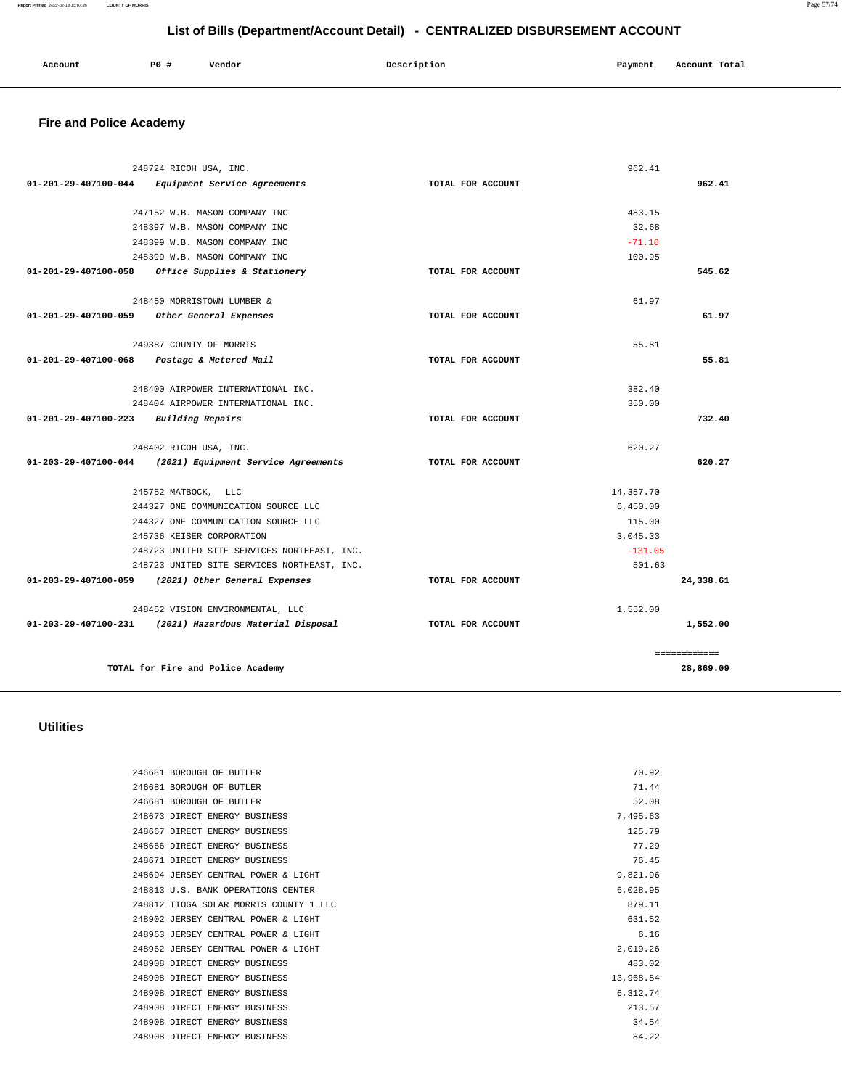### **Report Printed** 2022-02-18 15:07:36 **COUNTY OF MORRIS** Page 57/74

# **List of Bills (Department/Account Detail) - CENTRALIZED DISBURSEMENT ACCOUNT**

| Account | P0 # | Vendor | Description | Payment | Account Total |
|---------|------|--------|-------------|---------|---------------|
|         |      |        |             |         |               |

# **Fire and Police Academy**

|                                | 248724 RICOH USA, INC.                                   |                   | 962.41       |           |
|--------------------------------|----------------------------------------------------------|-------------------|--------------|-----------|
| 01-201-29-407100-044           | Equipment Service Agreements                             | TOTAL FOR ACCOUNT |              | 962.41    |
|                                | 247152 W.B. MASON COMPANY INC                            |                   | 483.15       |           |
|                                | 248397 W.B. MASON COMPANY INC                            |                   | 32.68        |           |
|                                | 248399 W.B. MASON COMPANY INC                            |                   | $-71.16$     |           |
|                                | 248399 W.B. MASON COMPANY INC                            |                   | 100.95       |           |
| 01-201-29-407100-058           | Office Supplies & Stationery                             | TOTAL FOR ACCOUNT |              | 545.62    |
|                                | 248450 MORRISTOWN LUMBER &                               |                   | 61.97        |           |
| 01-201-29-407100-059           | Other General Expenses                                   | TOTAL FOR ACCOUNT |              | 61.97     |
|                                | 249387 COUNTY OF MORRIS                                  |                   | 55.81        |           |
| 01-201-29-407100-068           | Postage & Metered Mail                                   | TOTAL FOR ACCOUNT |              | 55.81     |
|                                | 248400 AIRPOWER INTERNATIONAL INC.                       |                   | 382.40       |           |
|                                | 248404 AIRPOWER INTERNATIONAL INC.                       |                   | 350.00       |           |
| $01 - 201 - 29 - 407100 - 223$ | <b>Building Repairs</b>                                  | TOTAL FOR ACCOUNT |              | 732.40    |
|                                | 248402 RICOH USA, INC.                                   |                   | 620.27       |           |
|                                | 01-203-29-407100-044 (2021) Equipment Service Agreements | TOTAL FOR ACCOUNT |              | 620.27    |
|                                | 245752 MATBOCK, LLC                                      |                   | 14,357.70    |           |
|                                | 244327 ONE COMMUNICATION SOURCE LLC                      |                   | 6.450.00     |           |
|                                | 244327 ONE COMMUNICATION SOURCE LLC                      |                   | 115.00       |           |
|                                | 245736 KEISER CORPORATION                                |                   | 3,045.33     |           |
|                                | 248723 UNITED SITE SERVICES NORTHEAST, INC.              |                   | $-131.05$    |           |
|                                | 248723 UNITED SITE SERVICES NORTHEAST, INC.              |                   | 501.63       |           |
| $01 - 203 - 29 - 407100 - 059$ | (2021) Other General Expenses                            | TOTAL FOR ACCOUNT |              | 24,338.61 |
|                                | 248452 VISION ENVIRONMENTAL, LLC                         |                   | 1,552.00     |           |
|                                | 01-203-29-407100-231 (2021) Hazardous Material Disposal  | TOTAL FOR ACCOUNT |              | 1,552.00  |
|                                |                                                          |                   | ============ |           |
|                                | TOTAL for Fire and Police Academy                        |                   |              | 28,869.09 |

# **Utilities**

| 246681 BOROUGH OF BUTLER               | 70.92     |
|----------------------------------------|-----------|
| 246681 BOROUGH OF BUTLER               | 71.44     |
| 246681 BOROUGH OF BUTLER               | 52.08     |
| 248673 DIRECT ENERGY BUSINESS          | 7.495.63  |
| 248667 DIRECT ENERGY BUSINESS          | 125.79    |
| 248666 DIRECT ENERGY BUSINESS          | 77.29     |
| 248671 DIRECT ENERGY BUSINESS          | 76.45     |
| 248694 JERSEY CENTRAL POWER & LIGHT    | 9,821.96  |
| 248813 U.S. BANK OPERATIONS CENTER     | 6.028.95  |
| 248812 TIOGA SOLAR MORRIS COUNTY 1 LLC | 879.11    |
| 248902 JERSEY CENTRAL POWER & LIGHT    | 631.52    |
| 248963 JERSEY CENTRAL POWER & LIGHT    | 6.16      |
| 248962 JERSEY CENTRAL POWER & LIGHT    | 2.019.26  |
| 248908 DIRECT ENERGY BUSINESS          | 483.02    |
| 248908 DIRECT ENERGY BUSINESS          | 13,968.84 |
| 248908 DIRECT ENERGY BUSINESS          | 6,312.74  |
| 248908 DIRECT ENERGY BUSINESS          | 213.57    |
| 248908 DIRECT ENERGY BUSINESS          | 34.54     |
| 248908 DIRECT ENERGY BUSINESS          | 84.22     |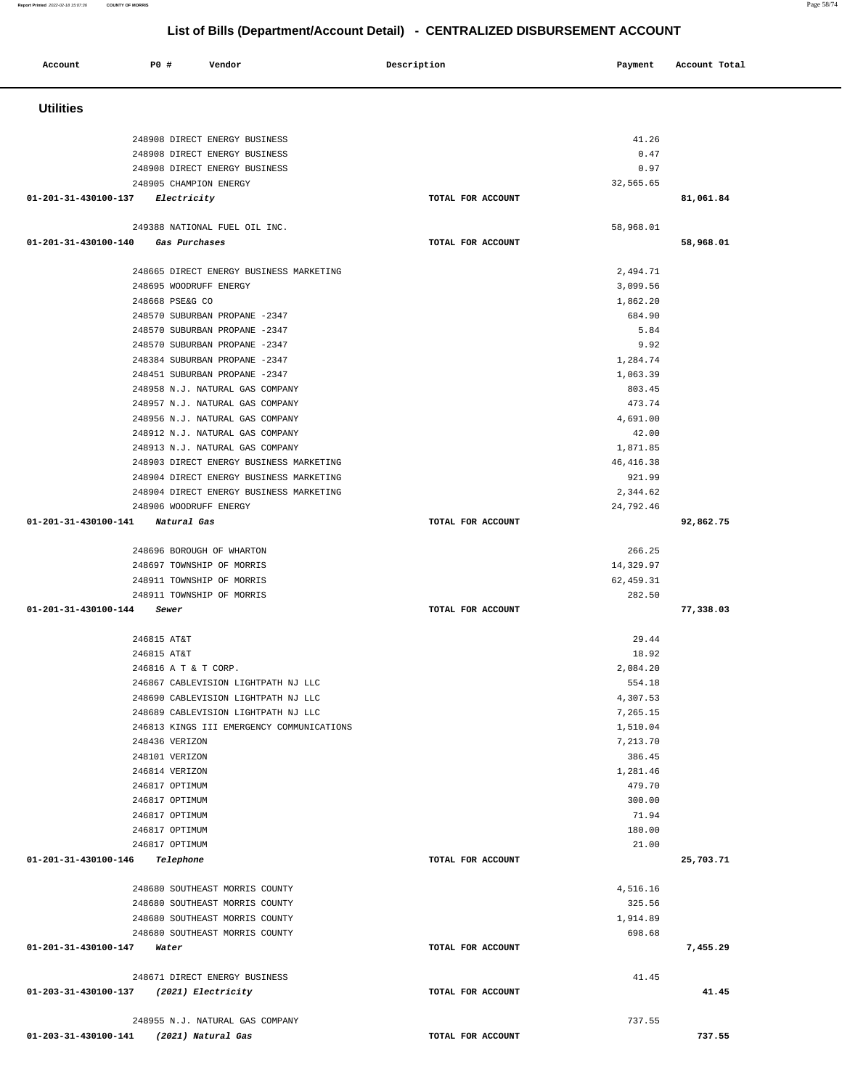### **Account P0 # Vendor Description Payment Account Total Utilities**  248908 DIRECT ENERGY BUSINESS 248908 DIRECT ENERGY BUSINESS 248908 DIRECT ENERGY BUSINESS 248905 CHAMPION ENERGY **01-201-31-430100-137 Electricity TOTAL FOR ACCOUNT**  41.26 0.47 0.97 32,565.65 **81,061.84** 249388 NATIONAL FUEL OIL INC. **01-201-31-430100-140 Gas Purchases TOTAL FOR ACCOUNT**  58,968.01 **58,968.01** 248665 DIRECT ENERGY BUSINESS MARKETING 248695 WOODRUFF ENERGY 248668 PSE&G CO 248570 SUBURBAN PROPANE -2347 248570 SUBURBAN PROPANE -2347 248570 SUBURBAN PROPANE -2347 248384 SUBURBAN PROPANE -2347 248451 SUBURBAN PROPANE -2347 248958 N.J. NATURAL GAS COMPANY 248957 N.J. NATURAL GAS COMPANY 248956 N.J. NATURAL GAS COMPANY 248912 N.J. NATURAL GAS COMPANY 248913 N.J. NATURAL GAS COMPANY 248903 DIRECT ENERGY BUSINESS MARKETING 248904 DIRECT ENERGY BUSINESS MARKETING 248904 DIRECT ENERGY BUSINESS MARKETING 248906 WOODRUFF ENERGY **01-201-31-430100-141 Natural Gas TOTAL FOR ACCOUNT**  2,494.71 3,099.56 1,862.20 684.90 5.84 9.92 1,284.74 1,063.39 803.45 473.74 4,691.00 42.00 1,871.85 46,416.38 921.99 2,344.62 24,792.46 **92,862.75** 248696 BOROUGH OF WHARTON 248697 TOWNSHIP OF MORRIS 248911 TOWNSHIP OF MORRIS 248911 TOWNSHIP OF MORRIS **01-201-31-430100-144 Sewer TOTAL FOR ACCOUNT**  266.25 14,329.97 62,459.31 282.50 **77,338.03** 246815 AT&T 246815 AT&T 246816 A T & T CORP. 246867 CABLEVISION LIGHTPATH NJ LLC 248690 CABLEVISION LIGHTPATH NJ LLC 248689 CABLEVISION LIGHTPATH NJ LLC 246813 KINGS III EMERGENCY COMMUNICATIONS 248436 VERIZON 248101 VERIZON 246814 VERIZON 246817 OPTIMUM 246817 OPTIMUM 246817 OPTIMUM 246817 OPTIMUM 246817 OPTIMUM **01-201-31-430100-146 Telephone TOTAL FOR ACCOUNT**  29.44 18.92 2,084.20 554.18 4,307.53 7,265.15 1,510.04 7,213.70 386.45 1,281.46 479.70 300.00 71.94 180.00 21.00 **25,703.71** 248680 SOUTHEAST MORRIS COUNTY 248680 SOUTHEAST MORRIS COUNTY 248680 SOUTHEAST MORRIS COUNTY 248680 SOUTHEAST MORRIS COUNTY **01-201-31-430100-147 Water TOTAL FOR ACCOUNT**  4,516.16 325.56 1,914.89 698.68 **7,455.29** 248671 DIRECT ENERGY BUSINESS **01-203-31-430100-137 (2021) Electricity TOTAL FOR ACCOUNT**  41.45 **41.45** 248955 N.J. NATURAL GAS COMPANY **01-203-31-430100-141 (2021) Natural Gas TOTAL FOR ACCOUNT**  737.55

**Report Printed** 2022-02-18 15:07:36 **COUNTY OF MORRIS** Page 58/74

**737.55**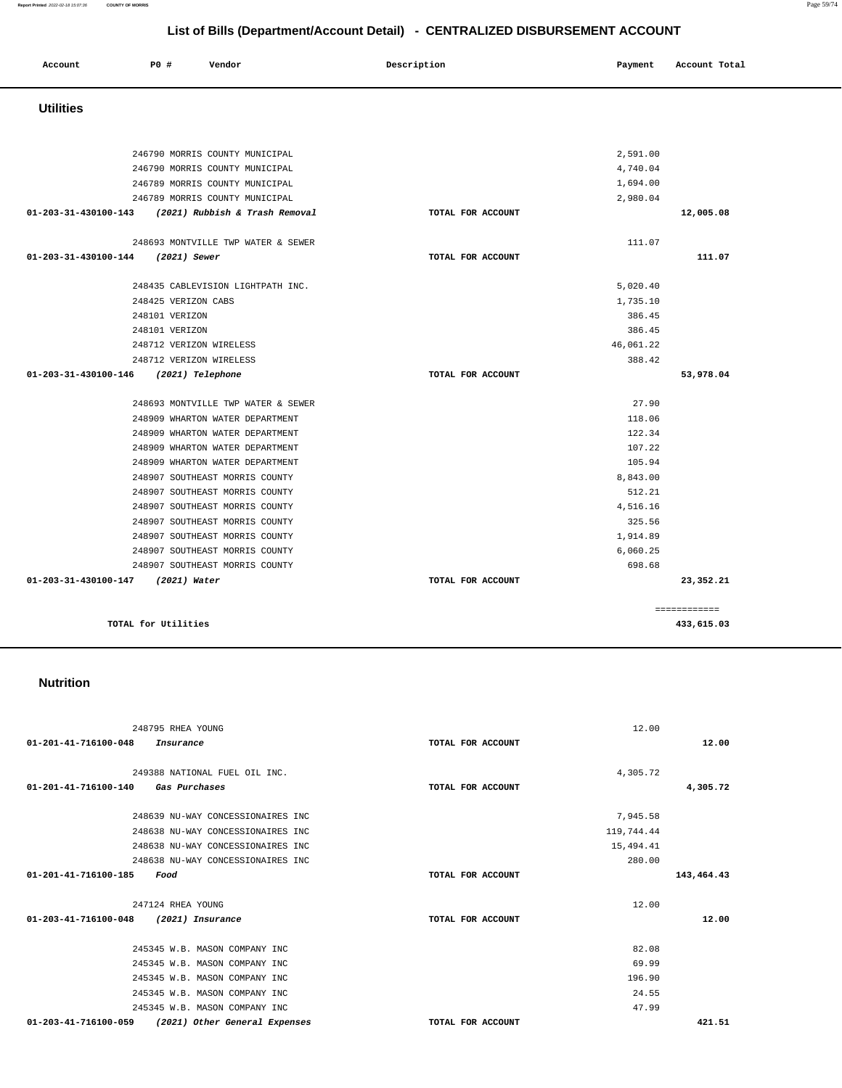### 249388 NATIONAL FUEL OIL INC. **01-201-41-716100-140 Gas Purchases TOTAL FOR ACCOUNT**  4,305.72 **4,305.72** 248639 NU-WAY CONCESSIONAIRES INC 248638 NU-WAY CONCESSIONAIRES INC 248638 NU-WAY CONCESSIONAIRES INC 248638 NU-WAY CONCESSIONAIRES INC **01-201-41-716100-185 Food TOTAL FOR ACCOUNT**  7,945.58 119,744.44 15,494.41 280.00 **143,464.43** 247124 RHEA YOUNG **01-203-41-716100-048 (2021) Insurance TOTAL FOR ACCOUNT**  12.00 **12.00** 245345 W.B. MASON COMPANY INC 245345 W.B. MASON COMPANY INC 245345 W.B. MASON COMPANY INC 245345 W.B. MASON COMPANY INC 245345 W.B. MASON COMPANY INC 82.08 69.99 196.90 24.55 47.99  **01-203-41-716100-059 (2021) Other General Expenses TOTAL FOR ACCOUNT 421.51**

**TOTAL for Utilities 433,615.03**

### **Nutrition**

| 246790 MORRIS COUNTY MUNICIPAL                      |                   | 2,591.00  |           |
|-----------------------------------------------------|-------------------|-----------|-----------|
| 246790 MORRIS COUNTY MUNICIPAL                      |                   | 4,740.04  |           |
| 246789 MORRIS COUNTY MUNICIPAL                      |                   | 1,694.00  |           |
| 246789 MORRIS COUNTY MUNICIPAL                      |                   | 2,980.04  |           |
| 01-203-31-430100-143 (2021) Rubbish & Trash Removal | TOTAL FOR ACCOUNT |           | 12,005.08 |
| 248693 MONTVILLE TWP WATER & SEWER                  |                   | 111.07    |           |
| 01-203-31-430100-144 (2021) Sewer                   | TOTAL FOR ACCOUNT |           | 111.07    |
| 248435 CABLEVISION LIGHTPATH INC.                   |                   | 5,020.40  |           |
| 248425 VERIZON CABS                                 |                   | 1,735.10  |           |
| 248101 VERIZON                                      |                   | 386.45    |           |
| 248101 VERIZON                                      |                   | 386.45    |           |
| 248712 VERIZON WIRELESS                             |                   | 46,061.22 |           |
| 248712 VERIZON WIRELESS                             |                   | 388.42    |           |
| 01-203-31-430100-146 (2021) Telephone               | TOTAL FOR ACCOUNT |           | 53,978.04 |
| 248693 MONTVILLE TWP WATER & SEWER                  |                   | 27.90     |           |
| 248909 WHARTON WATER DEPARTMENT                     |                   | 118.06    |           |
| 248909 WHARTON WATER DEPARTMENT                     |                   | 122.34    |           |
| 248909 WHARTON WATER DEPARTMENT                     |                   | 107.22    |           |
| 248909 WHARTON WATER DEPARTMENT                     |                   | 105.94    |           |

# **Utilities**

|                  |     |        | List of Bills (Department/Account Detail) - CENTRALIZED DISBURSEMENT ACCOUNT |         |               |  |
|------------------|-----|--------|------------------------------------------------------------------------------|---------|---------------|--|
| Account          | PO# | Vendor | Description                                                                  | Payment | Account Total |  |
| <b>Utilities</b> |     |        |                                                                              |         |               |  |

8,843.00 512.21 4,516.16 325.56 1,914.89 6,060.25 698.68

12.00

**23,352.21**

**12.00**

============

248907 SOUTHEAST MORRIS COUNTY 248907 SOUTHEAST MORRIS COUNTY 248907 SOUTHEAST MORRIS COUNTY 248907 SOUTHEAST MORRIS COUNTY 248907 SOUTHEAST MORRIS COUNTY 248907 SOUTHEAST MORRIS COUNTY 248907 SOUTHEAST MORRIS COUNTY

248795 RHEA YOUNG

**01-203-31-430100-147 (2021) Water TOTAL FOR ACCOUNT** 

**01-201-41-716100-048 Insurance TOTAL FOR ACCOUNT**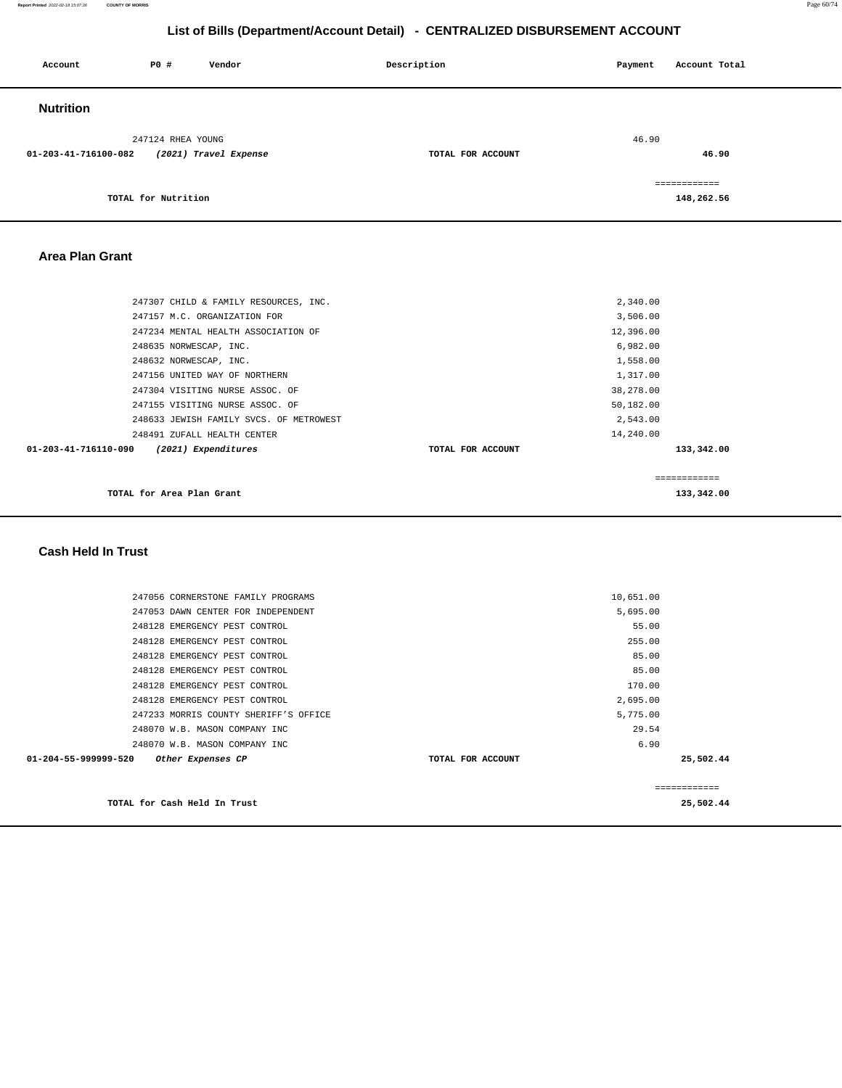**Report Printed** 2022-02-18 15:07:36 **COUNTY OF MORRIS** Page 60/74

# **List of Bills (Department/Account Detail) - CENTRALIZED DISBURSEMENT ACCOUNT**

| Account              | P0 #                | Vendor                | Description       | Payment | Account Total |
|----------------------|---------------------|-----------------------|-------------------|---------|---------------|
| <b>Nutrition</b>     |                     |                       |                   |         |               |
|                      | 247124 RHEA YOUNG   |                       |                   | 46.90   |               |
| 01-203-41-716100-082 |                     | (2021) Travel Expense | TOTAL FOR ACCOUNT |         | 46.90         |
|                      |                     |                       |                   |         | ============  |
|                      | TOTAL for Nutrition |                       |                   |         | 148,262.56    |

## **Area Plan Grant**

| TOTAL for Area Plan Grant                   |                   | ============<br>133,342.00 |
|---------------------------------------------|-------------------|----------------------------|
| 01-203-41-716110-090<br>(2021) Expenditures | TOTAL FOR ACCOUNT | 133,342.00                 |
| 248491 ZUFALL HEALTH CENTER                 |                   | 14,240.00                  |
| 248633 JEWISH FAMILY SVCS. OF METROWEST     |                   | 2,543.00                   |
| 247155 VISITING NURSE ASSOC. OF             |                   | 50,182.00                  |
| 247304 VISITING NURSE ASSOC. OF             |                   | 38,278.00                  |
| 247156 UNITED WAY OF NORTHERN               |                   | 1,317.00                   |
| 248632 NORWESCAP, INC.                      |                   | 1,558.00                   |
| 248635 NORWESCAP, INC.                      |                   | 6,982.00                   |
| 247234 MENTAL HEALTH ASSOCIATION OF         |                   | 12,396.00                  |
| 247157 M.C. ORGANIZATION FOR                |                   | 3,506.00                   |
| 247307 CHILD & FAMILY RESOURCES, INC.       |                   | 2,340.00                   |
|                                             |                   |                            |

# **Cash Held In Trust**

| TOTAL for Cash Held In Trust              |                   |           | 25,502.44 |
|-------------------------------------------|-------------------|-----------|-----------|
|                                           |                   |           |           |
| 01-204-55-999999-520<br>Other Expenses CP | TOTAL FOR ACCOUNT |           | 25,502.44 |
| 248070 W.B. MASON COMPANY INC             |                   | 6.90      |           |
| 248070 W.B. MASON COMPANY INC             |                   | 29.54     |           |
| 247233 MORRIS COUNTY SHERIFF'S OFFICE     |                   | 5,775.00  |           |
| 248128 EMERGENCY PEST CONTROL             |                   | 2,695.00  |           |
| 248128 EMERGENCY PEST CONTROL             |                   | 170.00    |           |
| 248128 EMERGENCY PEST CONTROL             |                   | 85.00     |           |
| 248128 EMERGENCY PEST CONTROL             |                   | 85.00     |           |
| 248128 EMERGENCY PEST CONTROL             |                   | 255.00    |           |
| 248128 EMERGENCY PEST CONTROL             |                   | 55.00     |           |
| 247053 DAWN CENTER FOR INDEPENDENT        |                   | 5,695.00  |           |
| 247056 CORNERSTONE FAMILY PROGRAMS        |                   | 10,651.00 |           |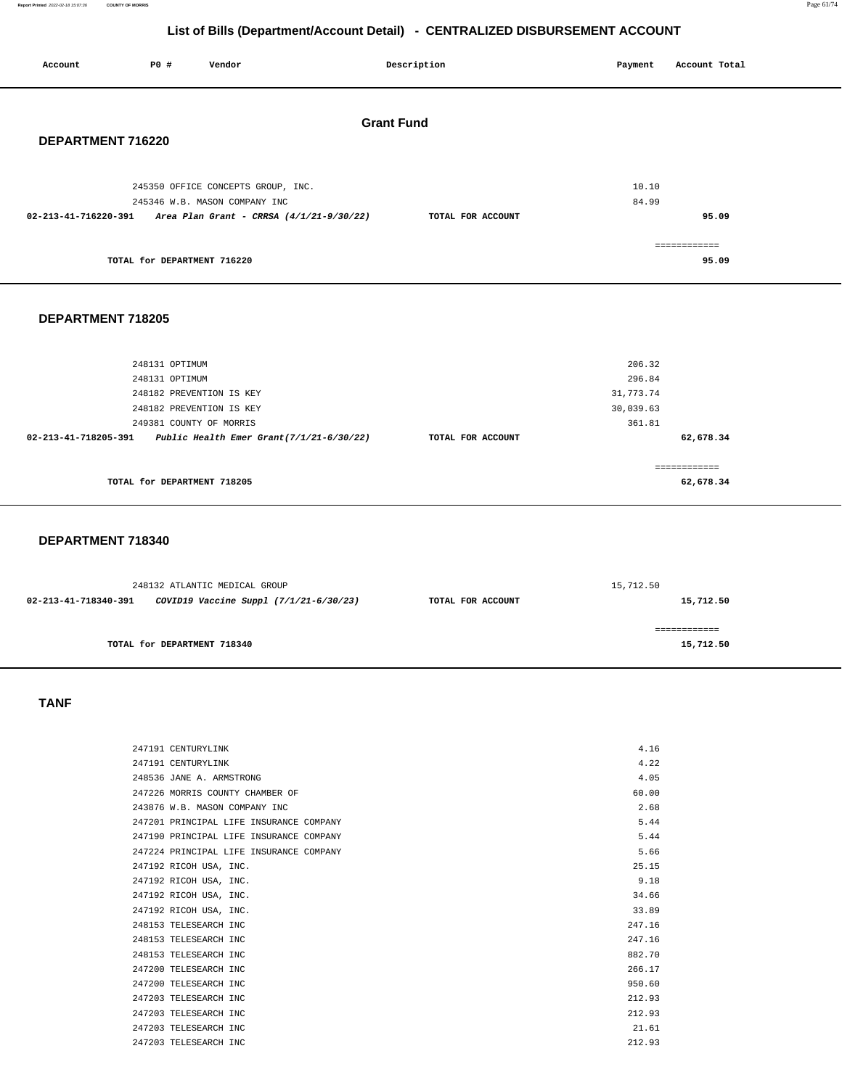**Report Printed** 2022-02-18 15:07:36 **COUNTY OF MORRIS** Page 61/74

# **List of Bills (Department/Account Detail) - CENTRALIZED DISBURSEMENT ACCOUNT**

| Account           | P0 #                                   | Vendor                                                                                                                                   |                   | Description       |  | Payment                  | Account Total         |
|-------------------|----------------------------------------|------------------------------------------------------------------------------------------------------------------------------------------|-------------------|-------------------|--|--------------------------|-----------------------|
| DEPARTMENT 716220 |                                        |                                                                                                                                          | <b>Grant Fund</b> |                   |  |                          |                       |
|                   |                                        | 245350 OFFICE CONCEPTS GROUP, INC.<br>245346 W.B. MASON COMPANY INC<br>$02-213-41-716220-391$ Area Plan Grant - CRRSA $(4/1/21-9/30/22)$ |                   | TOTAL FOR ACCOUNT |  | 10.10<br>84.99           | 95.09                 |
|                   | TOTAL for DEPARTMENT 716220            |                                                                                                                                          |                   |                   |  |                          | ============<br>95.09 |
| DEPARTMENT 718205 |                                        |                                                                                                                                          |                   |                   |  |                          |                       |
|                   | 248131 OPTIMUM<br>$0.10121$ compresses |                                                                                                                                          |                   |                   |  | 206.32<br>0 <sup>0</sup> |                       |

| TOTAL for DEPARTMENT 718205                                         |                   | 62,678.34 |  |
|---------------------------------------------------------------------|-------------------|-----------|--|
|                                                                     |                   |           |  |
| Public Health Emer Grant $(7/1/21-6/30/22)$<br>02-213-41-718205-391 | TOTAL FOR ACCOUNT | 62,678.34 |  |
| 249381 COUNTY OF MORRIS                                             |                   | 361.81    |  |
| 248182 PREVENTION IS KEY                                            |                   | 30,039.63 |  |
| 248182 PREVENTION IS KEY                                            |                   | 31,773.74 |  |
| 248131 OPTIMUM                                                      |                   | 296.84    |  |

### **DEPARTMENT 718340**

| 248132 ATLANTIC MEDICAL GROUP |                                        |                   | 15,712.50                 |  |  |
|-------------------------------|----------------------------------------|-------------------|---------------------------|--|--|
| 02-213-41-718340-391          | COVID19 Vaccine Suppl (7/1/21-6/30/23) | TOTAL FOR ACCOUNT | 15,712.50                 |  |  |
|                               | TOTAL for DEPARTMENT 718340            |                   | ============<br>15,712.50 |  |  |

 **TANF** 

| 247191 CENTURYLINK                      | 4.16   |
|-----------------------------------------|--------|
| 247191 CENTURYLINK                      | 4.22   |
| 248536 JANE A. ARMSTRONG                | 4.05   |
| 247226 MORRIS COUNTY CHAMBER OF         | 60.00  |
| 243876 W.B. MASON COMPANY INC           | 2.68   |
| 247201 PRINCIPAL LIFE INSURANCE COMPANY | 5.44   |
| 247190 PRINCIPAL LIFE INSURANCE COMPANY | 5.44   |
| 247224 PRINCIPAL LIFE INSURANCE COMPANY | 5.66   |
| 247192 RICOH USA, INC.                  | 25.15  |
| 247192 RICOH USA, INC.                  | 9.18   |
| 247192 RICOH USA, INC.                  | 34.66  |
| 247192 RICOH USA, INC.                  | 33.89  |
| 248153 TELESEARCH INC                   | 247.16 |
| 248153 TELESEARCH INC                   | 247.16 |
| 248153 TELESEARCH INC                   | 882.70 |
| 247200 TELESEARCH INC                   | 266.17 |
| 247200 TELESEARCH INC                   | 950.60 |
| 247203 TELESEARCH INC                   | 212.93 |
| 247203 TELESEARCH INC                   | 212.93 |
| 247203 TELESEARCH INC                   | 21.61  |
| 247203 TELESEARCH INC                   | 212.93 |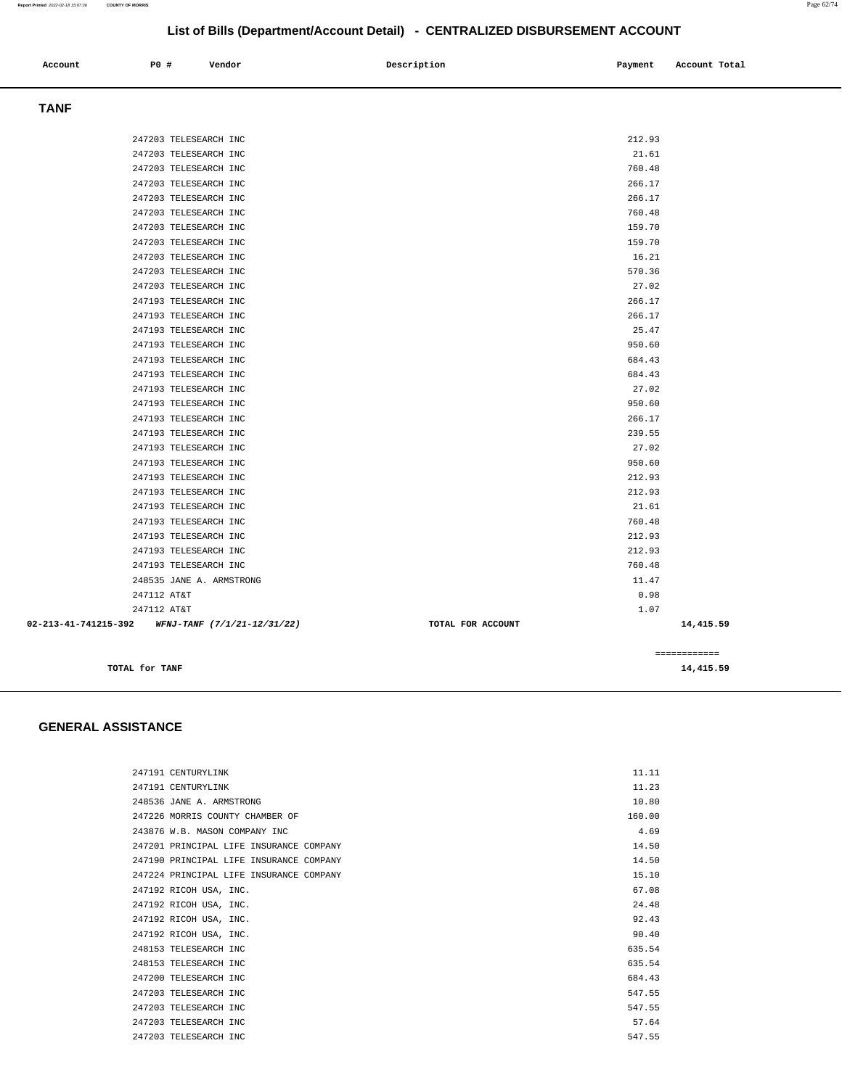| Account              | P0 #           | Vendor                      | Description       | Payment | Account Total |
|----------------------|----------------|-----------------------------|-------------------|---------|---------------|
| <b>TANF</b>          |                |                             |                   |         |               |
|                      |                | 247203 TELESEARCH INC       |                   | 212.93  |               |
|                      |                | 247203 TELESEARCH INC       |                   |         | 21.61         |
|                      |                | 247203 TELESEARCH INC       |                   | 760.48  |               |
|                      |                | 247203 TELESEARCH INC       |                   | 266.17  |               |
|                      |                | 247203 TELESEARCH INC       |                   | 266.17  |               |
|                      |                | 247203 TELESEARCH INC       |                   | 760.48  |               |
|                      |                | 247203 TELESEARCH INC       |                   | 159.70  |               |
|                      |                | 247203 TELESEARCH INC       |                   | 159.70  |               |
|                      |                | 247203 TELESEARCH INC       |                   | 16.21   |               |
|                      |                | 247203 TELESEARCH INC       |                   | 570.36  |               |
|                      |                | 247203 TELESEARCH INC       |                   |         | 27.02         |
|                      |                | 247193 TELESEARCH INC       |                   | 266.17  |               |
|                      |                | 247193 TELESEARCH INC       |                   | 266.17  |               |
|                      |                | 247193 TELESEARCH INC       |                   |         | 25.47         |
|                      |                | 247193 TELESEARCH INC       |                   | 950.60  |               |
|                      |                | 247193 TELESEARCH INC       |                   | 684.43  |               |
|                      |                | 247193 TELESEARCH INC       |                   | 684.43  |               |
|                      |                | 247193 TELESEARCH INC       |                   |         | 27.02         |
|                      |                | 247193 TELESEARCH INC       |                   | 950.60  |               |
|                      |                | 247193 TELESEARCH INC       |                   | 266.17  |               |
|                      |                | 247193 TELESEARCH INC       |                   | 239.55  |               |
|                      |                | 247193 TELESEARCH INC       |                   |         | 27.02         |
|                      |                | 247193 TELESEARCH INC       |                   | 950.60  |               |
|                      |                | 247193 TELESEARCH INC       |                   | 212.93  |               |
|                      |                | 247193 TELESEARCH INC       |                   | 212.93  |               |
|                      |                | 247193 TELESEARCH INC       |                   |         | 21.61         |
|                      |                | 247193 TELESEARCH INC       |                   | 760.48  |               |
|                      |                | 247193 TELESEARCH INC       |                   | 212.93  |               |
|                      |                | 247193 TELESEARCH INC       |                   | 212.93  |               |
|                      |                | 247193 TELESEARCH INC       |                   | 760.48  |               |
|                      |                | 248535 JANE A. ARMSTRONG    |                   |         | 11.47         |
|                      | 247112 AT&T    |                             |                   |         | 0.98          |
|                      | 247112 AT&T    |                             |                   |         | 1.07          |
| 02-213-41-741215-392 |                | WFNJ-TANF (7/1/21-12/31/22) | TOTAL FOR ACCOUNT |         | 14,415.59     |
|                      |                |                             |                   |         | ============  |
|                      | TOTAL for TANF |                             |                   |         | 14,415.59     |

 **GENERAL ASSISTANCE** 

| 247191 CENTURYLINK                      | 11.11  |
|-----------------------------------------|--------|
| 247191 CENTURYLINK                      | 11.23  |
| 248536 JANE A. ARMSTRONG                | 10.80  |
| 247226 MORRIS COUNTY CHAMBER OF         | 160.00 |
| 243876 W.B. MASON COMPANY INC.          | 4.69   |
| 247201 PRINCIPAL LIFE INSURANCE COMPANY | 14.50  |
| 247190 PRINCIPAL LIFE INSURANCE COMPANY | 14.50  |
| 247224 PRINCIPAL LIFE INSURANCE COMPANY | 15.10  |
| 247192 RICOH USA, INC.                  | 67.08  |
| 247192 RICOH USA, INC.                  | 24.48  |
| 247192 RICOH USA, INC.                  | 92.43  |
| 247192 RICOH USA, INC.                  | 90.40  |
| 248153 TELESEARCH INC                   | 635.54 |
| 248153 TELESEARCH INC                   | 635.54 |
| 247200 TELESEARCH INC                   | 684.43 |
| 247203 TELESEARCH INC                   | 547.55 |
| 247203 TELESEARCH INC                   | 547.55 |
| 247203 TELESEARCH INC                   | 57.64  |
| 247203 TELESEARCH INC                   | 547.55 |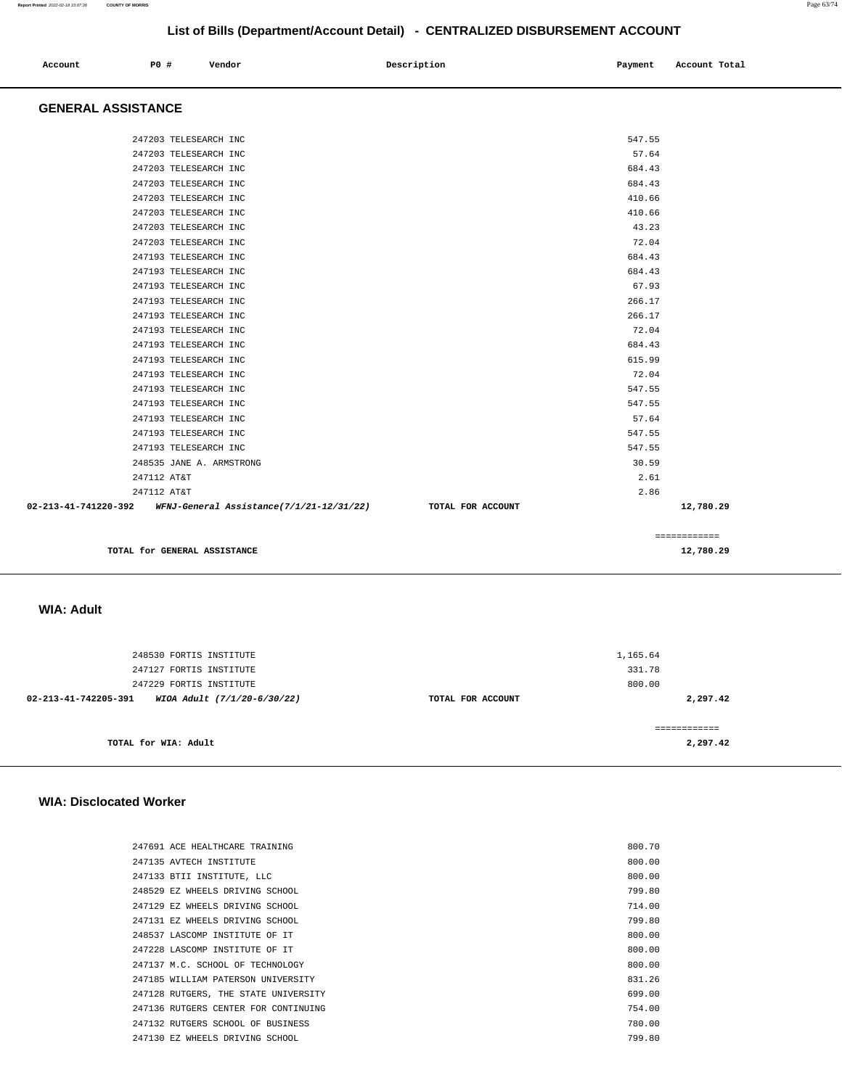| Account<br>. | <b>PO #</b> | Vendor | Description | Payment<br>$\sim$ $\sim$ | Account Total |
|--------------|-------------|--------|-------------|--------------------------|---------------|
|              |             |        |             |                          |               |

# **GENERAL ASSISTANCE**

| TOTAL for GENERAL ASSISTANCE                                                    | 12,780.29       |
|---------------------------------------------------------------------------------|-----------------|
|                                                                                 | ============    |
| 02-213-41-741220-392 WFNJ-General Assistance(7/1/21-12/31/22) TOTAL FOR ACCOUNT | 12,780.29       |
| 247112 AT&T                                                                     | 2.86            |
| 247112 AT&T                                                                     | 2.61            |
| 248535 JANE A. ARMSTRONG                                                        | 30.59           |
| 247193 TELESEARCH INC                                                           | 547.55          |
| 247193 TELESEARCH INC                                                           | 547.55          |
| 247193 TELESEARCH INC                                                           | 57.64           |
| 247193 TELESEARCH INC                                                           | 547.55          |
| 247193 TELESEARCH INC                                                           | 547.55          |
| 247193 TELESEARCH INC                                                           | 72.04           |
| 247193 TELESEARCH INC                                                           | 615.99          |
| 247193 TELESEARCH INC                                                           | 684.43          |
| 247193 TELESEARCH INC                                                           | 72.04           |
| 247193 TELESEARCH INC                                                           | 266.17          |
| 247193 TELESEARCH INC                                                           | 266.17          |
| 247193 TELESEARCH INC                                                           | 67.93           |
| 247193 TELESEARCH INC                                                           | 684.43          |
| 247193 TELESEARCH INC                                                           | 684.43          |
| 247203 TELESEARCH INC                                                           | 72.04           |
| 247203 TELESEARCH INC                                                           | 43.23           |
| 247203 TELESEARCH INC                                                           | 410.66          |
| 247203 TELESEARCH INC                                                           | 410.66          |
| 247203 TELESEARCH INC                                                           | 684.43          |
| 247203 TELESEARCH INC                                                           | 684.43          |
| 247203 TELESEARCH INC<br>247203 TELESEARCH INC                                  | 547.55<br>57.64 |

 **WIA: Adult** 

| 248530 FORTIS INSTITUTE                             |                   | 1,165.64      |
|-----------------------------------------------------|-------------------|---------------|
| 247127 FORTIS INSTITUTE                             |                   | 331.78        |
| 247229 FORTIS INSTITUTE                             |                   | 800.00        |
| 02-213-41-742205-391<br>WIOA Adult (7/1/20-6/30/22) | TOTAL FOR ACCOUNT | 2,297.42      |
|                                                     |                   |               |
|                                                     |                   | ============= |
| TOTAL for WIA: Adult                                |                   | 2,297.42      |
|                                                     |                   |               |

## **WIA: Disclocated Worker**

| 247691 ACE HEALTHCARE TRAINING       | 800.70 |
|--------------------------------------|--------|
| 247135 AVTECH INSTITUTE              | 800.00 |
| 247133 BTII INSTITUTE, LLC           | 800.00 |
| 248529 EZ WHEELS DRIVING SCHOOL      | 799.80 |
| 247129 EZ WHEELS DRIVING SCHOOL      | 714.00 |
| 247131 EZ WHEELS DRIVING SCHOOL      | 799.80 |
| 248537 LASCOMP INSTITUTE OF IT       | 800.00 |
| 247228 LASCOMP INSTITUTE OF IT       | 800.00 |
| 247137 M.C. SCHOOL OF TECHNOLOGY     | 800.00 |
| 247185 WILLIAM PATERSON UNIVERSITY   | 831.26 |
| 247128 RUTGERS, THE STATE UNIVERSITY | 699.00 |
| 247136 RUTGERS CENTER FOR CONTINUING | 754.00 |
| 247132 RUTGERS SCHOOL OF BUSINESS    | 780.00 |
| 247130 EZ WHEELS DRIVING SCHOOL      | 799.80 |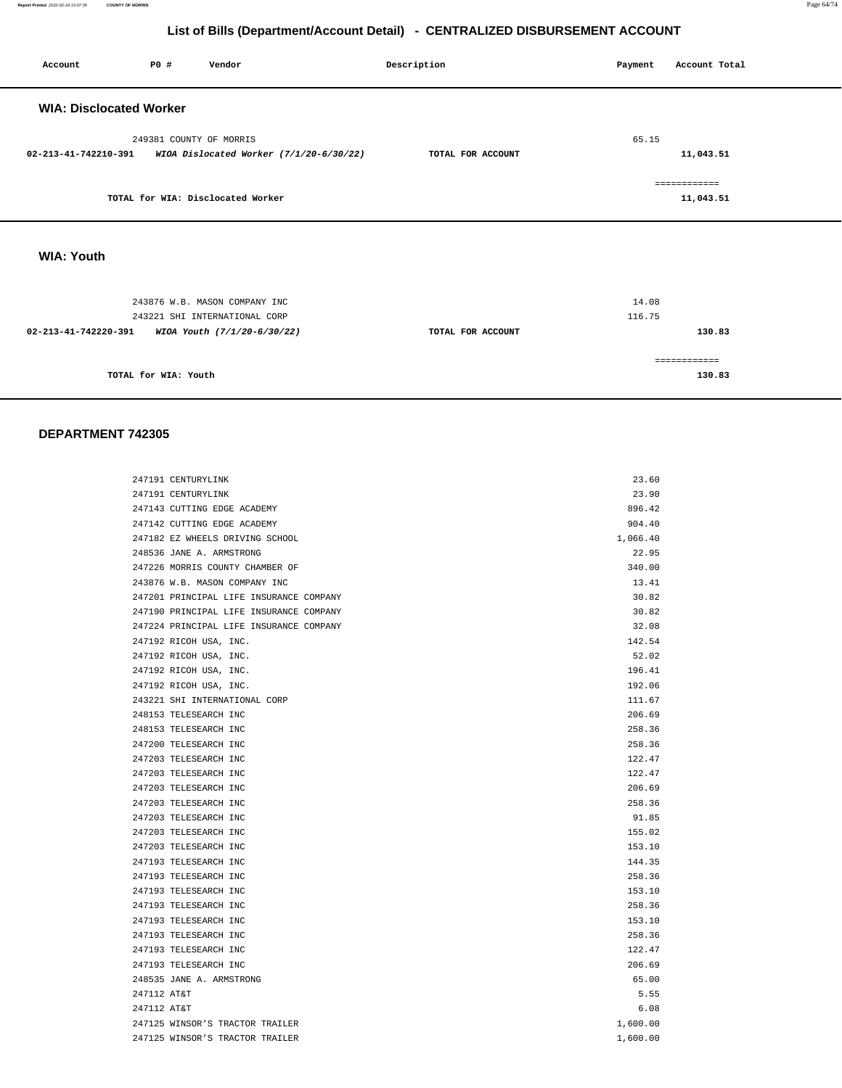**Report Printed** 2022-02-18 15:07:36 **COUNTY OF MORRIS** Page 64/74

# **List of Bills (Department/Account Detail) - CENTRALIZED DISBURSEMENT ACCOUNT**

| Account                        | <b>PO #</b>             | Vendor                                  | Description       | Payment | Account Total |
|--------------------------------|-------------------------|-----------------------------------------|-------------------|---------|---------------|
| <b>WIA: Disclocated Worker</b> |                         |                                         |                   |         |               |
|                                | 249381 COUNTY OF MORRIS |                                         |                   | 65.15   |               |
| 02-213-41-742210-391           |                         | WIOA Dislocated Worker (7/1/20-6/30/22) | TOTAL FOR ACCOUNT |         | 11,043.51     |
|                                |                         |                                         |                   |         | ============  |
|                                |                         | TOTAL for WIA: Disclocated Worker       |                   |         | 11,043.51     |
|                                |                         |                                         |                   |         |               |
| <b>WIA: Youth</b>              |                         |                                         |                   |         |               |

| 243876 W.B. MASON COMPANY INC<br>243221 SHI INTERNATIONAL CORP |                   | 14.08<br>116.75 |
|----------------------------------------------------------------|-------------------|-----------------|
| 02-213-41-742220-391<br>WIOA Youth (7/1/20-6/30/22)            | TOTAL FOR ACCOUNT | 130.83          |
|                                                                |                   |                 |
| TOTAL for WIA: Youth                                           |                   | 130.83          |

### **DEPARTMENT 742305**

| 247191 CENTURYLINK                      | 23.60    |
|-----------------------------------------|----------|
| 247191 CENTURYLINK                      | 23.90    |
| 247143 CUTTING EDGE ACADEMY             | 896.42   |
| 247142 CUTTING EDGE ACADEMY             | 904.40   |
| 247182 EZ WHEELS DRIVING SCHOOL         | 1,066.40 |
| 248536 JANE A. ARMSTRONG                | 22.95    |
| 247226 MORRIS COUNTY CHAMBER OF         | 340.00   |
| 243876 W.B. MASON COMPANY INC           | 13.41    |
| 247201 PRINCIPAL LIFE INSURANCE COMPANY | 30.82    |
| 247190 PRINCIPAL LIFE INSURANCE COMPANY | 30.82    |
| 247224 PRINCIPAL LIFE INSURANCE COMPANY | 32.08    |
| 247192 RICOH USA, INC.                  | 142.54   |
| 247192 RICOH USA, INC.                  | 52.02    |
| 247192 RICOH USA, INC.                  | 196.41   |
| 247192 RICOH USA, INC.                  | 192.06   |
| 243221 SHI INTERNATIONAL CORP           | 111.67   |
| 248153 TELESEARCH INC                   | 206.69   |
| 248153 TELESEARCH INC                   | 258.36   |
| 247200 TELESEARCH INC                   | 258.36   |
| 247203 TELESEARCH INC                   | 122.47   |
| 247203 TELESEARCH INC                   | 122.47   |
| 247203 TELESEARCH INC                   | 206.69   |
| 247203 TELESEARCH INC                   | 258.36   |
| 247203 TELESEARCH INC                   | 91.85    |
| 247203 TELESEARCH INC                   | 155.02   |
| 247203 TELESEARCH INC                   | 153.10   |
| 247193 TELESEARCH INC                   | 144.35   |
| 247193 TELESEARCH INC                   | 258.36   |
| 247193 TELESEARCH INC                   | 153.10   |
| 247193 TELESEARCH INC                   | 258.36   |
| 247193 TELESEARCH INC                   | 153.10   |
| 247193 TELESEARCH INC                   | 258.36   |
| 247193 TELESEARCH INC                   | 122.47   |
| 247193 TELESEARCH INC                   | 206.69   |
| 248535 JANE A. ARMSTRONG                | 65.00    |
| 247112 AT&T                             | 5.55     |
| 247112 AT&T                             | 6.08     |
| 247125 WINSOR'S TRACTOR TRAILER         | 1,600.00 |
| 247125 WINSOR'S TRACTOR TRAILER         | 1,600.00 |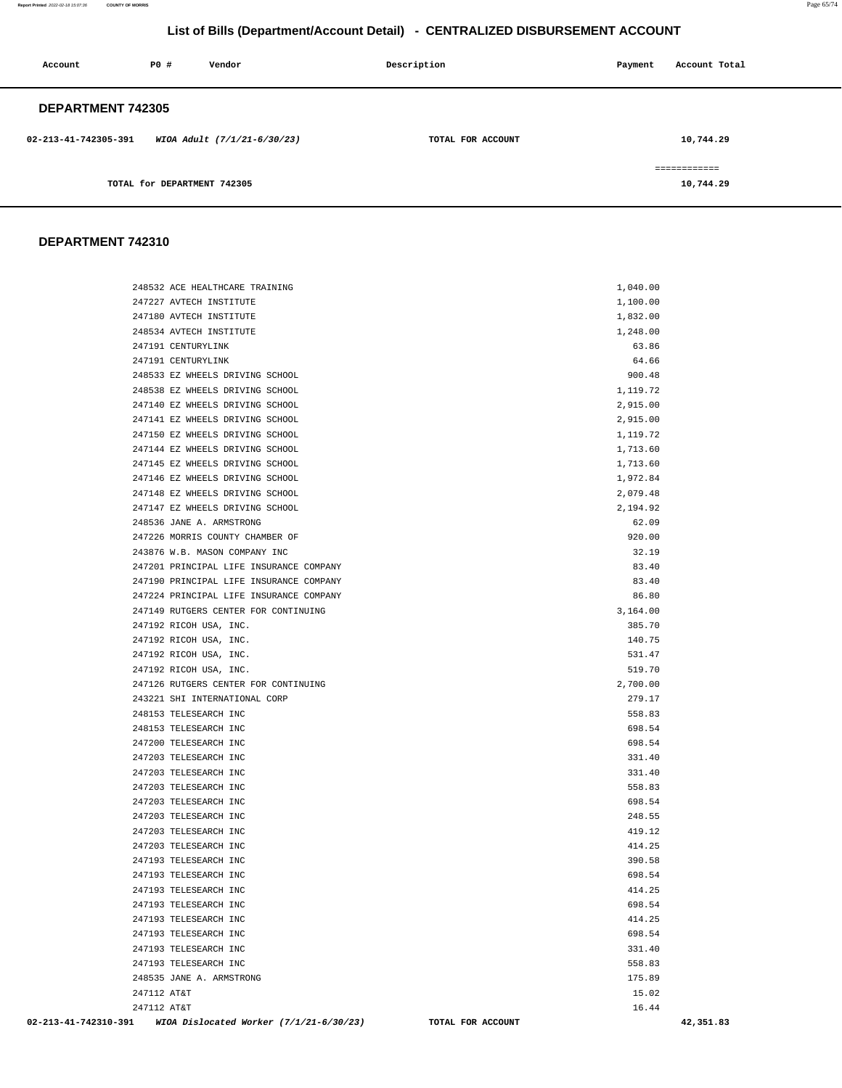**Report Printed** 2022-02-18 15:07:36 **COUNTY OF MORRIS** Page 65/74

# **List of Bills (Department/Account Detail) - CENTRALIZED DISBURSEMENT ACCOUNT**

| Account                  | PO#                         | Vendor                      | Description       | Payment | Account Total              |
|--------------------------|-----------------------------|-----------------------------|-------------------|---------|----------------------------|
| <b>DEPARTMENT 742305</b> |                             |                             |                   |         |                            |
| 02-213-41-742305-391     |                             | WIOA Adult (7/1/21-6/30/23) | TOTAL FOR ACCOUNT |         | 10,744.29                  |
|                          | TOTAL for DEPARTMENT 742305 |                             |                   |         | -------------<br>10,744.29 |

# **DEPARTMENT 742310**

| 248532 ACE HEALTHCARE TRAINING                               | 1,040.00                        |
|--------------------------------------------------------------|---------------------------------|
| 247227 AVTECH INSTITUTE                                      | 1,100.00                        |
| 247180 AVTECH INSTITUTE                                      | 1,832.00                        |
| 248534 AVTECH INSTITUTE                                      | 1,248.00                        |
| 247191 CENTURYLINK                                           | 63.86                           |
| 247191 CENTURYLINK                                           | 64.66                           |
| 248533 EZ WHEELS DRIVING SCHOOL                              | 900.48                          |
| 248538 EZ WHEELS DRIVING SCHOOL                              | 1,119.72                        |
| 247140 EZ WHEELS DRIVING SCHOOL                              | 2,915.00                        |
| 247141 EZ WHEELS DRIVING SCHOOL                              | 2,915.00                        |
| 247150 EZ WHEELS DRIVING SCHOOL                              | 1,119.72                        |
| 247144 EZ WHEELS DRIVING SCHOOL                              | 1,713.60                        |
| 247145 EZ WHEELS DRIVING SCHOOL                              | 1,713.60                        |
| 247146 EZ WHEELS DRIVING SCHOOL                              | 1,972.84                        |
| 247148 EZ WHEELS DRIVING SCHOOL                              | 2,079.48                        |
| 247147 EZ WHEELS DRIVING SCHOOL                              | 2,194.92                        |
| 248536 JANE A. ARMSTRONG                                     | 62.09                           |
| 247226 MORRIS COUNTY CHAMBER OF                              | 920.00                          |
| 243876 W.B. MASON COMPANY INC                                | 32.19                           |
| 247201 PRINCIPAL LIFE INSURANCE COMPANY                      | 83.40                           |
| 247190 PRINCIPAL LIFE INSURANCE COMPANY                      | 83.40                           |
| 247224 PRINCIPAL LIFE INSURANCE COMPANY                      | 86.80                           |
| 247149 RUTGERS CENTER FOR CONTINUING                         | 3,164.00                        |
| 247192 RICOH USA, INC.                                       | 385.70                          |
| 247192 RICOH USA, INC.                                       | 140.75                          |
| 247192 RICOH USA, INC.                                       | 531.47                          |
| 247192 RICOH USA, INC.                                       | 519.70                          |
| 247126 RUTGERS CENTER FOR CONTINUING                         | 2,700.00                        |
| 243221 SHI INTERNATIONAL CORP                                | 279.17                          |
| 248153 TELESEARCH INC                                        | 558.83                          |
| 248153 TELESEARCH INC                                        | 698.54                          |
| 247200 TELESEARCH INC                                        | 698.54                          |
| 247203 TELESEARCH INC                                        | 331.40                          |
| 247203 TELESEARCH INC                                        | 331.40                          |
| 247203 TELESEARCH INC                                        | 558.83                          |
| 247203 TELESEARCH INC                                        | 698.54                          |
| 247203 TELESEARCH INC                                        | 248.55                          |
| 247203 TELESEARCH INC                                        | 419.12                          |
| 247203 TELESEARCH INC                                        | 414.25                          |
| 247193 TELESEARCH INC                                        | 390.58                          |
| 247193 TELESEARCH INC                                        | 698.54                          |
| 247193 TELESEARCH INC                                        | 414.25                          |
| 247193 TELESEARCH INC                                        | 698.54                          |
| 247193 TELESEARCH INC                                        | 414.25                          |
| 247193 TELESEARCH INC                                        | 698.54                          |
| 247193 TELESEARCH INC                                        | 331.40                          |
| 247193 TELESEARCH INC                                        | 558.83                          |
| 248535 JANE A. ARMSTRONG                                     | 175.89                          |
| 247112 AT&T                                                  | 15.02                           |
| 247112 AT&T                                                  | 16.44                           |
| 02-213-41-742310-391 WIOA Dislocated Worker (7/1/21-6/30/23) | TOTAL FOR ACCOUNT<br>42, 351.83 |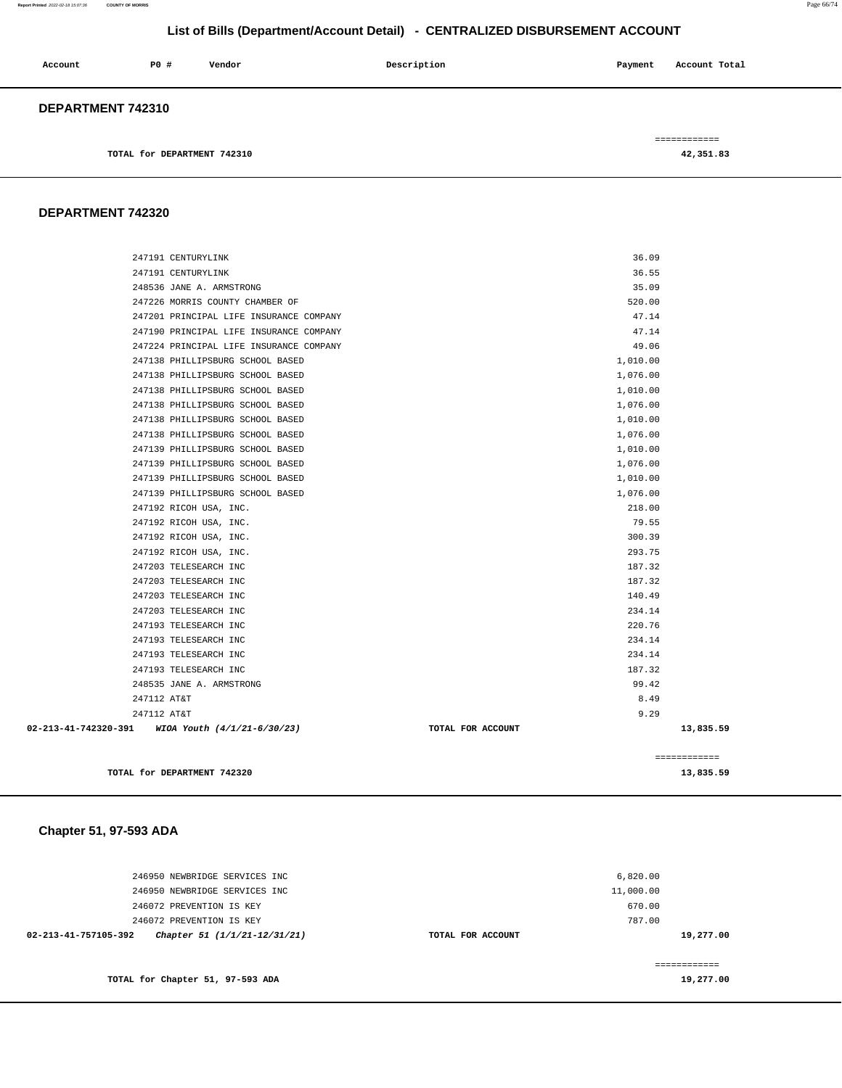### **Report Printed** 2022-02-18 15:07:36 **COUNTY OF MORRIS** Page 66/74

# **List of Bills (Department/Account Detail) - CENTRALIZED DISBURSEMENT ACCOUNT**

| Account           | PO#                         | Vendor | Description | Account Total<br>Payment |
|-------------------|-----------------------------|--------|-------------|--------------------------|
| DEPARTMENT 742310 |                             |        |             |                          |
|                   |                             |        |             | ============             |
|                   | TOTAL for DEPARTMENT 742310 |        |             | 42,351.83                |

# **DEPARTMENT 742320**

| TOTAL for DEPARTMENT 742320                                          |                   |                      | 13,835.59    |
|----------------------------------------------------------------------|-------------------|----------------------|--------------|
|                                                                      |                   |                      | ============ |
| 02-213-41-742320-391 WIOA Youth (4/1/21-6/30/23)                     | TOTAL FOR ACCOUNT |                      | 13,835.59    |
| 247112 AT&T                                                          |                   | 9.29                 |              |
| 247112 AT&T                                                          |                   | 8.49                 |              |
| 248535 JANE A. ARMSTRONG                                             |                   | 99.42                |              |
| 247193 TELESEARCH INC                                                |                   | 187.32               |              |
| 247193 TELESEARCH INC                                                |                   | 234.14               |              |
| 247193 TELESEARCH INC                                                |                   | 234.14               |              |
| 247193 TELESEARCH INC                                                |                   | 220.76               |              |
| 247203 TELESEARCH INC                                                |                   | 234.14               |              |
| 247203 TELESEARCH INC                                                |                   | 140.49               |              |
| 247203 TELESEARCH INC                                                |                   | 187.32               |              |
| 247203 TELESEARCH INC                                                |                   | 187.32               |              |
| 247192 RICOH USA, INC.                                               |                   | 293.75               |              |
| 247192 RICOH USA, INC.                                               |                   | 300.39               |              |
| 247192 RICOH USA, INC.                                               |                   | 79.55                |              |
| 247192 RICOH USA, INC.                                               |                   | 218.00               |              |
| 247139 PHILLIPSBURG SCHOOL BASED                                     |                   | 1,076.00             |              |
| 247139 PHILLIPSBURG SCHOOL BASED                                     |                   | 1,010.00             |              |
| 247139 PHILLIPSBURG SCHOOL BASED                                     |                   | 1,076.00             |              |
| 247139 PHILLIPSBURG SCHOOL BASED                                     |                   | 1,010.00             |              |
| 247138 PHILLIPSBURG SCHOOL BASED                                     |                   | 1,076.00             |              |
| 247138 PHILLIPSBURG SCHOOL BASED                                     |                   | 1,010.00             |              |
| 247138 PHILLIPSBURG SCHOOL BASED                                     |                   | 1,076.00             |              |
| 247138 PHILLIPSBURG SCHOOL BASED<br>247138 PHILLIPSBURG SCHOOL BASED |                   | 1,076.00<br>1,010.00 |              |
| 247138 PHILLIPSBURG SCHOOL BASED                                     |                   | 1,010.00             |              |
| 247224 PRINCIPAL LIFE INSURANCE COMPANY                              |                   | 49.06                |              |
| 247190 PRINCIPAL LIFE INSURANCE COMPANY                              |                   | 47.14                |              |
| 247201 PRINCIPAL LIFE INSURANCE COMPANY                              |                   | 47.14                |              |
| 247226 MORRIS COUNTY CHAMBER OF                                      |                   | 520.00               |              |
| 248536 JANE A. ARMSTRONG                                             |                   | 35.09                |              |
| 247191 CENTURYLINK                                                   |                   | 36.55                |              |
| 247191 CENTURYLINK                                                   |                   | 36.09                |              |
|                                                                      |                   |                      |              |

# **Chapter 51, 97-593 ADA**

| 246950 NEWBRIDGE SERVICES INC                                  |                   | 6,820.00  |
|----------------------------------------------------------------|-------------------|-----------|
| 246950 NEWBRIDGE SERVICES INC                                  |                   | 11,000.00 |
| 246072 PREVENTION IS KEY                                       |                   | 670.00    |
| 246072 PREVENTION IS KEY                                       |                   | 787.00    |
| $02 - 213 - 41 - 757105 - 392$<br>Chapter 51 (1/1/21-12/31/21) | TOTAL FOR ACCOUNT | 19,277.00 |
|                                                                |                   |           |
|                                                                |                   |           |
| TOTAL for Chapter 51, 97-593 ADA                               |                   | 19,277.00 |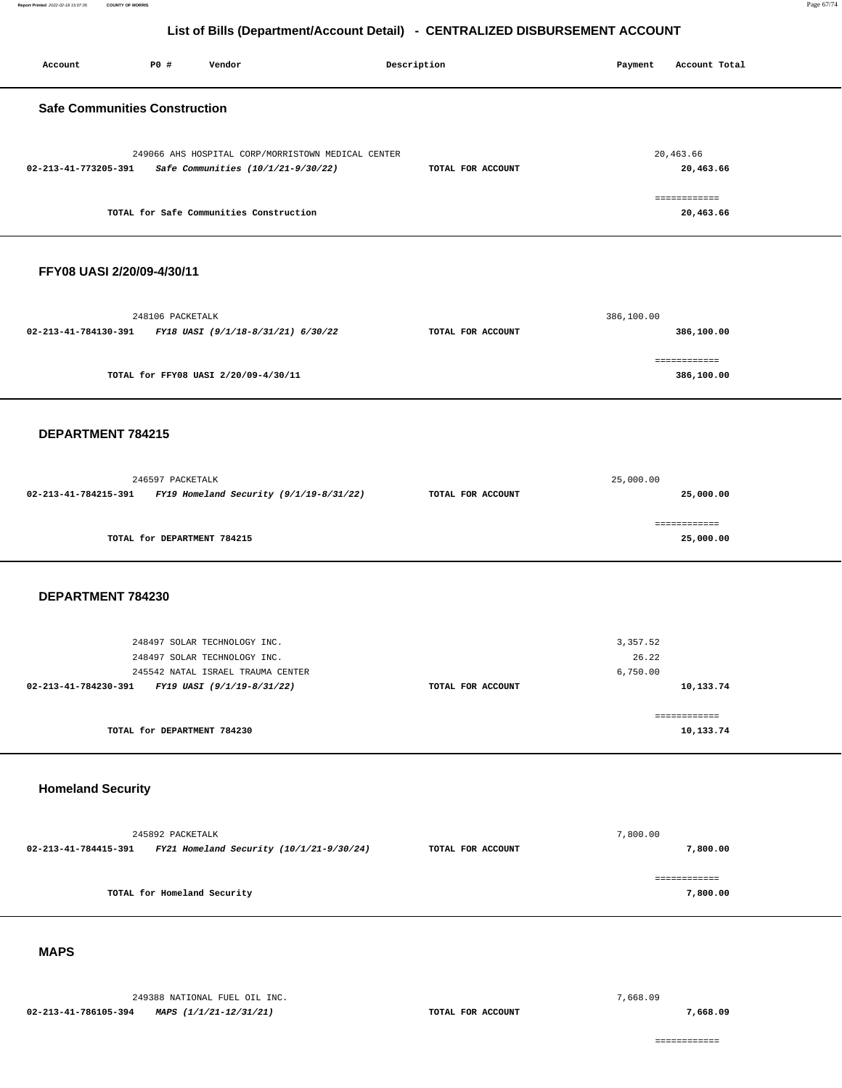**Report Printed** 2022-02-18 15:07:36 **COUNTY OF MORRIS** Page 67/74

# **List of Bills (Department/Account Detail) - CENTRALIZED DISBURSEMENT ACCOUNT**

| Account                                                 | P0 #                        | Vendor                                                                                                                          |                                                    | Description       | Payment                       | Account Total              |
|---------------------------------------------------------|-----------------------------|---------------------------------------------------------------------------------------------------------------------------------|----------------------------------------------------|-------------------|-------------------------------|----------------------------|
| <b>Safe Communities Construction</b>                    |                             |                                                                                                                                 |                                                    |                   |                               |                            |
| 02-213-41-773205-391                                    |                             | Safe Communities (10/1/21-9/30/22)                                                                                              | 249066 AHS HOSPITAL CORP/MORRISTOWN MEDICAL CENTER | TOTAL FOR ACCOUNT |                               | 20,463.66<br>20,463.66     |
|                                                         |                             | TOTAL for Safe Communities Construction                                                                                         |                                                    |                   |                               | ============<br>20,463.66  |
| FFY08 UASI 2/20/09-4/30/11                              |                             |                                                                                                                                 |                                                    |                   |                               |                            |
| 02-213-41-784130-391 FY18 UASI (9/1/18-8/31/21) 6/30/22 | 248106 PACKETALK            |                                                                                                                                 |                                                    | TOTAL FOR ACCOUNT | 386,100.00                    | 386,100.00                 |
|                                                         |                             | TOTAL for FFY08 UASI 2/20/09-4/30/11                                                                                            |                                                    |                   |                               | ============<br>386,100.00 |
| DEPARTMENT 784215                                       |                             |                                                                                                                                 |                                                    |                   |                               |                            |
| 02-213-41-784215-391                                    | 246597 PACKETALK            | FY19 Homeland Security (9/1/19-8/31/22)                                                                                         |                                                    | TOTAL FOR ACCOUNT | 25,000.00                     | 25,000.00                  |
|                                                         | TOTAL for DEPARTMENT 784215 |                                                                                                                                 |                                                    |                   |                               | ============<br>25,000.00  |
| DEPARTMENT 784230                                       |                             |                                                                                                                                 |                                                    |                   |                               |                            |
| 02-213-41-784230-391                                    |                             | 248497 SOLAR TECHNOLOGY INC.<br>248497 SOLAR TECHNOLOGY INC.<br>245542 NATAL ISRAEL TRAUMA CENTER<br>FY19 UASI (9/1/19-8/31/22) |                                                    | TOTAL FOR ACCOUNT | 3,357.52<br>26.22<br>6,750.00 | 10,133.74                  |
|                                                         | TOTAL for DEPARTMENT 784230 |                                                                                                                                 |                                                    |                   |                               | ------------<br>10,133.74  |
| <b>Homeland Security</b>                                |                             |                                                                                                                                 |                                                    |                   |                               |                            |
| 02-213-41-784415-391                                    | 245892 PACKETALK            | FY21 Homeland Security (10/1/21-9/30/24)                                                                                        |                                                    | TOTAL FOR ACCOUNT | 7,800.00                      | 7,800.00                   |
|                                                         | TOTAL for Homeland Security |                                                                                                                                 |                                                    |                   |                               | ============<br>7,800.00   |
| <b>MAPS</b>                                             |                             |                                                                                                                                 |                                                    |                   |                               |                            |

### **MAPS**

249388 NATIONAL FUEL OIL INC. **02-213-41-786105-394 MAPS (1/1/21-12/31/21) TOTAL FOR ACCOUNT**  7,668.09

**7,668.09**

============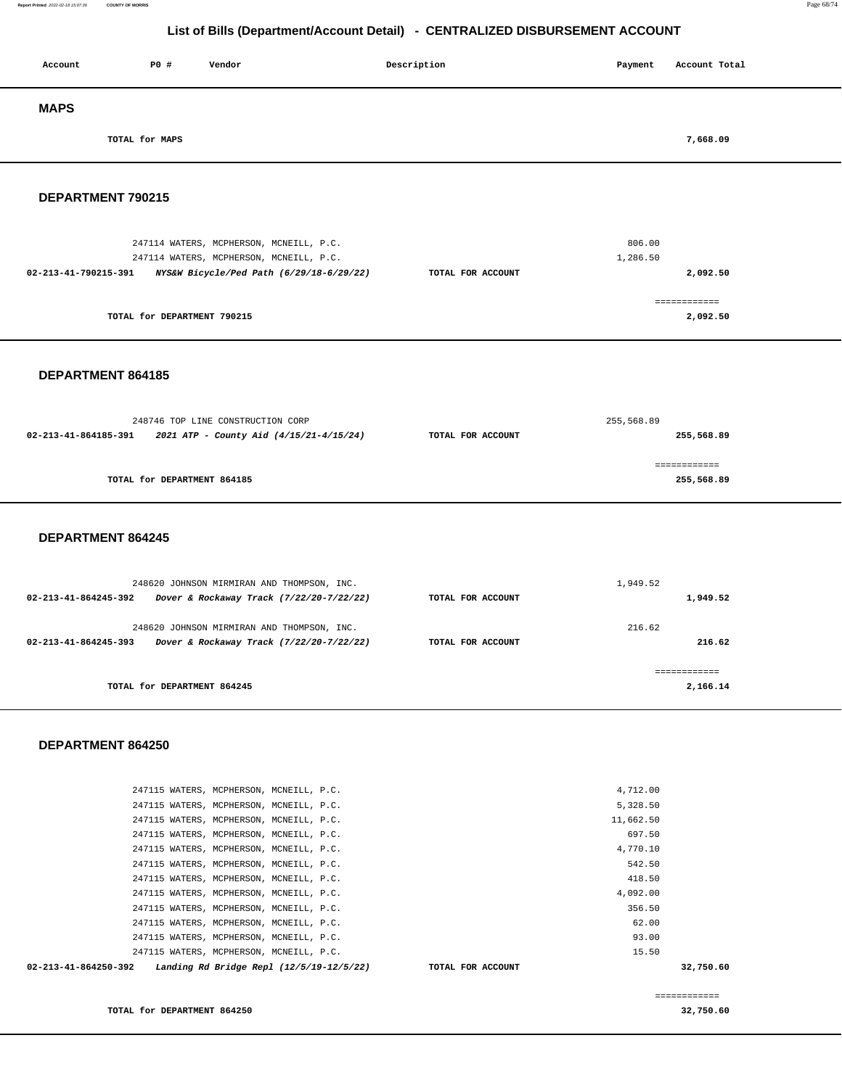### **Report Printed** 2022-02-18 15:07:36 **COUNTY OF MORRIS** Page 68/74

# **List of Bills (Department/Account Detail) - CENTRALIZED DISBURSEMENT ACCOUNT**

| Account     | P0 #           | Vendor | Description | Payment | Account Total |
|-------------|----------------|--------|-------------|---------|---------------|
| <b>MAPS</b> |                |        |             |         |               |
|             | TOTAL for MAPS |        |             |         | 7,668.09      |

## **DEPARTMENT 790215**

| 247114 WATERS, MCPHERSON, MCNEILL, P.C.                          |                   | 806.00   |
|------------------------------------------------------------------|-------------------|----------|
| 247114 WATERS, MCPHERSON, MCNEILL, P.C.                          |                   | 1,286.50 |
| NYS&W Bicycle/Ped Path (6/29/18-6/29/22)<br>02-213-41-790215-391 | TOTAL FOR ACCOUNT | 2,092.50 |
|                                                                  |                   |          |
|                                                                  |                   |          |
| TOTAL for DEPARTMENT 790215                                      |                   | 2,092.50 |
|                                                                  |                   |          |

### **DEPARTMENT 864185**

|                      | 248746 TOP LINE CONSTRUCTION CORP       | 255,568.89        |              |  |
|----------------------|-----------------------------------------|-------------------|--------------|--|
| 02-213-41-864185-391 | 2021 ATP - County Aid (4/15/21-4/15/24) | TOTAL FOR ACCOUNT | 255,568.89   |  |
|                      |                                         |                   |              |  |
|                      |                                         |                   | ============ |  |
|                      | TOTAL for DEPARTMENT 864185             |                   | 255,568.89   |  |
|                      |                                         |                   |              |  |

### **DEPARTMENT 864245**

| 248620 JOHNSON MIRMIRAN AND THOMPSON, INC.                                                                               |                   | 1,949.52         |
|--------------------------------------------------------------------------------------------------------------------------|-------------------|------------------|
| Dover & Rockaway Track (7/22/20-7/22/22)<br>$02 - 213 - 41 - 864245 - 392$                                               | TOTAL FOR ACCOUNT | 1,949.52         |
| 248620 JOHNSON MIRMIRAN AND THOMPSON, INC.<br>Dover & Rockaway Track (7/22/20-7/22/22)<br>$02 - 213 - 41 - 864245 - 393$ | TOTAL FOR ACCOUNT | 216.62<br>216.62 |
| TOTAL for DEPARTMENT 864245                                                                                              |                   | 2,166.14         |

### **DEPARTMENT 864250**

| 4,092.00<br>356.50<br>62.00<br>93.00 |
|--------------------------------------|
|                                      |
|                                      |
|                                      |
|                                      |
| 418.50                               |
| 542.50                               |
| 4,770.10                             |
| 697.50                               |
| 11,662.50                            |
| 5,328.50                             |
| 4,712.00                             |
|                                      |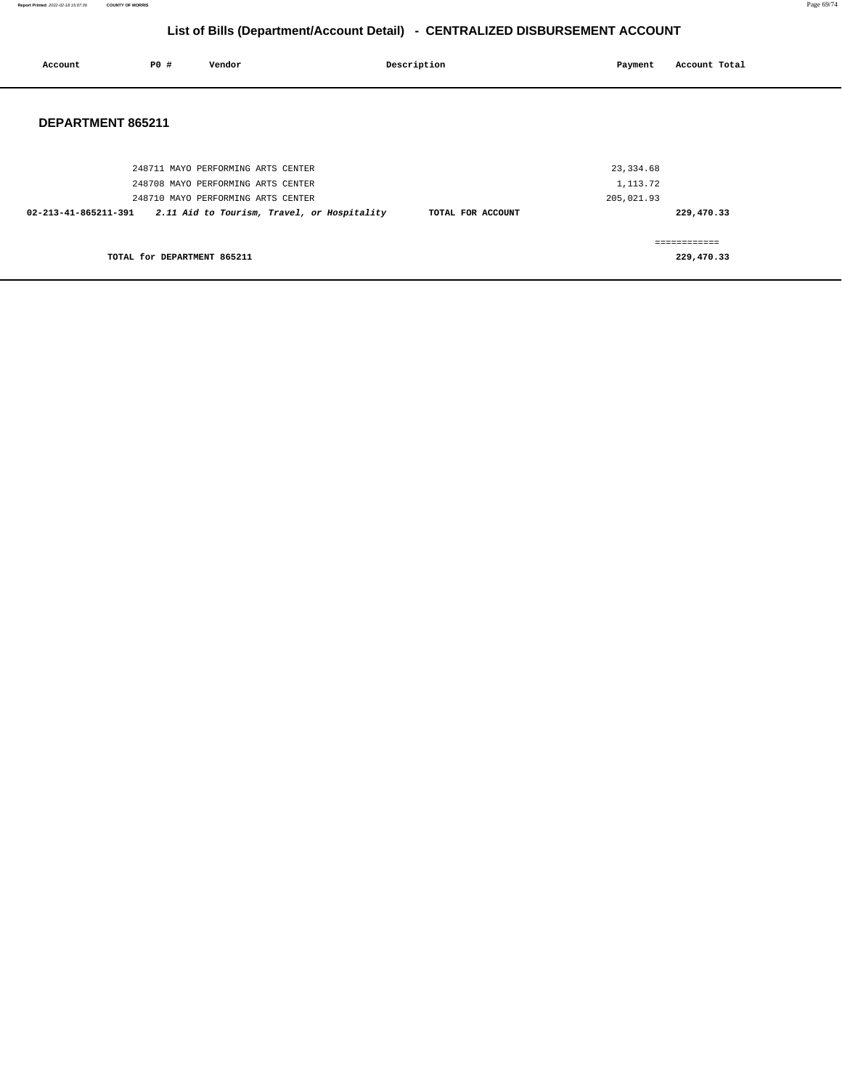| Account              | <b>PO #</b>                 | Vendor                                      | Description       | Payment    | Account Total               |  |
|----------------------|-----------------------------|---------------------------------------------|-------------------|------------|-----------------------------|--|
| DEPARTMENT 865211    |                             |                                             |                   |            |                             |  |
|                      |                             | 248711 MAYO PERFORMING ARTS CENTER          |                   | 23, 334.68 |                             |  |
|                      |                             | 248708 MAYO PERFORMING ARTS CENTER          |                   | 1,113.72   |                             |  |
|                      |                             | 248710 MAYO PERFORMING ARTS CENTER          |                   | 205,021.93 |                             |  |
| 02-213-41-865211-391 |                             | 2.11 Aid to Tourism, Travel, or Hospitality | TOTAL FOR ACCOUNT |            | 229,470.33                  |  |
|                      | TOTAL for DEPARTMENT 865211 |                                             |                   |            | -------------<br>229,470.33 |  |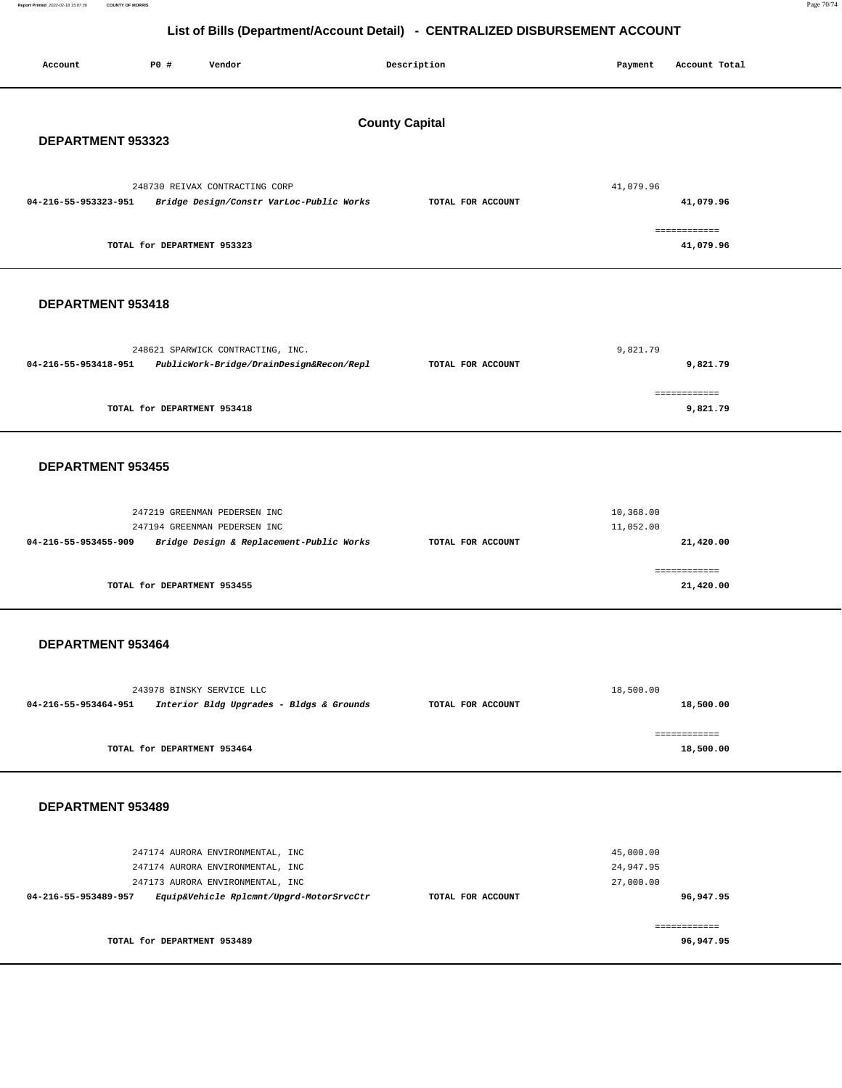**Report Printed** 2022-02-18 15:07:36 **COUNTY OF MORRIS** Page 70/74

# **List of Bills (Department/Account Detail) - CENTRALIZED DISBURSEMENT ACCOUNT**

| P0 #<br>Account<br>Vendor                                                                                                                                                    | Description       | Payment<br>Account Total                         |  |  |  |  |
|------------------------------------------------------------------------------------------------------------------------------------------------------------------------------|-------------------|--------------------------------------------------|--|--|--|--|
| <b>County Capital</b><br>DEPARTMENT 953323                                                                                                                                   |                   |                                                  |  |  |  |  |
| 248730 REIVAX CONTRACTING CORP<br>04-216-55-953323-951<br>Bridge Design/Constr VarLoc-Public Works                                                                           | TOTAL FOR ACCOUNT | 41,079.96<br>41,079.96                           |  |  |  |  |
| TOTAL for DEPARTMENT 953323                                                                                                                                                  |                   | ------------<br>41,079.96                        |  |  |  |  |
| DEPARTMENT 953418                                                                                                                                                            |                   |                                                  |  |  |  |  |
| 248621 SPARWICK CONTRACTING, INC.<br>04-216-55-953418-951<br>PublicWork-Bridge/DrainDesign&Recon/Repl                                                                        | TOTAL FOR ACCOUNT | 9,821.79<br>9,821.79                             |  |  |  |  |
| TOTAL for DEPARTMENT 953418                                                                                                                                                  |                   | ============<br>9,821.79                         |  |  |  |  |
| DEPARTMENT 953455                                                                                                                                                            |                   |                                                  |  |  |  |  |
| 247219 GREENMAN PEDERSEN INC<br>247194 GREENMAN PEDERSEN INC<br>04-216-55-953455-909<br>Bridge Design & Replacement-Public Works                                             | TOTAL FOR ACCOUNT | 10,368.00<br>11,052.00<br>21,420.00              |  |  |  |  |
| TOTAL for DEPARTMENT 953455                                                                                                                                                  |                   | ============<br>21,420.00                        |  |  |  |  |
| DEPARTMENT 953464                                                                                                                                                            |                   |                                                  |  |  |  |  |
| 243978 BINSKY SERVICE LLC<br>04-216-55-953464-951<br>Interior Bldg Upgrades - Bldgs & Grounds                                                                                | TOTAL FOR ACCOUNT | 18,500.00<br>18,500.00                           |  |  |  |  |
| TOTAL for DEPARTMENT 953464                                                                                                                                                  |                   | ============<br>18,500.00                        |  |  |  |  |
| DEPARTMENT 953489                                                                                                                                                            |                   |                                                  |  |  |  |  |
| 247174 AURORA ENVIRONMENTAL, INC<br>247174 AURORA ENVIRONMENTAL, INC<br>247173 AURORA ENVIRONMENTAL, INC<br>Equip&Vehicle Rplcmnt/Upgrd-MotorSrvcCtr<br>04-216-55-953489-957 | TOTAL FOR ACCOUNT | 45,000.00<br>24,947.95<br>27,000.00<br>96,947.95 |  |  |  |  |
| TOTAL for DEPARTMENT 953489                                                                                                                                                  |                   | ============<br>96,947.95                        |  |  |  |  |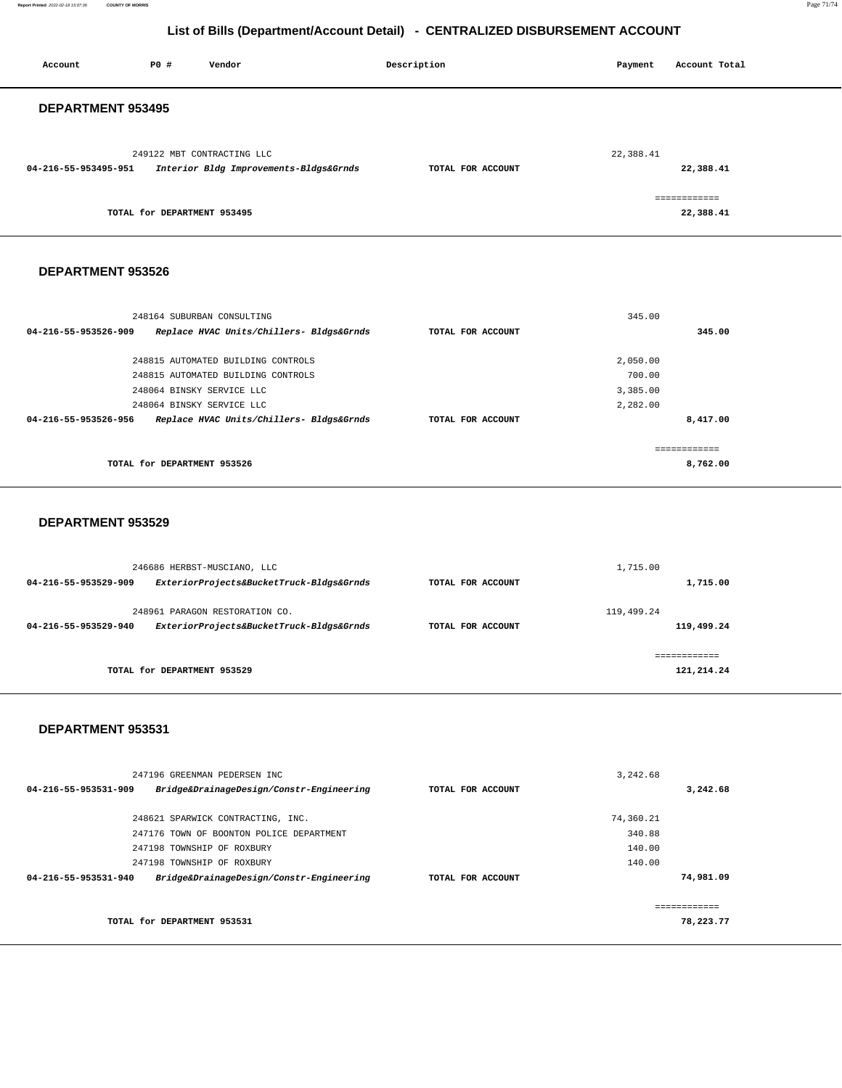**Report Printed** 2022-02-18 15:07:36 **COUNTY OF MORRIS** Page 71/74

# **List of Bills (Department/Account Detail) - CENTRALIZED DISBURSEMENT ACCOUNT**

| Account              | <b>PO #</b>                 | Vendor                                                   |                                          | Description       | Payment          | Account Total |  |
|----------------------|-----------------------------|----------------------------------------------------------|------------------------------------------|-------------------|------------------|---------------|--|
|                      |                             |                                                          |                                          |                   |                  |               |  |
|                      |                             |                                                          |                                          |                   |                  |               |  |
| DEPARTMENT 953495    |                             |                                                          |                                          |                   |                  |               |  |
|                      |                             |                                                          |                                          |                   |                  |               |  |
|                      |                             |                                                          |                                          |                   |                  |               |  |
| 04-216-55-953495-951 |                             | 249122 MBT CONTRACTING LLC                               |                                          | TOTAL FOR ACCOUNT | 22,388.41        | 22,388.41     |  |
|                      |                             | Interior Bldg Improvements-Bldgs&Grnds                   |                                          |                   |                  |               |  |
|                      |                             |                                                          |                                          |                   |                  | ============  |  |
|                      | TOTAL for DEPARTMENT 953495 |                                                          |                                          |                   |                  | 22,388.41     |  |
|                      |                             |                                                          |                                          |                   |                  |               |  |
|                      |                             |                                                          |                                          |                   |                  |               |  |
|                      |                             |                                                          |                                          |                   |                  |               |  |
| DEPARTMENT 953526    |                             |                                                          |                                          |                   |                  |               |  |
|                      |                             |                                                          |                                          |                   |                  |               |  |
|                      |                             |                                                          |                                          |                   |                  |               |  |
|                      |                             | 248164 SUBURBAN CONSULTING                               |                                          |                   | 345.00           |               |  |
| 04-216-55-953526-909 |                             |                                                          | Replace HVAC Units/Chillers- Bldgs&Grnds | TOTAL FOR ACCOUNT |                  | 345.00        |  |
|                      |                             | 248815 AUTOMATED BUILDING CONTROLS                       |                                          |                   | 2,050.00         |               |  |
|                      |                             | 248815 AUTOMATED BUILDING CONTROLS                       |                                          |                   | 700.00           |               |  |
|                      | 248064 BINSKY SERVICE LLC   |                                                          |                                          |                   | 3,385.00         |               |  |
|                      | 248064 BINSKY SERVICE LLC   |                                                          |                                          |                   | 2,282.00         |               |  |
| 04-216-55-953526-956 |                             |                                                          | Replace HVAC Units/Chillers- Bldgs&Grnds | TOTAL FOR ACCOUNT |                  | 8,417.00      |  |
|                      |                             |                                                          |                                          |                   |                  |               |  |
|                      |                             |                                                          |                                          |                   |                  | ============  |  |
|                      | TOTAL for DEPARTMENT 953526 |                                                          |                                          |                   |                  | 8,762.00      |  |
|                      |                             |                                                          |                                          |                   |                  |               |  |
|                      |                             |                                                          |                                          |                   |                  |               |  |
| DEPARTMENT 953529    |                             |                                                          |                                          |                   |                  |               |  |
|                      |                             |                                                          |                                          |                   |                  |               |  |
|                      |                             |                                                          |                                          |                   |                  |               |  |
|                      |                             | 246686 HERBST-MUSCIANO, LLC                              |                                          |                   | 1,715.00         |               |  |
| 04-216-55-953529-909 |                             |                                                          | ExteriorProjects&BucketTruck-Bldgs&Grnds | TOTAL FOR ACCOUNT |                  | 1,715.00      |  |
|                      |                             |                                                          |                                          |                   |                  |               |  |
|                      |                             | 248961 PARAGON RESTORATION CO.                           |                                          |                   | 119,499.24       |               |  |
| 04-216-55-953529-940 |                             |                                                          | ExteriorProjects&BucketTruck-Bldgs&Grnds | TOTAL FOR ACCOUNT |                  | 119,499.24    |  |
|                      |                             |                                                          |                                          |                   |                  |               |  |
|                      |                             |                                                          |                                          |                   |                  | ============  |  |
|                      | TOTAL for DEPARTMENT 953529 |                                                          |                                          |                   |                  | 121,214.24    |  |
|                      |                             |                                                          |                                          |                   |                  |               |  |
|                      |                             |                                                          |                                          |                   |                  |               |  |
| DEPARTMENT 953531    |                             |                                                          |                                          |                   |                  |               |  |
|                      |                             |                                                          |                                          |                   |                  |               |  |
|                      |                             |                                                          |                                          |                   |                  |               |  |
|                      |                             | 247196 GREENMAN PEDERSEN INC                             |                                          |                   | 3,242.68         |               |  |
| 04-216-55-953531-909 |                             |                                                          | Bridge&DrainageDesign/Constr-Engineering | TOTAL FOR ACCOUNT |                  | 3,242.68      |  |
|                      |                             |                                                          |                                          |                   |                  |               |  |
|                      |                             | 248621 SPARWICK CONTRACTING, INC.                        |                                          |                   | 74,360.21        |               |  |
|                      |                             | 247176 TOWN OF BOONTON POLICE DEPARTMENT                 |                                          |                   | 340.88           |               |  |
|                      |                             | 247198 TOWNSHIP OF ROXBURY<br>247198 TOWNSHIP OF ROXBURY |                                          |                   | 140.00<br>140.00 |               |  |
| 04-216-55-953531-940 |                             |                                                          | Bridge&DrainageDesign/Constr-Engineering | TOTAL FOR ACCOUNT |                  | 74,981.09     |  |
|                      |                             |                                                          |                                          |                   |                  |               |  |

**TOTAL for DEPARTMENT 953531** 

============ **78,223.77**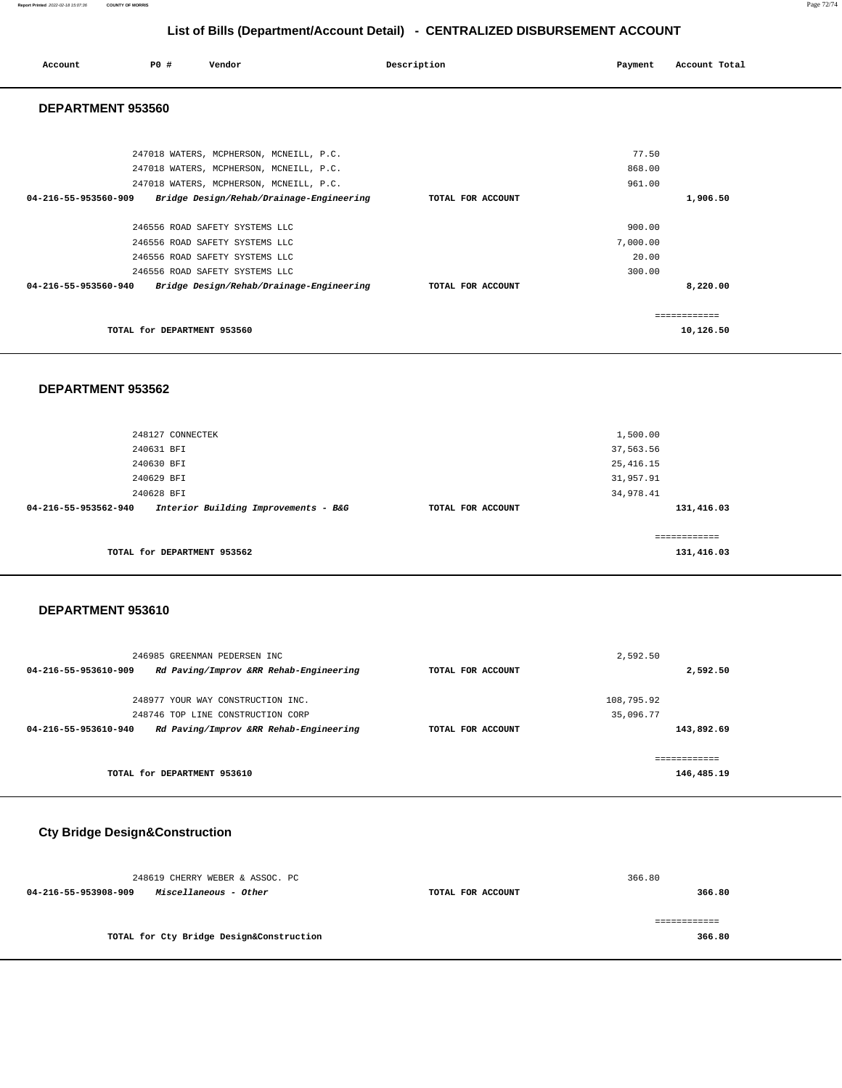### **Report Printed** 2022-02-18 15:07:36 **COUNTY OF MORRIS** Page 72/74

# **List of Bills (Department/Account Detail) - CENTRALIZED DISBURSEMENT ACCOUNT**

| Account              | PO#                         | Vendor                                   | Description       | Payment  | Account Total |
|----------------------|-----------------------------|------------------------------------------|-------------------|----------|---------------|
| DEPARTMENT 953560    |                             |                                          |                   |          |               |
|                      |                             |                                          |                   |          |               |
|                      |                             | 247018 WATERS, MCPHERSON, MCNEILL, P.C.  |                   | 77.50    |               |
|                      |                             | 247018 WATERS, MCPHERSON, MCNEILL, P.C.  |                   | 868.00   |               |
|                      |                             | 247018 WATERS, MCPHERSON, MCNEILL, P.C.  |                   | 961.00   |               |
| 04-216-55-953560-909 |                             | Bridge Design/Rehab/Drainage-Engineering | TOTAL FOR ACCOUNT |          | 1,906.50      |
|                      |                             | 246556 ROAD SAFETY SYSTEMS LLC           |                   | 900.00   |               |
|                      |                             | 246556 ROAD SAFETY SYSTEMS LLC           |                   | 7,000.00 |               |
|                      |                             | 246556 ROAD SAFETY SYSTEMS LLC           |                   | 20.00    |               |
|                      |                             | 246556 ROAD SAFETY SYSTEMS LLC           |                   | 300.00   |               |
| 04-216-55-953560-940 |                             | Bridge Design/Rehab/Drainage-Engineering | TOTAL FOR ACCOUNT |          | 8,220.00      |
|                      |                             |                                          |                   |          | ------------  |
|                      | TOTAL for DEPARTMENT 953560 |                                          |                   |          | 10,126.50     |

### **DEPARTMENT 953562**

|                      | 248127 CONNECTEK                     |                   | 1,500.00   |
|----------------------|--------------------------------------|-------------------|------------|
|                      | 240631 BFI                           |                   | 37,563.56  |
|                      | 240630 BFI                           |                   | 25, 416.15 |
|                      | 240629 BFI                           |                   | 31,957.91  |
|                      | 240628 BFI                           |                   | 34,978.41  |
| 04-216-55-953562-940 | Interior Building Improvements - B&G | TOTAL FOR ACCOUNT | 131,416.03 |
|                      |                                      |                   |            |
|                      |                                      |                   | ========== |
|                      | TOTAL for DEPARTMENT 953562          |                   | 131,416.03 |
|                      |                                      |                   |            |

### **DEPARTMENT 953610**

| 246985 GREENMAN PEDERSEN INC                                   |                   | 2,592.50     |
|----------------------------------------------------------------|-------------------|--------------|
| Rd Paving/Improv &RR Rehab-Engineering<br>04-216-55-953610-909 | TOTAL FOR ACCOUNT | 2,592.50     |
| 248977 YOUR WAY CONSTRUCTION INC.                              |                   | 108,795.92   |
|                                                                |                   |              |
| 248746 TOP LINE CONSTRUCTION CORP                              |                   | 35,096.77    |
| Rd Paving/Improv &RR Rehab-Engineering<br>04-216-55-953610-940 | TOTAL FOR ACCOUNT | 143,892.69   |
|                                                                |                   |              |
|                                                                |                   | ============ |
| TOTAL for DEPARTMENT 953610                                    |                   | 146,485.19   |
|                                                                |                   |              |

# **Cty Bridge Design&Construction**

| 248619 CHERRY WEBER & ASSOC. PC               |                   | 366.80 |
|-----------------------------------------------|-------------------|--------|
| 04-216-55-953908-909<br>Miscellaneous - Other | TOTAL FOR ACCOUNT | 366.80 |
|                                               |                   |        |
|                                               |                   |        |
| TOTAL for Cty Bridge Design&Construction      |                   | 366.80 |
|                                               |                   |        |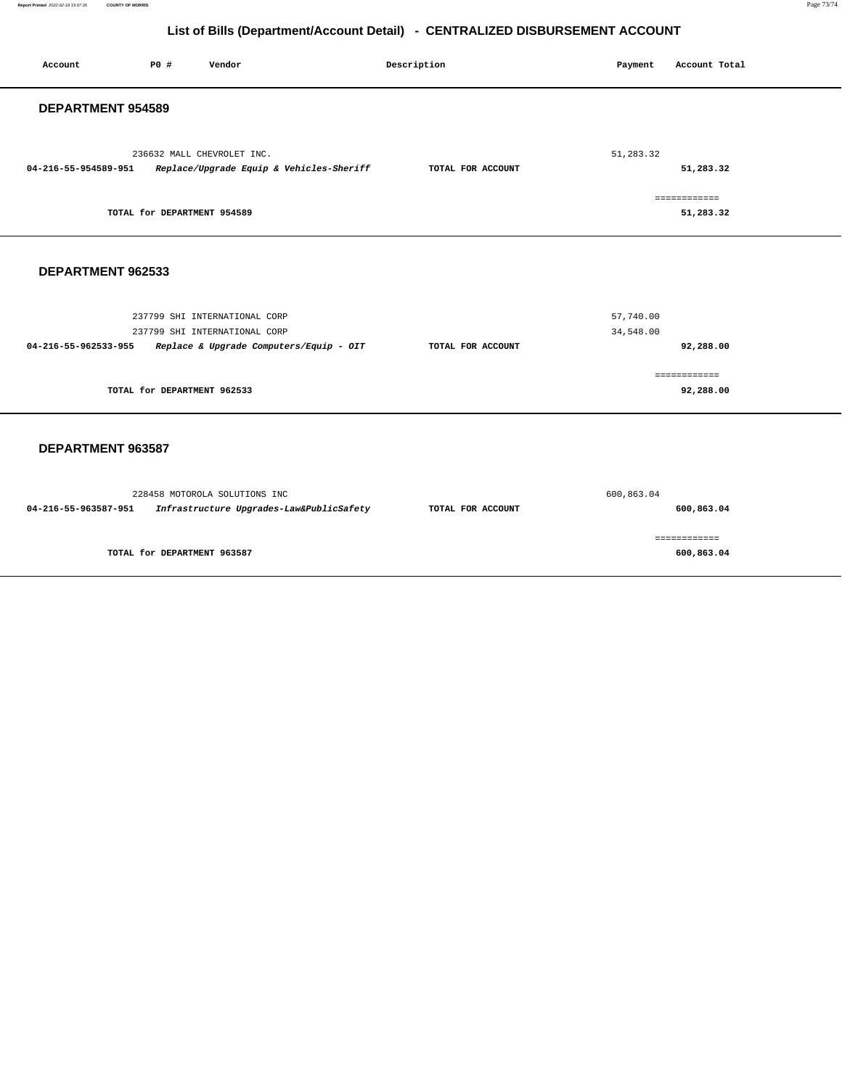**Report Printed** 2022-02-18 15:07:36 **COUNTY OF MORRIS** Page 73/74

# **List of Bills (Department/Account Detail) - CENTRALIZED DISBURSEMENT ACCOUNT**

| Account                                                                                        | P0 #                        | Vendor                                                                                                    | Description       | Payment                | Account Total              |  |
|------------------------------------------------------------------------------------------------|-----------------------------|-----------------------------------------------------------------------------------------------------------|-------------------|------------------------|----------------------------|--|
| DEPARTMENT 954589                                                                              |                             |                                                                                                           |                   |                        |                            |  |
| 236632 MALL CHEVROLET INC.<br>Replace/Upgrade Equip & Vehicles-Sheriff<br>04-216-55-954589-951 |                             | TOTAL FOR ACCOUNT                                                                                         | 51,283.32         | 51,283.32              |                            |  |
| TOTAL for DEPARTMENT 954589                                                                    |                             |                                                                                                           |                   |                        | ============<br>51,283.32  |  |
| DEPARTMENT 962533                                                                              |                             |                                                                                                           |                   |                        |                            |  |
| 04-216-55-962533-955                                                                           |                             | 237799 SHI INTERNATIONAL CORP<br>237799 SHI INTERNATIONAL CORP<br>Replace & Upgrade Computers/Equip - OIT | TOTAL FOR ACCOUNT | 57,740.00<br>34,548.00 | 92,288.00                  |  |
| TOTAL for DEPARTMENT 962533                                                                    |                             |                                                                                                           |                   |                        | ============<br>92,288.00  |  |
| DEPARTMENT 963587                                                                              |                             |                                                                                                           |                   |                        |                            |  |
| 04-216-55-963587-951                                                                           |                             | 228458 MOTOROLA SOLUTIONS INC<br>Infrastructure Upgrades-Law&PublicSafety                                 | TOTAL FOR ACCOUNT | 600,863.04             | 600,863.04                 |  |
|                                                                                                | TOTAL for DEPARTMENT 963587 |                                                                                                           |                   |                        | ============<br>600,863.04 |  |